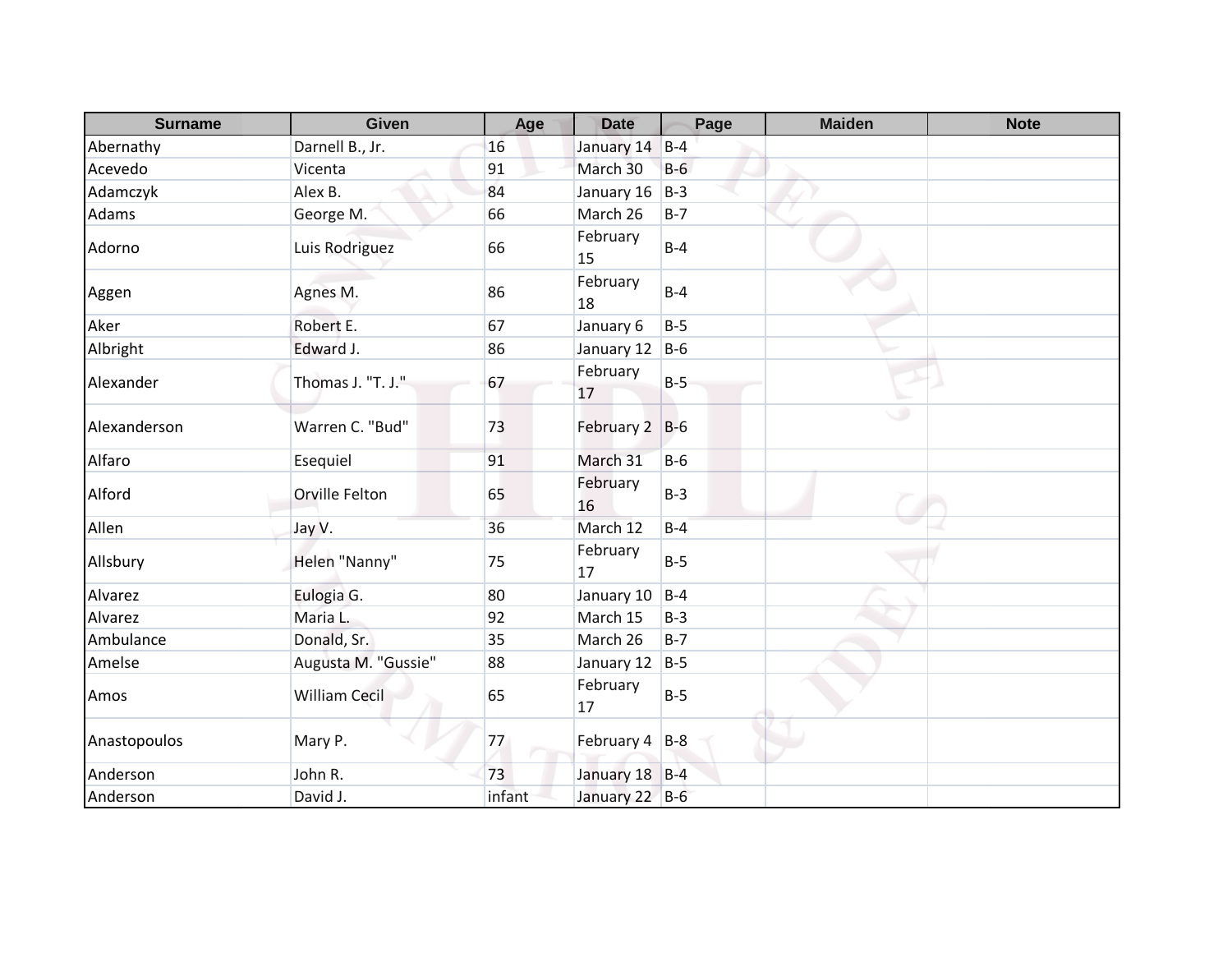| <b>Surname</b> | Given                | Age    | <b>Date</b>    | Page    | <b>Maiden</b> | <b>Note</b> |
|----------------|----------------------|--------|----------------|---------|---------------|-------------|
| Abernathy      | Darnell B., Jr.      | 16     | January 14     | $B-4$   |               |             |
| Acevedo        | Vicenta              | 91     | March 30       | $B-6$   |               |             |
| Adamczyk       | Alex B.              | 84     | January 16     | $B-3$   |               |             |
| Adams          | George M.            | 66     | March 26       | $B-7$   |               |             |
| Adorno         | Luis Rodriguez       | 66     | February<br>15 | $B-4$   |               |             |
| Aggen          | Agnes M.             | 86     | February<br>18 | $B-4$   |               |             |
| Aker           | Robert E.            | 67     | January 6      | $B-5$   |               |             |
| Albright       | Edward J.            | 86     | January 12     | $B-6$   |               |             |
| Alexander      | Thomas J. "T. J."    | 67     | February<br>17 | $B-5$   |               |             |
| Alexanderson   | Warren C. "Bud"      | 73     | February 2 B-6 |         | ٠             |             |
| Alfaro         | Esequiel             | 91     | March 31       | $B-6$   |               |             |
| Alford         | Orville Felton       | 65     | February<br>16 | $B-3$   |               |             |
| Allen          | Jay V.               | 36     | March 12       | $B-4$   |               |             |
| Allsbury       | Helen "Nanny"        | 75     | February<br>17 | $B-5$   |               |             |
| Alvarez        | Eulogia G.           | 80     | January 10     | $B-4$   |               |             |
| Alvarez        | Maria L.             | 92     | March 15       | $B-3$   |               |             |
| Ambulance      | Donald, Sr.          | 35     | March 26       | $B - 7$ |               |             |
| Amelse         | Augusta M. "Gussie"  | 88     | January 12     | $B-5$   |               |             |
| Amos           | <b>William Cecil</b> | 65     | February<br>17 | $B-5$   |               |             |
| Anastopoulos   | Mary P.              | 77     | February 4 B-8 |         |               |             |
| Anderson       | John R.              | 73     | January 18 B-4 |         |               |             |
| Anderson       | David J.             | infant | January 22 B-6 |         |               |             |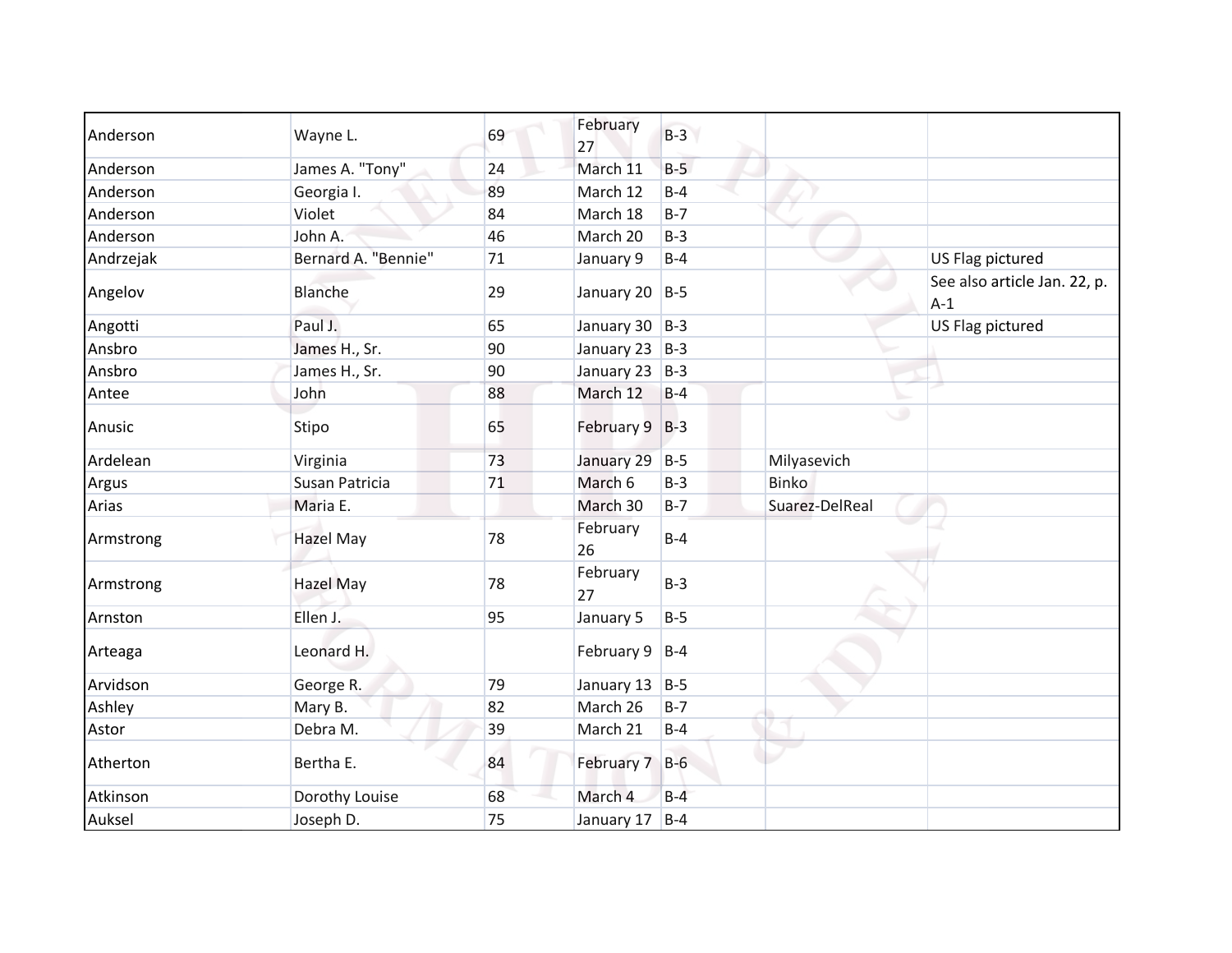| Anderson  | Wayne L.            | 69 | February<br>27     | $B-3$ |                |                                       |
|-----------|---------------------|----|--------------------|-------|----------------|---------------------------------------|
| Anderson  | James A. "Tony"     | 24 | March 11           | $B-5$ |                |                                       |
| Anderson  | Georgia I.          | 89 | March 12           | $B-4$ |                |                                       |
| Anderson  | Violet              | 84 | March 18           | $B-7$ |                |                                       |
| Anderson  | John A.             | 46 | March 20           | $B-3$ |                |                                       |
| Andrzejak | Bernard A. "Bennie" | 71 | January 9          | $B-4$ |                | US Flag pictured                      |
| Angelov   | <b>Blanche</b>      | 29 | January 20 B-5     |       |                | See also article Jan. 22, p.<br>$A-1$ |
| Angotti   | Paul J.             | 65 | January 30 B-3     |       |                | US Flag pictured                      |
| Ansbro    | James H., Sr.       | 90 | January 23 $ B-3 $ |       |                |                                       |
| Ansbro    | James H., Sr.       | 90 | January 23 B-3     |       |                |                                       |
| Antee     | John                | 88 | March 12           | $B-4$ |                |                                       |
| Anusic    | Stipo               | 65 | February 9 B-3     |       | ی              |                                       |
| Ardelean  | Virginia            | 73 | January 29         | $B-5$ | Milyasevich    |                                       |
| Argus     | Susan Patricia      | 71 | March 6            | $B-3$ | <b>Binko</b>   |                                       |
| Arias     | Maria E.            |    | March 30           | $B-7$ | Suarez-DelReal |                                       |
| Armstrong | <b>Hazel May</b>    | 78 | February<br>26     | $B-4$ |                |                                       |
| Armstrong | <b>Hazel May</b>    | 78 | February<br>27     | $B-3$ |                |                                       |
| Arnston   | Ellen J.            | 95 | January 5          | $B-5$ |                |                                       |
| Arteaga   | Leonard H.          |    | February $9$ B-4   |       |                |                                       |
| Arvidson  | George R.           | 79 | January 13         | $B-5$ |                |                                       |
| Ashley    | Mary B.             | 82 | March 26           | $B-7$ |                |                                       |
| Astor     | Debra M.            | 39 | March 21           | $B-4$ |                |                                       |
| Atherton  | Bertha E.           | 84 | February 7         | $B-6$ |                |                                       |
| Atkinson  | Dorothy Louise      | 68 | March 4            | $B-4$ |                |                                       |
| Auksel    | Joseph D.           | 75 | January 17 B-4     |       |                |                                       |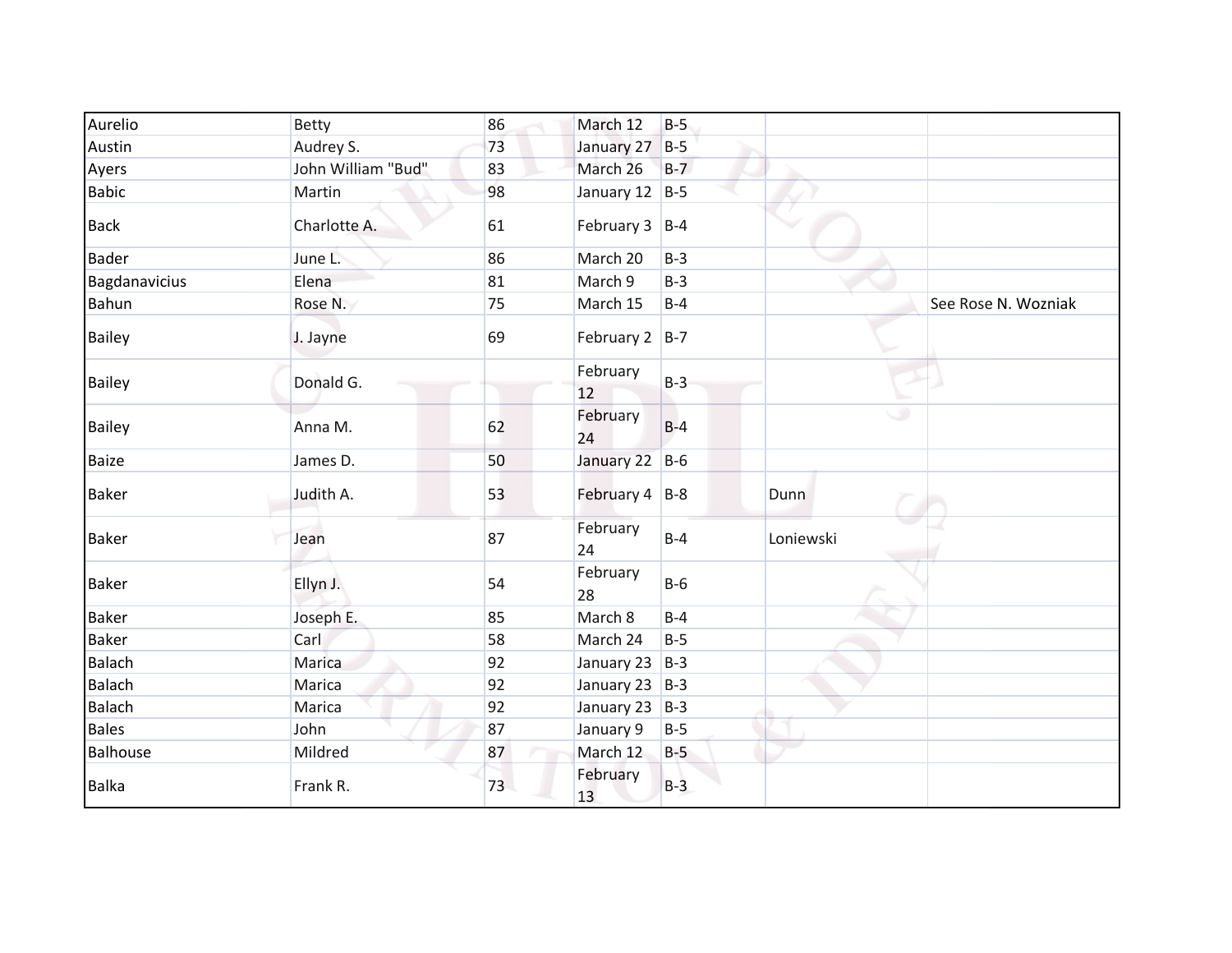| Aurelio       | <b>Betty</b>       | 86 | March 12           | $B-5$ |           |                     |
|---------------|--------------------|----|--------------------|-------|-----------|---------------------|
| Austin        | Audrey S.          | 73 | January 27         | $B-5$ |           |                     |
| Ayers         | John William "Bud" | 83 | March 26           | $B-7$ |           |                     |
| <b>Babic</b>  | Martin             | 98 | January 12 $ B-5 $ |       |           |                     |
| <b>Back</b>   | Charlotte A.       | 61 | February $3$  B-4  |       |           |                     |
| <b>Bader</b>  | June L.            | 86 | March 20           | $B-3$ |           |                     |
| Bagdanavicius | Elena              | 81 | March 9            | $B-3$ |           |                     |
| Bahun         | Rose N.            | 75 | March 15           | $B-4$ |           | See Rose N. Wozniak |
| <b>Bailey</b> | J. Jayne           | 69 | February $2$  B-7  |       |           |                     |
| <b>Bailey</b> | Donald G.          |    | February<br>12     | $B-3$ |           |                     |
| <b>Bailey</b> | Anna M.            | 62 | February<br>24     | $B-4$ | ی         |                     |
| <b>Baize</b>  | James D.           | 50 | January 22 B-6     |       |           |                     |
| <b>Baker</b>  | Judith A.          | 53 | February 4 B-8     |       | Dunn      |                     |
| <b>Baker</b>  | Jean               | 87 | February<br>24     | $B-4$ | Loniewski |                     |
| <b>Baker</b>  | Ellyn J.           | 54 | February<br>28     | $B-6$ |           |                     |
| Baker         | Joseph E.          | 85 | March 8            | $B-4$ |           |                     |
| Baker         | Carl               | 58 | March 24           | $B-5$ |           |                     |
| <b>Balach</b> | Marica             | 92 | January 23 $ B-3 $ |       |           |                     |
| <b>Balach</b> | Marica             | 92 | January 23 B-3     |       |           |                     |
| <b>Balach</b> | Marica             | 92 | January 23         | $B-3$ |           |                     |
| <b>Bales</b>  | John               | 87 | January 9          | $B-5$ |           |                     |
| Balhouse      | Mildred            | 87 | March 12           | $B-5$ |           |                     |
| <b>Balka</b>  | Frank R.           | 73 | February<br>13     | $B-3$ |           |                     |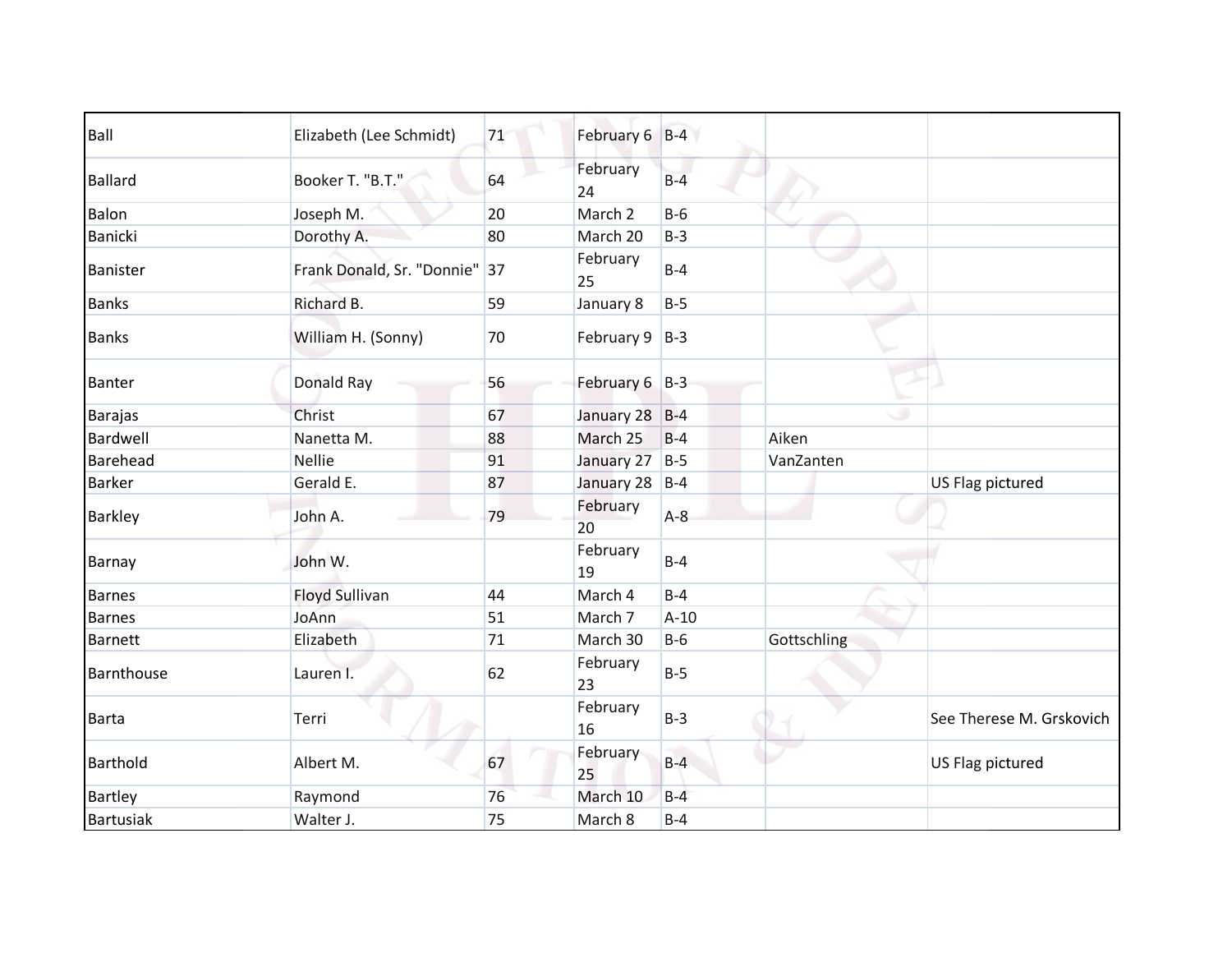| Ball            | Elizabeth (Lee Schmidt)       | 71 | February 6 B-4     |        |             |                          |
|-----------------|-------------------------------|----|--------------------|--------|-------------|--------------------------|
| <b>Ballard</b>  | Booker T. "B.T."              | 64 | February<br>24     | $B-4$  |             |                          |
| Balon           | Joseph M.                     | 20 | March 2            | $B-6$  |             |                          |
| Banicki         | Dorothy A.                    | 80 | March 20           | $B-3$  |             |                          |
| Banister        | Frank Donald, Sr. "Donnie" 37 |    | February<br>25     | $B-4$  |             |                          |
| <b>Banks</b>    | Richard B.                    | 59 | January 8          | $B-5$  |             |                          |
| <b>Banks</b>    | William H. (Sonny)            | 70 | February $9$   B-3 |        |             |                          |
| <b>Banter</b>   | Donald Ray                    | 56 | February 6 B-3     |        |             |                          |
| <b>Barajas</b>  | Christ                        | 67 | January 28 B-4     |        |             |                          |
| Bardwell        | Nanetta M.                    | 88 | March 25           | $B-4$  | Aiken       |                          |
| Barehead        | <b>Nellie</b>                 | 91 | January 27         | $B-5$  | VanZanten   |                          |
| <b>Barker</b>   | Gerald E.                     | 87 | January 28         | $B-4$  |             | US Flag pictured         |
| <b>Barkley</b>  | John A.                       | 79 | February<br>20     | $A-8$  |             |                          |
| Barnay          | John W.                       |    | February<br>19     | $B-4$  |             |                          |
| Barnes          | <b>Floyd Sullivan</b>         | 44 | March 4            | $B-4$  |             |                          |
| <b>Barnes</b>   | JoAnn                         | 51 | March 7            | $A-10$ |             |                          |
| <b>Barnett</b>  | Elizabeth                     | 71 | March 30           | $B-6$  | Gottschling |                          |
| Barnthouse      | Lauren I.                     | 62 | February<br>23     | $B-5$  |             |                          |
| <b>Barta</b>    | Terri                         |    | February<br>16     | $B-3$  |             | See Therese M. Grskovich |
| <b>Barthold</b> | Albert M.                     | 67 | February<br>25     | $B-4$  |             | US Flag pictured         |
| Bartley         | Raymond                       | 76 | March 10           | $B-4$  |             |                          |
| Bartusiak       | Walter J.                     | 75 | March 8            | $B-4$  |             |                          |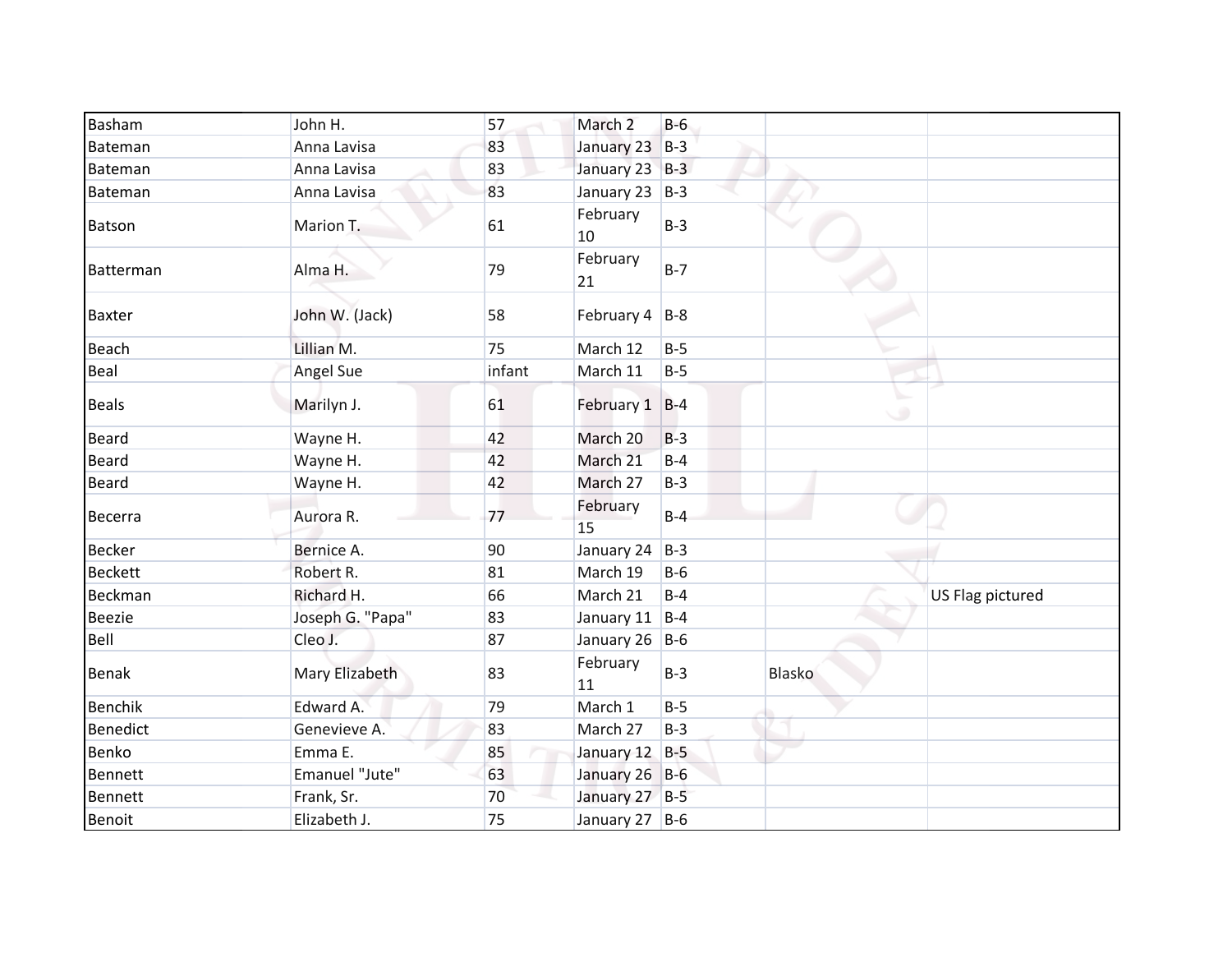| Basham          | John H.          | 57     | March 2                | $B-6$ |        |                  |
|-----------------|------------------|--------|------------------------|-------|--------|------------------|
| Bateman         | Anna Lavisa      | 83     | January 23             | $B-3$ |        |                  |
| Bateman         | Anna Lavisa      | 83     | January 23 B-3         |       |        |                  |
| Bateman         | Anna Lavisa      | 83     | January 23 $ B-3 $     |       |        |                  |
| Batson          | Marion T.        | 61     | February<br>10         | $B-3$ |        |                  |
| Batterman       | Alma H.          | 79     | February<br>21         | $B-7$ |        |                  |
| <b>Baxter</b>   | John W. (Jack)   | 58     | February $4$   B-8     |       |        |                  |
| <b>Beach</b>    | Lillian M.       | 75     | March 12               | $B-5$ |        |                  |
| Beal            | Angel Sue        | infant | March 11               | $B-5$ |        |                  |
| <b>Beals</b>    | Marilyn J.       | 61     | February 1 B-4         |       | ی      |                  |
| <b>Beard</b>    | Wayne H.         | 42     | March 20               | $B-3$ |        |                  |
| <b>Beard</b>    | Wayne H.         | 42     | March 21               | $B-4$ |        |                  |
| <b>Beard</b>    | Wayne H.         | 42     | March 27               | $B-3$ |        |                  |
| Becerra         | Aurora R.        | 77     | February<br>15         | $B-4$ |        |                  |
| <b>Becker</b>   | Bernice A.       | 90     | January 24             | $B-3$ |        |                  |
| <b>Beckett</b>  | Robert R.        | 81     | March 19               | $B-6$ |        |                  |
| Beckman         | Richard H.       | 66     | March 21               | $B-4$ |        | US Flag pictured |
| <b>Beezie</b>   | Joseph G. "Papa" | 83     | January 11 $\vert$ B-4 |       |        |                  |
| Bell            | Cleo J.          | 87     | January 26 B-6         |       |        |                  |
| <b>Benak</b>    | Mary Elizabeth   | 83     | February<br>11         | $B-3$ | Blasko |                  |
| Benchik         | Edward A.        | 79     | March 1                | $B-5$ |        |                  |
| <b>Benedict</b> | Genevieve A.     | 83     | March 27               | $B-3$ |        |                  |
| Benko           | Emma E.          | 85     | January 12 B-5         |       |        |                  |
| Bennett         | Emanuel "Jute"   | 63     | January 26 B-6         |       |        |                  |
| <b>Bennett</b>  | Frank, Sr.       | 70     | January 27 B-5         |       |        |                  |
| Benoit          | Elizabeth J.     | 75     | January 27 B-6         |       |        |                  |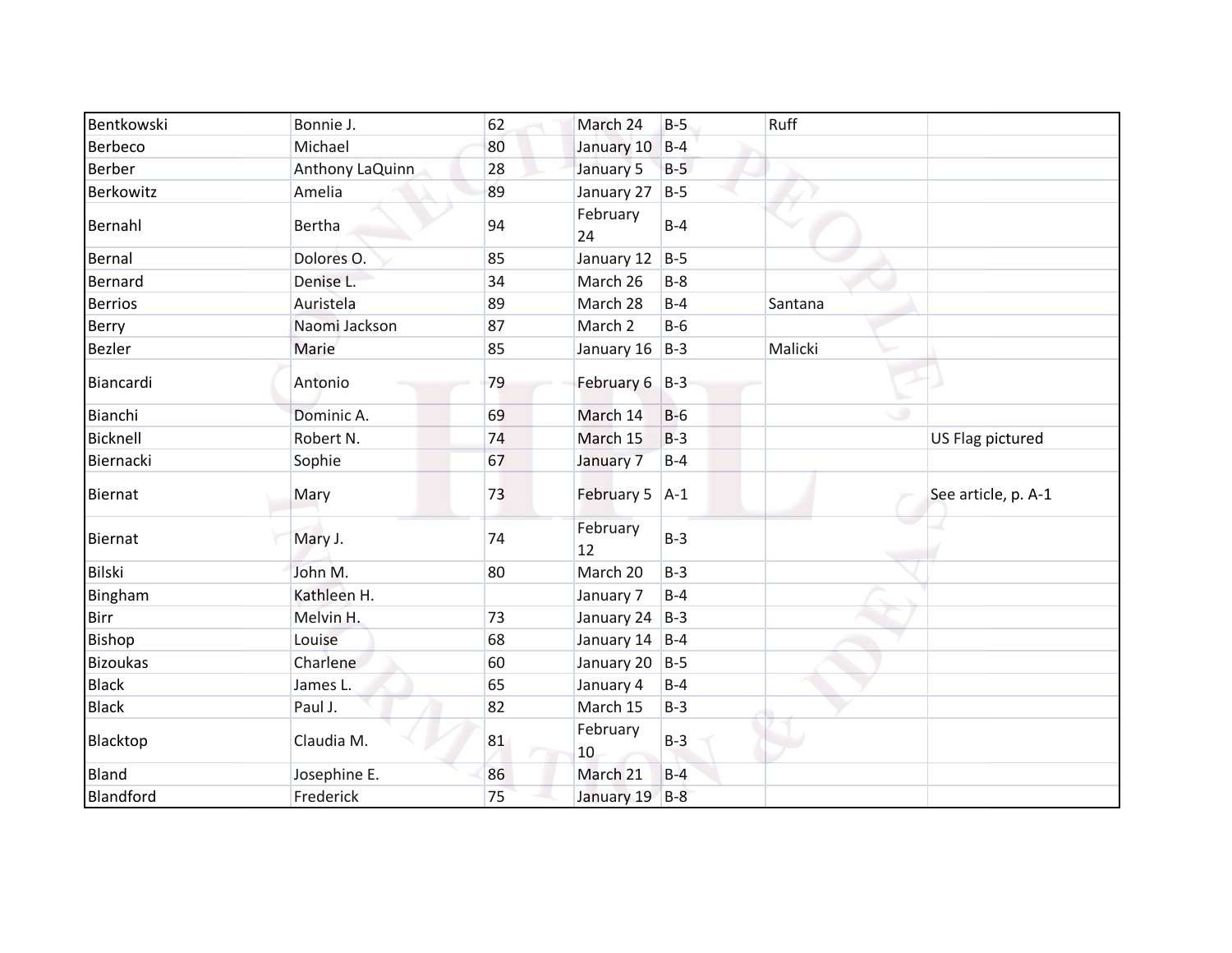| Bentkowski      | Bonnie J.       | 62 | March 24       | $B-5$ | Ruff    |                     |
|-----------------|-----------------|----|----------------|-------|---------|---------------------|
| Berbeco         | Michael         | 80 | January 10     | $B-4$ |         |                     |
| Berber          | Anthony LaQuinn | 28 | January 5      | $B-5$ |         |                     |
| Berkowitz       | Amelia          | 89 | January 27     | $B-5$ |         |                     |
| Bernahl         | <b>Bertha</b>   | 94 | February<br>24 | $B-4$ |         |                     |
| Bernal          | Dolores O.      | 85 | January 12     | $B-5$ |         |                     |
| <b>Bernard</b>  | Denise L.       | 34 | March 26       | $B-8$ |         |                     |
| <b>Berrios</b>  | Auristela       | 89 | March 28       | $B-4$ | Santana |                     |
| Berry           | Naomi Jackson   | 87 | March 2        | $B-6$ |         |                     |
| Bezler          | Marie           | 85 | January 16     | $B-3$ | Malicki |                     |
| Biancardi       | Antonio         | 79 | February 6 B-3 |       |         |                     |
| Bianchi         | Dominic A.      | 69 | March 14       | $B-6$ | ٠       |                     |
| Bicknell        | Robert N.       | 74 | March 15       | $B-3$ |         | US Flag pictured    |
| Biernacki       | Sophie          | 67 | January 7      | $B-4$ |         |                     |
| <b>Biernat</b>  | Mary            | 73 | February 5 A-1 |       |         | See article, p. A-1 |
| Biernat         | Mary J.         | 74 | February<br>12 | $B-3$ |         |                     |
| Bilski          | John M.         | 80 | March 20       | $B-3$ |         |                     |
| Bingham         | Kathleen H.     |    | January 7      | $B-4$ |         |                     |
| Birr            | Melvin H.       | 73 | January 24 B-3 |       |         |                     |
| Bishop          | Louise          | 68 | January 14 B-4 |       |         |                     |
| <b>Bizoukas</b> | Charlene        | 60 | January 20 B-5 |       |         |                     |
| <b>Black</b>    | James L.        | 65 | January 4      | $B-4$ |         |                     |
| <b>Black</b>    | Paul J.         | 82 | March 15       | $B-3$ |         |                     |
| Blacktop        | Claudia M.      | 81 | February<br>10 | $B-3$ |         |                     |
| <b>Bland</b>    | Josephine E.    | 86 | March 21       | $B-4$ |         |                     |
| Blandford       | Frederick       | 75 | January 19 B-8 |       |         |                     |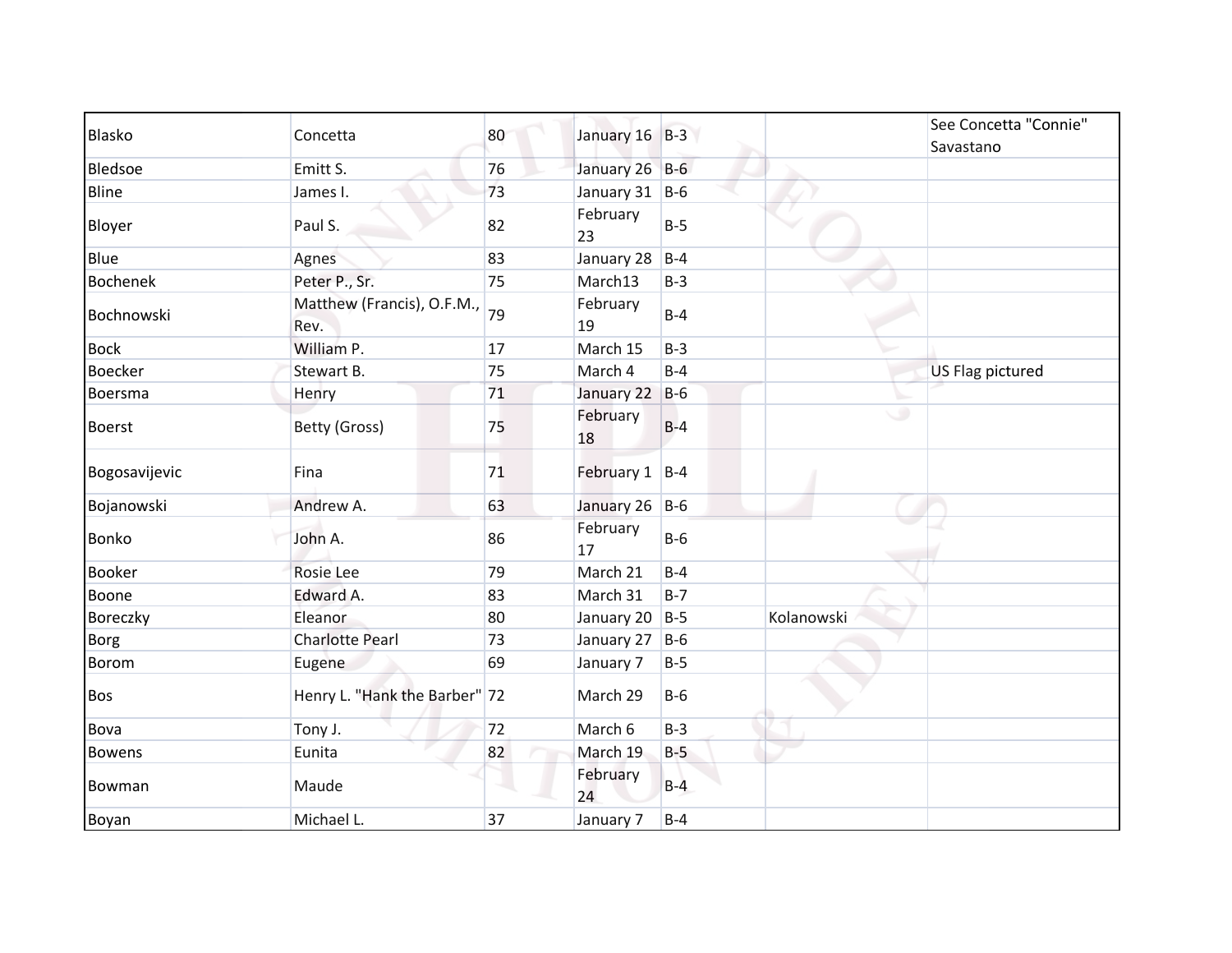| <b>Blasko</b>   |                                    |    |                    |       |            | See Concetta "Connie"   |
|-----------------|------------------------------------|----|--------------------|-------|------------|-------------------------|
|                 | Concetta                           | 80 | January 16 B-3     |       |            | Savastano               |
| Bledsoe         | Emitt S.                           | 76 | January 26 B-6     |       |            |                         |
| Bline           | James I.                           | 73 | January 31 $ B-6 $ |       |            |                         |
| Bloyer          | Paul S.                            | 82 | February<br>23     | $B-5$ |            |                         |
| Blue            | Agnes                              | 83 | January 28         | $B-4$ |            |                         |
| <b>Bochenek</b> | Peter P., Sr.                      | 75 | March13            | $B-3$ |            |                         |
| Bochnowski      | Matthew (Francis), O.F.M.,<br>Rev. | 79 | February<br>19     | $B-4$ |            |                         |
| <b>Bock</b>     | William P.                         | 17 | March 15           | $B-3$ |            |                         |
| <b>Boecker</b>  | Stewart B.                         | 75 | March 4            | $B-4$ |            | <b>US Flag pictured</b> |
| Boersma         | Henry                              | 71 | January 22         | $B-6$ |            |                         |
| <b>Boerst</b>   | Betty (Gross)                      | 75 | February<br>18     | $B-4$ | ی          |                         |
| Bogosavijevic   | Fina                               | 71 | February 1 B-4     |       |            |                         |
| Bojanowski      | Andrew A.                          | 63 | January 26 B-6     |       |            |                         |
| <b>Bonko</b>    | John A.                            | 86 | February<br>17     | $B-6$ |            |                         |
| <b>Booker</b>   | Rosie Lee                          | 79 | March 21           | $B-4$ |            |                         |
| Boone           | Edward A.                          | 83 | March 31           | $B-7$ |            |                         |
| Boreczky        | Eleanor                            | 80 | January 20         | $B-5$ | Kolanowski |                         |
| Borg            | <b>Charlotte Pearl</b>             | 73 | January 27         | $B-6$ |            |                         |
| <b>Borom</b>    | Eugene                             | 69 | January 7          | $B-5$ |            |                         |
| <b>Bos</b>      | Henry L. "Hank the Barber" 72      |    | March 29           | $B-6$ |            |                         |
| Bova            | Tony J.                            | 72 | March 6            | $B-3$ |            |                         |
| <b>Bowens</b>   | Eunita                             | 82 | March 19           | $B-5$ |            |                         |
| Bowman          | Maude                              |    | February<br>24     | $B-4$ |            |                         |
| Boyan           | Michael L.                         | 37 | January 7          | $B-4$ |            |                         |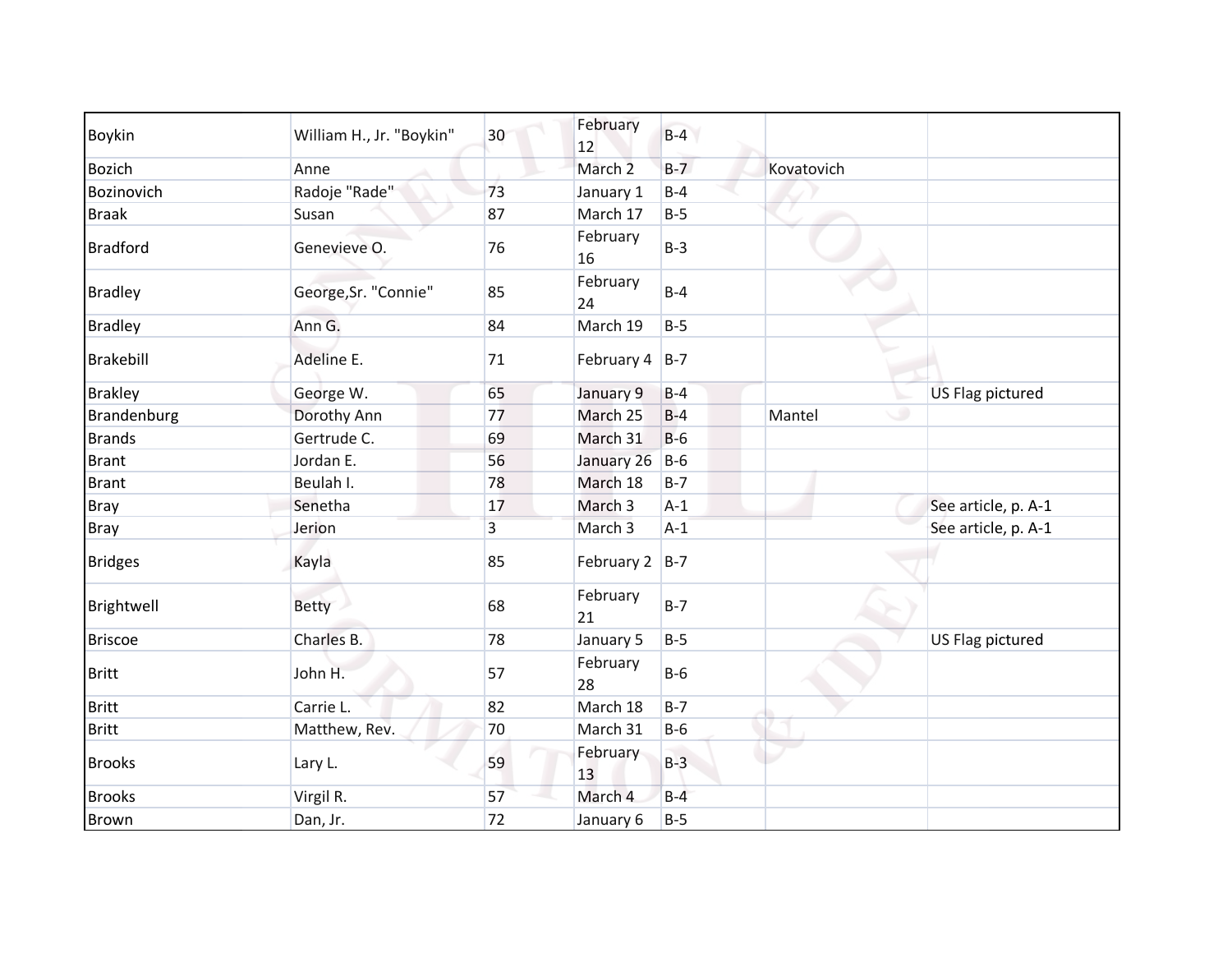| Boykin          | William H., Jr. "Boykin" | 30 | February<br>12     | $B-4$ |             |                         |
|-----------------|--------------------------|----|--------------------|-------|-------------|-------------------------|
| <b>Bozich</b>   | Anne                     |    | March <sub>2</sub> | $B-7$ | Kovatovich  |                         |
| Bozinovich      | Radoje "Rade"            | 73 | January 1          | $B-4$ |             |                         |
| <b>Braak</b>    | Susan                    | 87 | March 17           | $B-5$ |             |                         |
| <b>Bradford</b> | Genevieve O.             | 76 | February<br>16     | $B-3$ |             |                         |
| <b>Bradley</b>  | George, Sr. "Connie"     | 85 | February<br>24     | $B-4$ |             |                         |
| <b>Bradley</b>  | Ann G.                   | 84 | March 19           | $B-5$ |             |                         |
| Brakebill       | Adeline E.               | 71 | February $4$ B-7   |       |             |                         |
| <b>Brakley</b>  | George W.                | 65 | January 9          | $B-4$ |             | <b>US Flag pictured</b> |
| Brandenburg     | Dorothy Ann              | 77 | March 25           | $B-4$ | ی<br>Mantel |                         |
| <b>Brands</b>   | Gertrude C.              | 69 | March 31           | $B-6$ |             |                         |
| <b>Brant</b>    | Jordan E.                | 56 | January 26         | $B-6$ |             |                         |
| <b>Brant</b>    | Beulah I.                | 78 | March 18           | $B-7$ |             |                         |
| <b>Bray</b>     | Senetha                  | 17 | March 3            | $A-1$ |             | See article, p. A-1     |
| <b>Bray</b>     | Jerion                   | 3  | March 3            | $A-1$ |             | See article, p. A-1     |
| <b>Bridges</b>  | Kayla                    | 85 | February 2 $ B-7 $ |       |             |                         |
| Brightwell      | <b>Betty</b>             | 68 | February<br>21     | $B-7$ |             |                         |
| <b>Briscoe</b>  | Charles B.               | 78 | January 5          | $B-5$ |             | US Flag pictured        |
| <b>Britt</b>    | John H.                  | 57 | February<br>28     | $B-6$ |             |                         |
| <b>Britt</b>    | Carrie L.                | 82 | March 18           | $B-7$ |             |                         |
| <b>Britt</b>    | Matthew, Rev.            | 70 | March 31           | $B-6$ |             |                         |
| <b>Brooks</b>   | Lary L.                  | 59 | February<br>13     | $B-3$ |             |                         |
| <b>Brooks</b>   | Virgil R.                | 57 | March 4            | $B-4$ |             |                         |
| <b>Brown</b>    | Dan, Jr.                 | 72 | January 6          | $B-5$ |             |                         |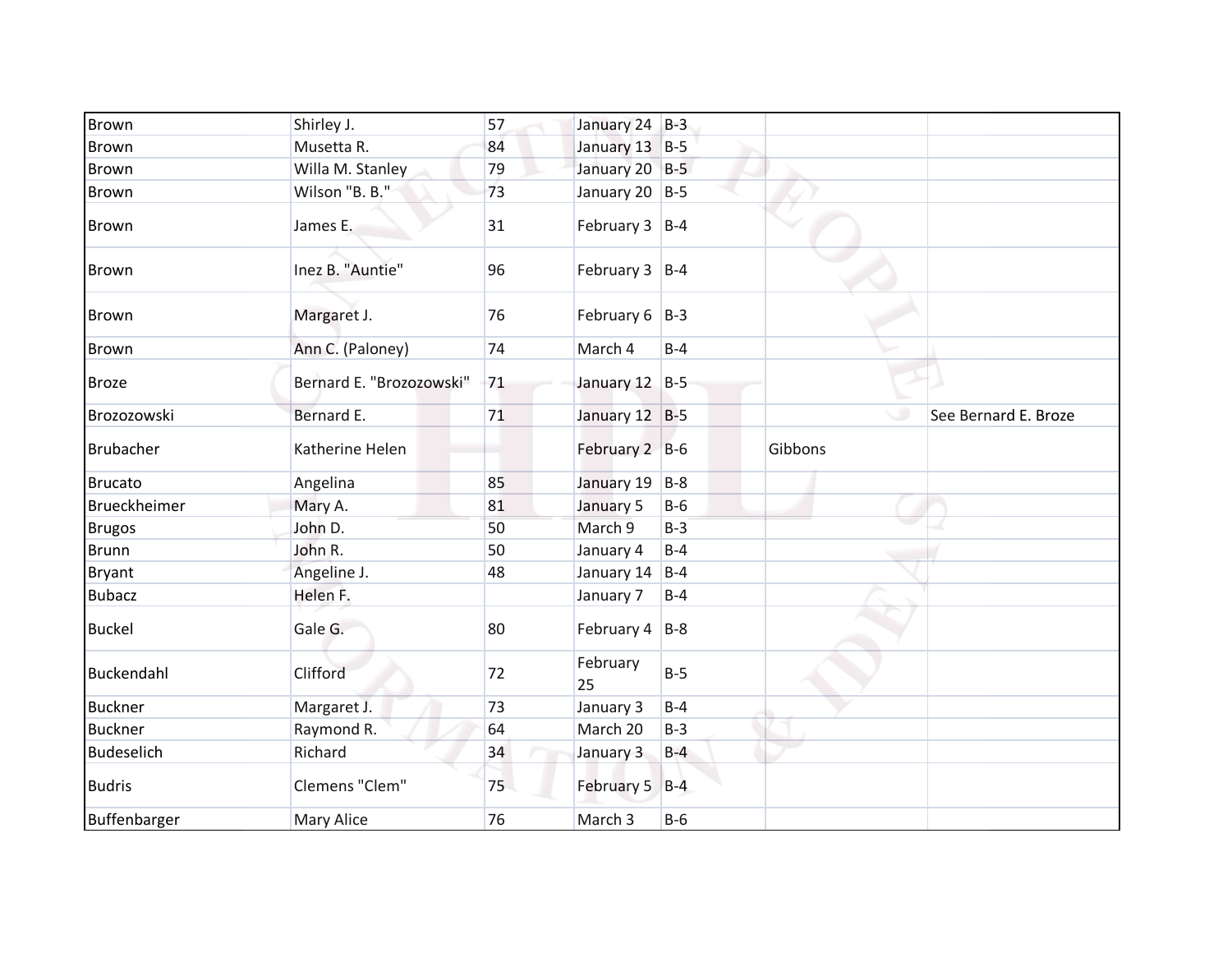| <b>Brown</b>   | Shirley J.               | 57 | January 24 B-3     |       |         |                      |
|----------------|--------------------------|----|--------------------|-------|---------|----------------------|
| <b>Brown</b>   | Musetta R.               | 84 | January 13 B-5     |       |         |                      |
| <b>Brown</b>   | Willa M. Stanley         | 79 | January 20 B-5     |       |         |                      |
| <b>Brown</b>   | Wilson "B. B."           | 73 | January 20 $ B-5 $ |       |         |                      |
| <b>Brown</b>   | James E.                 | 31 | February $3$ B-4   |       |         |                      |
| <b>Brown</b>   | Inez B. "Auntie"         | 96 | February $3$ B-4   |       |         |                      |
| <b>Brown</b>   | Margaret J.              | 76 | February $6$   B-3 |       |         |                      |
| Brown          | Ann C. (Paloney)         | 74 | March 4            | $B-4$ |         |                      |
| <b>Broze</b>   | Bernard E. "Brozozowski" | 71 | January 12 B-5     |       |         |                      |
| Brozozowski    | Bernard E.               | 71 | January 12 B-5     |       |         | See Bernard E. Broze |
| Brubacher      | Katherine Helen          |    | February 2 B-6     |       | Gibbons |                      |
| <b>Brucato</b> | Angelina                 | 85 | January 19         | $B-8$ |         |                      |
| Brueckheimer   | Mary A.                  | 81 | January 5          | $B-6$ |         |                      |
| <b>Brugos</b>  | John D.                  | 50 | March 9            | $B-3$ |         |                      |
| <b>Brunn</b>   | John R.                  | 50 | January 4          | $B-4$ |         |                      |
| <b>Bryant</b>  | Angeline J.              | 48 | January 14         | $B-4$ |         |                      |
| <b>Bubacz</b>  | Helen F.                 |    | January 7          | $B-4$ |         |                      |
| <b>Buckel</b>  | Gale G.                  | 80 | February $4$   B-8 |       |         |                      |
| Buckendahl     | Clifford                 | 72 | February<br>25     | $B-5$ |         |                      |
| <b>Buckner</b> | Margaret J.              | 73 | January 3          | $B-4$ |         |                      |
| <b>Buckner</b> | Raymond R.               | 64 | March 20           | $B-3$ |         |                      |
| Budeselich     | Richard                  | 34 | January 3          | $B-4$ |         |                      |
| <b>Budris</b>  | Clemens "Clem"           | 75 | February 5 B-4     |       |         |                      |
| Buffenbarger   | Mary Alice               | 76 | March 3            | $B-6$ |         |                      |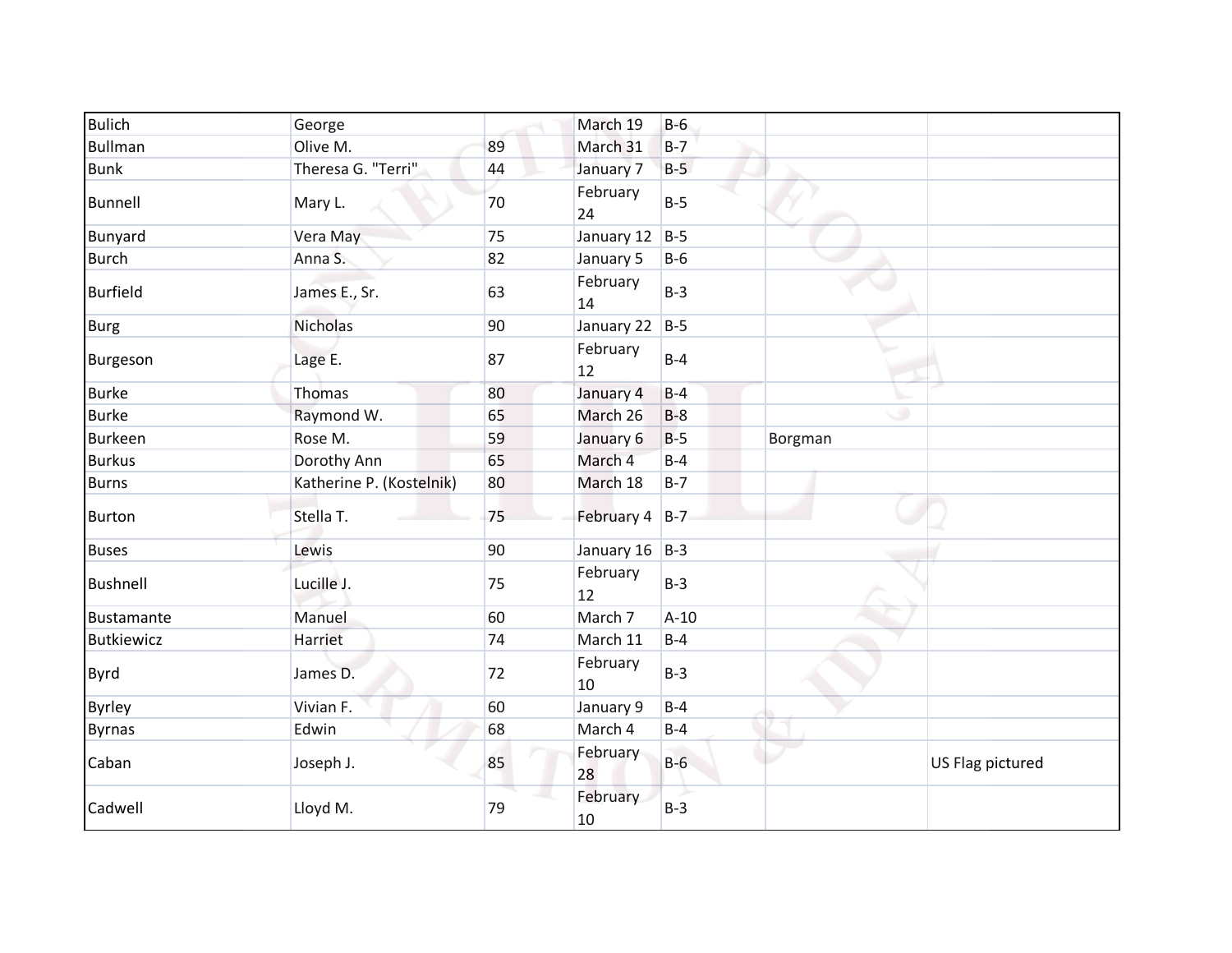| <b>Bulich</b>     | George                   |    | March 19           | $B-6$  |         |                  |
|-------------------|--------------------------|----|--------------------|--------|---------|------------------|
| Bullman           | Olive M.                 | 89 | March 31           | $B-7$  |         |                  |
| <b>Bunk</b>       | Theresa G. "Terri"       | 44 | January 7          | $B-5$  |         |                  |
| <b>Bunnell</b>    | Mary L.                  | 70 | February<br>24     | $B-5$  |         |                  |
| <b>Bunyard</b>    | Vera May                 | 75 | January 12         | $B-5$  |         |                  |
| <b>Burch</b>      | Anna S.                  | 82 | January 5          | $B-6$  |         |                  |
| Burfield          | James E., Sr.            | 63 | February<br>14     | $B-3$  |         |                  |
| <b>Burg</b>       | Nicholas                 | 90 | January 22         | $B-5$  |         |                  |
| Burgeson          | Lage E.                  | 87 | February<br>12     | $B-4$  |         |                  |
| <b>Burke</b>      | Thomas                   | 80 | January 4          | $B-4$  |         |                  |
| <b>Burke</b>      | Raymond W.               | 65 | March 26           | $B-8$  | ۲       |                  |
| <b>Burkeen</b>    | Rose M.                  | 59 | January 6          | $B-5$  | Borgman |                  |
| <b>Burkus</b>     | Dorothy Ann              | 65 | March 4            | $B-4$  |         |                  |
| <b>Burns</b>      | Katherine P. (Kostelnik) | 80 | March 18           | $B-7$  |         |                  |
| <b>Burton</b>     | Stella T.                | 75 | February 4 B-7     |        |         |                  |
| <b>Buses</b>      | Lewis                    | 90 | January $16$   B-3 |        |         |                  |
| Bushnell          | Lucille J.               | 75 | February<br>12     | $B-3$  |         |                  |
| Bustamante        | Manuel                   | 60 | March 7            | $A-10$ |         |                  |
| <b>Butkiewicz</b> | Harriet                  | 74 | March 11           | $B-4$  |         |                  |
| <b>Byrd</b>       | James D.                 | 72 | February<br>10     | $B-3$  |         |                  |
| Byrley            | Vivian F.                | 60 | January 9          | $B-4$  |         |                  |
| <b>Byrnas</b>     | Edwin                    | 68 | March 4            | $B-4$  |         |                  |
| Caban             | Joseph J.                | 85 | February<br>28     | $B-6$  |         | US Flag pictured |
| Cadwell           | Lloyd M.                 | 79 | February<br>10     | $B-3$  |         |                  |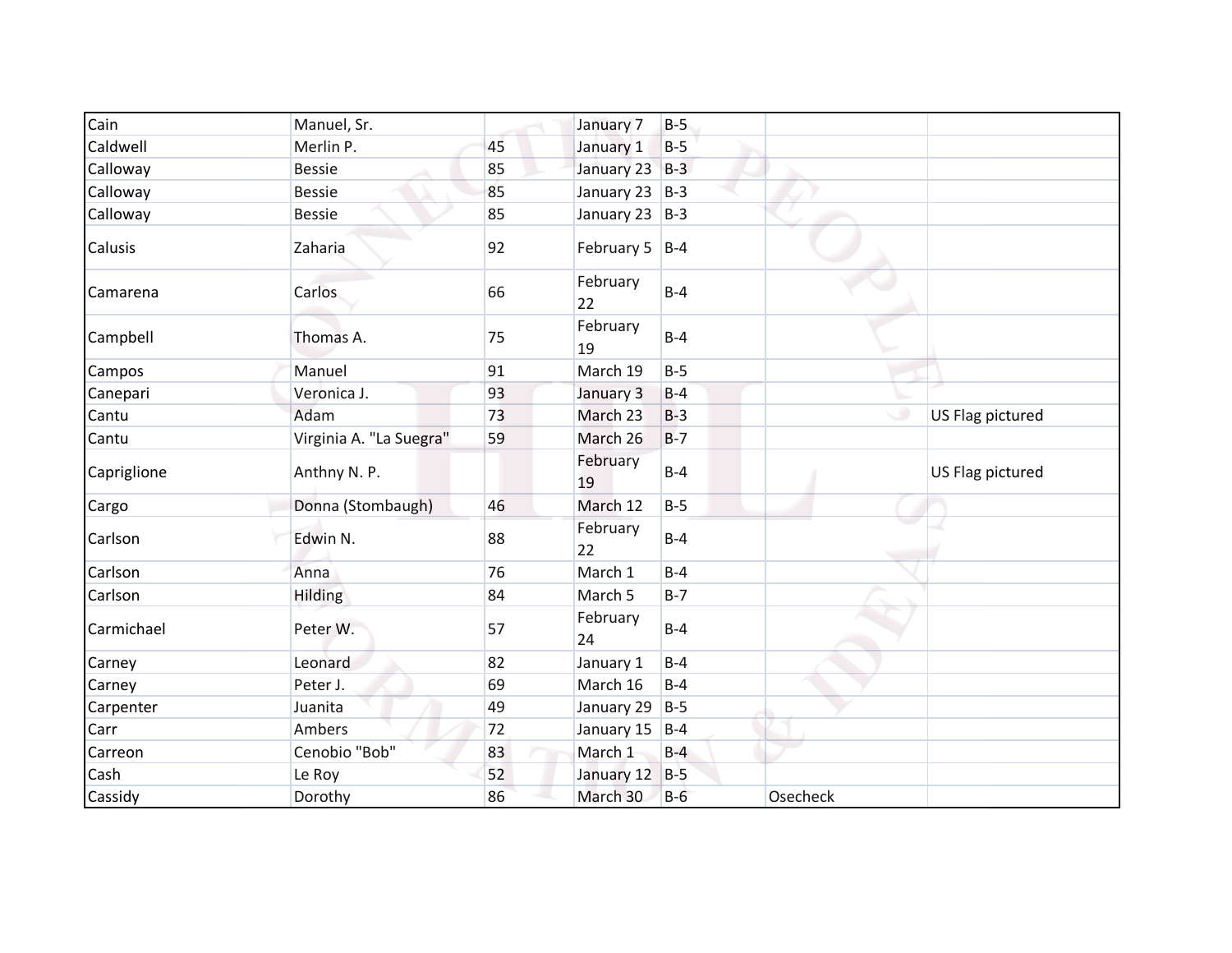| Cain        | Manuel, Sr.             |    | January 7          | $B-5$ |          |                  |
|-------------|-------------------------|----|--------------------|-------|----------|------------------|
| Caldwell    | Merlin P.               | 45 | January 1          | $B-5$ |          |                  |
| Calloway    | <b>Bessie</b>           | 85 | January 23 B-3     |       |          |                  |
| Calloway    | <b>Bessie</b>           | 85 | January 23 B-3     |       |          |                  |
| Calloway    | <b>Bessie</b>           | 85 | January 23 B-3     |       |          |                  |
| Calusis     | Zaharia                 | 92 | February 5 $ B-4 $ |       |          |                  |
| Camarena    | Carlos                  | 66 | February<br>22     | $B-4$ |          |                  |
| Campbell    | Thomas A.               | 75 | February<br>19     | $B-4$ |          |                  |
| Campos      | Manuel                  | 91 | March 19           | $B-5$ |          |                  |
| Canepari    | Veronica J.             | 93 | January 3          | $B-4$ |          |                  |
| Cantu       | Adam                    | 73 | March 23           | $B-3$ |          | US Flag pictured |
| Cantu       | Virginia A. "La Suegra" | 59 | March 26           | $B-7$ |          |                  |
| Capriglione | Anthny N. P.            |    | February<br>19     | $B-4$ |          | US Flag pictured |
| Cargo       | Donna (Stombaugh)       | 46 | March 12           | $B-5$ |          |                  |
| Carlson     | Edwin N.                | 88 | February<br>22     | $B-4$ |          |                  |
| Carlson     | Anna                    | 76 | March 1            | $B-4$ |          |                  |
| Carlson     | Hilding                 | 84 | March 5            | $B-7$ |          |                  |
| Carmichael  | Peter W.                | 57 | February<br>24     | $B-4$ |          |                  |
| Carney      | Leonard                 | 82 | January 1          | $B-4$ |          |                  |
| Carney      | Peter J.                | 69 | March 16           | $B-4$ |          |                  |
| Carpenter   | Juanita                 | 49 | January 29         | $B-5$ |          |                  |
| Carr        | Ambers                  | 72 | January 15         | $B-4$ |          |                  |
| Carreon     | Cenobio "Bob"           | 83 | March 1            | $B-4$ |          |                  |
| Cash        | Le Roy                  | 52 | January 12         | $B-5$ |          |                  |
| Cassidy     | Dorothy                 | 86 | March 30           | $B-6$ | Osecheck |                  |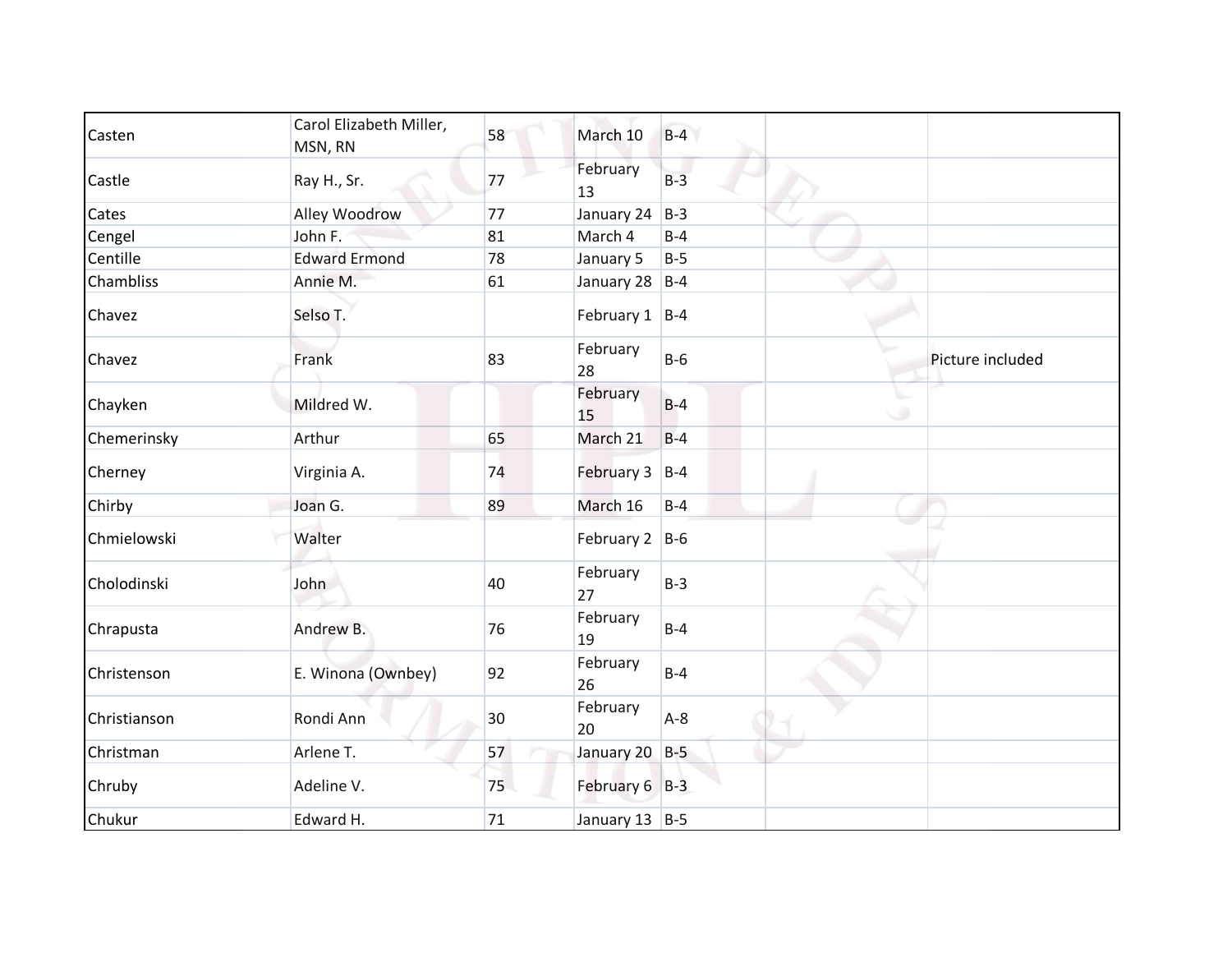| Casten       | Carol Elizabeth Miller,<br>MSN, RN | 58 | March 10           | $B-4$ |   |                  |
|--------------|------------------------------------|----|--------------------|-------|---|------------------|
| Castle       | Ray H., Sr.                        | 77 | February<br>13     | $B-3$ |   |                  |
| Cates        | Alley Woodrow                      | 77 | January 24         | $B-3$ |   |                  |
| Cengel       | John F.                            | 81 | March 4            | $B-4$ |   |                  |
| Centille     | <b>Edward Ermond</b>               | 78 | January 5          | $B-5$ |   |                  |
| Chambliss    | Annie M.                           | 61 | January 28 B-4     |       |   |                  |
| Chavez       | Selso T.                           |    | February $1$  B-4  |       |   |                  |
| Chavez       | Frank                              | 83 | February<br>28     | $B-6$ |   | Picture included |
| Chayken      | Mildred W.                         |    | February<br>15     | $B-4$ | ی |                  |
| Chemerinsky  | Arthur                             | 65 | March 21           | $B-4$ |   |                  |
| Cherney      | Virginia A.                        | 74 | February 3 B-4     |       |   |                  |
| Chirby       | Joan G.                            | 89 | March 16           | $B-4$ |   |                  |
| Chmielowski  | Walter                             |    | February $2$  B-6  |       |   |                  |
| Cholodinski  | John                               | 40 | February<br>27     | $B-3$ |   |                  |
| Chrapusta    | Andrew B.                          | 76 | February<br>19     | $B-4$ |   |                  |
| Christenson  | E. Winona (Ownbey)                 | 92 | February<br>26     | $B-4$ |   |                  |
| Christianson | Rondi Ann                          | 30 | February<br>20     | $A-8$ |   |                  |
| Christman    | Arlene T.                          | 57 | January 20 B-5     |       |   |                  |
| Chruby       | Adeline V.                         | 75 | February $6$ B-3   |       |   |                  |
| Chukur       | Edward H.                          | 71 | January 13 $ B-5 $ |       |   |                  |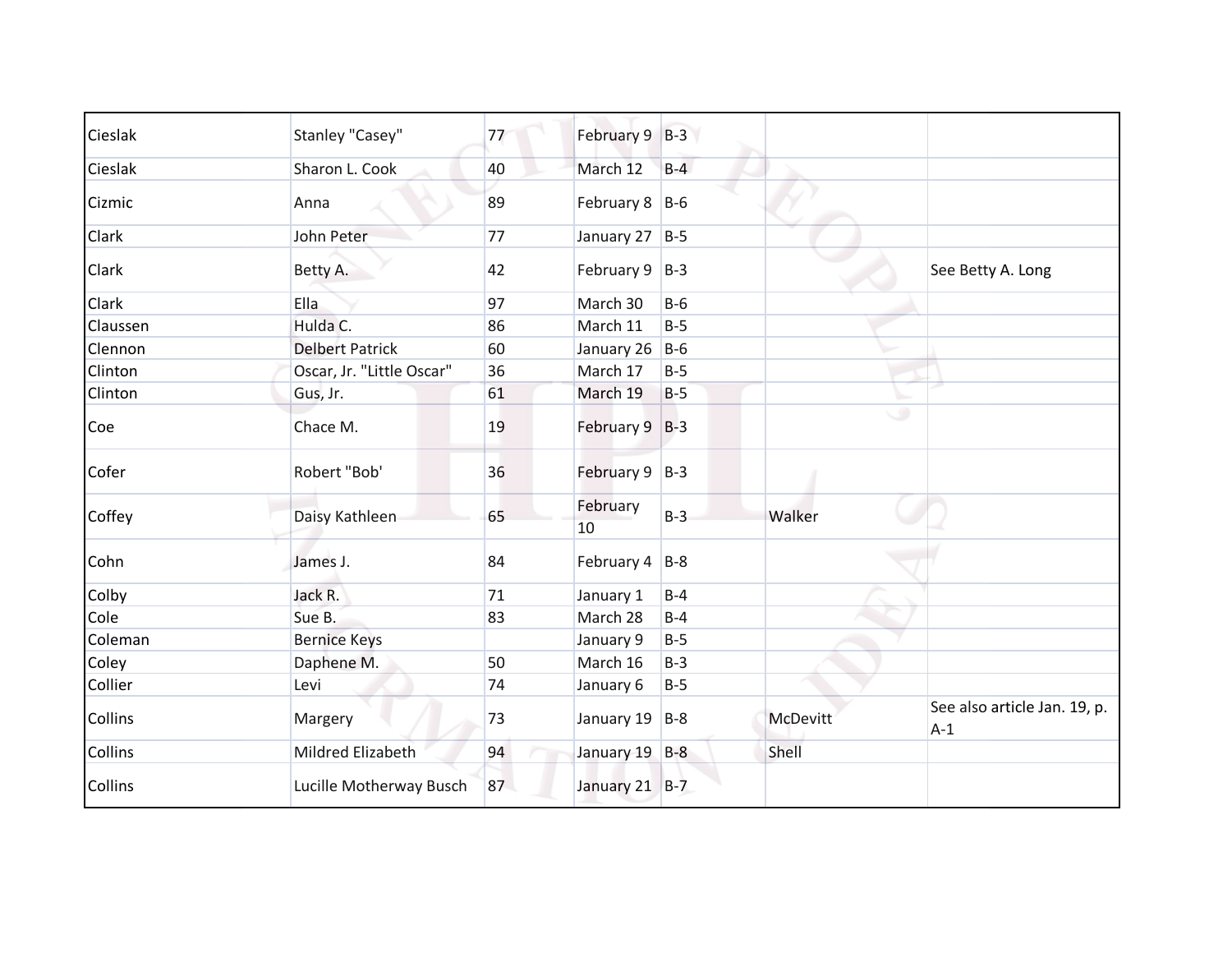| Cieslak        | Stanley "Casey"           | 77 | February 9 B-3     |       |                 |                                       |
|----------------|---------------------------|----|--------------------|-------|-----------------|---------------------------------------|
| Cieslak        | Sharon L. Cook            | 40 | March 12           | $B-4$ |                 |                                       |
| Cizmic         | Anna                      | 89 | February 8 B-6     |       |                 |                                       |
| Clark          | John Peter                | 77 | January 27 B-5     |       |                 |                                       |
| Clark          | Betty A.                  | 42 | February $9$   B-3 |       |                 | See Betty A. Long                     |
| <b>Clark</b>   | <b>Ella</b>               | 97 | March 30           | $B-6$ |                 |                                       |
| Claussen       | Hulda C.                  | 86 | March 11           | $B-5$ |                 |                                       |
| Clennon        | <b>Delbert Patrick</b>    | 60 | January 26         | $B-6$ |                 |                                       |
| Clinton        | Oscar, Jr. "Little Oscar" | 36 | March 17           | $B-5$ |                 |                                       |
| Clinton        | Gus, Jr.                  | 61 | March 19           | $B-5$ |                 |                                       |
| Coe            | Chace M.                  | 19 | February 9 B-3     |       | ٠               |                                       |
| Cofer          | Robert "Bob"              | 36 | February 9 B-3     |       |                 |                                       |
| Coffey         | Daisy Kathleen            | 65 | February<br>10     | $B-3$ | Walker          |                                       |
| Cohn           | James J.                  | 84 | February $4$ B-8   |       |                 |                                       |
| Colby          | Jack R.                   | 71 | January 1          | $B-4$ |                 |                                       |
| Cole           | Sue B.                    | 83 | March 28           | $B-4$ |                 |                                       |
| Coleman        | <b>Bernice Keys</b>       |    | January 9          | $B-5$ |                 |                                       |
| Coley          | Daphene M.                | 50 | March 16           | $B-3$ |                 |                                       |
| Collier        | Levi                      | 74 | January 6          | $B-5$ |                 |                                       |
| <b>Collins</b> | Margery                   | 73 | January 19 B-8     |       | <b>McDevitt</b> | See also article Jan. 19, p.<br>$A-1$ |
| Collins        | Mildred Elizabeth         | 94 | January 19 B-8     |       | Shell           |                                       |
| <b>Collins</b> | Lucille Motherway Busch   | 87 | January 21 B-7     |       |                 |                                       |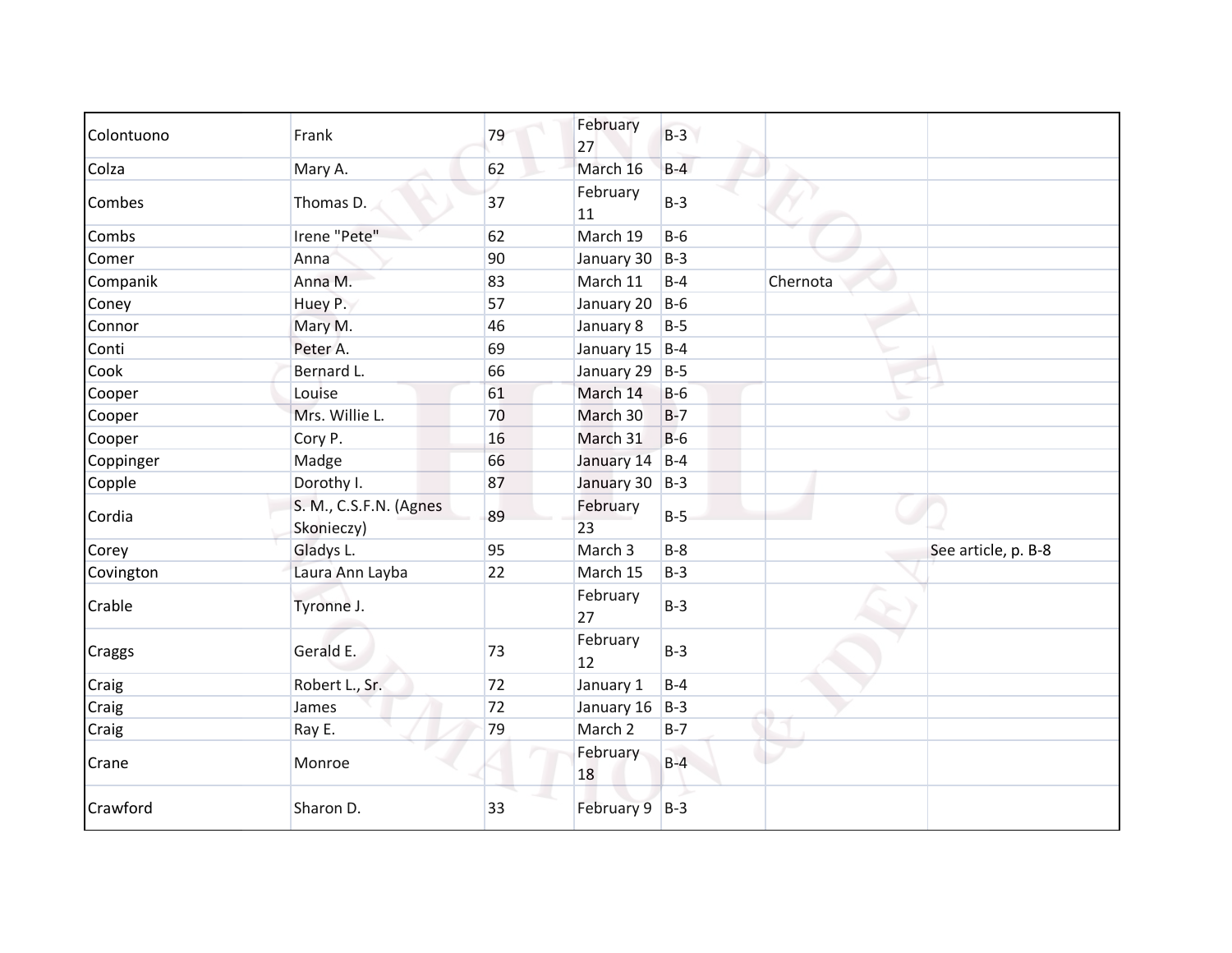| Colontuono    | Frank                                | 79 | February<br>27 | $B-3$ |          |                     |
|---------------|--------------------------------------|----|----------------|-------|----------|---------------------|
| Colza         | Mary A.                              | 62 | March 16       | $B-4$ |          |                     |
| Combes        | Thomas D.                            | 37 | February<br>11 | $B-3$ |          |                     |
| Combs         | Irene "Pete"                         | 62 | March 19       | $B-6$ |          |                     |
| Comer         | Anna                                 | 90 | January 30     | $B-3$ |          |                     |
| Companik      | Anna M.                              | 83 | March 11       | $B-4$ | Chernota |                     |
| Coney         | Huey P.                              | 57 | January 20     | $B-6$ |          |                     |
| Connor        | Mary M.                              | 46 | January 8      | $B-5$ |          |                     |
| Conti         | Peter A.                             | 69 | January 15     | $B-4$ |          |                     |
| Cook          | Bernard L.                           | 66 | January 29 B-5 |       |          |                     |
| Cooper        | Louise                               | 61 | March 14       | $B-6$ |          |                     |
| Cooper        | Mrs. Willie L.                       | 70 | March 30       | $B-7$ | ی        |                     |
| Cooper        | Cory P.                              | 16 | March 31       | $B-6$ |          |                     |
| Coppinger     | Madge                                | 66 | January 14     | $B-4$ |          |                     |
| Copple        | Dorothy I.                           | 87 | January 30 B-3 |       |          |                     |
| Cordia        | S. M., C.S.F.N. (Agnes<br>Skonieczy) | 89 | February<br>23 | $B-5$ |          |                     |
| Corey         | Gladys L.                            | 95 | March 3        | $B-8$ |          | See article, p. B-8 |
| Covington     | Laura Ann Layba                      | 22 | March 15       | $B-3$ |          |                     |
| Crable        | Tyronne J.                           |    | February<br>27 | $B-3$ |          |                     |
| <b>Craggs</b> | Gerald E.                            | 73 | February<br>12 | $B-3$ |          |                     |
| Craig         | Robert L., Sr.                       | 72 | January 1      | $B-4$ |          |                     |
| Craig         | James                                | 72 | January 16     | $B-3$ |          |                     |
| Craig         | Ray E.                               | 79 | March 2        | $B-7$ |          |                     |
| Crane         | Monroe                               |    | February<br>18 | $B-4$ |          |                     |
| Crawford      | Sharon D.                            | 33 | February 9 B-3 |       |          |                     |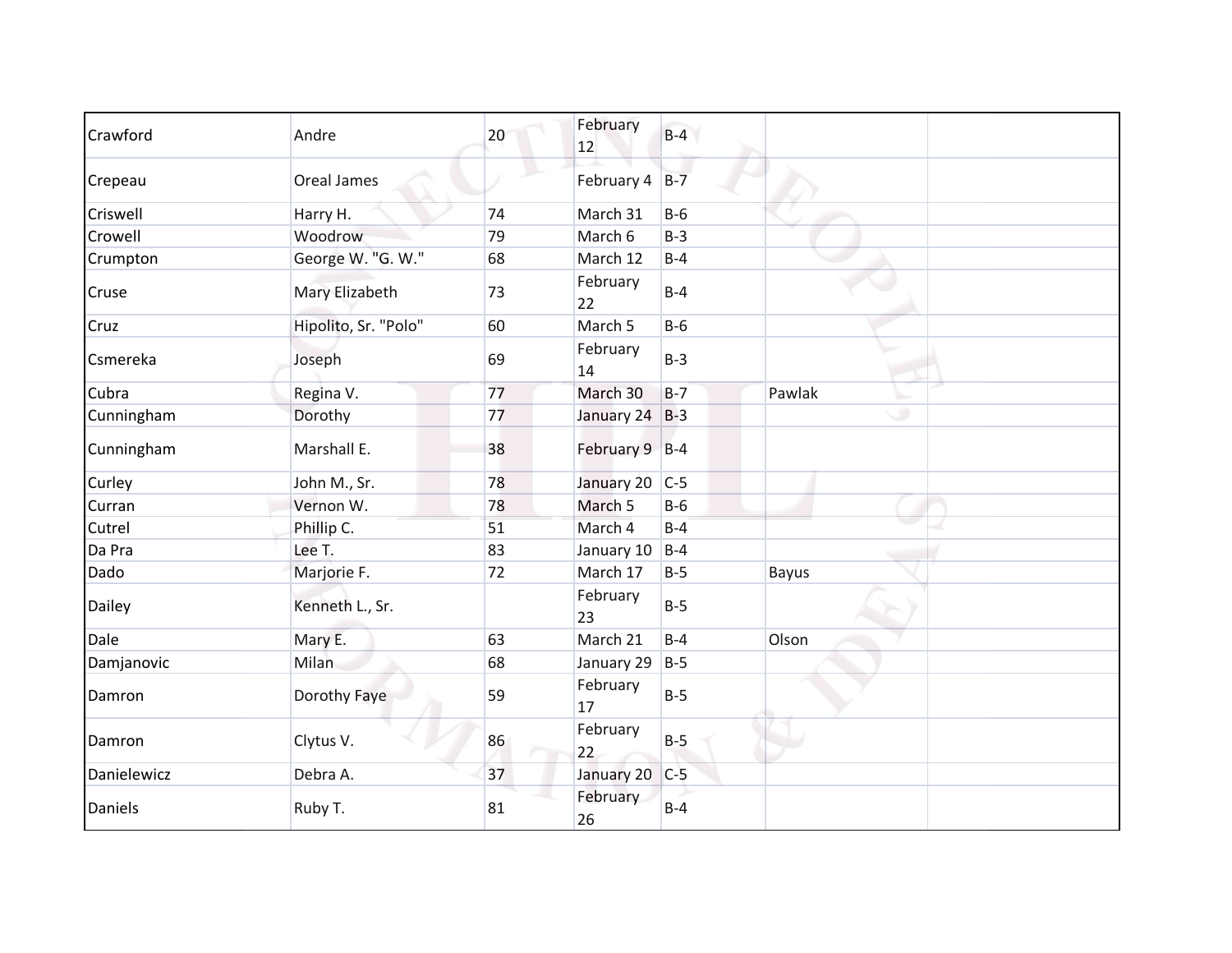| Crawford    | Andre                | 20 | February<br>12 | $B-4$ |              |
|-------------|----------------------|----|----------------|-------|--------------|
| Crepeau     | <b>Oreal James</b>   |    | February 4     | $B-7$ |              |
| Criswell    | Harry H.             | 74 | March 31       | $B-6$ |              |
| Crowell     | Woodrow              | 79 | March 6        | $B-3$ |              |
| Crumpton    | George W. "G. W."    | 68 | March 12       | $B-4$ |              |
| Cruse       | Mary Elizabeth       | 73 | February<br>22 | $B-4$ |              |
| Cruz        | Hipolito, Sr. "Polo" | 60 | March 5        | $B-6$ |              |
| Csmereka    | Joseph               | 69 | February<br>14 | $B-3$ |              |
| Cubra       | Regina V.            | 77 | March 30       | $B-7$ | Pawlak       |
| Cunningham  | Dorothy              | 77 | January 24 B-3 |       | ۰            |
| Cunningham  | Marshall E.          | 38 | February 9 B-4 |       |              |
| Curley      | John M., Sr.         | 78 | January 20     | $C-5$ |              |
| Curran      | Vernon W.            | 78 | March 5        | $B-6$ |              |
| Cutrel      | Phillip C.           | 51 | March 4        | $B-4$ |              |
| Da Pra      | Lee T.               | 83 | January 10     | $B-4$ |              |
| Dado        | Marjorie F.          | 72 | March 17       | $B-5$ | <b>Bayus</b> |
| Dailey      | Kenneth L., Sr.      |    | February<br>23 | $B-5$ |              |
| Dale        | Mary E.              | 63 | March 21       | $B-4$ | Olson        |
| Damjanovic  | Milan                | 68 | January 29     | $B-5$ |              |
| Damron      | Dorothy Faye         | 59 | February<br>17 | $B-5$ |              |
| Damron      | Clytus V.            | 86 | February<br>22 | $B-5$ |              |
| Danielewicz | Debra A.             | 37 | January 20     | $C-5$ |              |
| Daniels     | Ruby T.              | 81 | February<br>26 | $B-4$ |              |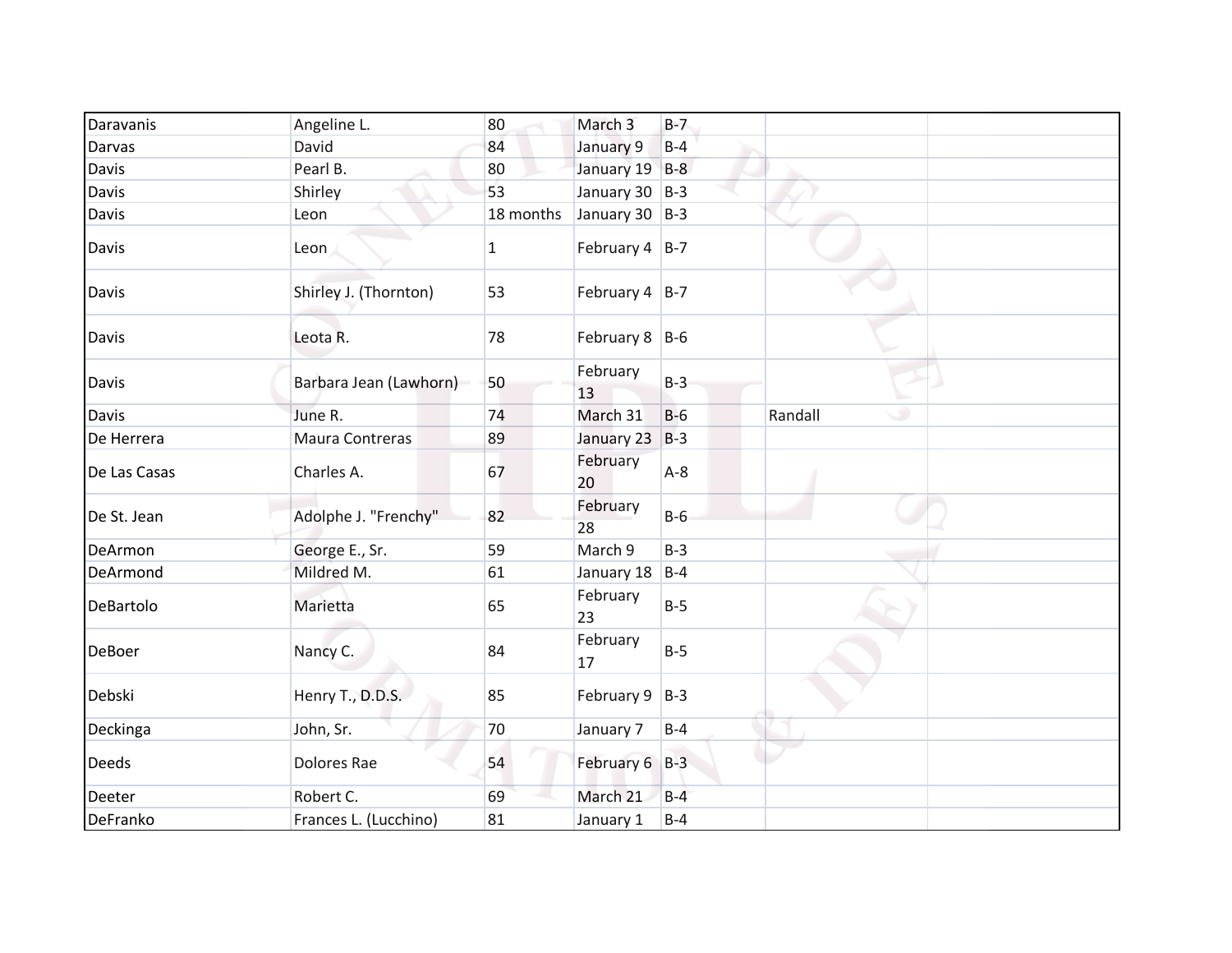| Daravanis     | Angeline L.            | 80        | March 3            | $B-7$ |              |
|---------------|------------------------|-----------|--------------------|-------|--------------|
| <b>Darvas</b> | David                  | 84        | January 9          | $B-4$ |              |
| Davis         | Pearl B.               | 80        | January 19 B-8     |       |              |
| <b>Davis</b>  | Shirley                | 53        | January 30 B-3     |       |              |
| <b>Davis</b>  | Leon                   | 18 months | January 30 $ B-3 $ |       |              |
| <b>Davis</b>  | Leon                   | 1         | February $4$ B-7   |       |              |
| <b>Davis</b>  | Shirley J. (Thornton)  | 53        | February $4$ B-7   |       |              |
| Davis         | Leota R.               | 78        | February $8$ B-6   |       |              |
| <b>Davis</b>  | Barbara Jean (Lawhorn) | 50        | February<br>13     | $B-3$ |              |
| <b>Davis</b>  | June R.                | 74        | March 31           | $B-6$ | Randall<br>۰ |
| De Herrera    | Maura Contreras        | 89        | January 23         | $B-3$ |              |
| De Las Casas  | Charles A.             | 67        | February<br>20     | $A-8$ |              |
| De St. Jean   | Adolphe J. "Frenchy"   | 82        | February<br>28     | $B-6$ |              |
| DeArmon       | George E., Sr.         | 59        | March 9            | $B-3$ |              |
| DeArmond      | Mildred M.             | 61        | January 18         | $B-4$ |              |
| DeBartolo     | Marietta               | 65        | February<br>23     | $B-5$ |              |
| <b>DeBoer</b> | Nancy C.               | 84        | February<br>17     | $B-5$ |              |
| Debski        | Henry T., D.D.S.       | 85        | February 9         | $B-3$ |              |
| Deckinga      | John, Sr.              | $70\,$    | January 7          | $B-4$ |              |
| <b>Deeds</b>  | Dolores Rae            | 54        | February 6 B-3     |       |              |
| Deeter        | Robert C.              | 69        | March 21           | $B-4$ |              |
| DeFranko      | Frances L. (Lucchino)  | 81        | January 1          | $B-4$ |              |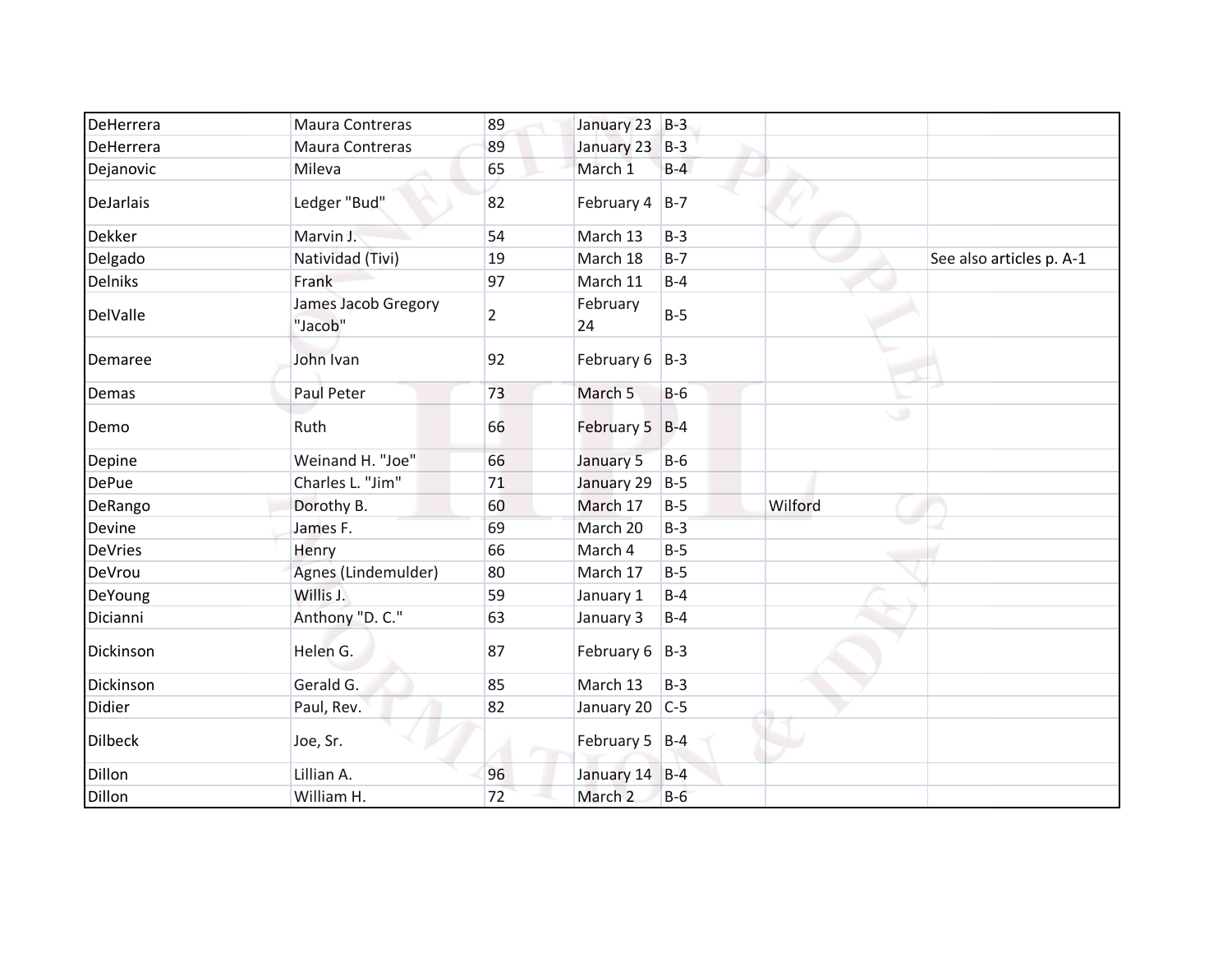| DeHerrera      | Maura Contreras                | 89 | January 23 B-3     |       |         |                          |
|----------------|--------------------------------|----|--------------------|-------|---------|--------------------------|
| DeHerrera      | Maura Contreras                | 89 | January 23         | $B-3$ |         |                          |
| Dejanovic      | Mileva                         | 65 | March 1            | $B-4$ |         |                          |
| DeJarlais      | Ledger "Bud"                   | 82 | February $4$ B-7   |       |         |                          |
| <b>Dekker</b>  | Marvin J.                      | 54 | March 13           | $B-3$ |         |                          |
| Delgado        | Natividad (Tivi)               | 19 | March 18           | $B-7$ |         | See also articles p. A-1 |
| <b>Delniks</b> | Frank                          | 97 | March 11           | $B-4$ |         |                          |
| DelValle       | James Jacob Gregory<br>"Jacob" | 2  | February<br>24     | $B-5$ |         |                          |
| Demaree        | John Ivan                      | 92 | February $6$ B-3   |       |         |                          |
| Demas          | Paul Peter                     | 73 | March 5            | $B-6$ |         |                          |
| Demo           | Ruth                           | 66 | February 5 B-4     |       | ی       |                          |
| Depine         | Weinand H. "Joe"               | 66 | January 5          | $B-6$ |         |                          |
| <b>DePue</b>   | Charles L. "Jim"               | 71 | January 29         | $B-5$ |         |                          |
| DeRango        | Dorothy B.                     | 60 | March 17           | $B-5$ | Wilford |                          |
| Devine         | James F.                       | 69 | March 20           | $B-3$ |         |                          |
| <b>DeVries</b> | Henry                          | 66 | March 4            | $B-5$ |         |                          |
| DeVrou         | Agnes (Lindemulder)            | 80 | March 17           | $B-5$ |         |                          |
| DeYoung        | Willis J.                      | 59 | January 1          | $B-4$ |         |                          |
| Dicianni       | Anthony "D. C."                | 63 | January 3          | $B-4$ |         |                          |
| Dickinson      | Helen G.                       | 87 | February $6$   B-3 |       |         |                          |
| Dickinson      | Gerald G.                      | 85 | March 13           | $B-3$ |         |                          |
| Didier         | Paul, Rev.                     | 82 | January 20   C-5   |       |         |                          |
| <b>Dilbeck</b> | Joe, Sr.                       |    | February 5 B-4     |       |         |                          |
| Dillon         | Lillian A.                     | 96 | January 14 B-4     |       |         |                          |
| <b>Dillon</b>  | William H.                     | 72 | March <sub>2</sub> | $B-6$ |         |                          |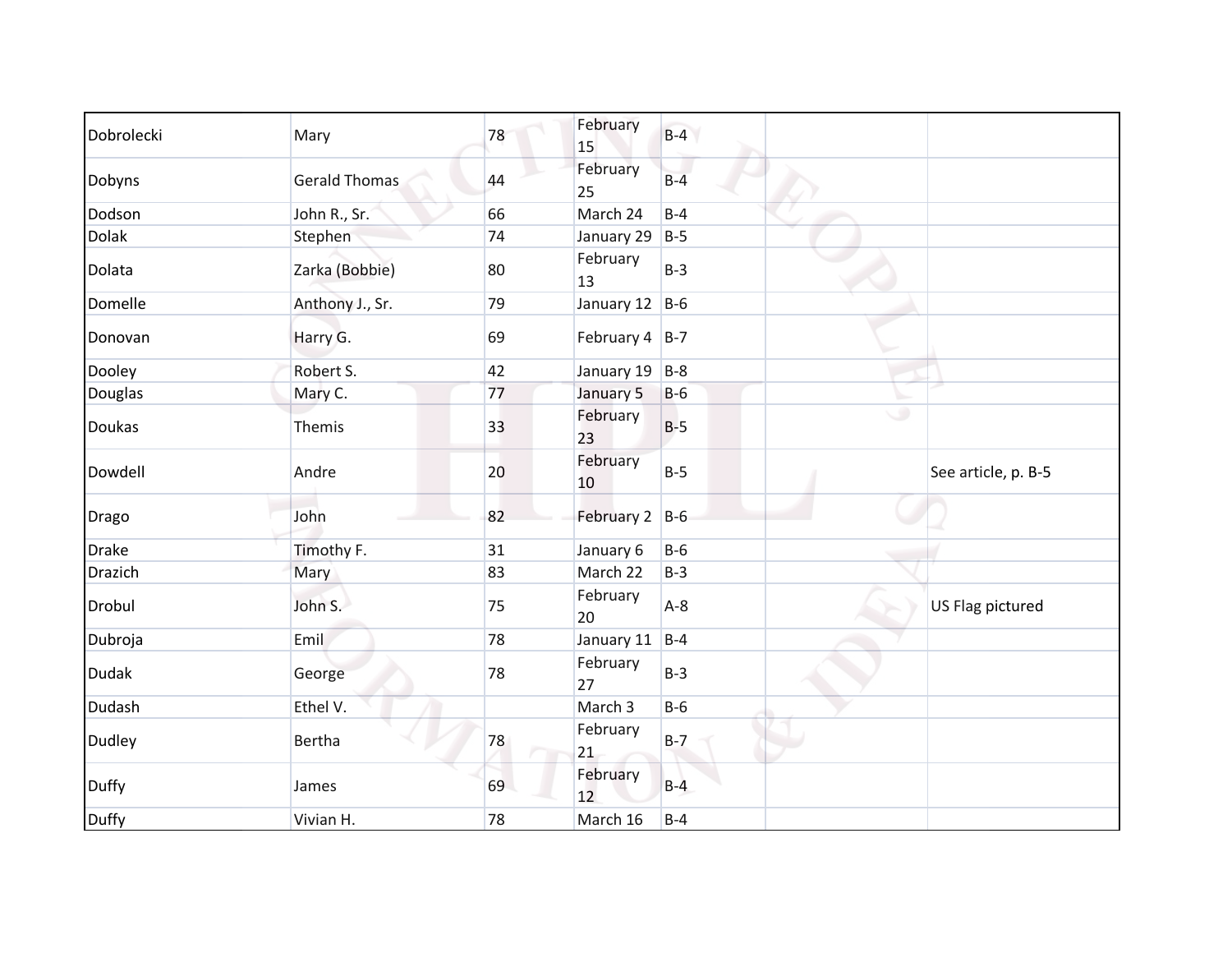| Dobrolecki     | Mary                 | 78 | February         | $B-4$ |   |                     |
|----------------|----------------------|----|------------------|-------|---|---------------------|
| Dobyns         | <b>Gerald Thomas</b> | 44 | 15<br>February   | $B-4$ |   |                     |
|                |                      |    | 25               |       |   |                     |
| Dodson         | John R., Sr.         | 66 | March 24         | $B-4$ |   |                     |
| Dolak          | Stephen              | 74 | January 29       | $B-5$ |   |                     |
| Dolata         | Zarka (Bobbie)       | 80 | February<br>13   | $B-3$ |   |                     |
| Domelle        | Anthony J., Sr.      | 79 | January 12       | $B-6$ |   |                     |
| Donovan        | Harry G.             | 69 | February $4$ B-7 |       |   |                     |
| Dooley         | Robert S.            | 42 | January 19 B-8   |       |   |                     |
| Douglas        | Mary C.              | 77 | January 5        | $B-6$ |   |                     |
| Doukas         | Themis               | 33 | February<br>23   | $B-5$ | پ |                     |
| Dowdell        | Andre                | 20 | February<br>10   | $B-5$ |   | See article, p. B-5 |
| Drago          | John                 | 82 | February 2 B-6   |       |   |                     |
| <b>Drake</b>   | Timothy F.           | 31 | January 6        | $B-6$ |   |                     |
| <b>Drazich</b> | Mary                 | 83 | March 22         | $B-3$ |   |                     |
| Drobul         | John S.              | 75 | February<br>20   | $A-8$ |   | US Flag pictured    |
| Dubroja        | Emil                 | 78 | January 11       | $B-4$ |   |                     |
| <b>Dudak</b>   | George               | 78 | February<br>27   | $B-3$ |   |                     |
| Dudash         | Ethel V.             |    | March 3          | $B-6$ |   |                     |
| <b>Dudley</b>  | Bertha               | 78 | February<br>21   | $B-7$ |   |                     |
| <b>Duffy</b>   | James                | 69 | February<br>12   | $B-4$ |   |                     |
| Duffy          | Vivian H.            | 78 | March 16         | $B-4$ |   |                     |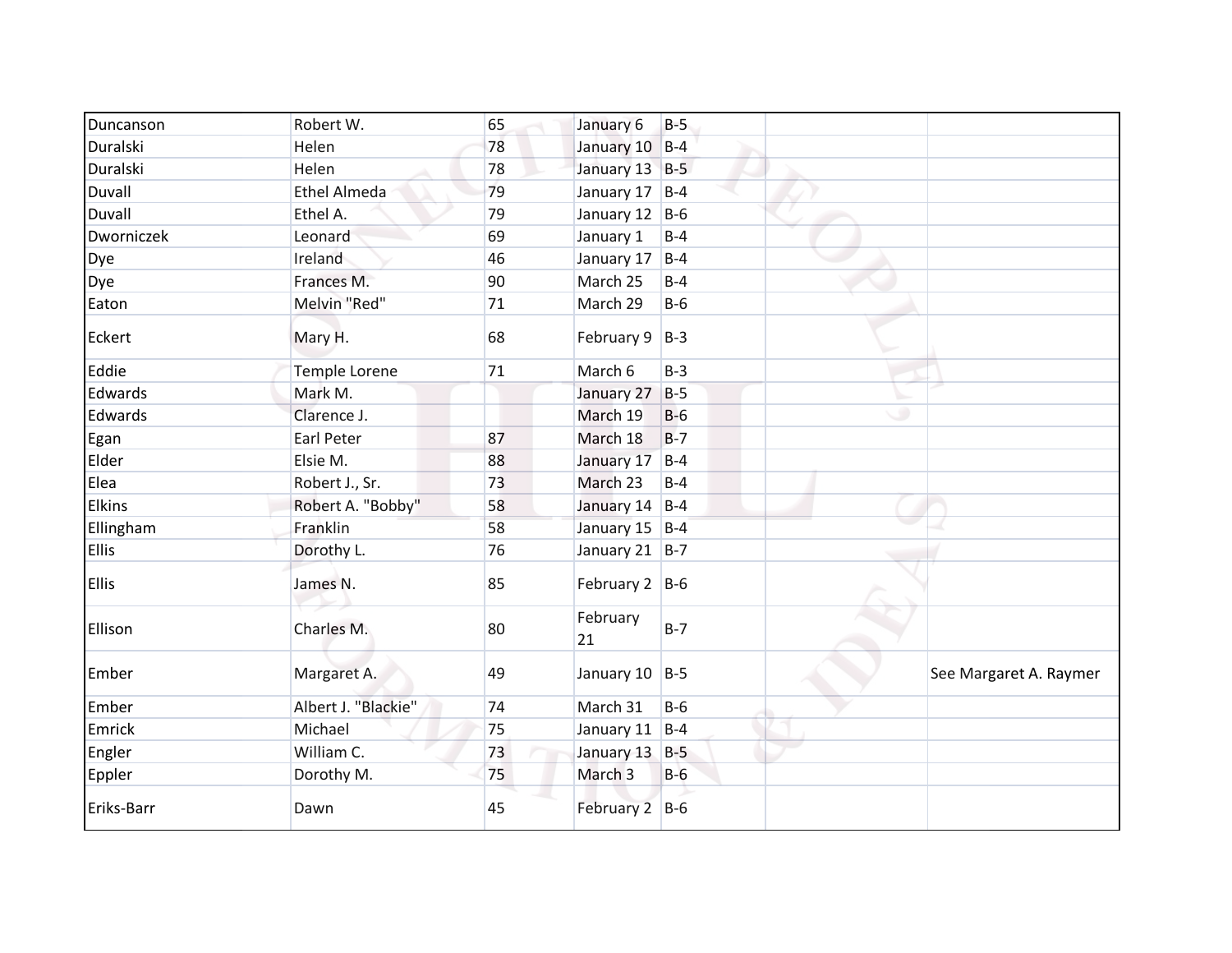| Duncanson     | Robert W.           | 65 | January 6          | $B-5$ |   |                        |
|---------------|---------------------|----|--------------------|-------|---|------------------------|
| Duralski      | Helen               | 78 | January 10 B-4     |       |   |                        |
| Duralski      | Helen               | 78 | January 13 B-5     |       |   |                        |
| Duvall        | <b>Ethel Almeda</b> | 79 | January 17         | $B-4$ |   |                        |
| Duvall        | Ethel A.            | 79 | January 12 B-6     |       |   |                        |
| Dworniczek    | Leonard             | 69 | January 1          | $B-4$ |   |                        |
| Dye           | Ireland             | 46 | January 17         | $B-4$ |   |                        |
| Dye           | Frances M.          | 90 | March 25           | $B-4$ |   |                        |
| Eaton         | Melvin "Red"        | 71 | March 29           | $B-6$ |   |                        |
| Eckert        | Mary H.             | 68 | February $9$   B-3 |       |   |                        |
| Eddie         | Temple Lorene       | 71 | March 6            | $B-3$ |   |                        |
| Edwards       | Mark M.             |    | January 27         | $B-5$ |   |                        |
| Edwards       | Clarence J.         |    | March 19           | $B-6$ | ٠ |                        |
| Egan          | Earl Peter          | 87 | March 18           | $B-7$ |   |                        |
| Elder         | Elsie M.            | 88 | January 17         | $B-4$ |   |                        |
| Elea          | Robert J., Sr.      | 73 | March 23           | $B-4$ |   |                        |
| <b>Elkins</b> | Robert A. "Bobby"   | 58 | January 14 B-4     |       |   |                        |
| Ellingham     | Franklin            | 58 | January 15 B-4     |       |   |                        |
| Ellis         | Dorothy L.          | 76 | January 21 B-7     |       |   |                        |
| <b>Ellis</b>  | James N.            | 85 | February $2$ B-6   |       |   |                        |
| Ellison       | Charles M.          | 80 | February<br>21     | $B-7$ |   |                        |
| Ember         | Margaret A.         | 49 | January 10 B-5     |       |   | See Margaret A. Raymer |
| Ember         | Albert J. "Blackie" | 74 | March 31           | $B-6$ |   |                        |
| Emrick        | Michael             | 75 | January 11         | $B-4$ |   |                        |
| Engler        | William C.          | 73 | January 13         | $B-5$ |   |                        |
| Eppler        | Dorothy M.          | 75 | March <sub>3</sub> | $B-6$ |   |                        |
| Eriks-Barr    | Dawn                | 45 | February 2 B-6     |       |   |                        |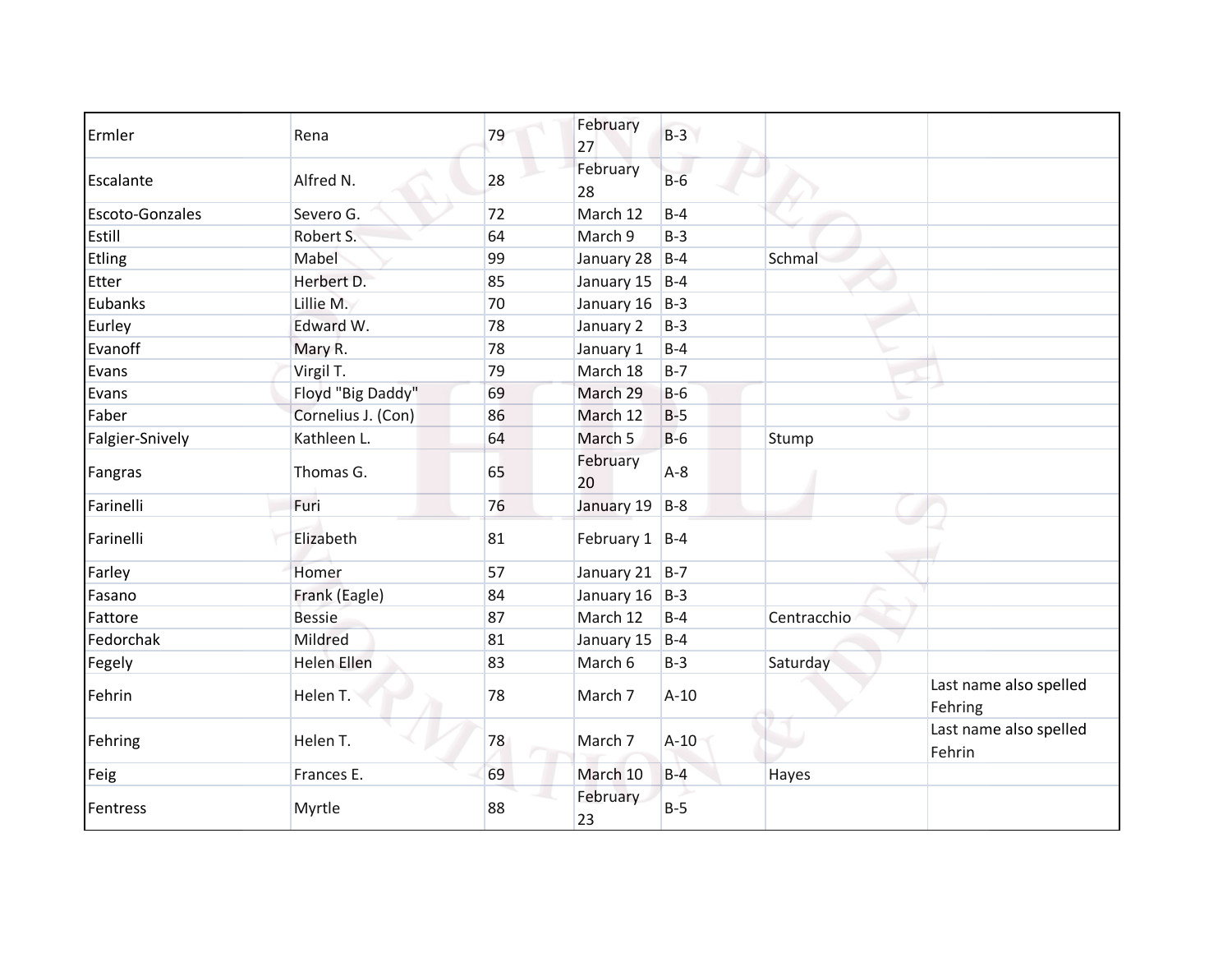| Ermler                 | Rena               | 79 | February<br>27   | $B-3$   |             |                                   |
|------------------------|--------------------|----|------------------|---------|-------------|-----------------------------------|
| Escalante              | Alfred N.          | 28 | February<br>28   | $B-6$   |             |                                   |
| <b>Escoto-Gonzales</b> | Severo G.          | 72 | March 12         | $B-4$   |             |                                   |
| Estill                 | Robert S.          | 64 | March 9          | $B-3$   |             |                                   |
| Etling                 | Mabel              | 99 | January 28       | $B-4$   | Schmal      |                                   |
| Etter                  | Herbert D.         | 85 | January 15       | $B-4$   |             |                                   |
| Eubanks                | Lillie M.          | 70 | January 16       | $B-3$   |             |                                   |
| Eurley                 | Edward W.          | 78 | January 2        | $B-3$   |             |                                   |
| Evanoff                | Mary R.            | 78 | January 1        | $B-4$   |             |                                   |
| Evans                  | Virgil T.          | 79 | March 18         | $B - 7$ |             |                                   |
| Evans                  | Floyd "Big Daddy"  | 69 | March 29         | $B-6$   |             |                                   |
| Faber                  | Cornelius J. (Con) | 86 | March 12         | $B-5$   | ٠           |                                   |
| Falgier-Snively        | Kathleen L.        | 64 | March 5          | $B-6$   | Stump       |                                   |
| Fangras                | Thomas G.          | 65 | February<br>20   | $A-8$   |             |                                   |
| Farinelli              | Furi               | 76 | January 19       | $B-8$   |             |                                   |
| Farinelli              | Elizabeth          | 81 | February $1$ B-4 |         |             |                                   |
| Farley                 | Homer              | 57 | January 21 B-7   |         |             |                                   |
| Fasano                 | Frank (Eagle)      | 84 | January $16$ B-3 |         |             |                                   |
| Fattore                | <b>Bessie</b>      | 87 | March 12         | $B-4$   | Centracchio |                                   |
| Fedorchak              | Mildred            | 81 | January 15       | $B-4$   |             |                                   |
| Fegely                 | <b>Helen Ellen</b> | 83 | March 6          | $B-3$   | Saturday    |                                   |
| Fehrin                 | Helen T.           | 78 | March 7          | $A-10$  |             | Last name also spelled<br>Fehring |
| Fehring                | Helen T.           | 78 | March 7          | $A-10$  |             | Last name also spelled<br>Fehrin  |
| Feig                   | Frances E.         | 69 | March 10         | $B-4$   | Hayes       |                                   |
| Fentress               | Myrtle             | 88 | February<br>23   | $B-5$   |             |                                   |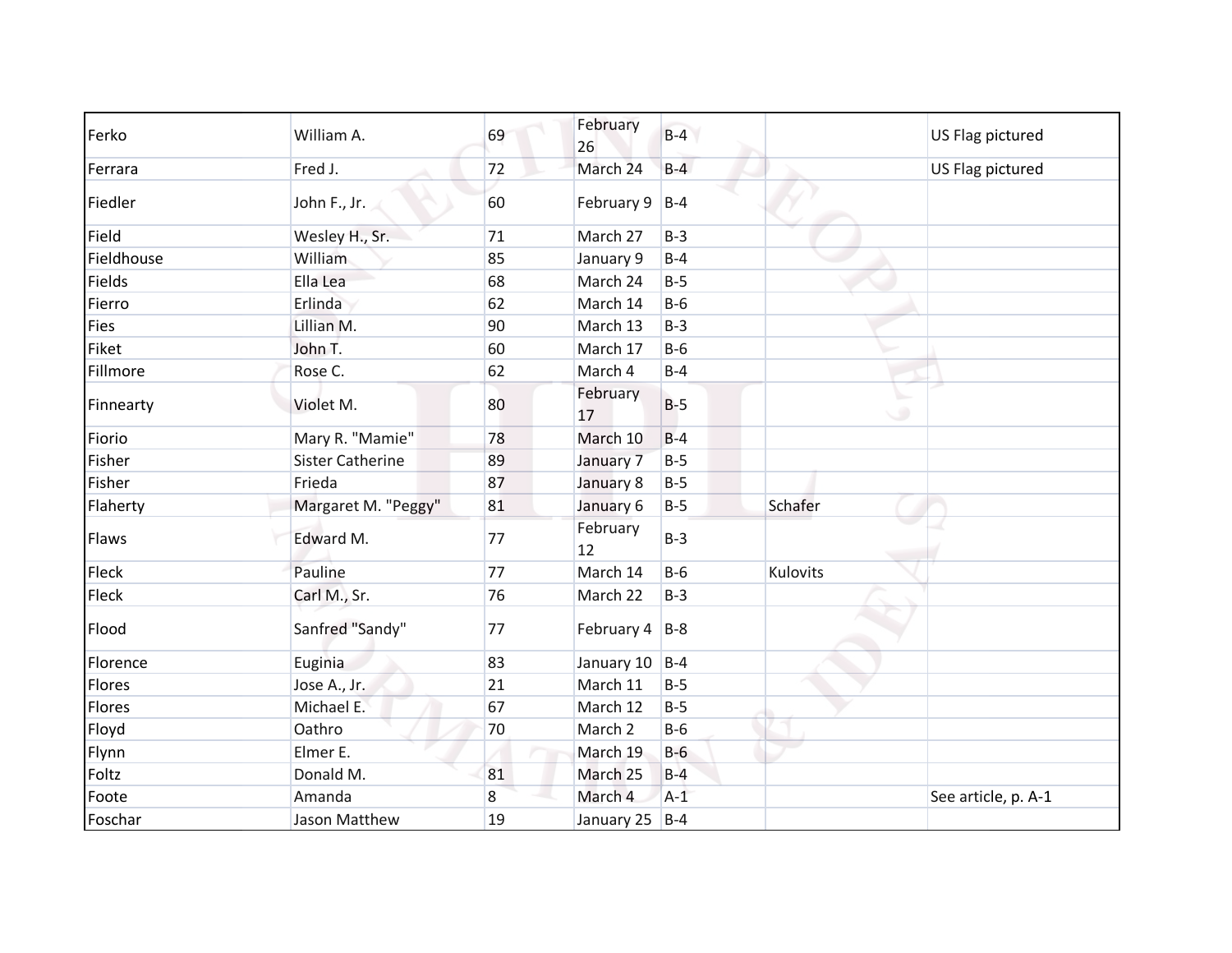| Ferko       | William A.              | 69 | February<br>26   | $B-4$ |          | US Flag pictured    |
|-------------|-------------------------|----|------------------|-------|----------|---------------------|
| Ferrara     | Fred J.                 | 72 | March 24         | $B-4$ |          | US Flag pictured    |
| Fiedler     | John F., Jr.            | 60 | February 9       | $B-4$ |          |                     |
| Field       | Wesley H., Sr.          | 71 | March 27         | $B-3$ |          |                     |
| Fieldhouse  | William                 | 85 | January 9        | $B-4$ |          |                     |
| Fields      | Ella Lea                | 68 | March 24         | $B-5$ |          |                     |
| Fierro      | Erlinda                 | 62 | March 14         | $B-6$ |          |                     |
| <b>Fies</b> | Lillian M.              | 90 | March 13         | $B-3$ |          |                     |
| Fiket       | John T.                 | 60 | March 17         | $B-6$ |          |                     |
| Fillmore    | Rose C.                 | 62 | March 4          | $B-4$ |          |                     |
| Finnearty   | Violet M.               | 80 | February<br>17   | $B-5$ | ت        |                     |
| Fiorio      | Mary R. "Mamie"         | 78 | March 10         | $B-4$ |          |                     |
| Fisher      | <b>Sister Catherine</b> | 89 | January 7        | $B-5$ |          |                     |
| Fisher      | Frieda                  | 87 | January 8        | $B-5$ |          |                     |
| Flaherty    | Margaret M. "Peggy"     | 81 | January 6        | $B-5$ | Schafer  |                     |
| Flaws       | Edward M.               | 77 | February<br>12   | $B-3$ |          |                     |
| Fleck       | Pauline                 | 77 | March 14         | $B-6$ | Kulovits |                     |
| Fleck       | Carl M., Sr.            | 76 | March 22         | $B-3$ |          |                     |
| Flood       | Sanfred "Sandy"         | 77 | February $4$ B-8 |       |          |                     |
| Florence    | Euginia                 | 83 | January 10 B-4   |       |          |                     |
| Flores      | Jose A., Jr.            | 21 | March 11         | $B-5$ |          |                     |
| Flores      | Michael E.              | 67 | March 12         | $B-5$ |          |                     |
| Floyd       | Oathro                  | 70 | March 2          | $B-6$ |          |                     |
| Flynn       | Elmer E.                |    | March 19         | $B-6$ |          |                     |
| Foltz       | Donald M.               | 81 | March 25         | $B-4$ |          |                     |
| Foote       | Amanda                  | 8  | March 4          | $A-1$ |          | See article, p. A-1 |
| Foschar     | Jason Matthew           | 19 | January 25 B-4   |       |          |                     |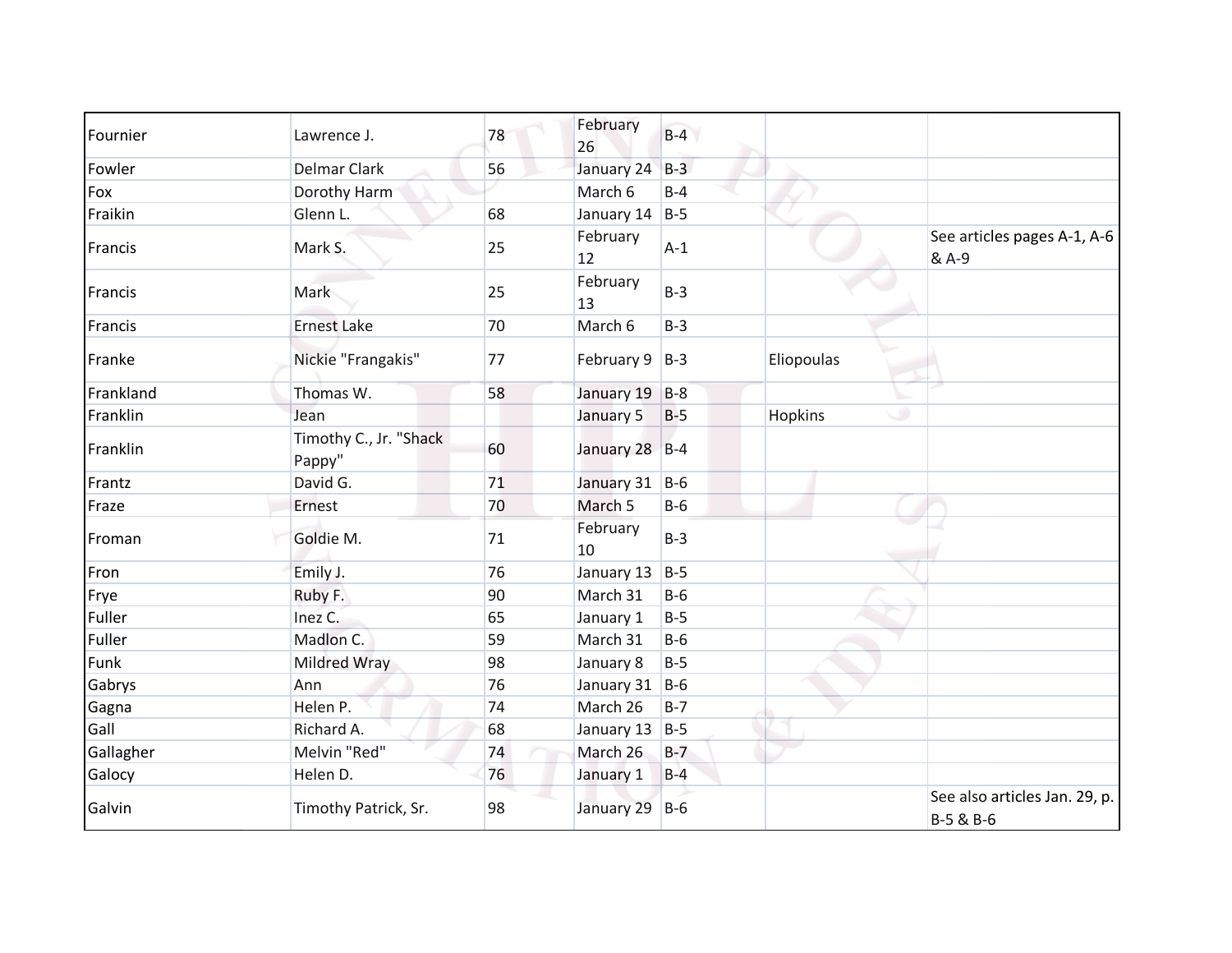| Fournier  | Lawrence J.                      | 78 | February<br>26 | $B-4$ |                |                                            |
|-----------|----------------------------------|----|----------------|-------|----------------|--------------------------------------------|
| Fowler    | <b>Delmar Clark</b>              | 56 | January 24     | $B-3$ |                |                                            |
| Fox       | Dorothy Harm                     |    | March 6        | $B-4$ |                |                                            |
| Fraikin   | Glenn L.                         | 68 | January 14     | $B-5$ |                |                                            |
| Francis   | Mark S.                          | 25 | February<br>12 | $A-1$ |                | See articles pages A-1, A-6<br>& A-9       |
| Francis   | Mark                             | 25 | February<br>13 | $B-3$ |                |                                            |
| Francis   | <b>Ernest Lake</b>               | 70 | March 6        | $B-3$ |                |                                            |
| Franke    | Nickie "Frangakis"               | 77 | February 9     | $B-3$ | Eliopoulas     |                                            |
| Frankland | Thomas W.                        | 58 | January 19     | $B-8$ |                |                                            |
| Franklin  | Jean                             |    | January 5      | $B-5$ | <b>Hopkins</b> | ی                                          |
| Franklin  | Timothy C., Jr. "Shack<br>Pappy" | 60 | January 28 B-4 |       |                |                                            |
| Frantz    | David G.                         | 71 | January 31 B-6 |       |                |                                            |
| Fraze     | Ernest                           | 70 | March 5        | $B-6$ |                |                                            |
| Froman    | Goldie M.                        | 71 | February<br>10 | $B-3$ |                |                                            |
| Fron      | Emily J.                         | 76 | January 13     | $B-5$ |                |                                            |
| Frye      | Ruby F.                          | 90 | March 31       | $B-6$ |                |                                            |
| Fuller    | Inez C.                          | 65 | January 1      | $B-5$ |                |                                            |
| Fuller    | Madlon C.                        | 59 | March 31       | $B-6$ |                |                                            |
| Funk      | Mildred Wray                     | 98 | January 8      | $B-5$ |                |                                            |
| Gabrys    | Ann                              | 76 | January 31     | $B-6$ |                |                                            |
| Gagna     | Helen P.                         | 74 | March 26       | $B-7$ |                |                                            |
| Gall      | Richard A.                       | 68 | January 13     | $B-5$ |                |                                            |
| Gallagher | Melvin "Red"                     | 74 | March 26       | $B-7$ |                |                                            |
| Galocy    | Helen D.                         | 76 | January 1      | $B-4$ |                |                                            |
| Galvin    | Timothy Patrick, Sr.             | 98 | January 29     | $B-6$ |                | See also articles Jan. 29, p.<br>B-5 & B-6 |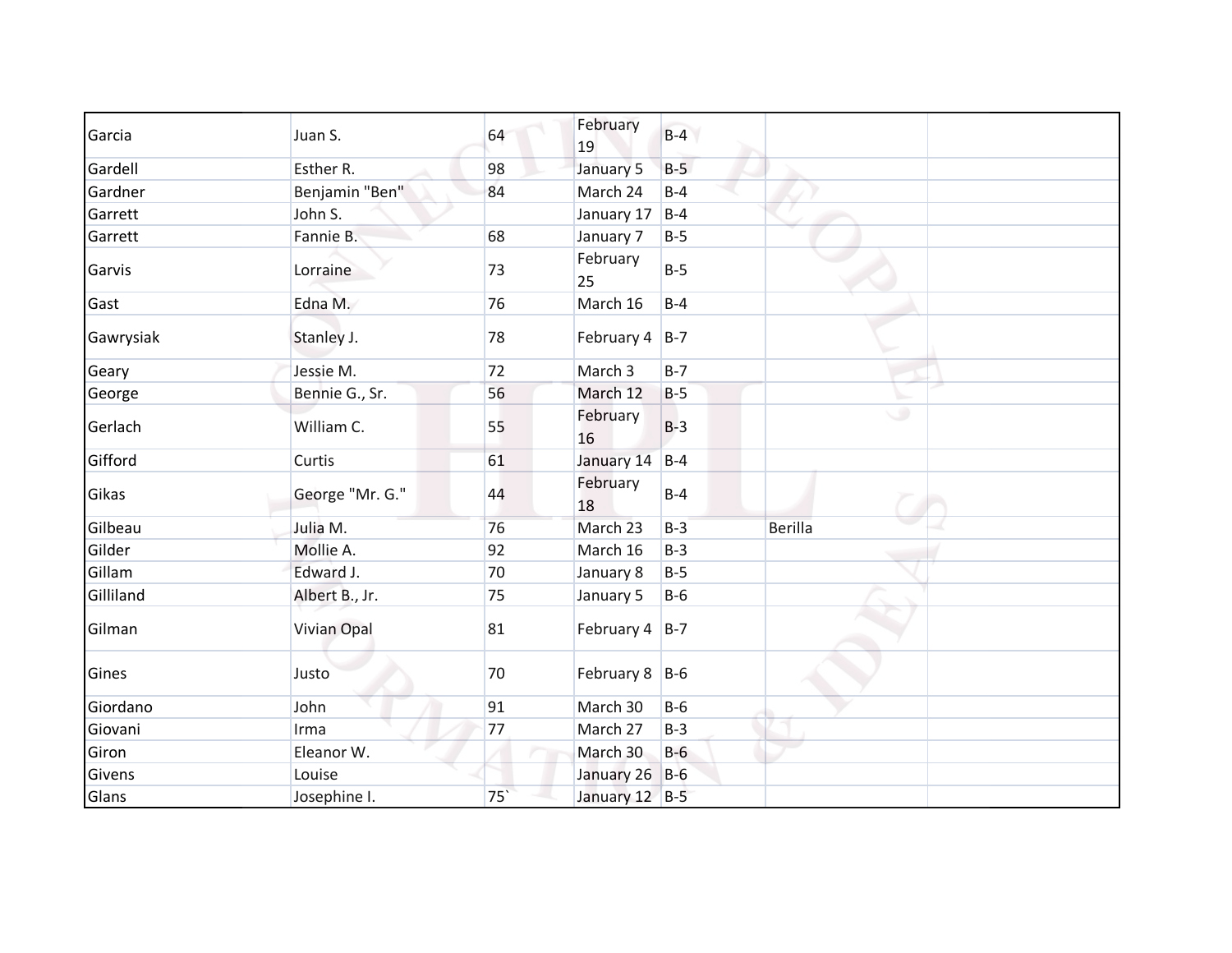| Garcia    | Juan S.            | 64              | February           | $B-4$ |         |
|-----------|--------------------|-----------------|--------------------|-------|---------|
|           |                    |                 | 19                 |       |         |
| Gardell   | Esther R.          | 98              | January 5          | $B-5$ |         |
| Gardner   | Benjamin "Ben"     | 84              | March 24           | $B-4$ |         |
| Garrett   | John S.            |                 | January 17         | $B-4$ |         |
| Garrett   | Fannie B.          | 68              | January 7          | $B-5$ |         |
| Garvis    | Lorraine           | 73              | February<br>25     | $B-5$ |         |
| Gast      | Edna M.            | 76              | March 16           | $B-4$ |         |
| Gawrysiak | Stanley J.         | 78              | February 4 B-7     |       |         |
| Geary     | Jessie M.          | 72              | March 3            | $B-7$ |         |
| George    | Bennie G., Sr.     | 56              | March 12           | $B-5$ |         |
| Gerlach   | William C.         | 55              | February<br>16     | $B-3$ | ی       |
| Gifford   | Curtis             | 61              | January 14         | $B-4$ |         |
| Gikas     | George "Mr. G."    | 44              | February<br>18     | $B-4$ |         |
| Gilbeau   | Julia M.           | 76              | March 23           | $B-3$ | Berilla |
| Gilder    | Mollie A.          | 92              | March 16           | $B-3$ |         |
| Gillam    | Edward J.          | 70              | January 8          | $B-5$ |         |
| Gilliland | Albert B., Jr.     | 75              | January 5          | $B-6$ |         |
| Gilman    | <b>Vivian Opal</b> | 81              | February $4$   B-7 |       |         |
| Gines     | Justo              | 70              | February 8 B-6     |       |         |
| Giordano  | John               | 91              | March 30           | $B-6$ |         |
| Giovani   | Irma               | 77              | March 27           | $B-3$ |         |
| Giron     | Eleanor W.         |                 | March 30           | $B-6$ |         |
| Givens    | Louise             |                 | January 26         | $B-6$ |         |
| Glans     | Josephine I.       | 75 <sup>°</sup> | January 12 B-5     |       |         |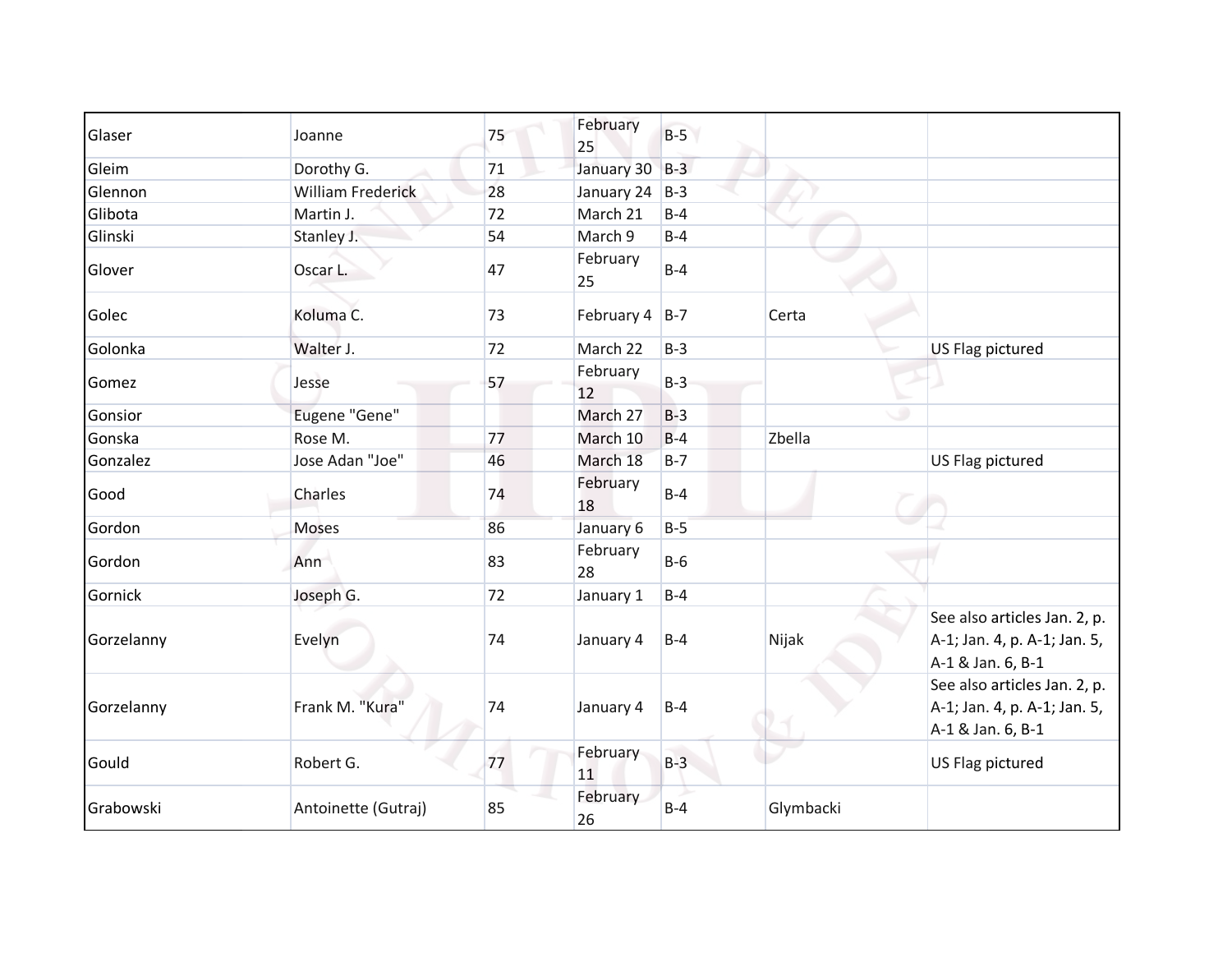| Glaser     | Joanne                   | 75 | February<br>25 | $B-5$ |           |                                                                                   |
|------------|--------------------------|----|----------------|-------|-----------|-----------------------------------------------------------------------------------|
| Gleim      | Dorothy G.               | 71 | January 30     | $B-3$ |           |                                                                                   |
| Glennon    | <b>William Frederick</b> | 28 | January 24     | $B-3$ |           |                                                                                   |
| Glibota    | Martin J.                | 72 | March 21       | $B-4$ |           |                                                                                   |
| Glinski    | Stanley J.               | 54 | March 9        | $B-4$ |           |                                                                                   |
| Glover     | Oscar L.                 | 47 | February<br>25 | $B-4$ |           |                                                                                   |
| Golec      | Koluma C.                | 73 | February 4     | $B-7$ | Certa     |                                                                                   |
| Golonka    | Walter J.                | 72 | March 22       | $B-3$ |           | US Flag pictured                                                                  |
| Gomez      | Jesse                    | 57 | February<br>12 | $B-3$ |           |                                                                                   |
| Gonsior    | Eugene "Gene"            |    | March 27       | $B-3$ |           | ۰                                                                                 |
| Gonska     | Rose M.                  | 77 | March 10       | $B-4$ | Zbella    |                                                                                   |
| Gonzalez   | Jose Adan "Joe"          | 46 | March 18       | $B-7$ |           | US Flag pictured                                                                  |
| Good       | Charles                  | 74 | February<br>18 | $B-4$ |           |                                                                                   |
| Gordon     | Moses                    | 86 | January 6      | $B-5$ |           |                                                                                   |
| Gordon     | Ann                      | 83 | February<br>28 | $B-6$ |           |                                                                                   |
| Gornick    | Joseph G.                | 72 | January 1      | $B-4$ |           |                                                                                   |
| Gorzelanny | Evelyn                   | 74 | January 4      | $B-4$ | Nijak     | See also articles Jan. 2, p.<br>A-1; Jan. 4, p. A-1; Jan. 5,<br>A-1 & Jan. 6, B-1 |
| Gorzelanny | Frank M. "Kura"          | 74 | January 4      | $B-4$ |           | See also articles Jan. 2, p.<br>A-1; Jan. 4, p. A-1; Jan. 5,<br>A-1 & Jan. 6, B-1 |
| Gould      | Robert G.                | 77 | February<br>11 | $B-3$ |           | US Flag pictured                                                                  |
| Grabowski  | Antoinette (Gutraj)      | 85 | February<br>26 | $B-4$ | Glymbacki |                                                                                   |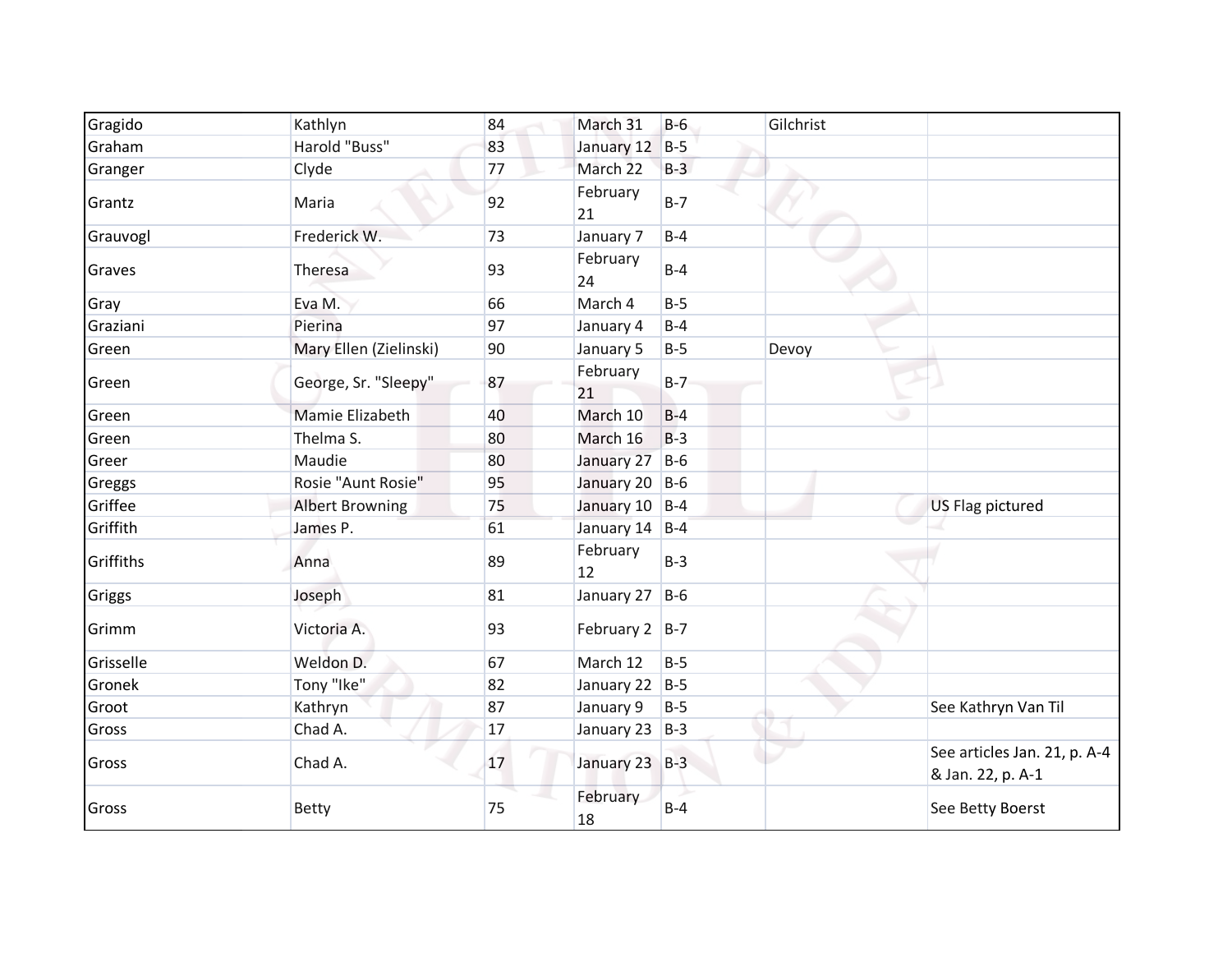| Gragido   | Kathlyn                | 84     | March 31          | $B-6$ | Gilchrist |                                                   |
|-----------|------------------------|--------|-------------------|-------|-----------|---------------------------------------------------|
| Graham    | Harold "Buss"          | 83     | January 12        | $B-5$ |           |                                                   |
| Granger   | Clyde                  | 77     | March 22          | $B-3$ |           |                                                   |
| Grantz    | Maria                  | 92     | February<br>21    | $B-7$ |           |                                                   |
| Grauvogl  | Frederick W.           | 73     | January 7         | $B-4$ |           |                                                   |
| Graves    | Theresa                | 93     | February<br>24    | $B-4$ |           |                                                   |
| Gray      | Eva M.                 | 66     | March 4           | $B-5$ |           |                                                   |
| Graziani  | Pierina                | 97     | January 4         | $B-4$ |           |                                                   |
| Green     | Mary Ellen (Zielinski) | 90     | January 5         | $B-5$ | Devoy     |                                                   |
| Green     | George, Sr. "Sleepy"   | 87     | February<br>21    | $B-7$ |           |                                                   |
| Green     | Mamie Elizabeth        | 40     | March 10          | $B-4$ |           | ۰                                                 |
| Green     | Thelma S.              | 80     | March 16          | $B-3$ |           |                                                   |
| Greer     | Maudie                 | 80     | January 27        | $B-6$ |           |                                                   |
| Greggs    | Rosie "Aunt Rosie"     | 95     | January 20 B-6    |       |           |                                                   |
| Griffee   | <b>Albert Browning</b> | 75     | January 10 B-4    |       |           | US Flag pictured                                  |
| Griffith  | James P.               | 61     | January 14 B-4    |       |           |                                                   |
| Griffiths | Anna                   | 89     | February<br>12    | $B-3$ |           |                                                   |
| Griggs    | Joseph                 | 81     | January 27        | $B-6$ |           |                                                   |
| Grimm     | Victoria A.            | 93     | February $2$  B-7 |       |           |                                                   |
| Grisselle | Weldon D.              | 67     | March 12          | $B-5$ |           |                                                   |
| Gronek    | Tony "Ike"             | 82     | January 22 B-5    |       |           |                                                   |
| Groot     | Kathryn                | 87     | January 9         | $B-5$ |           | See Kathryn Van Til                               |
| Gross     | Chad A.                | $17\,$ | January 23 B-3    |       |           |                                                   |
| Gross     | Chad A.                | 17     | January 23 B-3    |       |           | See articles Jan. 21, p. A-4<br>& Jan. 22, p. A-1 |
| Gross     | <b>Betty</b>           | 75     | February<br>18    | $B-4$ |           | See Betty Boerst                                  |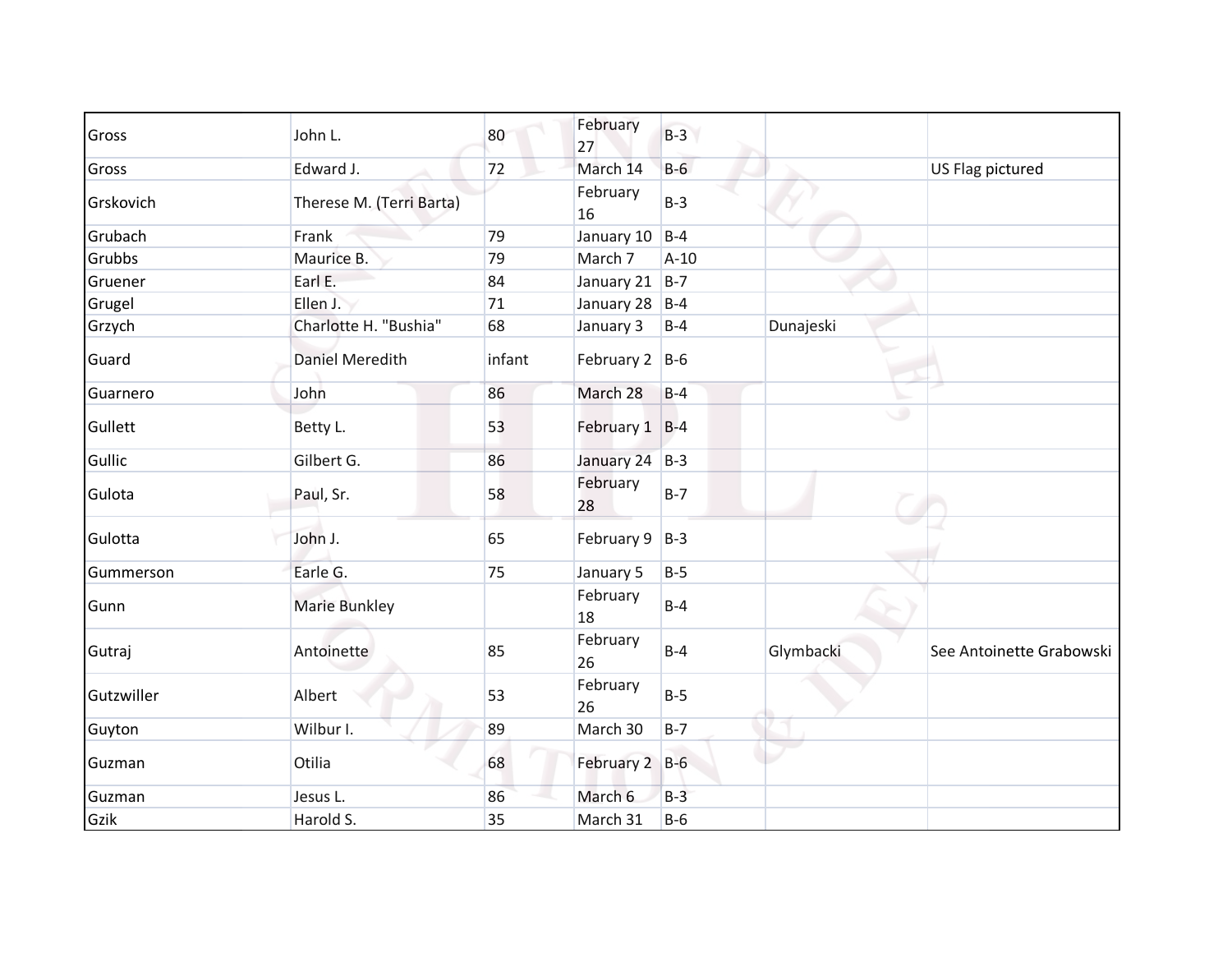| Gross      | John L.                  | 80     | February           | $B-3$  |           |                          |
|------------|--------------------------|--------|--------------------|--------|-----------|--------------------------|
|            |                          |        | 27                 |        |           |                          |
| Gross      | Edward J.                | 72     | March 14           | $B-6$  |           | US Flag pictured         |
| Grskovich  | Therese M. (Terri Barta) |        | February<br>16     | $B-3$  |           |                          |
| Grubach    | Frank                    | 79     | January 10         | $B-4$  |           |                          |
| Grubbs     | Maurice B.               | 79     | March 7            | $A-10$ |           |                          |
| Gruener    | Earl E.                  | 84     | January 21         | $B-7$  |           |                          |
| Grugel     | Ellen J.                 | $71\,$ | January 28         | $B-4$  |           |                          |
| Grzych     | Charlotte H. "Bushia"    | 68     | January 3          | $B-4$  | Dunajeski |                          |
| Guard      | Daniel Meredith          | infant | February $2$ B-6   |        |           |                          |
| Guarnero   | John                     | 86     | March 28           | $B-4$  |           |                          |
| Gullett    | Betty L.                 | 53     | February 1 B-4     |        |           | ی                        |
| Gullic     | Gilbert G.               | 86     | January 24 B-3     |        |           |                          |
| Gulota     | Paul, Sr.                | 58     | February<br>28     | $B-7$  |           |                          |
| Gulotta    | John J.                  | 65     | February $9$   B-3 |        |           |                          |
| Gummerson  | Earle G.                 | 75     | January 5          | $B-5$  |           |                          |
| Gunn       | <b>Marie Bunkley</b>     |        | February<br>18     | $B-4$  |           |                          |
| Gutraj     | Antoinette               | 85     | February<br>26     | $B-4$  | Glymbacki | See Antoinette Grabowski |
| Gutzwiller | Albert                   | 53     | February<br>26     | $B-5$  |           |                          |
| Guyton     | Wilbur I.                | 89     | March 30           | $B-7$  |           |                          |
| Guzman     | Otilia                   | 68     | February 2 B-6     |        |           |                          |
| Guzman     | Jesus L.                 | 86     | March 6            | $B-3$  |           |                          |
| Gzik       | Harold S.                | 35     | March 31           | $B-6$  |           |                          |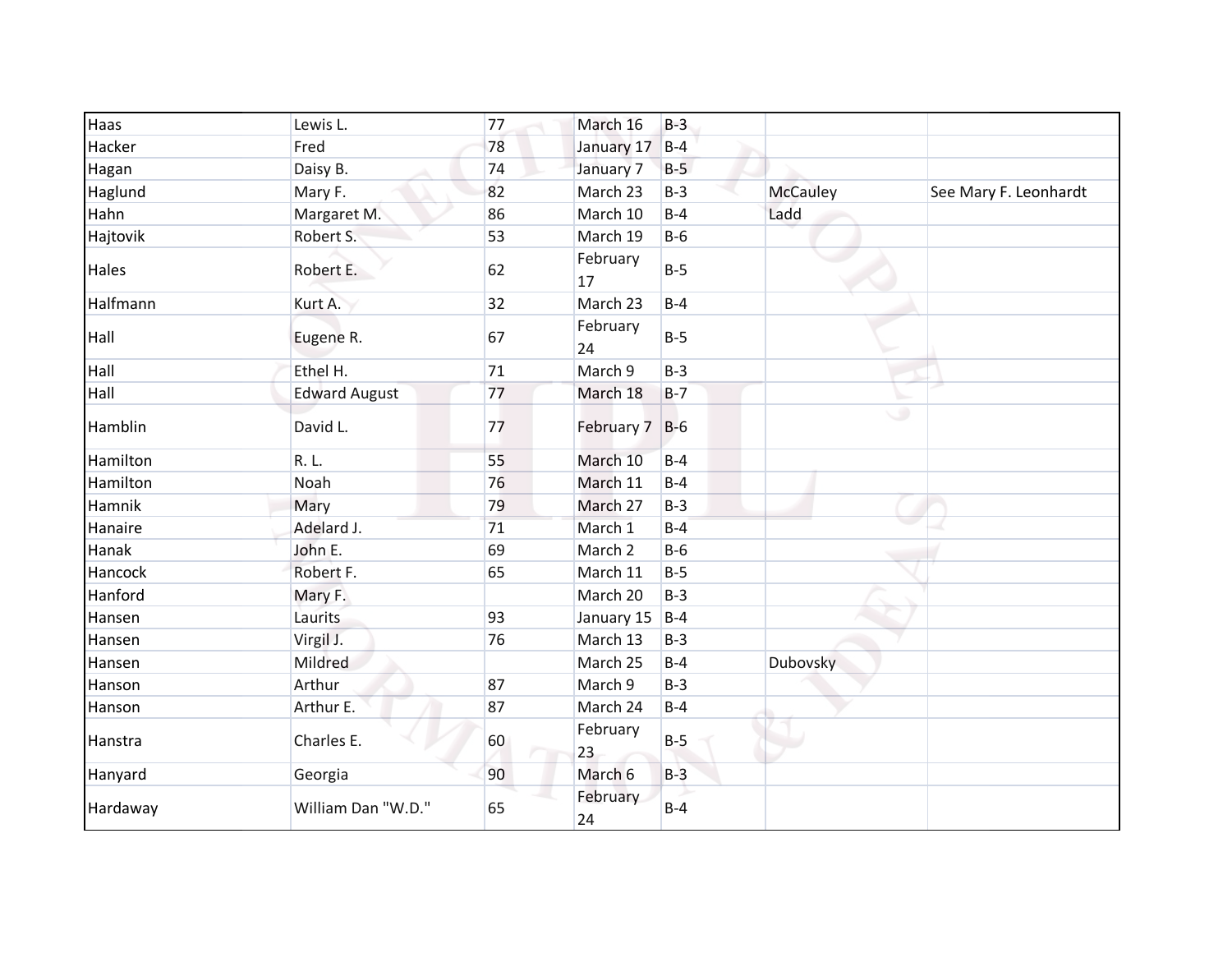| Haas     | Lewis L.             | 77 | March 16       | $B-3$ |                 |                       |
|----------|----------------------|----|----------------|-------|-----------------|-----------------------|
| Hacker   | Fred                 | 78 | January 17 B-4 |       |                 |                       |
| Hagan    | Daisy B.             | 74 | January 7      | $B-5$ |                 |                       |
| Haglund  | Mary F.              | 82 | March 23       | $B-3$ | <b>McCauley</b> | See Mary F. Leonhardt |
| Hahn     | Margaret M.          | 86 | March 10       | $B-4$ | Ladd            |                       |
| Hajtovik | Robert S.            | 53 | March 19       | $B-6$ |                 |                       |
| Hales    | Robert E.            | 62 | February<br>17 | $B-5$ |                 |                       |
| Halfmann | Kurt A.              | 32 | March 23       | $B-4$ |                 |                       |
| Hall     | Eugene R.            | 67 | February<br>24 | $B-5$ |                 |                       |
| Hall     | Ethel H.             | 71 | March 9        | $B-3$ |                 |                       |
| Hall     | <b>Edward August</b> | 77 | March 18       | $B-7$ |                 |                       |
| Hamblin  | David L.             | 77 | February 7 B-6 |       | ی               |                       |
| Hamilton | R. L.                | 55 | March 10       | $B-4$ |                 |                       |
| Hamilton | Noah                 | 76 | March 11       | $B-4$ |                 |                       |
| Hamnik   | Mary                 | 79 | March 27       | $B-3$ |                 |                       |
| Hanaire  | Adelard J.           | 71 | March 1        | $B-4$ |                 |                       |
| Hanak    | John E.              | 69 | March 2        | $B-6$ |                 |                       |
| Hancock  | Robert F.            | 65 | March 11       | $B-5$ |                 |                       |
| Hanford  | Mary F.              |    | March 20       | $B-3$ |                 |                       |
| Hansen   | Laurits              | 93 | January 15     | $B-4$ |                 |                       |
| Hansen   | Virgil J.            | 76 | March 13       | $B-3$ |                 |                       |
| Hansen   | Mildred              |    | March 25       | $B-4$ | <b>Dubovsky</b> |                       |
| Hanson   | Arthur               | 87 | March 9        | $B-3$ |                 |                       |
| Hanson   | Arthur E.            | 87 | March 24       | $B-4$ |                 |                       |
| Hanstra  | Charles E.           | 60 | February<br>23 | $B-5$ |                 |                       |
| Hanyard  | Georgia              | 90 | March 6        | $B-3$ |                 |                       |
| Hardaway | William Dan "W.D."   | 65 | February<br>24 | $B-4$ |                 |                       |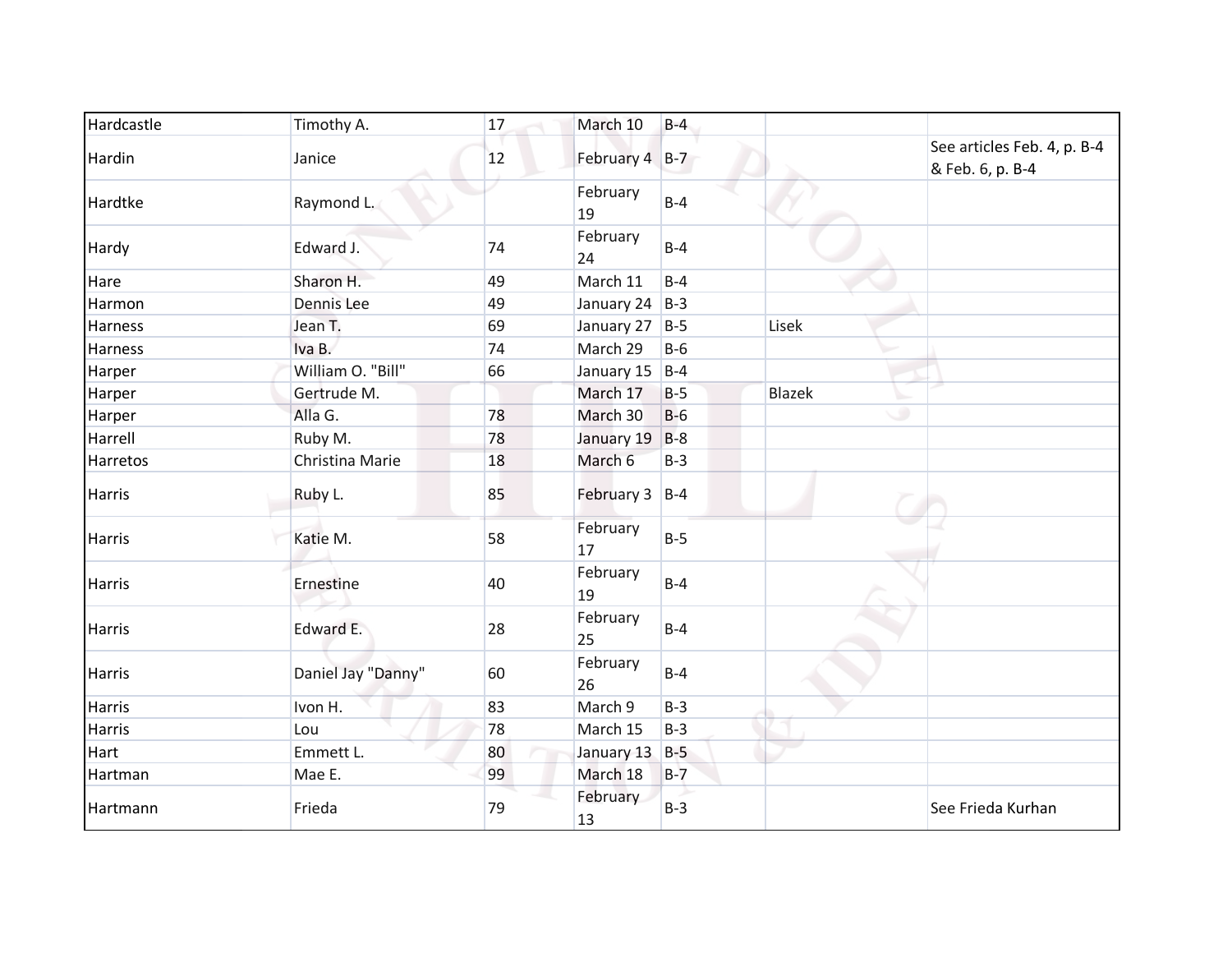| Hardcastle    | Timothy A.         | 17 | March 10           | $B-4$ |               |                                                 |
|---------------|--------------------|----|--------------------|-------|---------------|-------------------------------------------------|
| Hardin        | Janice             | 12 | February 4 B-7     |       |               | See articles Feb. 4, p. B-4<br>& Feb. 6, p. B-4 |
| Hardtke       | Raymond L.         |    | February<br>19     | $B-4$ |               |                                                 |
| Hardy         | Edward J.          | 74 | February<br>24     | $B-4$ |               |                                                 |
| Hare          | Sharon H.          | 49 | March 11           | $B-4$ |               |                                                 |
| Harmon        | Dennis Lee         | 49 | January 24 $ B-3 $ |       |               |                                                 |
| Harness       | Jean T.            | 69 | January 27         | $B-5$ | Lisek         |                                                 |
| Harness       | Iva B.             | 74 | March 29           | $B-6$ |               |                                                 |
| Harper        | William O. "Bill"  | 66 | January 15         | $B-4$ |               |                                                 |
| Harper        | Gertrude M.        |    | March 17           | $B-5$ | <b>Blazek</b> |                                                 |
| Harper        | Alla G.            | 78 | March 30           | $B-6$ |               | ٠                                               |
| Harrell       | Ruby M.            | 78 | January 19         | $B-8$ |               |                                                 |
| Harretos      | Christina Marie    | 18 | March 6            | $B-3$ |               |                                                 |
| <b>Harris</b> | Ruby L.            | 85 | February 3 B-4     |       |               |                                                 |
| <b>Harris</b> | Katie M.           | 58 | February<br>17     | $B-5$ |               |                                                 |
| <b>Harris</b> | Ernestine          | 40 | February<br>19     | $B-4$ |               |                                                 |
| <b>Harris</b> | Edward E.          | 28 | February<br>25     | $B-4$ |               |                                                 |
| <b>Harris</b> | Daniel Jay "Danny" | 60 | February<br>26     | $B-4$ |               |                                                 |
| <b>Harris</b> | Ivon H.            | 83 | March 9            | $B-3$ |               |                                                 |
| <b>Harris</b> | Lou                | 78 | March 15           | $B-3$ |               |                                                 |
| Hart          | Emmett L.          | 80 | January 13         | $B-5$ |               |                                                 |
| Hartman       | Mae E.             | 99 | March 18           | $B-7$ |               |                                                 |
| Hartmann      | Frieda             | 79 | February<br>13     | $B-3$ |               | See Frieda Kurhan                               |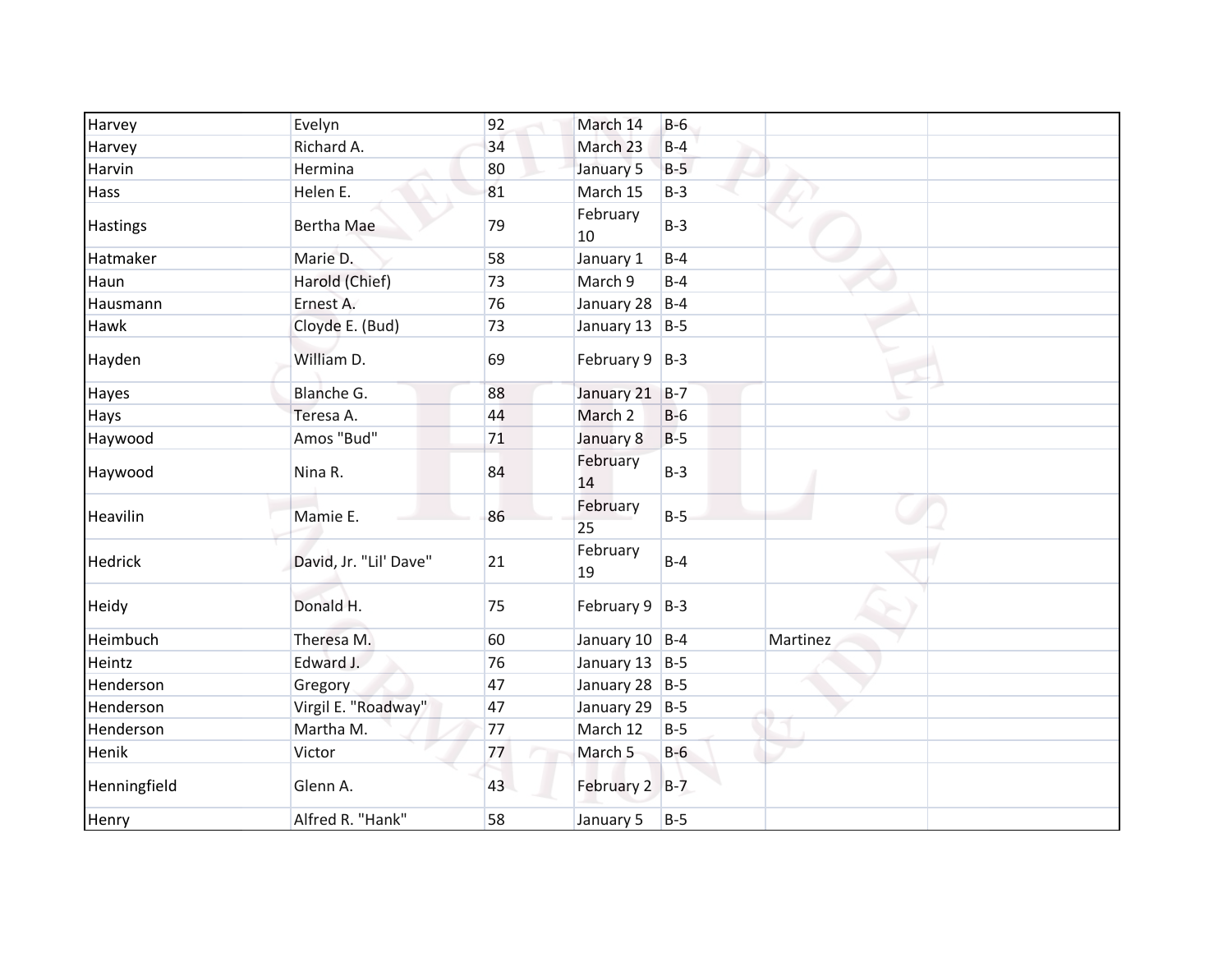| Harvey         | Evelyn                 | 92 | March 14           | $B-6$ |          |
|----------------|------------------------|----|--------------------|-------|----------|
| Harvey         | Richard A.             | 34 | March 23           | $B-4$ |          |
| Harvin         | Hermina                | 80 | January 5          | $B-5$ |          |
| Hass           | Helen E.               | 81 | March 15           | $B-3$ |          |
| Hastings       | <b>Bertha Mae</b>      | 79 | February<br>10     | $B-3$ |          |
| Hatmaker       | Marie D.               | 58 | January 1          | $B-4$ |          |
| Haun           | Harold (Chief)         | 73 | March 9            | $B-4$ |          |
| Hausmann       | Ernest A.              | 76 | January 28 $ B-4 $ |       |          |
| Hawk           | Cloyde E. (Bud)        | 73 | January 13 $ B-5 $ |       |          |
| Hayden         | William D.             | 69 | February $9$   B-3 |       |          |
| Hayes          | Blanche G.             | 88 | January 21 B-7     |       |          |
| Hays           | Teresa A.              | 44 | March 2            | $B-6$ | ی        |
| Haywood        | Amos "Bud"             | 71 | January 8          | $B-5$ |          |
| Haywood        | Nina R.                | 84 | February<br>14     | $B-3$ |          |
| Heavilin       | Mamie E.               | 86 | February<br>25     | $B-5$ |          |
| <b>Hedrick</b> | David, Jr. "Lil' Dave" | 21 | February<br>19     | $B-4$ |          |
| Heidy          | Donald H.              | 75 | February $9$   B-3 |       |          |
| Heimbuch       | Theresa M.             | 60 | January 10 B-4     |       | Martinez |
| Heintz         | Edward J.              | 76 | January 13 $ B-5 $ |       |          |
| Henderson      | Gregory                | 47 | January 28 B-5     |       |          |
| Henderson      | Virgil E. "Roadway"    | 47 | January 29 B-5     |       |          |
| Henderson      | Martha M.              | 77 | March 12           | $B-5$ |          |
| Henik          | Victor                 | 77 | March <sub>5</sub> | $B-6$ |          |
| Henningfield   | Glenn A.               | 43 | February 2 B-7     |       |          |
| Henry          | Alfred R. "Hank"       | 58 | January 5          | $B-5$ |          |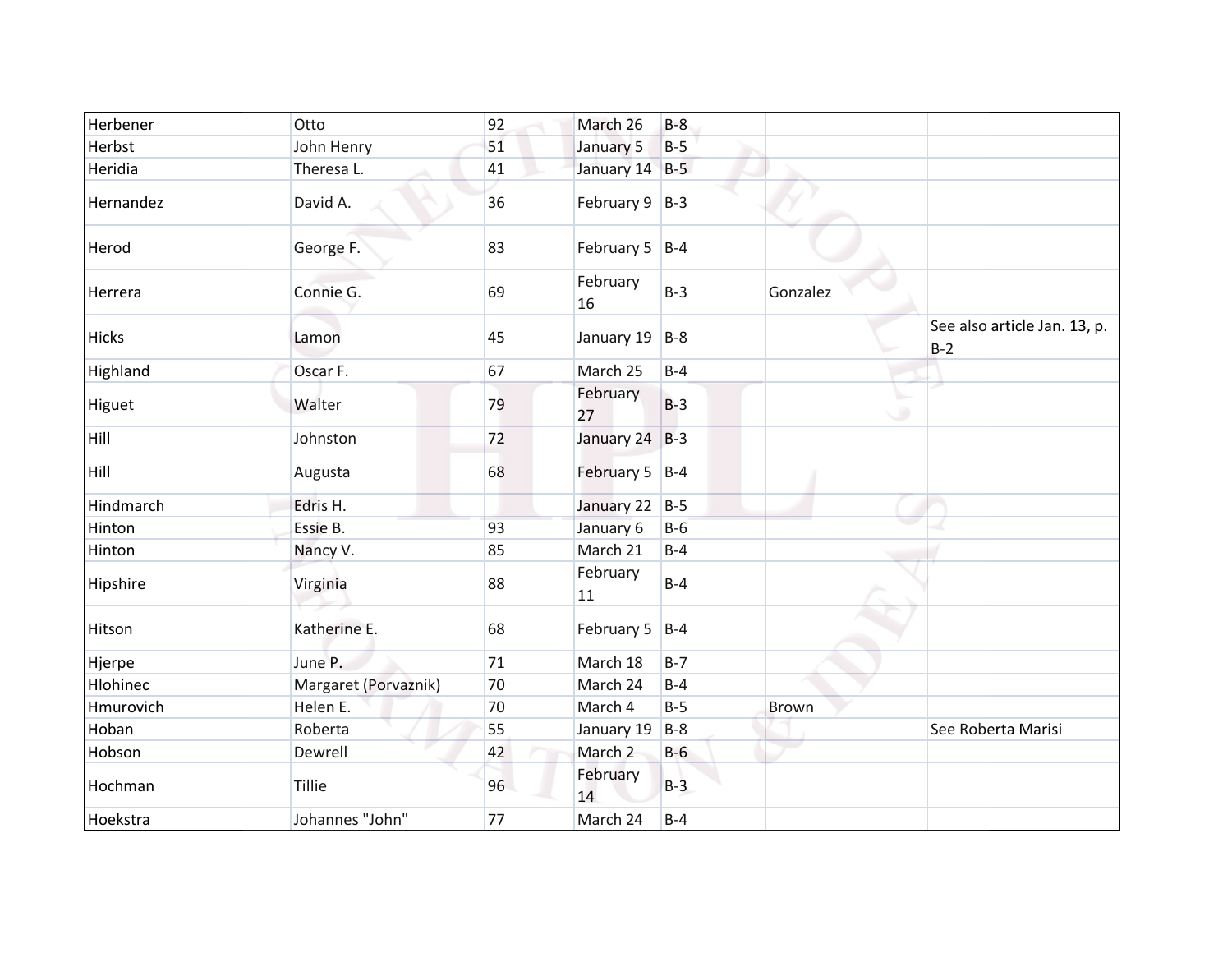| Herbener     | Otto                 | 92 | March 26           | $B-8$ |          |                                       |
|--------------|----------------------|----|--------------------|-------|----------|---------------------------------------|
| Herbst       | John Henry           | 51 | January 5          | $B-5$ |          |                                       |
| Heridia      | Theresa L.           | 41 | January 14 B-5     |       |          |                                       |
| Hernandez    | David A.             | 36 | February $9$   B-3 |       |          |                                       |
| Herod        | George F.            | 83 | February 5 $ B-4 $ |       |          |                                       |
| Herrera      | Connie G.            | 69 | February<br>16     | $B-3$ | Gonzalez |                                       |
| <b>Hicks</b> | Lamon                | 45 | January 19         | $B-8$ |          | See also article Jan. 13, p.<br>$B-2$ |
| Highland     | Oscar F.             | 67 | March 25           | $B-4$ |          |                                       |
| Higuet       | Walter               | 79 | February<br>27     | $B-3$ |          | ی                                     |
| Hill         | Johnston             | 72 | January 24 B-3     |       |          |                                       |
| Hill         | Augusta              | 68 | February $5$ B-4   |       |          |                                       |
| Hindmarch    | Edris H.             |    | January 22 B-5     |       |          |                                       |
| Hinton       | Essie B.             | 93 | January 6          | $B-6$ |          |                                       |
| Hinton       | Nancy V.             | 85 | March 21           | $B-4$ |          |                                       |
| Hipshire     | Virginia             | 88 | February<br>11     | $B-4$ |          |                                       |
| Hitson       | Katherine E.         | 68 | February 5 $ B-4 $ |       |          |                                       |
| Hjerpe       | June P.              | 71 | March 18           | $B-7$ |          |                                       |
| Hlohinec     | Margaret (Porvaznik) | 70 | March 24           | $B-4$ |          |                                       |
| Hmurovich    | Helen E.             | 70 | March 4            | $B-5$ | Brown    |                                       |
| Hoban        | Roberta              | 55 | January 19         | $B-8$ |          | See Roberta Marisi                    |
| Hobson       | Dewrell              | 42 | March 2            | $B-6$ |          |                                       |
| Hochman      | <b>Tillie</b>        | 96 | February<br>14     | $B-3$ |          |                                       |
| Hoekstra     | Johannes "John"      | 77 | March 24           | $B-4$ |          |                                       |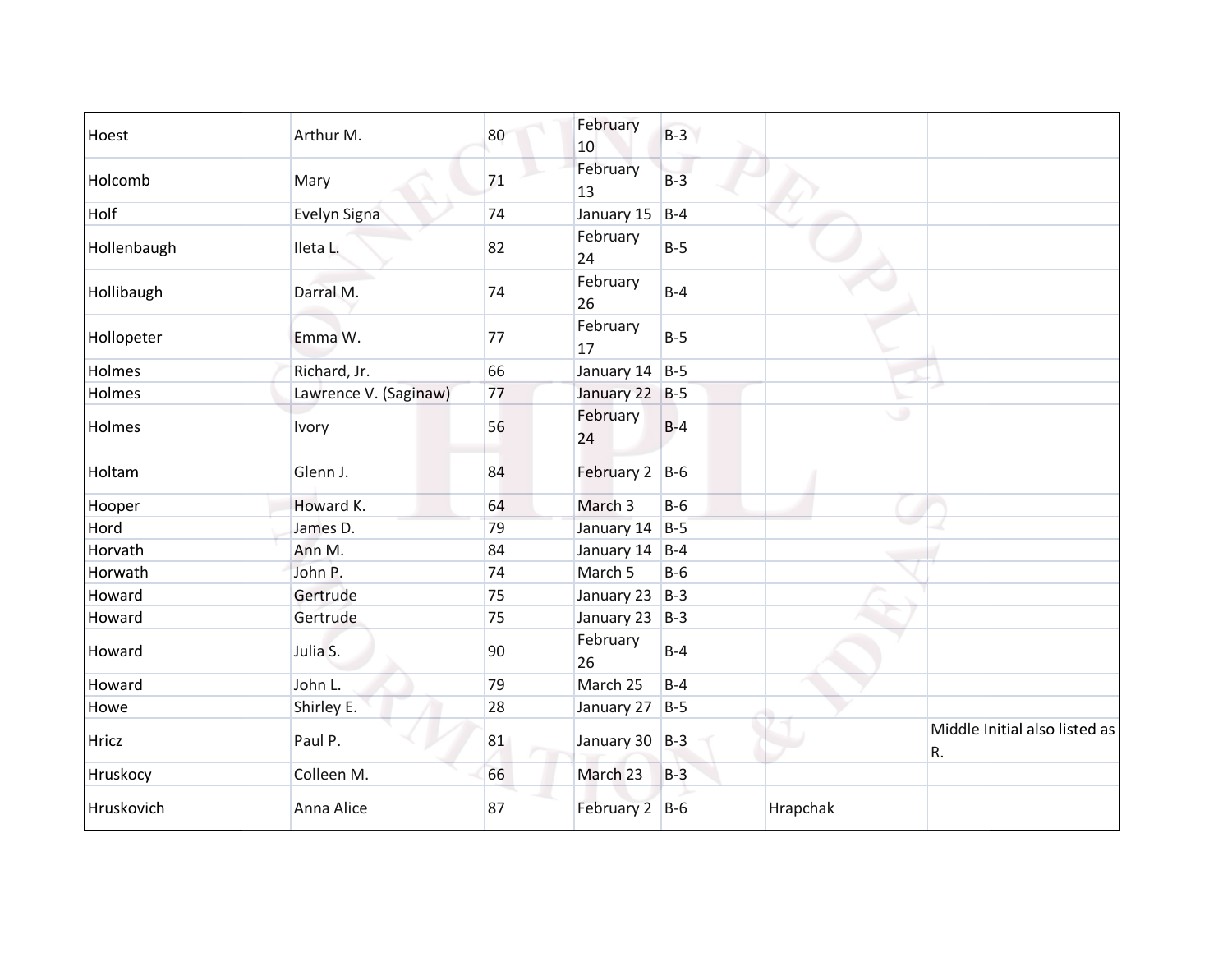| Hoest       | Arthur M.             | 80 | February<br>10     | $B-3$ |          |                                     |
|-------------|-----------------------|----|--------------------|-------|----------|-------------------------------------|
| Holcomb     | Mary                  | 71 | February<br>13     | $B-3$ |          |                                     |
| Holf        | Evelyn Signa          | 74 | January 15         | $B-4$ |          |                                     |
| Hollenbaugh | Ileta L.              | 82 | February<br>24     | $B-5$ |          |                                     |
| Hollibaugh  | Darral M.             | 74 | February<br>26     | $B-4$ |          |                                     |
| Hollopeter  | Emma W.               | 77 | February<br>17     | $B-5$ |          |                                     |
| Holmes      | Richard, Jr.          | 66 | January 14 $ B-5 $ |       |          |                                     |
| Holmes      | Lawrence V. (Saginaw) | 77 | January 22 B-5     |       |          |                                     |
| Holmes      | Ivory                 | 56 | February<br>24     | $B-4$ | $\circ$  |                                     |
| Holtam      | Glenn J.              | 84 | February 2 B-6     |       |          |                                     |
| Hooper      | Howard K.             | 64 | March 3            | $B-6$ |          |                                     |
| Hord        | James D.              | 79 | January 14 B-5     |       |          |                                     |
| Horvath     | Ann M.                | 84 | January 14         | $B-4$ |          |                                     |
| Horwath     | John P.               | 74 | March 5            | $B-6$ |          |                                     |
| Howard      | Gertrude              | 75 | January 23 B-3     |       |          |                                     |
| Howard      | Gertrude              | 75 | January 23         | $B-3$ |          |                                     |
| Howard      | Julia S.              | 90 | February<br>26     | $B-4$ |          |                                     |
| Howard      | John L.               | 79 | March 25           | $B-4$ |          |                                     |
| Howe        | Shirley E.            | 28 | January 27         | $B-5$ |          |                                     |
| Hricz       | Paul P.               | 81 | January 30 B-3     |       |          | Middle Initial also listed as<br>R. |
| Hruskocy    | Colleen M.            | 66 | March 23           | $B-3$ |          |                                     |
| Hruskovich  | Anna Alice            | 87 | February 2 B-6     |       | Hrapchak |                                     |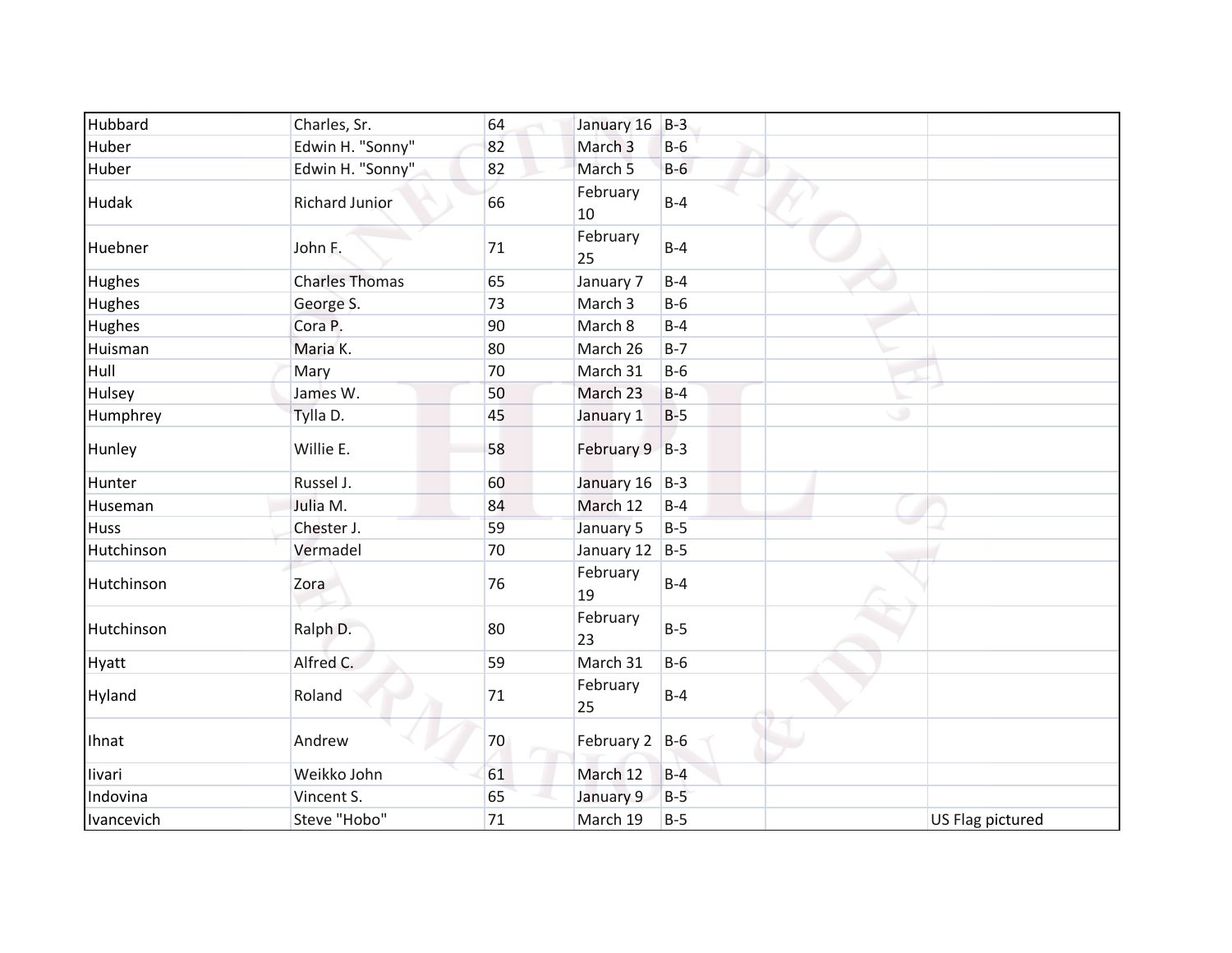| Hubbard    | Charles, Sr.          | 64     | January 16         | $B-3$ |                  |
|------------|-----------------------|--------|--------------------|-------|------------------|
| Huber      | Edwin H. "Sonny"      | 82     | March <sub>3</sub> | $B-6$ |                  |
| Huber      | Edwin H. "Sonny"      | 82     | March <sub>5</sub> | $B-6$ |                  |
| Hudak      | <b>Richard Junior</b> | 66     | February<br>10     | $B-4$ |                  |
| Huebner    | John F.               | 71     | February<br>25     | $B-4$ |                  |
| Hughes     | <b>Charles Thomas</b> | 65     | January 7          | $B-4$ |                  |
| Hughes     | George S.             | 73     | March 3            | $B-6$ |                  |
| Hughes     | Cora P.               | 90     | March 8            | $B-4$ |                  |
| Huisman    | Maria K.              | 80     | March 26           | $B-7$ |                  |
| Hull       | Mary                  | 70     | March 31           | $B-6$ |                  |
| Hulsey     | James W.              | 50     | March 23           | $B-4$ |                  |
| Humphrey   | Tylla D.              | 45     | January 1          | $B-5$ | ۰                |
| Hunley     | Willie E.             | 58     | February 9 B-3     |       |                  |
| Hunter     | Russel J.             | 60     | January 16         | $B-3$ |                  |
| Huseman    | Julia M.              | 84     | March 12           | $B-4$ |                  |
| Huss       | Chester J.            | 59     | January 5          | $B-5$ |                  |
| Hutchinson | Vermadel              | 70     | January 12         | $B-5$ |                  |
| Hutchinson | Zora                  | 76     | February<br>19     | $B-4$ |                  |
| Hutchinson | Ralph D.              | 80     | February<br>23     | $B-5$ |                  |
| Hyatt      | Alfred C.             | 59     | March 31           | $B-6$ |                  |
| Hyland     | Roland                | $71\,$ | February<br>25     | $B-4$ |                  |
| Ihnat      | Andrew                | 70     | February 2 B-6     |       |                  |
| livari     | Weikko John           | 61     | March 12           | $B-4$ |                  |
| Indovina   | Vincent S.            | 65     | January 9          | $B-5$ |                  |
| Ivancevich | Steve "Hobo"          | 71     | March 19           | $B-5$ | US Flag pictured |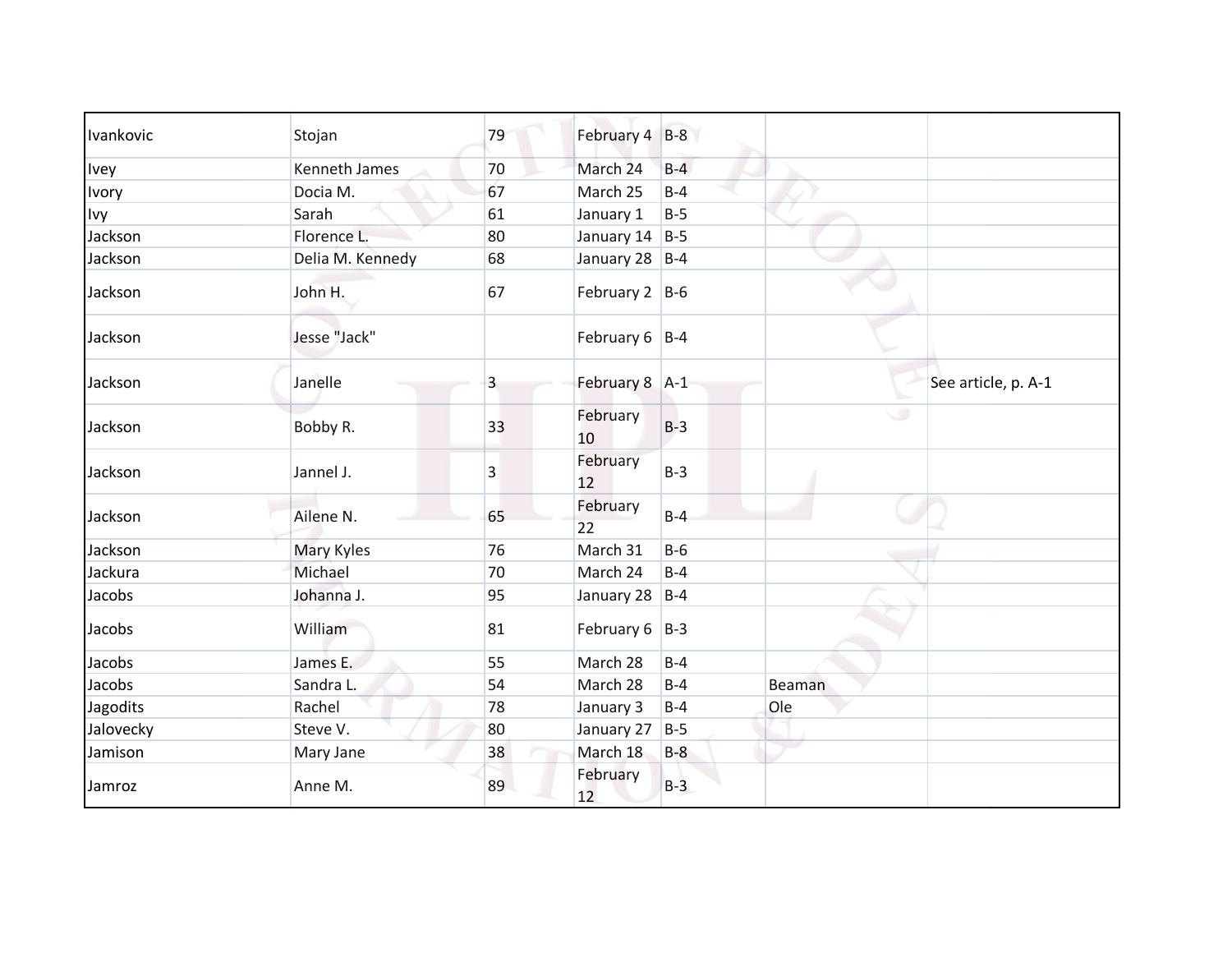| Ivankovic | Stojan           | 79             | February 4 B-8     |       |        |                     |
|-----------|------------------|----------------|--------------------|-------|--------|---------------------|
| Ivey      | Kenneth James    | 70             | March 24           | $B-4$ |        |                     |
| Ivory     | Docia M.         | 67             | March 25           | $B-4$ |        |                     |
| Ivy       | Sarah            | 61             | January 1          | $B-5$ |        |                     |
| Jackson   | Florence L.      | 80             | January $14$   B-5 |       |        |                     |
| Jackson   | Delia M. Kennedy | 68             | January 28   B-4   |       |        |                     |
| Jackson   | John H.          | 67             | February $2$ B-6   |       |        |                     |
| Jackson   | Jesse "Jack"     |                | February $6$   B-4 |       |        |                     |
| Jackson   | Janelle          | $\overline{3}$ | February 8 A-1     |       |        | See article, p. A-1 |
| Jackson   | Bobby R.         | 33             | February<br>10     | $B-3$ | ی      |                     |
| Jackson   | Jannel J.        | 3              | February<br>12     | $B-3$ |        |                     |
| Jackson   | Ailene N.        | 65             | February<br>22     | $B-4$ |        |                     |
| Jackson   | Mary Kyles       | 76             | March 31           | $B-6$ |        |                     |
| Jackura   | Michael          | 70             | March 24           | $B-4$ |        |                     |
| Jacobs    | Johanna J.       | 95             | January 28         | $B-4$ |        |                     |
| Jacobs    | William          | 81             | February $6$  B-3  |       |        |                     |
| Jacobs    | James E.         | 55             | March 28           | $B-4$ |        |                     |
| Jacobs    | Sandra L.        | 54             | March 28           | $B-4$ | Beaman |                     |
| Jagodits  | Rachel           | 78             | January 3          | $B-4$ | Ole    |                     |
| Jalovecky | Steve V.         | 80             | January 27         | $B-5$ |        |                     |
| Jamison   | Mary Jane        | 38             | March 18           | $B-8$ |        |                     |
| Jamroz    | Anne M.          | 89             | February<br>12     | $B-3$ |        |                     |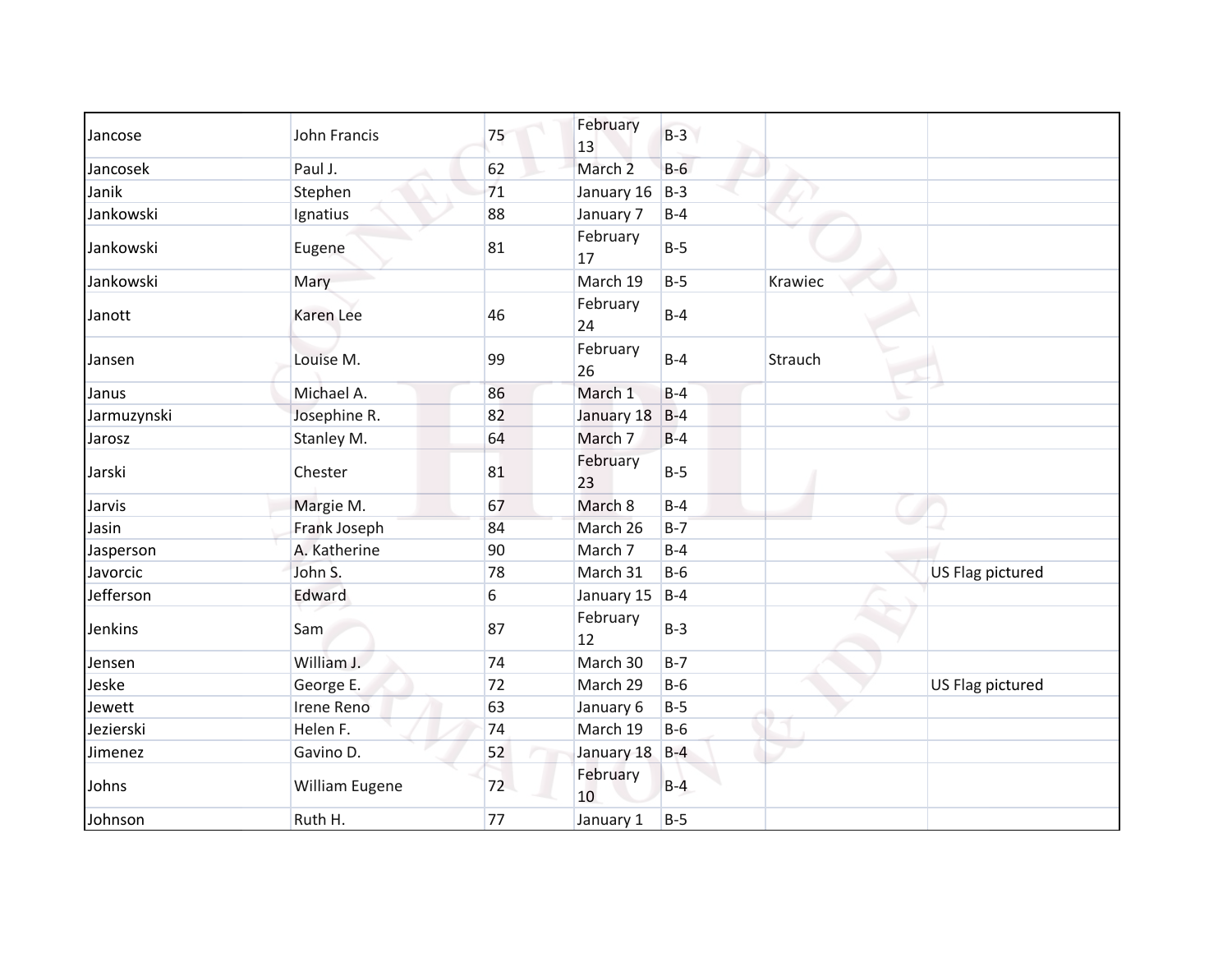| Jancose     | John Francis   | 75    | February<br>13     | $B-3$ |         |                  |
|-------------|----------------|-------|--------------------|-------|---------|------------------|
| Jancosek    | Paul J.        | 62    | March <sub>2</sub> | $B-6$ |         |                  |
| Janik       | Stephen        | 71    | January 16         | $B-3$ |         |                  |
| Jankowski   | Ignatius       | 88    | January 7          | $B-4$ |         |                  |
| Jankowski   | Eugene         | 81    | February<br>17     | $B-5$ |         |                  |
| Jankowski   | Mary           |       | March 19           | $B-5$ | Krawiec |                  |
| Janott      | Karen Lee      | 46    | February<br>24     | $B-4$ |         |                  |
| Jansen      | Louise M.      | 99    | February<br>26     | $B-4$ | Strauch |                  |
| Janus       | Michael A.     | 86    | March 1            | $B-4$ |         |                  |
| Jarmuzynski | Josephine R.   | 82    | January 18         | $B-4$ |         | ٠                |
| Jarosz      | Stanley M.     | 64    | March 7            | $B-4$ |         |                  |
| Jarski      | Chester        | 81    | February<br>23     | $B-5$ |         |                  |
| Jarvis      | Margie M.      | 67    | March 8            | $B-4$ |         |                  |
| Jasin       | Frank Joseph   | 84    | March 26           | $B-7$ |         |                  |
| Jasperson   | A. Katherine   | 90    | March 7            | $B-4$ |         |                  |
| Javorcic    | John S.        | 78    | March 31           | $B-6$ |         | US Flag pictured |
| Jefferson   | Edward         | $6\,$ | January 15         | $B-4$ |         |                  |
| Jenkins     | Sam            | 87    | February<br>12     | $B-3$ |         |                  |
| Jensen      | William J.     | 74    | March 30           | $B-7$ |         |                  |
| Jeske       | George E.      | 72    | March 29           | $B-6$ |         | US Flag pictured |
| Jewett      | Irene Reno     | 63    | January 6          | $B-5$ |         |                  |
| Jezierski   | Helen F.       | 74    | March 19           | $B-6$ |         |                  |
| Jimenez     | Gavino D.      | 52    | January 18         | $B-4$ |         |                  |
| Johns       | William Eugene | 72    | February<br>10     | $B-4$ |         |                  |
| Johnson     | Ruth H.        | 77    | January 1          | $B-5$ |         |                  |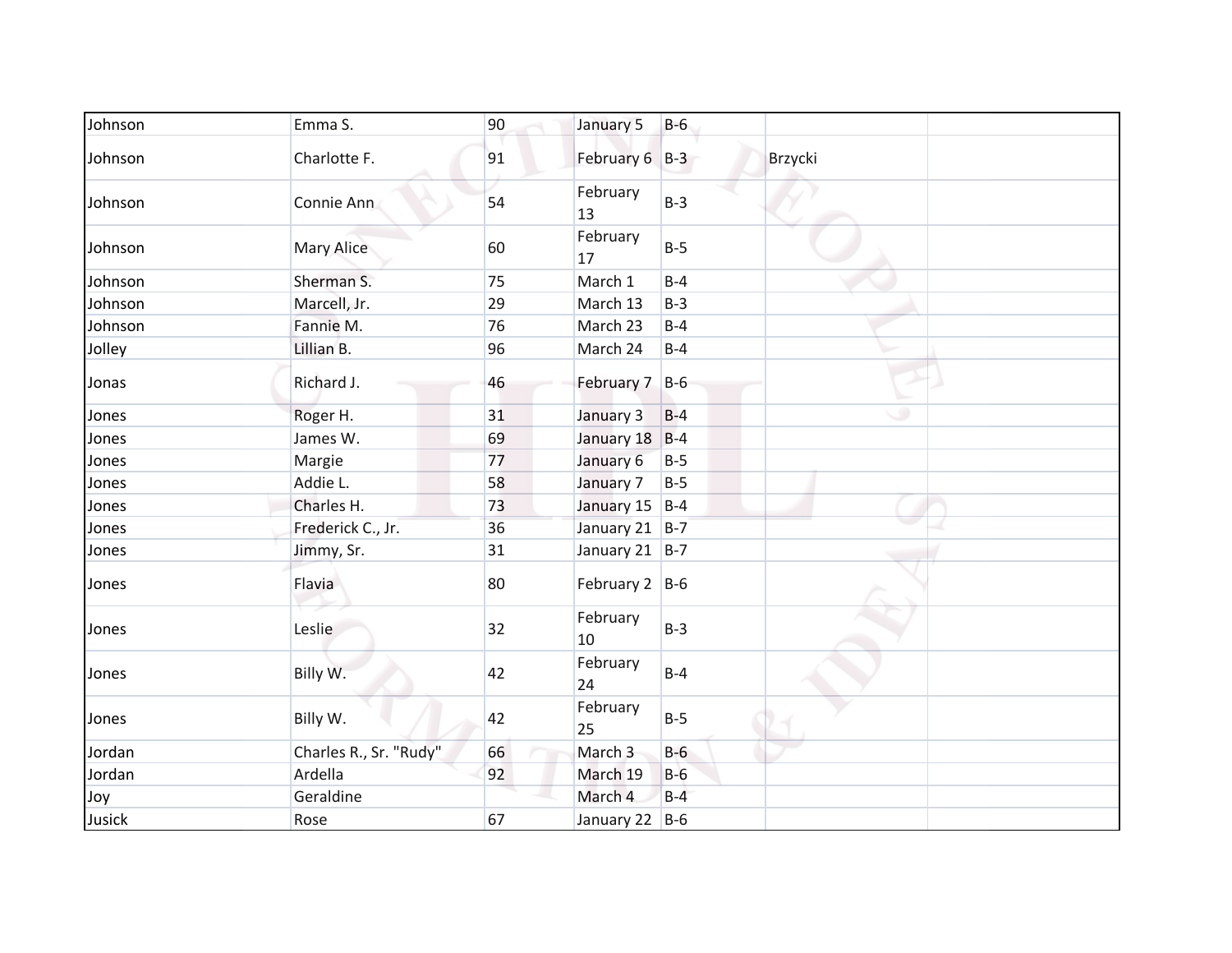| Johnson | Emma S.                | 90 | January 5        | $B-6$ |         |
|---------|------------------------|----|------------------|-------|---------|
| Johnson | Charlotte F.           | 91 | February 6 B-3   |       | Brzycki |
| Johnson | Connie Ann             | 54 | February<br>13   | $B-3$ |         |
| Johnson | <b>Mary Alice</b>      | 60 | February<br>17   | $B-5$ |         |
| Johnson | Sherman S.             | 75 | March 1          | $B-4$ |         |
| Johnson | Marcell, Jr.           | 29 | March 13         | $B-3$ |         |
| Johnson | Fannie M.              | 76 | March 23         | $B-4$ |         |
| Jolley  | Lillian B.             | 96 | March 24         | $B-4$ |         |
| Jonas   | Richard J.             | 46 | February 7 B-6   |       |         |
| Jones   | Roger H.               | 31 | January 3        | $B-4$ | ۰       |
| Jones   | James W.               | 69 | January 18       | $B-4$ |         |
| Jones   | Margie                 | 77 | January 6        | $B-5$ |         |
| Jones   | Addie L.               | 58 | January 7        | $B-5$ |         |
| Jones   | Charles H.             | 73 | January 15 B-4   |       |         |
| Jones   | Frederick C., Jr.      | 36 | January 21 B-7   |       |         |
| Jones   | Jimmy, Sr.             | 31 | January 21 B-7   |       |         |
| Jones   | Flavia                 | 80 | February $2$ B-6 |       |         |
| Jones   | Leslie                 | 32 | February<br>10   | $B-3$ |         |
| Jones   | Billy W.               | 42 | February<br>24   | $B-4$ |         |
| Jones   | Billy W.               | 42 | February<br>25   | $B-5$ |         |
| Jordan  | Charles R., Sr. "Rudy" | 66 | March 3          | $B-6$ |         |
| Jordan  | Ardella                | 92 | March 19         | $B-6$ |         |
| Joy     | Geraldine              |    | March 4          | $B-4$ |         |
| Jusick  | Rose                   | 67 | January 22 B-6   |       |         |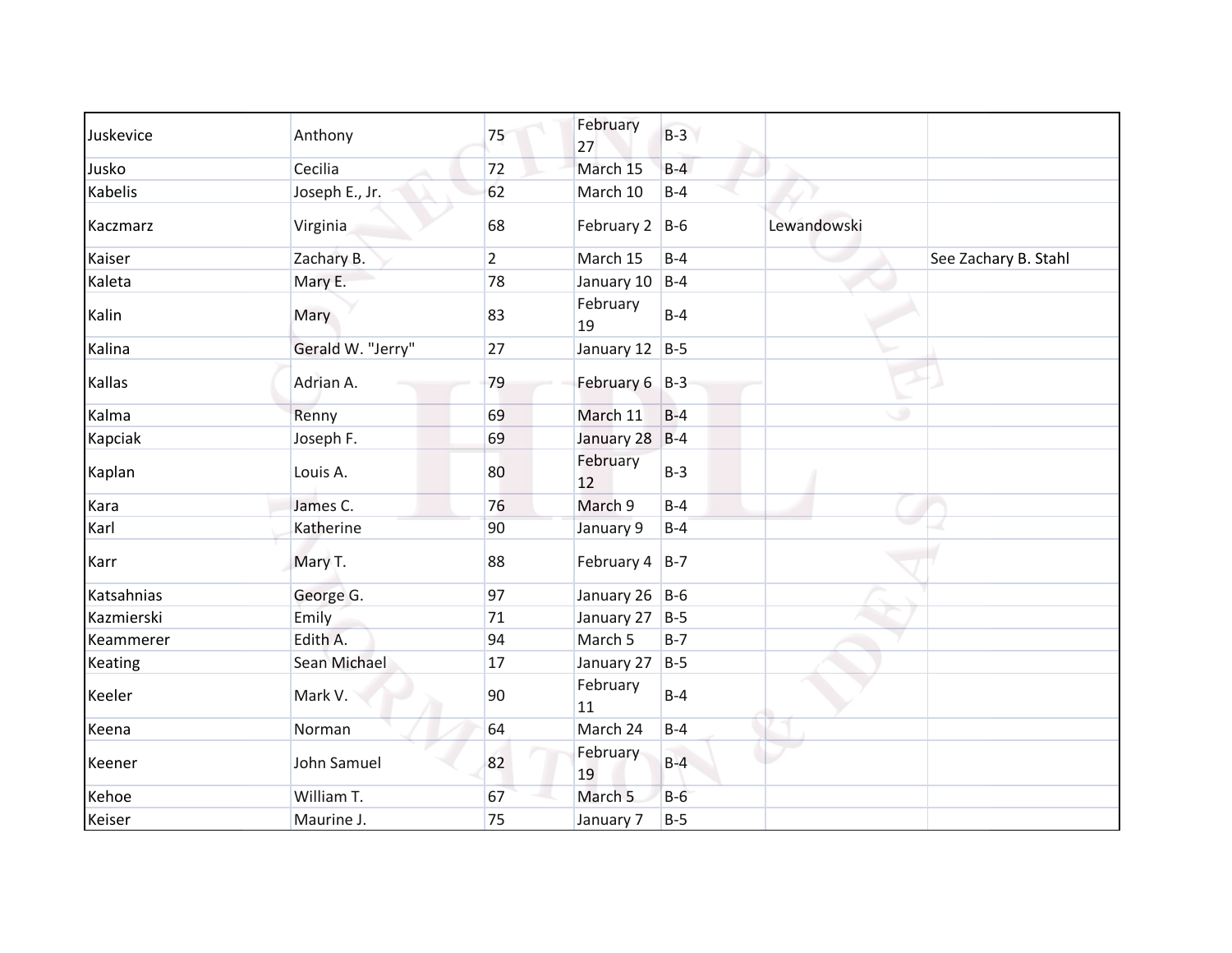| Juskevice      | Anthony           | 75             | February<br>27     | $B-3$ |             |                      |
|----------------|-------------------|----------------|--------------------|-------|-------------|----------------------|
| Jusko          | Cecilia           | 72             | March 15           | $B-4$ |             |                      |
| <b>Kabelis</b> | Joseph E., Jr.    | 62             | March 10           | $B-4$ |             |                      |
| Kaczmarz       | Virginia          | 68             | February 2 B-6     |       | Lewandowski |                      |
| Kaiser         | Zachary B.        | $\overline{2}$ | March 15           | $B-4$ |             | See Zachary B. Stahl |
| Kaleta         | Mary E.           | 78             | January 10         | $B-4$ |             |                      |
| Kalin          | Mary              | 83             | February<br>19     | $B-4$ |             |                      |
| Kalina         | Gerald W. "Jerry" | 27             | January 12 $ B-5 $ |       |             |                      |
| Kallas         | Adrian A.         | 79             | February 6 B-3     |       |             |                      |
| Kalma          | Renny             | 69             | March 11           | $B-4$ |             | ۰                    |
| Kapciak        | Joseph F.         | 69             | January 28         | $B-4$ |             |                      |
| Kaplan         | Louis A.          | 80             | February<br>12     | $B-3$ |             |                      |
| Kara           | James C.          | 76             | March 9            | $B-4$ |             |                      |
| Karl           | Katherine         | 90             | January 9          | $B-4$ |             |                      |
| Karr           | Mary T.           | 88             | February $4$ B-7   |       |             |                      |
| Katsahnias     | George G.         | 97             | January 26 B-6     |       |             |                      |
| Kazmierski     | Emily             | 71             | January 27         | $B-5$ |             |                      |
| Keammerer      | Edith A.          | 94             | March 5            | $B-7$ |             |                      |
| Keating        | Sean Michael      | 17             | January 27         | $B-5$ |             |                      |
| Keeler         | Mark V.           | 90             | February<br>11     | $B-4$ |             |                      |
| Keena          | Norman            | 64             | March 24           | $B-4$ |             |                      |
| Keener         | John Samuel       | 82             | February<br>19     | $B-4$ |             |                      |
| Kehoe          | William T.        | 67             | March <sub>5</sub> | $B-6$ |             |                      |
| Keiser         | Maurine J.        | 75             | January 7          | $B-5$ |             |                      |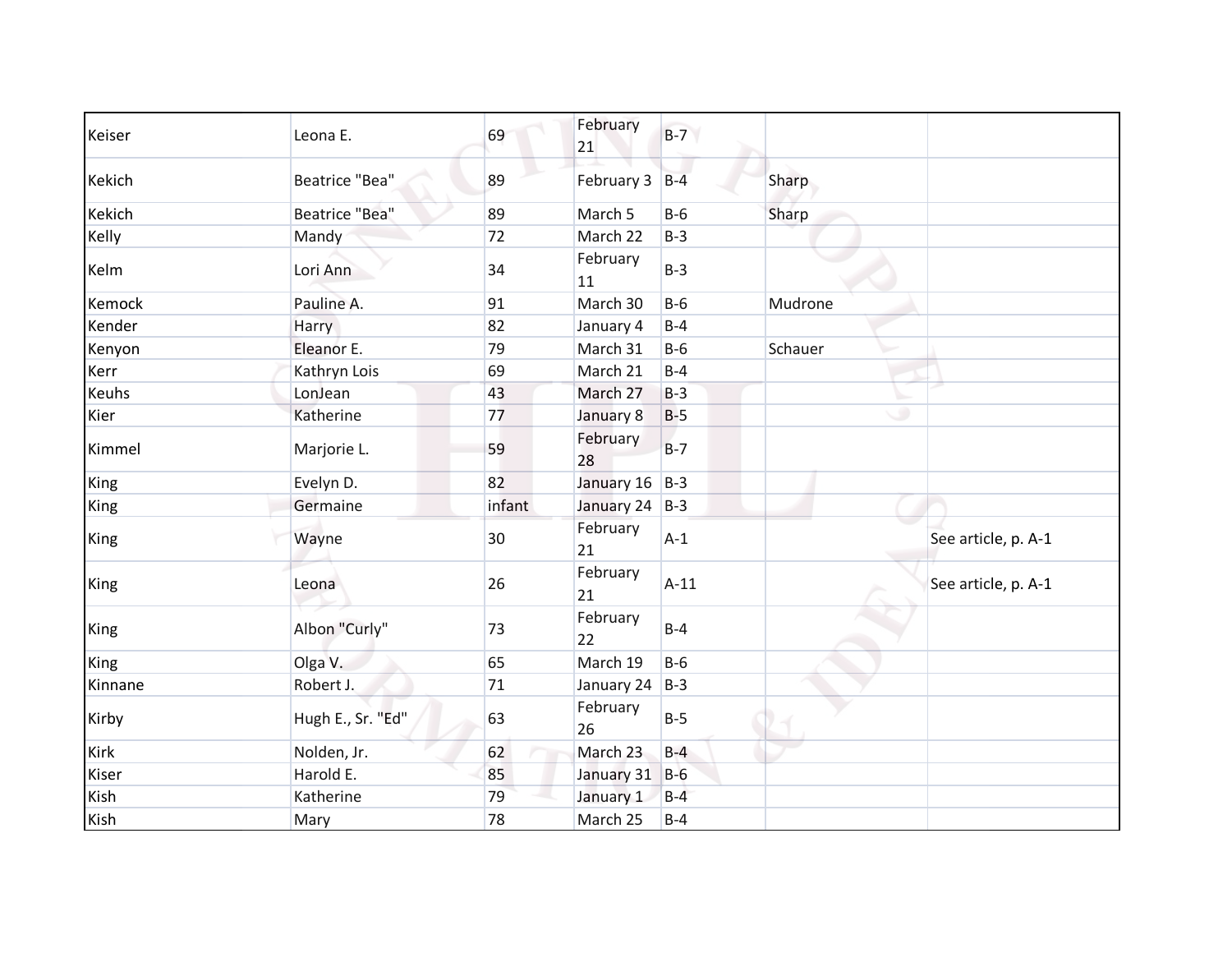| Keiser       | Leona E.              | 69     | February<br>21 | $B-7$  |         |                     |
|--------------|-----------------------|--------|----------------|--------|---------|---------------------|
| Kekich       | <b>Beatrice "Bea"</b> | 89     | February 3     | $B-4$  | Sharp   |                     |
| Kekich       | <b>Beatrice "Bea"</b> | 89     | March 5        | $B-6$  | Sharp   |                     |
| Kelly        | Mandy                 | 72     | March 22       | $B-3$  |         |                     |
| Kelm         | Lori Ann              | 34     | February<br>11 | $B-3$  |         |                     |
| Kemock       | Pauline A.            | 91     | March 30       | $B-6$  | Mudrone |                     |
| Kender       | Harry                 | 82     | January 4      | $B-4$  |         |                     |
| Kenyon       | Eleanor E.            | 79     | March 31       | $B-6$  | Schauer |                     |
| Kerr         | Kathryn Lois          | 69     | March 21       | $B-4$  |         |                     |
| <b>Keuhs</b> | LonJean               | 43     | March 27       | $B-3$  |         |                     |
| Kier         | Katherine             | 77     | January 8      | $B-5$  | ٠       |                     |
| Kimmel       | Marjorie L.           | 59     | February<br>28 | $B-7$  |         |                     |
| King         | Evelyn D.             | 82     | January 16     | $B-3$  |         |                     |
| King         | Germaine              | infant | January 24 B-3 |        |         |                     |
| King         | Wayne                 | 30     | February<br>21 | $A-1$  |         | See article, p. A-1 |
| King         | Leona                 | 26     | February<br>21 | $A-11$ |         | See article, p. A-1 |
| King         | Albon "Curly"         | 73     | February<br>22 | $B-4$  |         |                     |
| King         | Olga V.               | 65     | March 19       | $B-6$  |         |                     |
| Kinnane      | Robert J.             | 71     | January 24     | $B-3$  |         |                     |
| Kirby        | Hugh E., Sr. "Ed"     | 63     | February<br>26 | $B-5$  |         |                     |
| Kirk         | Nolden, Jr.           | 62     | March 23       | $B-4$  |         |                     |
| Kiser        | Harold E.             | 85     | January 31     | $B-6$  |         |                     |
| Kish         | Katherine             | 79     | January 1      | $B-4$  |         |                     |
| Kish         | Mary                  | 78     | March 25       | $B-4$  |         |                     |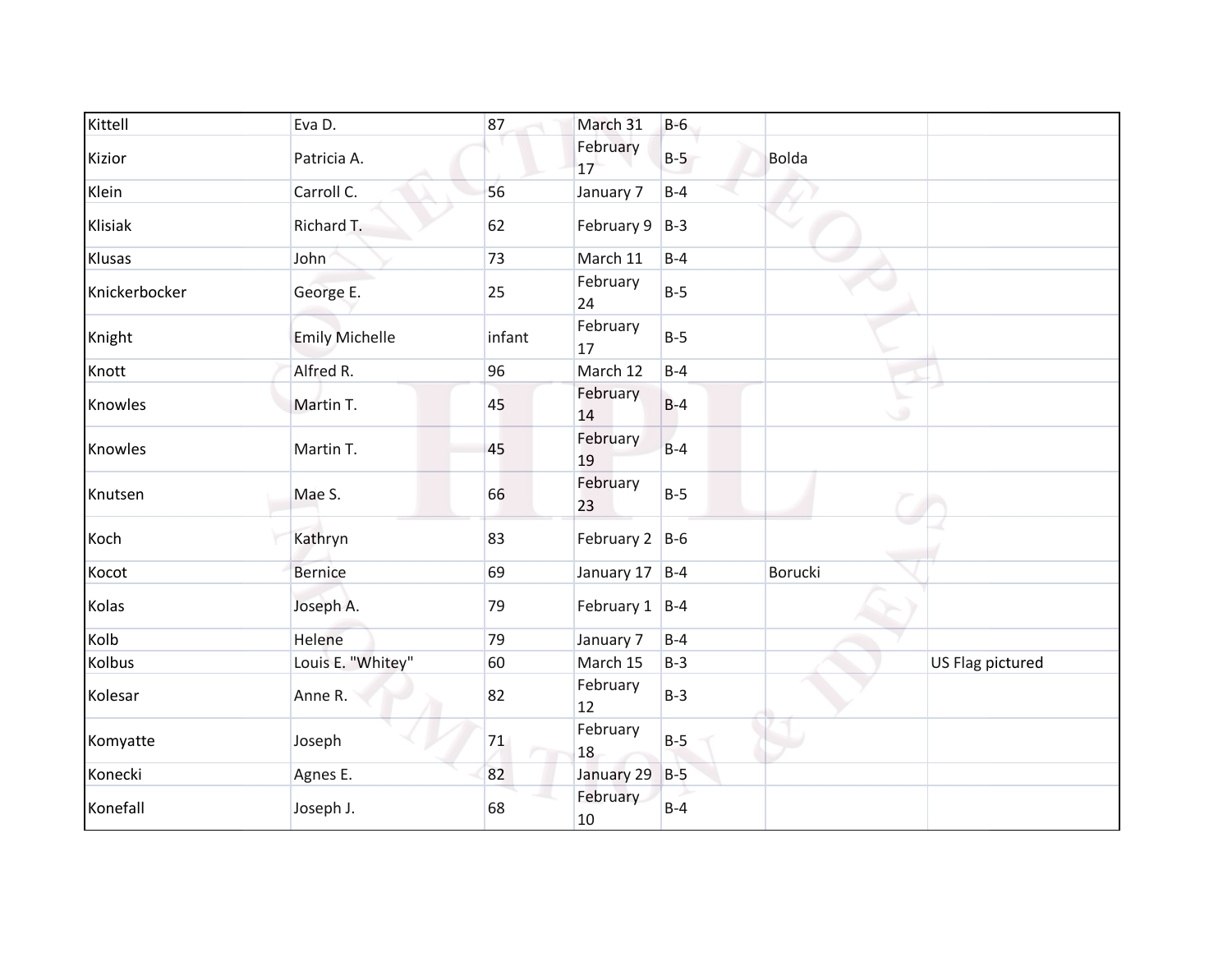| Kittell       | Eva D.                | 87     | March 31           | $B-6$ |                |                  |
|---------------|-----------------------|--------|--------------------|-------|----------------|------------------|
| Kizior        | Patricia A.           |        | February<br>17     | $B-5$ | <b>Bolda</b>   |                  |
| Klein         | Carroll C.            | 56     | January 7          | $B-4$ |                |                  |
| Klisiak       | Richard T.            | 62     | February $9$   B-3 |       |                |                  |
| Klusas        | John                  | 73     | March 11           | $B-4$ |                |                  |
| Knickerbocker | George E.             | 25     | February<br>24     | $B-5$ |                |                  |
| Knight        | <b>Emily Michelle</b> | infant | February<br>17     | $B-5$ |                |                  |
| Knott         | Alfred R.             | 96     | March 12           | $B-4$ |                |                  |
| Knowles       | Martin T.             | 45     | February<br>14     | $B-4$ | $\circ$        |                  |
| Knowles       | Martin T.             | 45     | February<br>19     | $B-4$ |                |                  |
| Knutsen       | Mae S.                | 66     | February<br>23     | $B-5$ |                |                  |
| Koch          | Kathryn               | 83     | February $2$ B-6   |       |                |                  |
| Kocot         | <b>Bernice</b>        | 69     | January 17 B-4     |       | <b>Borucki</b> |                  |
| Kolas         | Joseph A.             | 79     | February $1$ B-4   |       |                |                  |
| Kolb          | Helene                | 79     | January 7          | $B-4$ |                |                  |
| Kolbus        | Louis E. "Whitey"     | 60     | March 15           | $B-3$ |                | US Flag pictured |
| Kolesar       | Anne R.               | 82     | February<br>12     | $B-3$ |                |                  |
| Komyatte      | Joseph                | 71     | February<br>18     | $B-5$ |                |                  |
| Konecki       | Agnes E.              | 82     | January 29         | $B-5$ |                |                  |
| Konefall      | Joseph J.             | 68     | February<br>10     | $B-4$ |                |                  |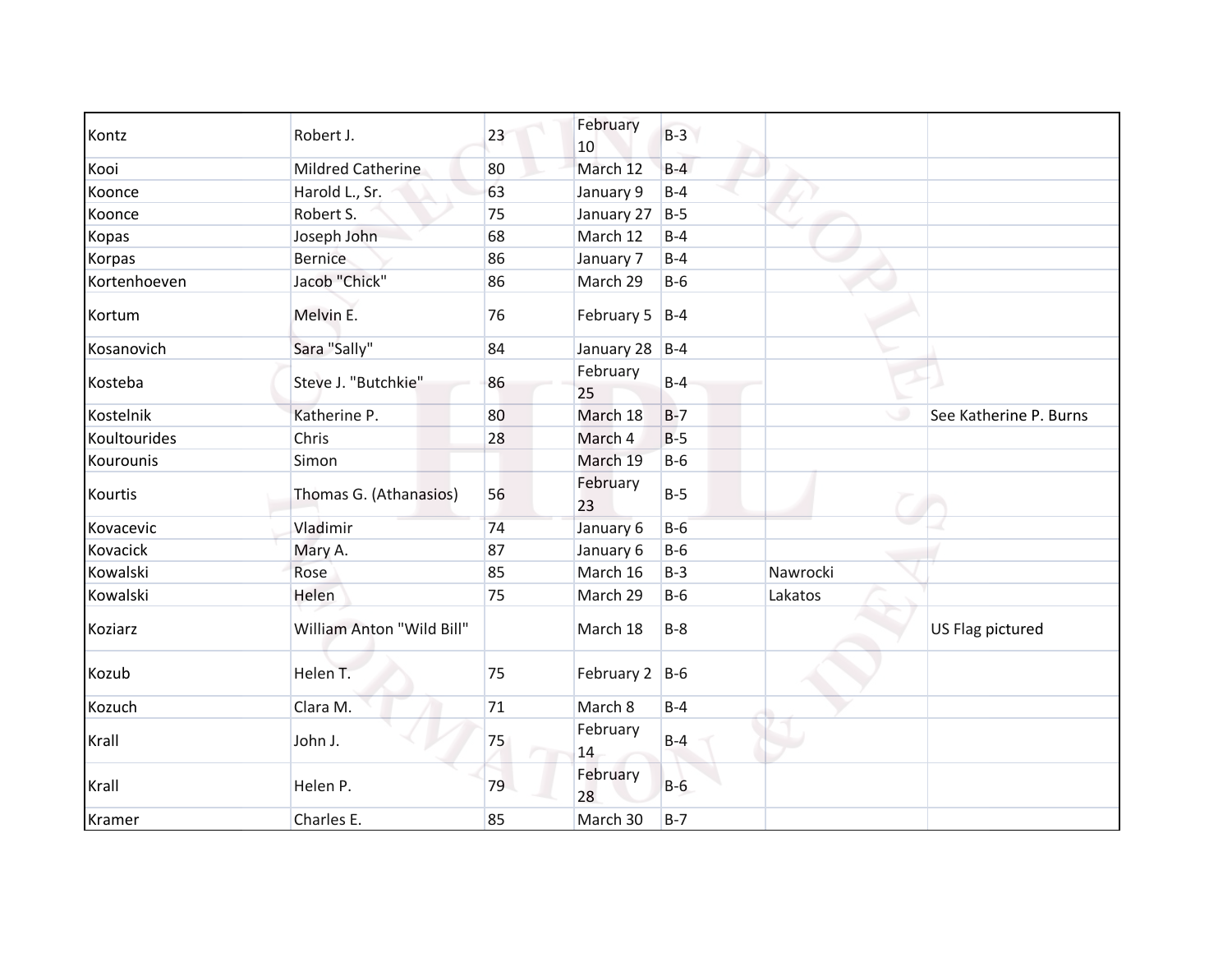| Kontz        | Robert J.                 | 23 | February<br>10     | $B-3$   |          |                        |
|--------------|---------------------------|----|--------------------|---------|----------|------------------------|
| Kooi         | <b>Mildred Catherine</b>  | 80 | March 12           | $B-4$   |          |                        |
| Koonce       | Harold L., Sr.            | 63 | January 9          | $B-4$   |          |                        |
| Koonce       | Robert S.                 | 75 | January 27         | $B-5$   |          |                        |
| Kopas        | Joseph John               | 68 | March 12           | $B-4$   |          |                        |
| Korpas       | <b>Bernice</b>            | 86 | January 7          | $B-4$   |          |                        |
| Kortenhoeven | Jacob "Chick"             | 86 | March 29           | $B-6$   |          |                        |
| Kortum       | Melvin E.                 | 76 | February 5 $ B-4 $ |         |          |                        |
| Kosanovich   | Sara "Sally"              | 84 | January 28 B-4     |         |          |                        |
| Kosteba      | Steve J. "Butchkie"       | 86 | February<br>25     | $B-4$   |          |                        |
| Kostelnik    | Katherine P.              | 80 | March 18           | $B-7$   |          | See Katherine P. Burns |
| Koultourides | Chris                     | 28 | March 4            | $B-5$   |          |                        |
| Kourounis    | Simon                     |    | March 19           | $B-6$   |          |                        |
| Kourtis      | Thomas G. (Athanasios)    | 56 | February<br>23     | $B-5$   |          |                        |
| Kovacevic    | Vladimir                  | 74 | January 6          | $B-6$   |          |                        |
| Kovacick     | Mary A.                   | 87 | January 6          | $B-6$   |          |                        |
| Kowalski     | Rose                      | 85 | March 16           | $B-3$   | Nawrocki |                        |
| Kowalski     | Helen                     | 75 | March 29           | $B-6$   | Lakatos  |                        |
| Koziarz      | William Anton "Wild Bill" |    | March 18           | $B-8$   |          | US Flag pictured       |
| Kozub        | Helen T.                  | 75 | February 2 B-6     |         |          |                        |
| Kozuch       | Clara M.                  | 71 | March 8            | $B-4$   |          |                        |
| Krall        | John J.                   | 75 | February<br>14     | $B-4$   |          |                        |
| Krall        | Helen P.                  | 79 | February<br>28     | $B-6$   |          |                        |
| Kramer       | Charles E.                | 85 | March 30           | $B - 7$ |          |                        |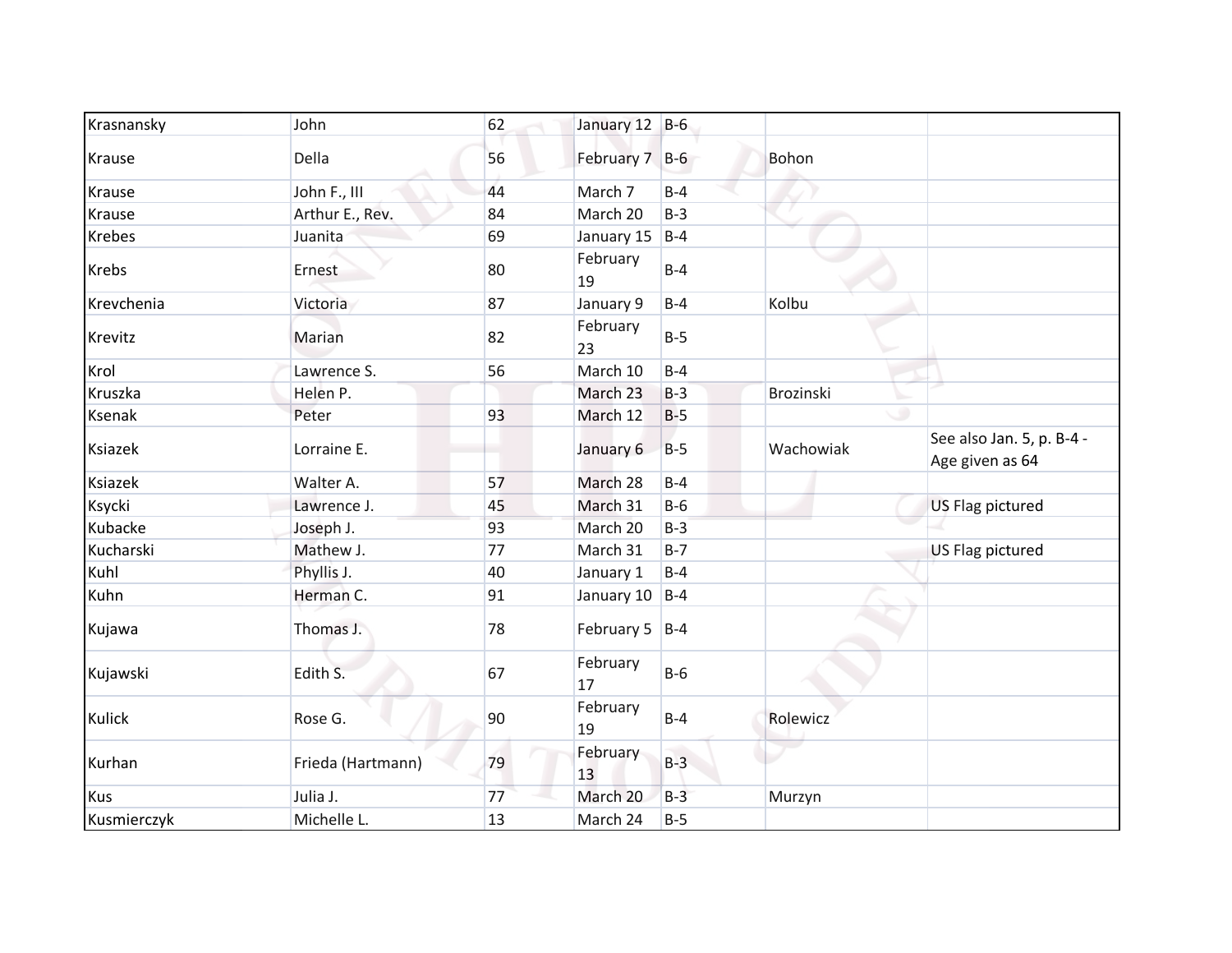| Krasnansky    | John              | 62 | January 12 B-6     |       |           |                                              |
|---------------|-------------------|----|--------------------|-------|-----------|----------------------------------------------|
| Krause        | Della             | 56 | February 7 B-6     |       | Bohon     |                                              |
| Krause        | John F., III      | 44 | March 7            | $B-4$ |           |                                              |
| Krause        | Arthur E., Rev.   | 84 | March 20           | $B-3$ |           |                                              |
| <b>Krebes</b> | Juanita           | 69 | January 15         | $B-4$ |           |                                              |
| <b>Krebs</b>  | Ernest            | 80 | February<br>19     | $B-4$ |           |                                              |
| Krevchenia    | Victoria          | 87 | January 9          | $B-4$ | Kolbu     |                                              |
| Krevitz       | Marian            | 82 | February<br>23     | $B-5$ |           |                                              |
| Krol          | Lawrence S.       | 56 | March 10           | $B-4$ |           |                                              |
| Kruszka       | Helen P.          |    | March 23           | $B-3$ | Brozinski |                                              |
| Ksenak        | Peter             | 93 | March 12           | $B-5$ |           |                                              |
| Ksiazek       | Lorraine E.       |    | January 6          | $B-5$ | Wachowiak | See also Jan. 5, p. B-4 -<br>Age given as 64 |
| Ksiazek       | Walter A.         | 57 | March 28           | $B-4$ |           |                                              |
| Ksycki        | Lawrence J.       | 45 | March 31           | $B-6$ |           | US Flag pictured                             |
| Kubacke       | Joseph J.         | 93 | March 20           | $B-3$ |           |                                              |
| Kucharski     | Mathew J.         | 77 | March 31           | $B-7$ |           | <b>US Flag pictured</b>                      |
| Kuhl          | Phyllis J.        | 40 | January 1          | $B-4$ |           |                                              |
| Kuhn          | Herman C.         | 91 | January 10 $ B-4 $ |       |           |                                              |
| Kujawa        | Thomas J.         | 78 | February 5 $ B-4 $ |       |           |                                              |
| Kujawski      | Edith S.          | 67 | February<br>17     | $B-6$ |           |                                              |
| Kulick        | Rose G.           | 90 | February<br>19     | $B-4$ | Rolewicz  |                                              |
| Kurhan        | Frieda (Hartmann) | 79 | February<br>13     | $B-3$ |           |                                              |
| <b>Kus</b>    | Julia J.          | 77 | March 20           | $B-3$ | Murzyn    |                                              |
| Kusmierczyk   | Michelle L.       | 13 | March 24           | $B-5$ |           |                                              |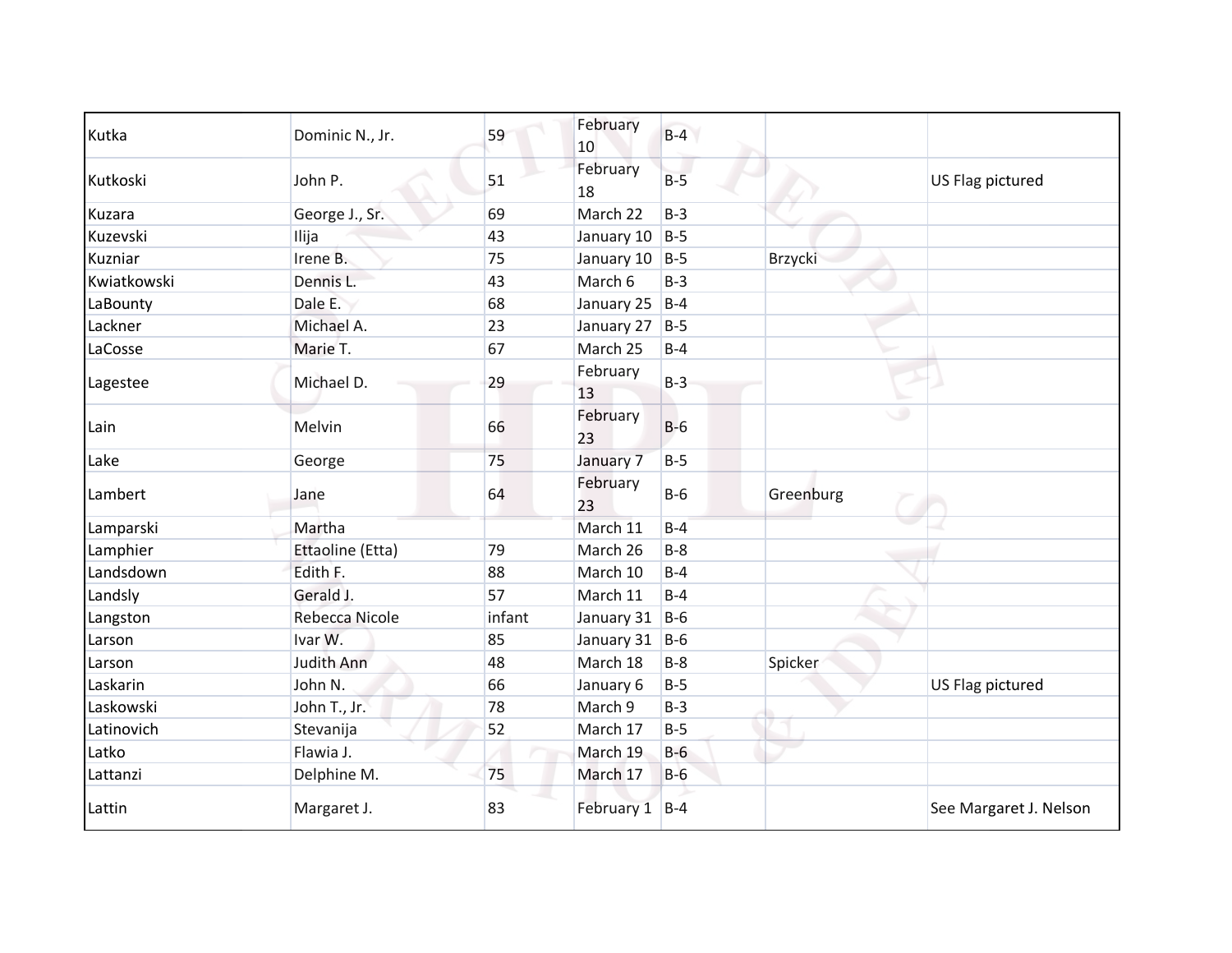| Kutka       | Dominic N., Jr.  | 59     | February<br>10     | $B-4$ |           |                        |
|-------------|------------------|--------|--------------------|-------|-----------|------------------------|
| Kutkoski    | John P.          | 51     | February<br>18     | $B-5$ |           | US Flag pictured       |
| Kuzara      | George J., Sr.   | 69     | March 22           | $B-3$ |           |                        |
| Kuzevski    | Ilija            | 43     | January 10 B-5     |       |           |                        |
| Kuzniar     | Irene B.         | 75     | January 10 B-5     |       | Brzycki   |                        |
| Kwiatkowski | Dennis L.        | 43     | March 6            | $B-3$ |           |                        |
| LaBounty    | Dale E.          | 68     | January 25   B-4   |       |           |                        |
| Lackner     | Michael A.       | 23     | January 27 $ B-5 $ |       |           |                        |
| LaCosse     | Marie T.         | 67     | March 25           | $B-4$ |           |                        |
| Lagestee    | Michael D.       | 29     | February<br>13     | $B-3$ |           |                        |
| Lain        | Melvin           | 66     | February<br>23     | $B-6$ | . O       |                        |
| Lake        | George           | 75     | January 7          | $B-5$ |           |                        |
| Lambert     | Jane             | 64     | February<br>23     | $B-6$ | Greenburg |                        |
| Lamparski   | Martha           |        | March 11           | $B-4$ |           |                        |
| Lamphier    | Ettaoline (Etta) | 79     | March 26           | $B-8$ |           |                        |
| Landsdown   | Edith F.         | 88     | March 10           | $B-4$ |           |                        |
| Landsly     | Gerald J.        | 57     | March 11           | $B-4$ |           |                        |
| Langston    | Rebecca Nicole   | infant | January 31 B-6     |       |           |                        |
| Larson      | Ivar W.          | 85     | January 31 B-6     |       |           |                        |
| Larson      | Judith Ann       | 48     | March 18           | $B-8$ | Spicker   |                        |
| Laskarin    | John N.          | 66     | January 6          | $B-5$ |           | US Flag pictured       |
| Laskowski   | John T., Jr.     | 78     | March 9            | $B-3$ |           |                        |
| Latinovich  | Stevanija        | 52     | March 17           | $B-5$ |           |                        |
| Latko       | Flawia J.        |        | March 19           | $B-6$ |           |                        |
| Lattanzi    | Delphine M.      | 75     | March 17           | $B-6$ |           |                        |
| Lattin      | Margaret J.      | 83     | February 1 B-4     |       |           | See Margaret J. Nelson |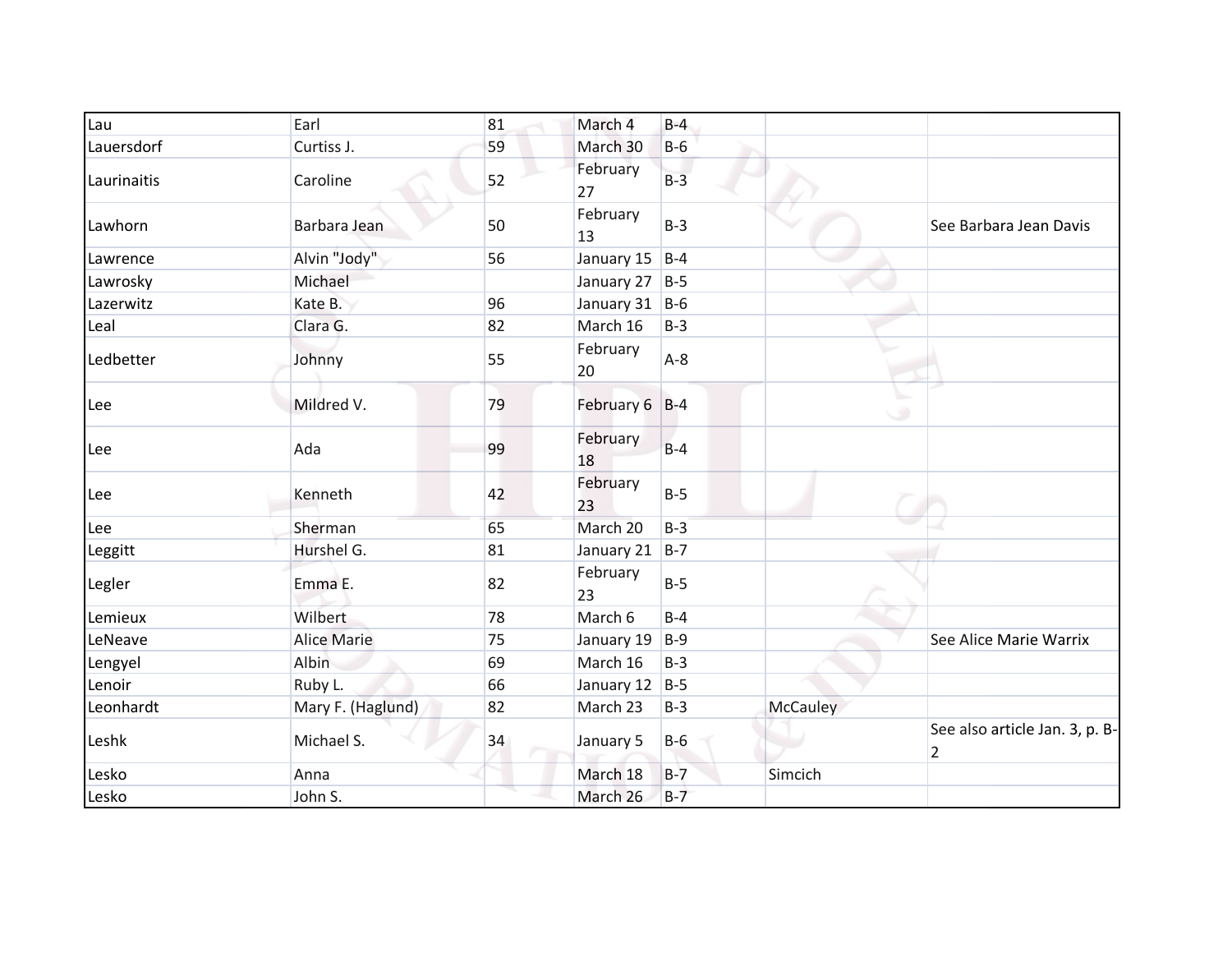| Lau         | Earl               | 81 | March 4        | $B-4$ |                 |                                                  |
|-------------|--------------------|----|----------------|-------|-----------------|--------------------------------------------------|
| Lauersdorf  | Curtiss J.         | 59 | March 30       | $B-6$ |                 |                                                  |
| Laurinaitis | Caroline           | 52 | February<br>27 | $B-3$ |                 |                                                  |
| Lawhorn     | Barbara Jean       | 50 | February<br>13 | $B-3$ |                 | See Barbara Jean Davis                           |
| Lawrence    | Alvin "Jody"       | 56 | January 15     | $B-4$ |                 |                                                  |
| Lawrosky    | Michael            |    | January 27 B-5 |       |                 |                                                  |
| Lazerwitz   | Kate B.            | 96 | January 31 B-6 |       |                 |                                                  |
| Leal        | Clara G.           | 82 | March 16       | $B-3$ |                 |                                                  |
| Ledbetter   | Johnny             | 55 | February<br>20 | $A-8$ |                 |                                                  |
| Lee         | Mildred V.         | 79 | February 6 B-4 |       |                 | ە.                                               |
| Lee         | Ada                | 99 | February<br>18 | $B-4$ |                 |                                                  |
| Lee         | Kenneth            | 42 | February<br>23 | $B-5$ |                 |                                                  |
| Lee         | Sherman            | 65 | March 20       | $B-3$ |                 |                                                  |
| Leggitt     | Hurshel G.         | 81 | January 21     | $B-7$ |                 |                                                  |
| Legler      | Emma E.            | 82 | February<br>23 | $B-5$ |                 |                                                  |
| Lemieux     | Wilbert            | 78 | March 6        | $B-4$ |                 |                                                  |
| LeNeave     | <b>Alice Marie</b> | 75 | January 19     | $B-9$ |                 | See Alice Marie Warrix                           |
| Lengyel     | Albin              | 69 | March 16       | $B-3$ |                 |                                                  |
| Lenoir      | Ruby L.            | 66 | January 12     | $B-5$ |                 |                                                  |
| Leonhardt   | Mary F. (Haglund)  | 82 | March 23       | $B-3$ | <b>McCauley</b> |                                                  |
| Leshk       | Michael S.         | 34 | January 5      | $B-6$ |                 | See also article Jan. 3, p. B-<br>$\overline{2}$ |
| Lesko       | Anna               |    | March 18       | $B-7$ | Simcich         |                                                  |
| Lesko       | John S.            |    | March 26       | $B-7$ |                 |                                                  |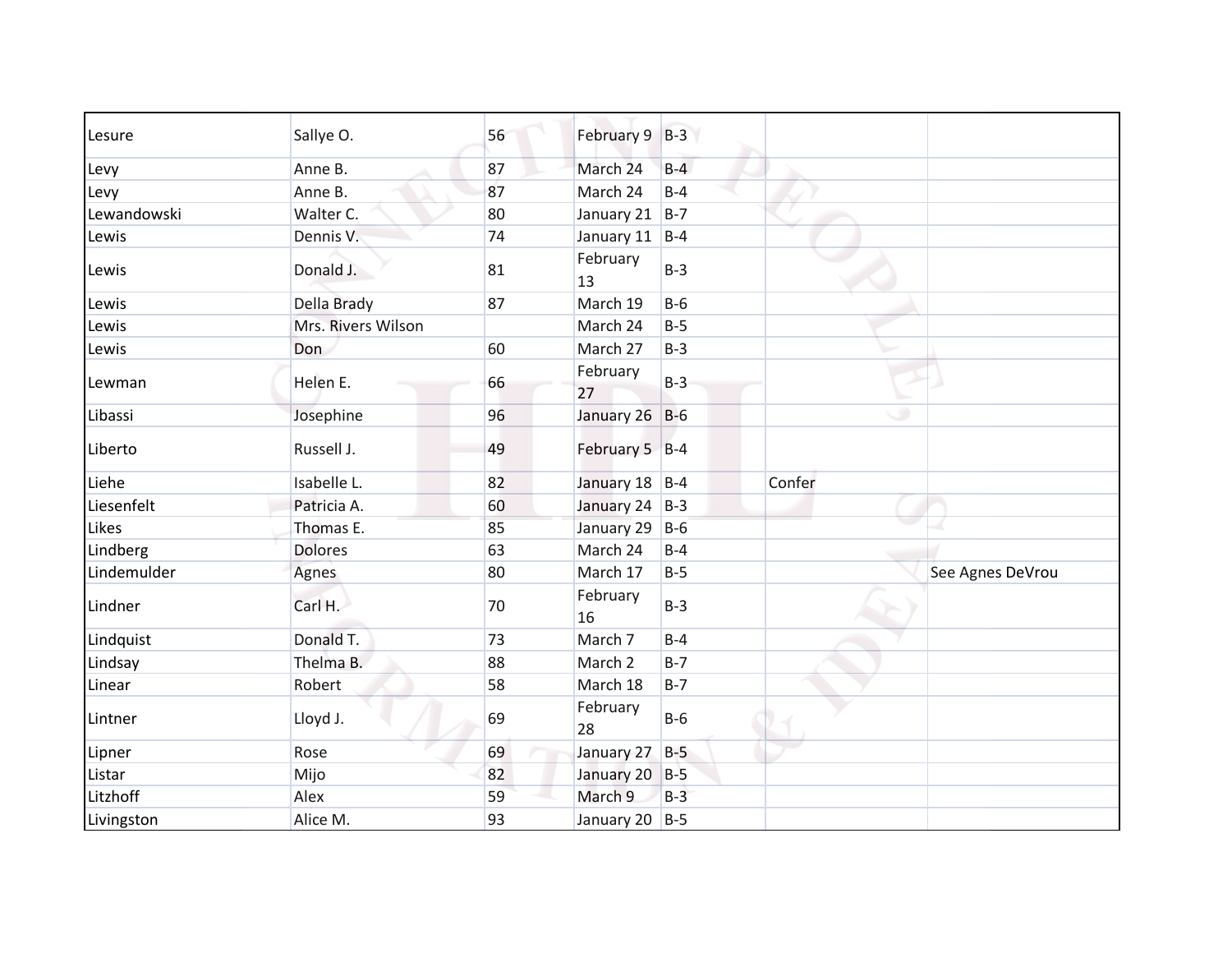| Lesure      | Sallye O.          | 56 | February 9 B-3     |       |        |                  |
|-------------|--------------------|----|--------------------|-------|--------|------------------|
| Levy        | Anne B.            | 87 | March 24           | $B-4$ |        |                  |
| Levy        | Anne B.            | 87 | March 24           | $B-4$ |        |                  |
| Lewandowski | Walter C.          | 80 | January 21 $ B-7 $ |       |        |                  |
| Lewis       | Dennis V.          | 74 | January 11 B-4     |       |        |                  |
| Lewis       | Donald J.          | 81 | February<br>13     | $B-3$ |        |                  |
| Lewis       | Della Brady        | 87 | March 19           | $B-6$ |        |                  |
| Lewis       | Mrs. Rivers Wilson |    | March 24           | $B-5$ |        |                  |
| Lewis       | Don                | 60 | March 27           | $B-3$ |        |                  |
| Lewman      | Helen E.           | 66 | February<br>27     | $B-3$ |        |                  |
| Libassi     | Josephine          | 96 | January 26 B-6     |       | ۰      |                  |
| Liberto     | Russell J.         | 49 | February 5 B-4     |       |        |                  |
| Liehe       | Isabelle L.        | 82 | January 18 B-4     |       | Confer |                  |
| Liesenfelt  | Patricia A.        | 60 | January 24 B-3     |       |        |                  |
| Likes       | Thomas E.          | 85 | January 29         | $B-6$ |        |                  |
| Lindberg    | <b>Dolores</b>     | 63 | March 24           | $B-4$ |        |                  |
| Lindemulder | Agnes              | 80 | March 17           | $B-5$ |        | See Agnes DeVrou |
| Lindner     | Carl H.            | 70 | February<br>16     | $B-3$ |        |                  |
| Lindquist   | Donald T.          | 73 | March 7            | $B-4$ |        |                  |
| Lindsay     | Thelma B.          | 88 | March 2            | $B-7$ |        |                  |
| Linear      | Robert             | 58 | March 18           | $B-7$ |        |                  |
| Lintner     | Lloyd J.           | 69 | February<br>28     | $B-6$ |        |                  |
| Lipner      | Rose               | 69 | January 27         | $B-5$ |        |                  |
| Listar      | Mijo               | 82 | January 20 B-5     |       |        |                  |
| Litzhoff    | Alex               | 59 | March 9            | $B-3$ |        |                  |
| Livingston  | Alice M.           | 93 | January 20 B-5     |       |        |                  |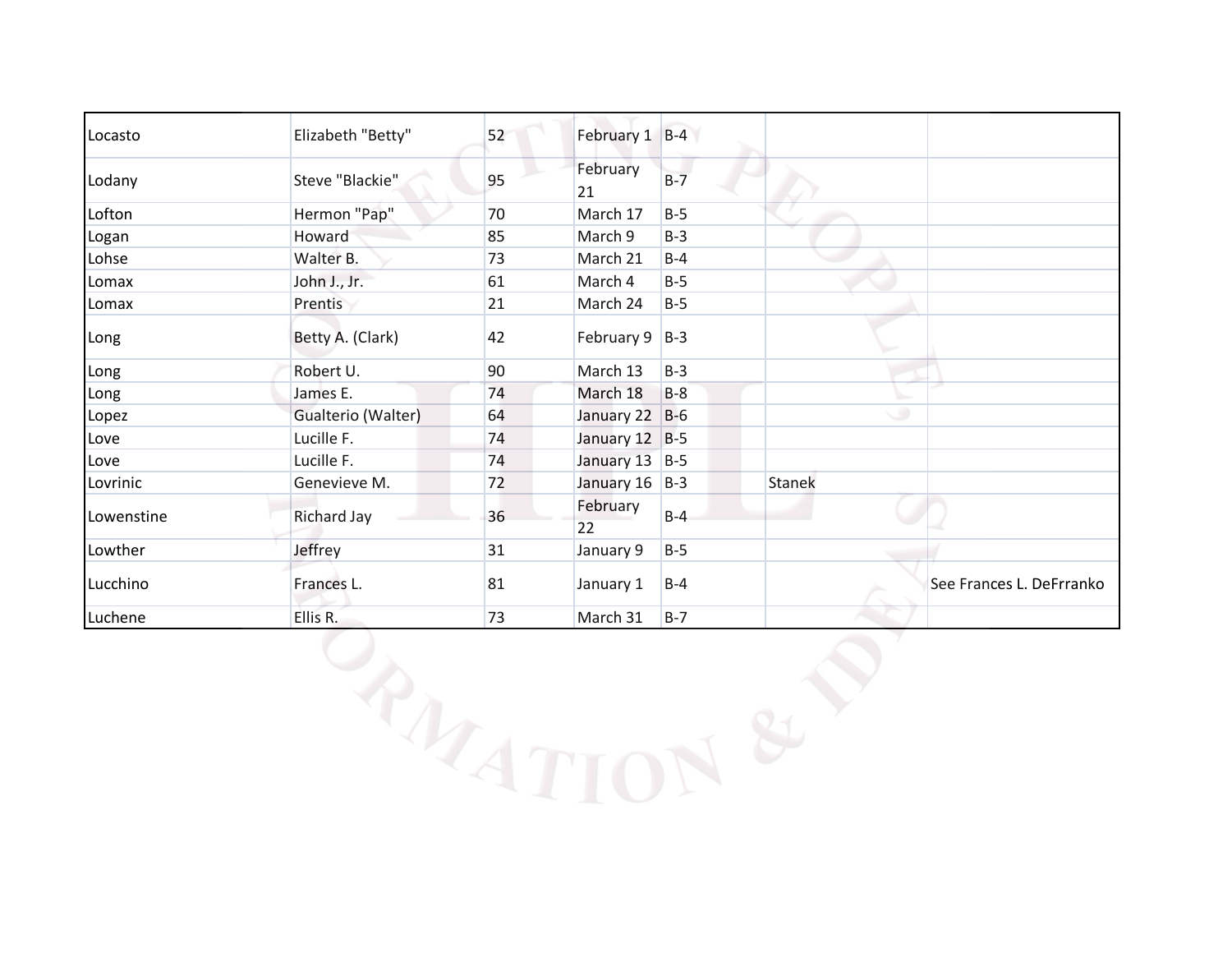| Locasto    | Elizabeth "Betty"  | 52 | February 1 B-4     |       |               |                          |
|------------|--------------------|----|--------------------|-------|---------------|--------------------------|
| Lodany     | Steve "Blackie"    | 95 | February<br>21     | $B-7$ |               |                          |
| Lofton     | Hermon "Pap"       | 70 | March 17           | $B-5$ |               |                          |
| Logan      | Howard             | 85 | March 9            | $B-3$ |               |                          |
| Lohse      | Walter B.          | 73 | March 21           | $B-4$ |               |                          |
| Lomax      | John J., Jr.       | 61 | March 4            | $B-5$ |               |                          |
| Lomax      | Prentis            | 21 | March 24           | $B-5$ |               |                          |
| Long       | Betty A. (Clark)   | 42 | February $9$   B-3 |       |               |                          |
| Long       | Robert U.          | 90 | March 13           | $B-3$ |               |                          |
| Long       | James E.           | 74 | March 18           | $B-8$ |               |                          |
| Lopez      | Gualterio (Walter) | 64 | January 22 B-6     |       |               | ۰                        |
| Love       | Lucille F.         | 74 | January 12 B-5     |       |               |                          |
| Love       | Lucille F.         | 74 | January 13 B-5     |       |               |                          |
| Lovrinic   | Genevieve M.       | 72 | January 16 B-3     |       | <b>Stanek</b> |                          |
| Lowenstine | <b>Richard Jay</b> | 36 | February<br>22     | $B-4$ |               |                          |
| Lowther    | Jeffrey            | 31 | January 9          | $B-5$ |               |                          |
| Lucchino   | Frances L.         | 81 | January 1          | $B-4$ |               | See Frances L. DeFrranko |
| Luchene    | Ellis R.           | 73 | March 31           | $B-7$ |               |                          |
|            | PATT               |    |                    |       |               |                          |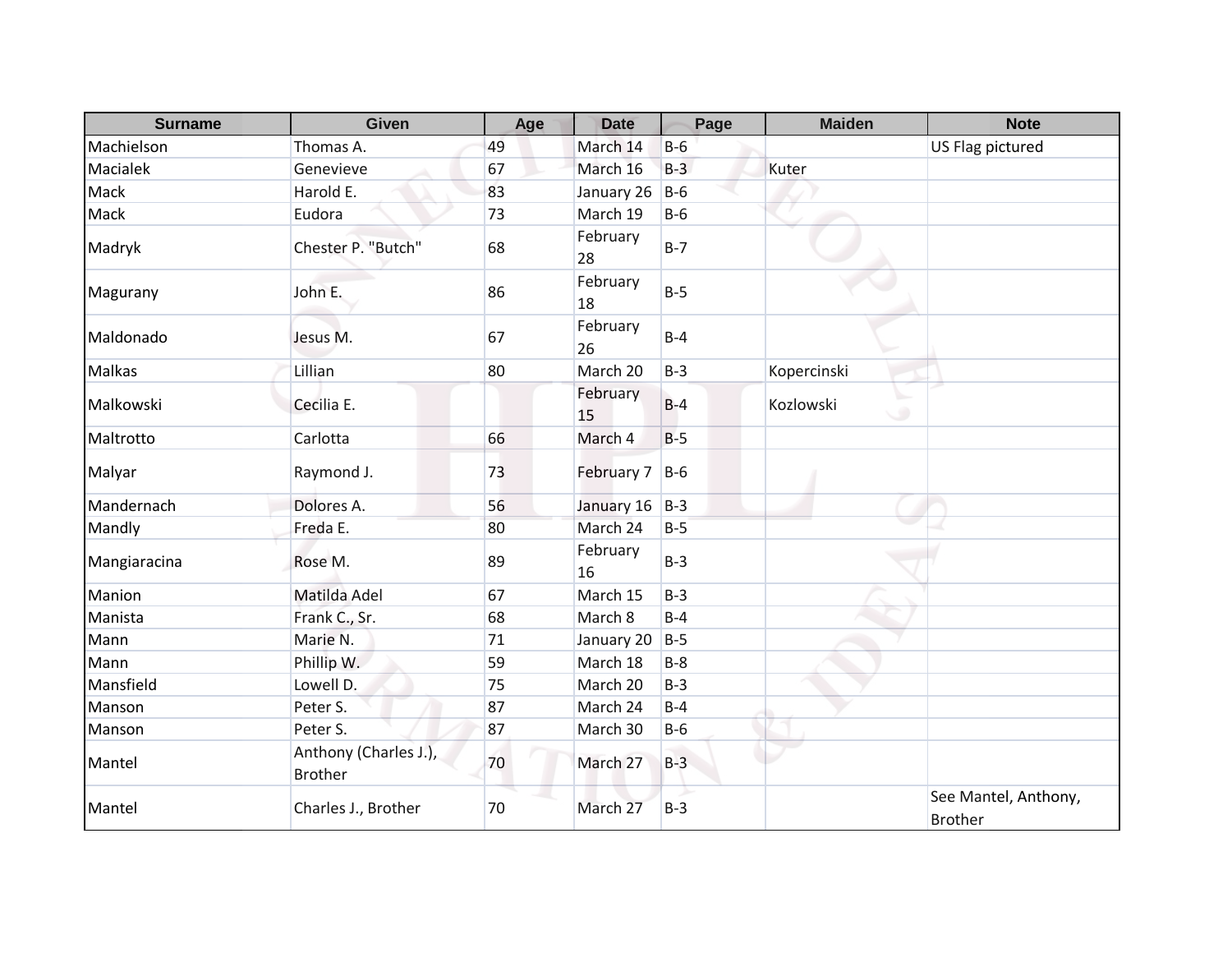| <b>Surname</b> | Given                                   | Age | <b>Date</b>    | Page    | <b>Maiden</b>  | <b>Note</b>                            |
|----------------|-----------------------------------------|-----|----------------|---------|----------------|----------------------------------------|
| Machielson     | Thomas A.                               | 49  | March 14       | $B-6$   |                | US Flag pictured                       |
| Macialek       | Genevieve                               | 67  | March 16       | $B-3$   | Kuter          |                                        |
| Mack           | Harold E.                               | 83  | January 26     | $B-6$   |                |                                        |
| Mack           | Eudora                                  | 73  | March 19       | $B-6$   |                |                                        |
| Madryk         | Chester P. "Butch"                      | 68  | February<br>28 | $B - 7$ |                |                                        |
| Magurany       | John E.                                 | 86  | February<br>18 | $B-5$   |                |                                        |
| Maldonado      | Jesus M.                                | 67  | February<br>26 | $B-4$   |                |                                        |
| <b>Malkas</b>  | Lillian                                 | 80  | March 20       | $B-3$   | Kopercinski    |                                        |
| Malkowski      | Cecilia E.                              |     | February<br>15 | $B-4$   | Kozlowski<br>٠ |                                        |
| Maltrotto      | Carlotta                                | 66  | March 4        | $B-5$   |                |                                        |
| Malyar         | Raymond J.                              | 73  | February 7     | $B-6$   |                |                                        |
| Mandernach     | Dolores A.                              | 56  | January 16     | $B-3$   |                |                                        |
| Mandly         | Freda E.                                | 80  | March 24       | $B-5$   |                |                                        |
| Mangiaracina   | Rose M.                                 | 89  | February<br>16 | $B-3$   |                |                                        |
| Manion         | Matilda Adel                            | 67  | March 15       | $B-3$   |                |                                        |
| Manista        | Frank C., Sr.                           | 68  | March 8        | $B-4$   |                |                                        |
| Mann           | Marie N.                                | 71  | January 20     | $B-5$   |                |                                        |
| Mann           | Phillip W.                              | 59  | March 18       | $B-8$   |                |                                        |
| Mansfield      | Lowell D.                               | 75  | March 20       | $B-3$   |                |                                        |
| Manson         | Peter S.                                | 87  | March 24       | $B-4$   |                |                                        |
| Manson         | Peter S.                                | 87  | March 30       | $B-6$   |                |                                        |
| Mantel         | Anthony (Charles J.),<br><b>Brother</b> | 70  | March 27       | $B-3$   |                |                                        |
| Mantel         | Charles J., Brother                     | 70  | March 27       | $B-3$   |                | See Mantel, Anthony,<br><b>Brother</b> |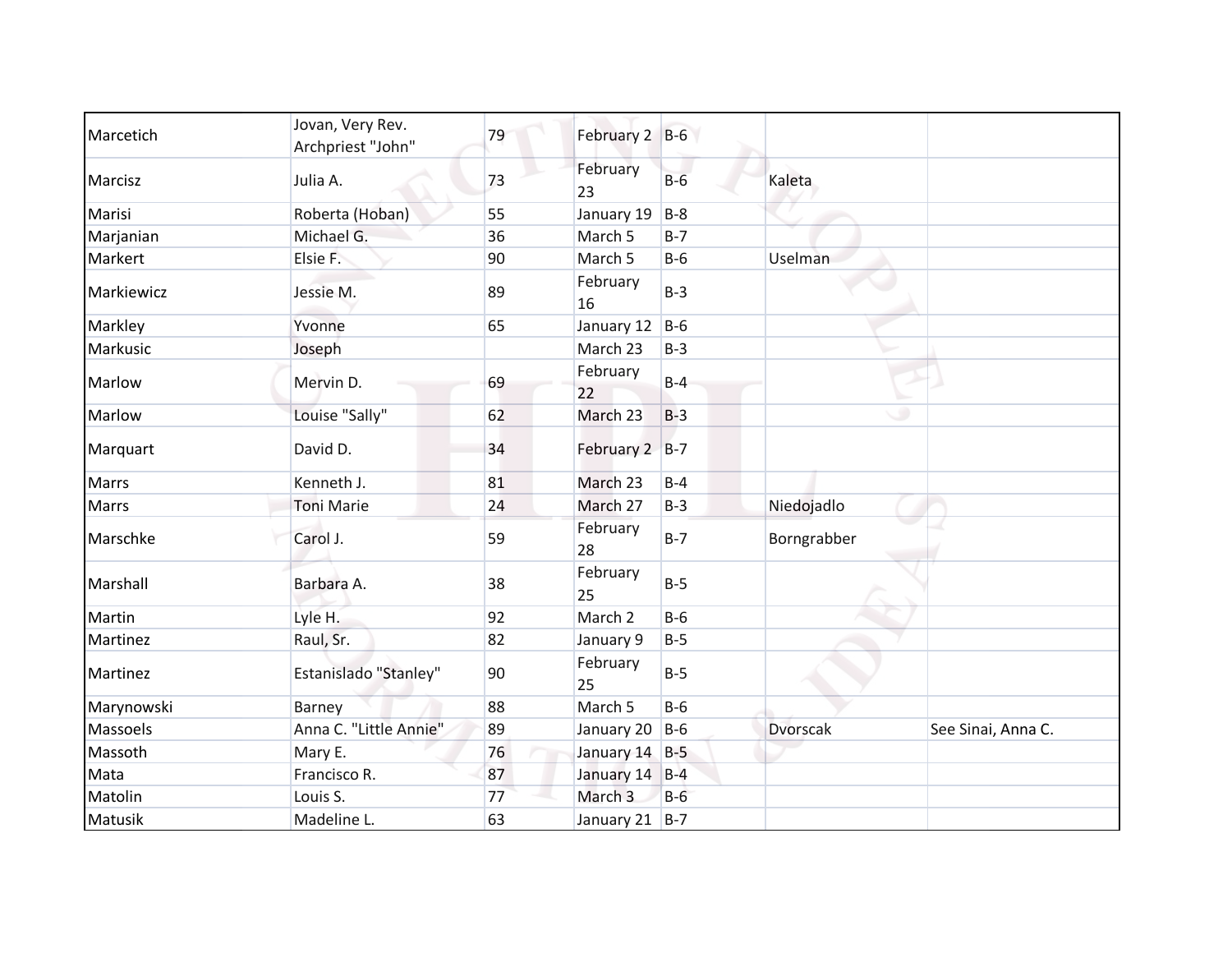| Marcetich    | Jovan, Very Rev.<br>Archpriest "John" | 79 | February 2 B-6     |       |                 |                    |
|--------------|---------------------------------------|----|--------------------|-------|-----------------|--------------------|
| Marcisz      | Julia A.                              | 73 | February<br>23     | $B-6$ | Kaleta          |                    |
| Marisi       | Roberta (Hoban)                       | 55 | January 19         | $B-8$ |                 |                    |
| Marjanian    | Michael G.                            | 36 | March 5            | $B-7$ |                 |                    |
| Markert      | Elsie F.                              | 90 | March <sub>5</sub> | $B-6$ | Uselman         |                    |
| Markiewicz   | Jessie M.                             | 89 | February<br>16     | $B-3$ |                 |                    |
| Markley      | Yvonne                                | 65 | January 12         | $B-6$ |                 |                    |
| Markusic     | Joseph                                |    | March 23           | $B-3$ |                 |                    |
| Marlow       | Mervin D.                             | 69 | February<br>22     | $B-4$ |                 |                    |
| Marlow       | Louise "Sally"                        | 62 | March 23           | $B-3$ |                 |                    |
| Marquart     | David D.                              | 34 | February 2 B-7     |       |                 |                    |
| <b>Marrs</b> | Kenneth J.                            | 81 | March 23           | $B-4$ |                 |                    |
| <b>Marrs</b> | <b>Toni Marie</b>                     | 24 | March 27           | $B-3$ | Niedojadlo      |                    |
| Marschke     | Carol J.                              | 59 | February<br>28     | $B-7$ | Borngrabber     |                    |
| Marshall     | Barbara A.                            | 38 | February<br>25     | $B-5$ |                 |                    |
| Martin       | Lyle H.                               | 92 | March 2            | $B-6$ |                 |                    |
| Martinez     | Raul, Sr.                             | 82 | January 9          | $B-5$ |                 |                    |
| Martinez     | Estanislado "Stanley"                 | 90 | February<br>25     | $B-5$ |                 |                    |
| Marynowski   | Barney                                | 88 | March 5            | $B-6$ |                 |                    |
| Massoels     | Anna C. "Little Annie"                | 89 | January 20         | $B-6$ | <b>Dvorscak</b> | See Sinai, Anna C. |
| Massoth      | Mary E.                               | 76 | January 14 B-5     |       |                 |                    |
| Mata         | Francisco R.                          | 87 | January 14 B-4     |       |                 |                    |
| Matolin      | Louis S.                              | 77 | March 3            | $B-6$ |                 |                    |
| Matusik      | Madeline L.                           | 63 | January 21 B-7     |       |                 |                    |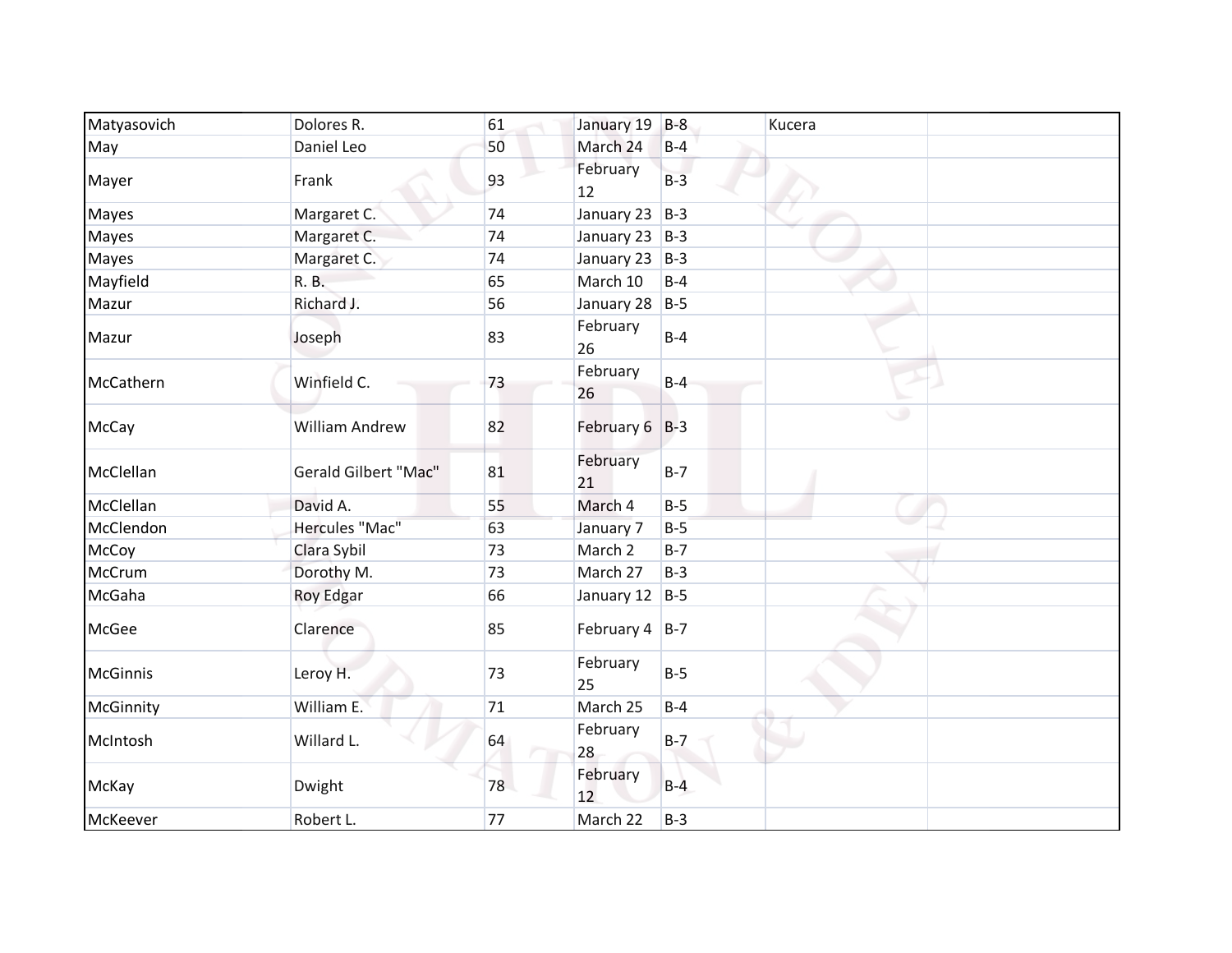| Matyasovich     | Dolores R.                  | 61 | January 19         | $B-8$ | Kucera |
|-----------------|-----------------------------|----|--------------------|-------|--------|
| May             | Daniel Leo                  | 50 | March 24           | $B-4$ |        |
| Mayer           | Frank                       | 93 | February<br>12     | $B-3$ |        |
| Mayes           | Margaret C.                 | 74 | January 23         | $B-3$ |        |
| <b>Mayes</b>    | Margaret C.                 | 74 | January 23         | $B-3$ |        |
| <b>Mayes</b>    | Margaret C.                 | 74 | January 23 $ B-3 $ |       |        |
| Mayfield        | R. B.                       | 65 | March 10           | $B-4$ |        |
| Mazur           | Richard J.                  | 56 | January 28         | $B-5$ |        |
| Mazur           | Joseph                      | 83 | February<br>26     | $B-4$ |        |
| McCathern       | Winfield C.                 | 73 | February<br>26     | $B-4$ |        |
| McCay           | <b>William Andrew</b>       | 82 | February 6 B-3     |       | ەك     |
| McClellan       | <b>Gerald Gilbert "Mac"</b> | 81 | February<br>21     | $B-7$ |        |
| McClellan       | David A.                    | 55 | March 4            | $B-5$ |        |
| McClendon       | Hercules "Mac"              | 63 | January 7          | $B-5$ |        |
| McCoy           | Clara Sybil                 | 73 | March 2            | $B-7$ |        |
| McCrum          | Dorothy M.                  | 73 | March 27           | $B-3$ |        |
| McGaha          | Roy Edgar                   | 66 | January 12         | $B-5$ |        |
| McGee           | Clarence                    | 85 | February $4$   B-7 |       |        |
| <b>McGinnis</b> | Leroy H.                    | 73 | February<br>25     | $B-5$ |        |
| McGinnity       | William E.                  | 71 | March 25           | $B-4$ |        |
| McIntosh        | Willard L.                  | 64 | February<br>28     | $B-7$ |        |
| McKay           | Dwight                      | 78 | February<br>12     | $B-4$ |        |
| McKeever        | Robert L.                   | 77 | March 22           | $B-3$ |        |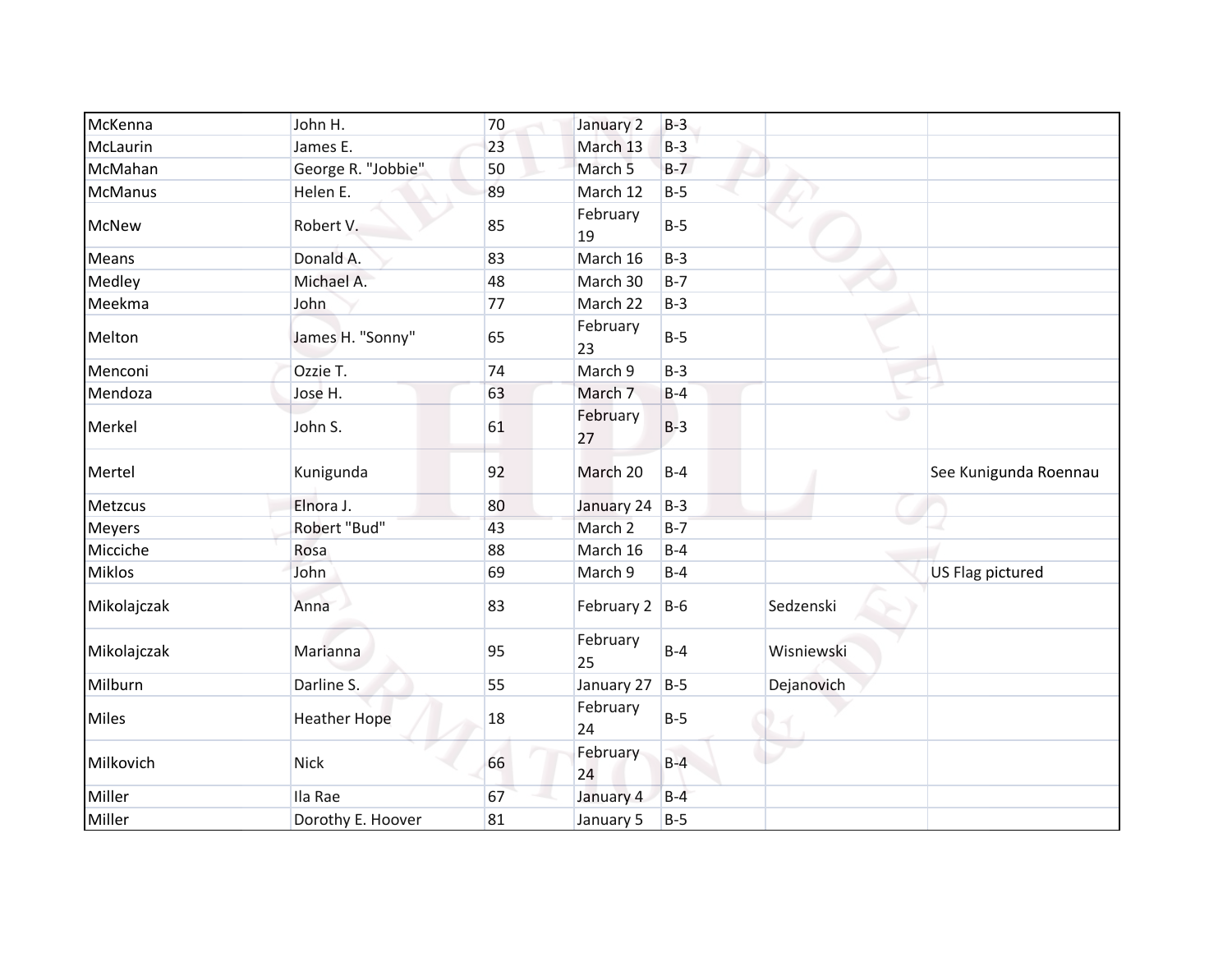| McKenna        | John H.             | 70 | January 2          | $B-3$ |            |                         |
|----------------|---------------------|----|--------------------|-------|------------|-------------------------|
| McLaurin       | James E.            | 23 | March 13           | $B-3$ |            |                         |
| McMahan        | George R. "Jobbie"  | 50 | March <sub>5</sub> | $B-7$ |            |                         |
| <b>McManus</b> | Helen E.            | 89 | March 12           | $B-5$ |            |                         |
| <b>McNew</b>   | Robert V.           | 85 | February<br>19     | $B-5$ |            |                         |
| Means          | Donald A.           | 83 | March 16           | $B-3$ |            |                         |
| Medley         | Michael A.          | 48 | March 30           | $B-7$ |            |                         |
| Meekma         | John                | 77 | March 22           | $B-3$ |            |                         |
| Melton         | James H. "Sonny"    | 65 | February<br>23     | $B-5$ |            |                         |
| Menconi        | Ozzie T.            | 74 | March 9            | $B-3$ |            |                         |
| Mendoza        | Jose H.             | 63 | March 7            | $B-4$ |            |                         |
| Merkel         | John S.             | 61 | February<br>27     | $B-3$ | ی          |                         |
| Mertel         | Kunigunda           | 92 | March 20           | $B-4$ |            | See Kunigunda Roennau   |
| Metzcus        | Elnora J.           | 80 | January 24         | $B-3$ |            |                         |
| <b>Meyers</b>  | Robert "Bud"        | 43 | March <sub>2</sub> | $B-7$ |            |                         |
| Micciche       | Rosa                | 88 | March 16           | $B-4$ |            |                         |
| <b>Miklos</b>  | John                | 69 | March 9            | $B-4$ |            | <b>US Flag pictured</b> |
| Mikolajczak    | Anna                | 83 | February 2         | $B-6$ | Sedzenski  |                         |
| Mikolajczak    | Marianna            | 95 | February<br>25     | $B-4$ | Wisniewski |                         |
| Milburn        | Darline S.          | 55 | January 27         | $B-5$ | Dejanovich |                         |
| <b>Miles</b>   | <b>Heather Hope</b> | 18 | February<br>24     | $B-5$ |            |                         |
| Milkovich      | <b>Nick</b>         | 66 | February<br>24     | $B-4$ |            |                         |
| Miller         | Ila Rae             | 67 | January 4          | $B-4$ |            |                         |
| Miller         | Dorothy E. Hoover   | 81 | January 5          | $B-5$ |            |                         |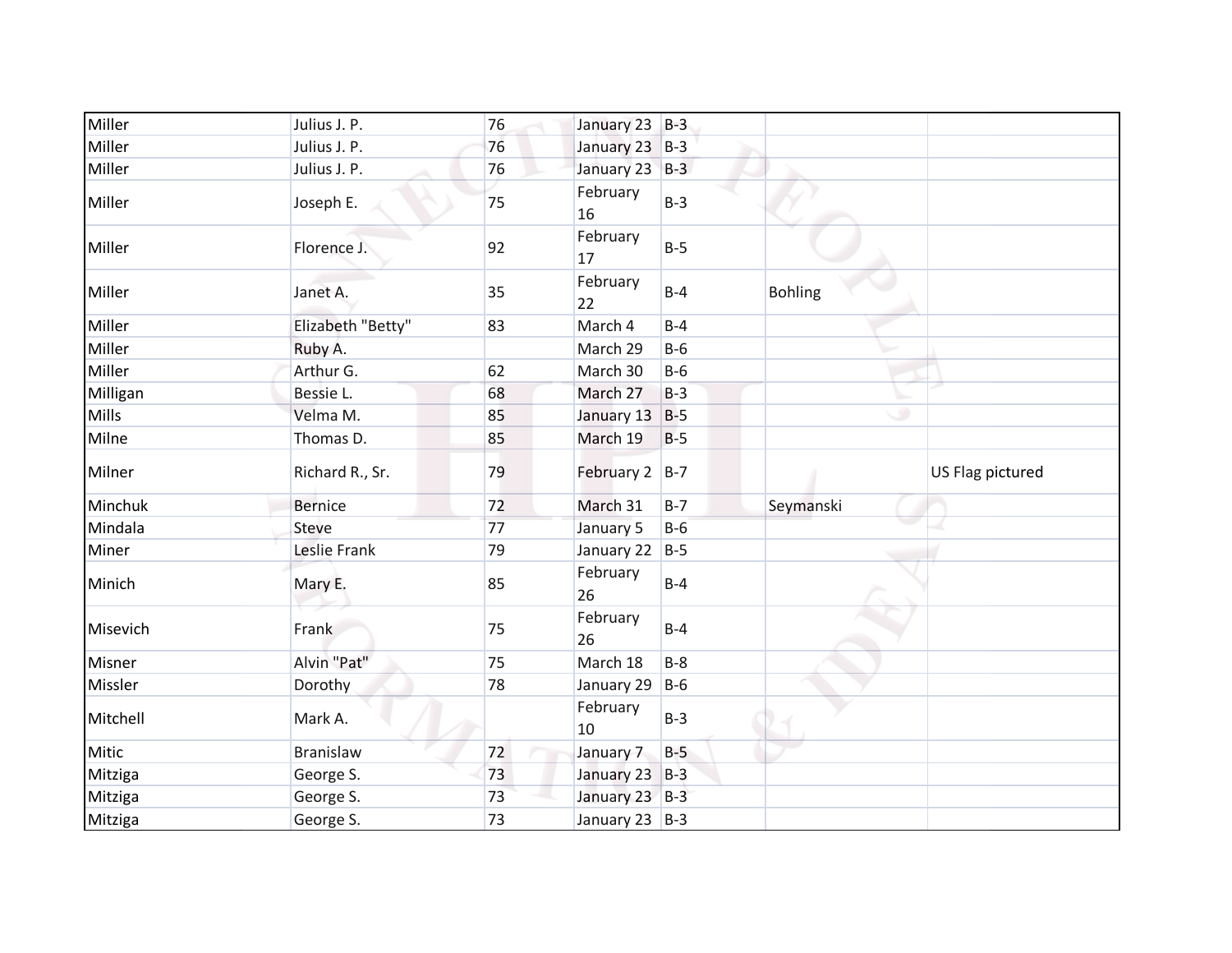| Miller   | Julius J. P.      | 76 | January 23 B-3 |       |                |                  |
|----------|-------------------|----|----------------|-------|----------------|------------------|
| Miller   | Julius J. P.      | 76 | January 23 B-3 |       |                |                  |
| Miller   | Julius J. P.      | 76 | January 23 B-3 |       |                |                  |
| Miller   | Joseph E.         | 75 | February<br>16 | $B-3$ |                |                  |
| Miller   | Florence J.       | 92 | February<br>17 | $B-5$ |                |                  |
| Miller   | Janet A.          | 35 | February<br>22 | $B-4$ | <b>Bohling</b> |                  |
| Miller   | Elizabeth "Betty" | 83 | March 4        | $B-4$ |                |                  |
| Miller   | Ruby A.           |    | March 29       | $B-6$ |                |                  |
| Miller   | Arthur G.         | 62 | March 30       | $B-6$ |                |                  |
| Milligan | Bessie L.         | 68 | March 27       | $B-3$ |                |                  |
| Mills    | Velma M.          | 85 | January 13     | $B-5$ |                | ی                |
| Milne    | Thomas D.         | 85 | March 19       | $B-5$ |                |                  |
| Milner   | Richard R., Sr.   | 79 | February 2 B-7 |       |                | US Flag pictured |
| Minchuk  | <b>Bernice</b>    | 72 | March 31       | $B-7$ | Seymanski      |                  |
| Mindala  | <b>Steve</b>      | 77 | January 5      | $B-6$ |                |                  |
| Miner    | Leslie Frank      | 79 | January 22     | $B-5$ |                |                  |
| Minich   | Mary E.           | 85 | February<br>26 | $B-4$ |                |                  |
| Misevich | Frank             | 75 | February<br>26 | $B-4$ |                |                  |
| Misner   | Alvin "Pat"       | 75 | March 18       | $B-8$ |                |                  |
| Missler  | Dorothy           | 78 | January 29     | $B-6$ |                |                  |
| Mitchell | Mark A.           |    | February<br>10 | $B-3$ |                |                  |
| Mitic    | <b>Branislaw</b>  | 72 | January 7      | $B-5$ |                |                  |
| Mitziga  | George S.         | 73 | January 23 B-3 |       |                |                  |
| Mitziga  | George S.         | 73 | January 23 B-3 |       |                |                  |
| Mitziga  | George S.         | 73 | January 23 B-3 |       |                |                  |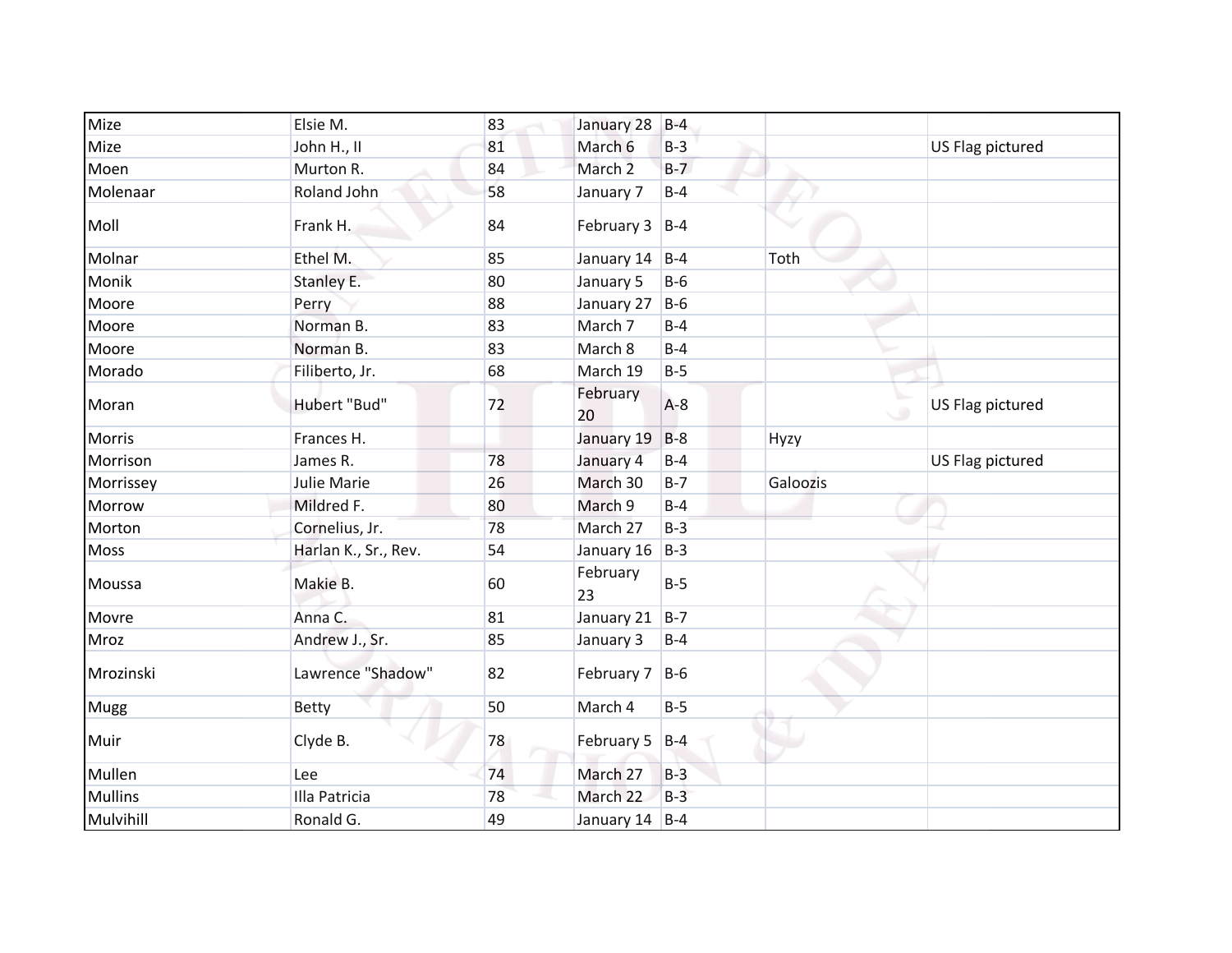| Mize           | Elsie M.             | 83 | January 28         | $B-4$ |          |                  |
|----------------|----------------------|----|--------------------|-------|----------|------------------|
| Mize           | John H., II          | 81 | March 6            | $B-3$ |          | US Flag pictured |
| Moen           | Murton R.            | 84 | March <sub>2</sub> | $B-7$ |          |                  |
| Molenaar       | Roland John          | 58 | January 7          | $B-4$ |          |                  |
| Moll           | Frank H.             | 84 | February 3         | $B-4$ |          |                  |
| Molnar         | Ethel M.             | 85 | January 14         | $B-4$ | Toth     |                  |
| Monik          | Stanley E.           | 80 | January 5          | $B-6$ |          |                  |
| Moore          | Perry                | 88 | January 27         | $B-6$ |          |                  |
| Moore          | Norman B.            | 83 | March 7            | $B-4$ |          |                  |
| Moore          | Norman B.            | 83 | March 8            | $B-4$ |          |                  |
| Morado         | Filiberto, Jr.       | 68 | March 19           | $B-5$ |          |                  |
| Moran          | Hubert "Bud"         | 72 | February<br>20     | $A-8$ |          | US Flag pictured |
| Morris         | Frances H.           |    | January 19         | $B-8$ | Hyzy     |                  |
| Morrison       | James R.             | 78 | January 4          | $B-4$ |          | US Flag pictured |
| Morrissey      | Julie Marie          | 26 | March 30           | $B-7$ | Galoozis |                  |
| Morrow         | Mildred F.           | 80 | March 9            | $B-4$ |          |                  |
| Morton         | Cornelius, Jr.       | 78 | March 27           | $B-3$ |          |                  |
| <b>Moss</b>    | Harlan K., Sr., Rev. | 54 | January 16         | $B-3$ |          |                  |
| Moussa         | Makie B.             | 60 | February<br>23     | $B-5$ |          |                  |
| Movre          | Anna C.              | 81 | January 21         | $B-7$ |          |                  |
| Mroz           | Andrew J., Sr.       | 85 | January 3          | $B-4$ |          |                  |
| Mrozinski      | Lawrence "Shadow"    | 82 | February 7         | $B-6$ |          |                  |
| Mugg           | <b>Betty</b>         | 50 | March 4            | $B-5$ |          |                  |
| Muir           | Clyde B.             | 78 | February 5 B-4     |       |          |                  |
| Mullen         | Lee                  | 74 | March 27           | $B-3$ |          |                  |
| <b>Mullins</b> | Illa Patricia        | 78 | March 22           | $B-3$ |          |                  |
| Mulvihill      | Ronald G.            | 49 | January $14$ B-4   |       |          |                  |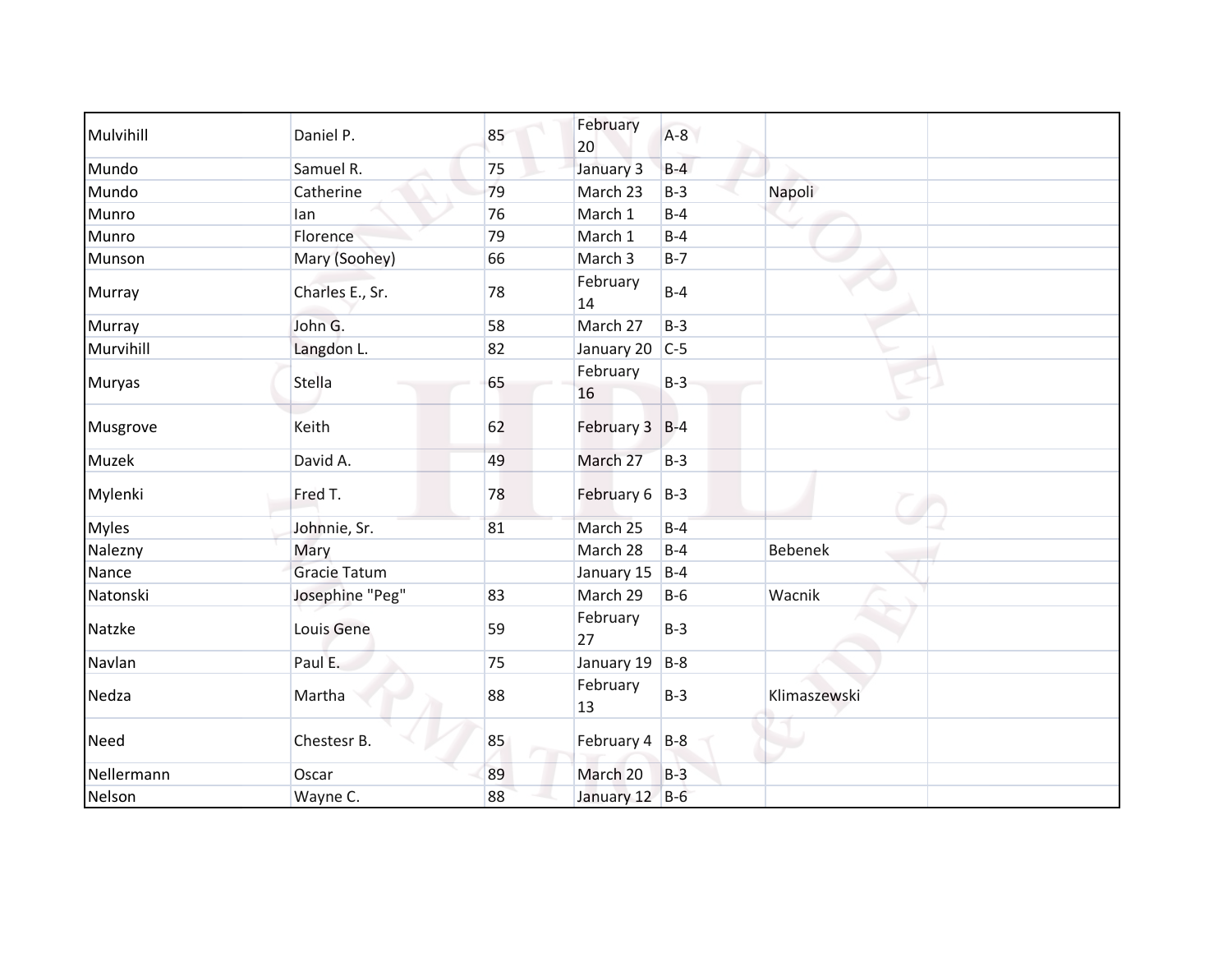| Mulvihill    | Daniel P.           | 85 | February<br>20 | $A-8$ |                |  |
|--------------|---------------------|----|----------------|-------|----------------|--|
| Mundo        | Samuel R.           | 75 | January 3      | $B-4$ |                |  |
| Mundo        | Catherine           | 79 | March 23       | $B-3$ | Napoli         |  |
| Munro        | lan                 | 76 | March 1        | $B-4$ |                |  |
| Munro        | Florence            | 79 | March 1        | $B-4$ |                |  |
| Munson       | Mary (Soohey)       | 66 | March 3        | $B-7$ |                |  |
| Murray       | Charles E., Sr.     | 78 | February<br>14 | $B-4$ |                |  |
| Murray       | John G.             | 58 | March 27       | $B-3$ |                |  |
| Murvihill    | Langdon L.          | 82 | January 20     | $C-5$ |                |  |
| Muryas       | Stella              | 65 | February<br>16 | $B-3$ |                |  |
| Musgrove     | Keith               | 62 | February 3 B-4 |       | ەك             |  |
| Muzek        | David A.            | 49 | March 27       | $B-3$ |                |  |
| Mylenki      | Fred T.             | 78 | February 6 B-3 |       |                |  |
| <b>Myles</b> | Johnnie, Sr.        | 81 | March 25       | $B-4$ |                |  |
| Nalezny      | Mary                |    | March 28       | $B-4$ | <b>Bebenek</b> |  |
| Nance        | <b>Gracie Tatum</b> |    | January 15     | $B-4$ |                |  |
| Natonski     | Josephine "Peg"     | 83 | March 29       | $B-6$ | Wacnik         |  |
| Natzke       | Louis Gene          | 59 | February<br>27 | $B-3$ |                |  |
| Navlan       | Paul E.             | 75 | January 19     | $B-8$ |                |  |
| Nedza        | Martha              | 88 | February<br>13 | $B-3$ | Klimaszewski   |  |
| Need         | Chestesr B.         | 85 | February 4 B-8 |       |                |  |
| Nellermann   | Oscar               | 89 | March 20       | $B-3$ |                |  |
| Nelson       | Wayne C.            | 88 | January 12 B-6 |       |                |  |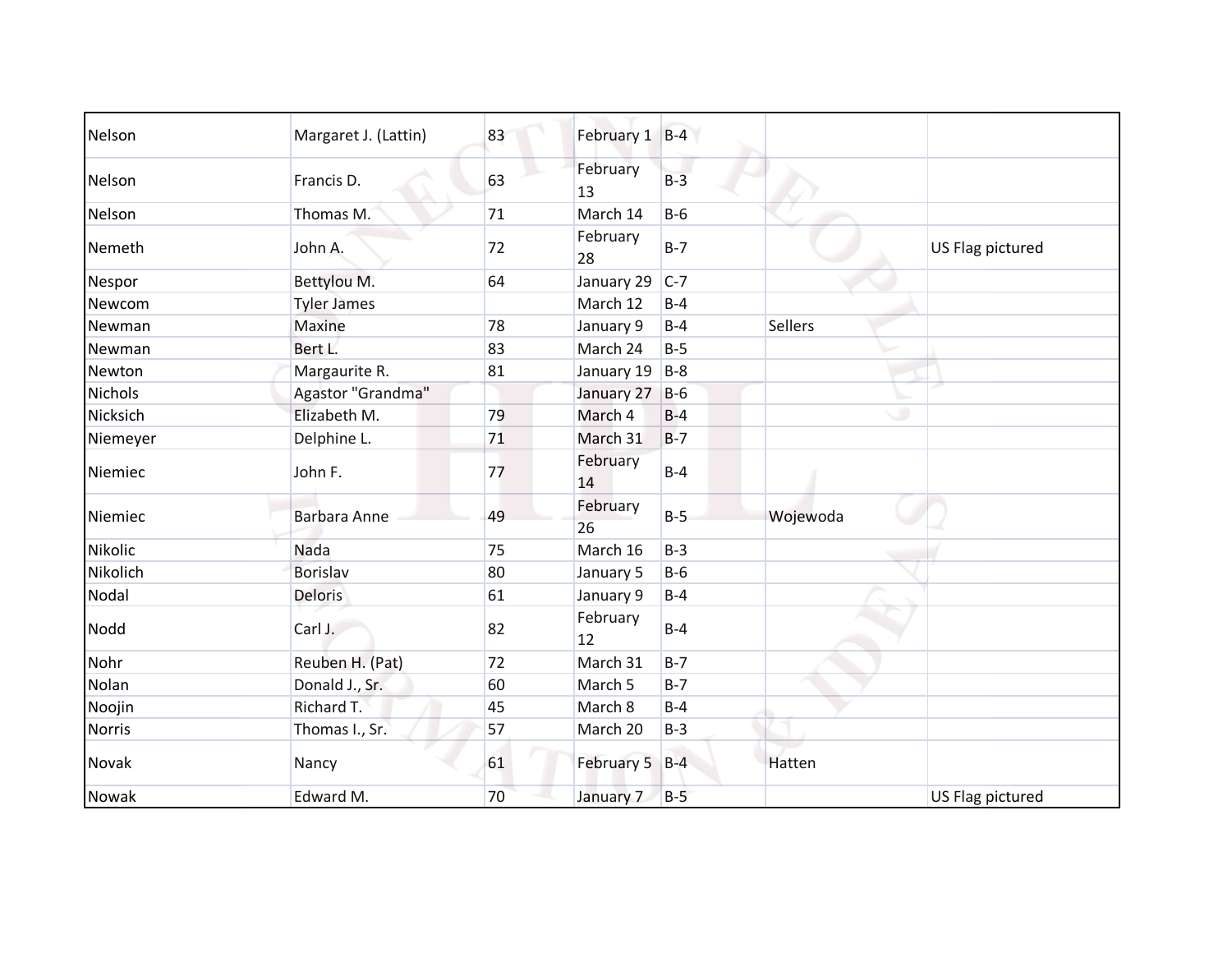| Nelson         | Margaret J. (Lattin) | 83 | February 1 B-4 |         |                |                  |
|----------------|----------------------|----|----------------|---------|----------------|------------------|
| Nelson         | Francis D.           | 63 | February<br>13 | $B-3$   |                |                  |
| Nelson         | Thomas M.            | 71 | March 14       | $B-6$   |                |                  |
| Nemeth         | John A.              | 72 | February<br>28 | $B-7$   |                | US Flag pictured |
| Nespor         | Bettylou M.          | 64 | January 29     | $C-7$   |                |                  |
| Newcom         | <b>Tyler James</b>   |    | March 12       | $B-4$   |                |                  |
| Newman         | Maxine               | 78 | January 9      | $B-4$   | <b>Sellers</b> |                  |
| Newman         | Bert L.              | 83 | March 24       | $B-5$   |                |                  |
| Newton         | Margaurite R.        | 81 | January 19     | $B-8$   |                |                  |
| <b>Nichols</b> | Agastor "Grandma"    |    | January 27     | $B-6$   |                |                  |
| Nicksich       | Elizabeth M.         | 79 | March 4        | $B-4$   |                | ۰                |
| Niemeyer       | Delphine L.          | 71 | March 31       | $B-7$   |                |                  |
| Niemiec        | John F.              | 77 | February<br>14 | $B-4$   |                |                  |
| Niemiec        | Barbara Anne         | 49 | February<br>26 | $B-5$   | Wojewoda       |                  |
| Nikolic        | Nada                 | 75 | March 16       | $B-3$   |                |                  |
| Nikolich       | <b>Borislav</b>      | 80 | January 5      | $B-6$   |                |                  |
| Nodal          | Deloris              | 61 | January 9      | $B-4$   |                |                  |
| Nodd           | Carl J.              | 82 | February<br>12 | $B-4$   |                |                  |
| Nohr           | Reuben H. (Pat)      | 72 | March 31       | $B - 7$ |                |                  |
| Nolan          | Donald J., Sr.       | 60 | March 5        | $B-7$   |                |                  |
| Noojin         | Richard T.           | 45 | March 8        | $B-4$   |                |                  |
| <b>Norris</b>  | Thomas I., Sr.       | 57 | March 20       | $B-3$   |                |                  |
| Novak          | Nancy                | 61 | February 5 B-4 |         | Hatten         |                  |
| Nowak          | Edward M.            | 70 | January 7      | $B-5$   |                | US Flag pictured |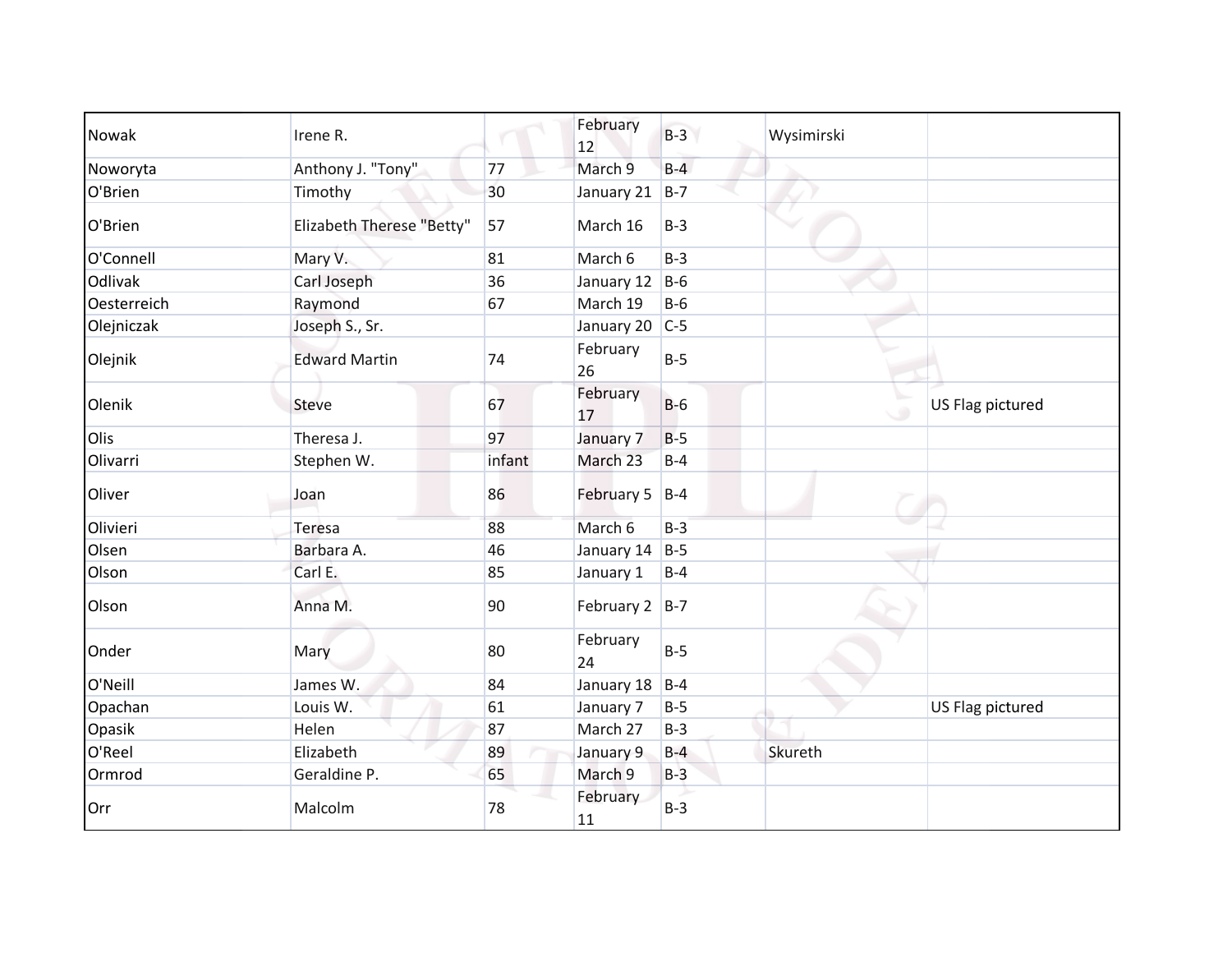| Nowak       | Irene R.                  |        | February<br>12   | $B-3$ | Wysimirski |                  |
|-------------|---------------------------|--------|------------------|-------|------------|------------------|
| Noworyta    | Anthony J. "Tony"         | 77     | March 9          | $B-4$ |            |                  |
| O'Brien     | Timothy                   | 30     | January 21       | $B-7$ |            |                  |
| O'Brien     | Elizabeth Therese "Betty" | 57     | March 16         | $B-3$ |            |                  |
| O'Connell   | Mary V.                   | 81     | March 6          | $B-3$ |            |                  |
| Odlivak     | Carl Joseph               | 36     | January 12       | $B-6$ |            |                  |
| Oesterreich | Raymond                   | 67     | March 19         | $B-6$ |            |                  |
| Olejniczak  | Joseph S., Sr.            |        | January 20       | $C-5$ |            |                  |
| Olejnik     | <b>Edward Martin</b>      | 74     | February<br>26   | $B-5$ |            |                  |
| Olenik      | <b>Steve</b>              | 67     | February<br>17   | $B-6$ |            | US Flag pictured |
| Olis        | Theresa J.                | 97     | January 7        | $B-5$ |            |                  |
| Olivarri    | Stephen W.                | infant | March 23         | $B-4$ |            |                  |
| Oliver      | Joan                      | 86     | February 5       | $B-4$ |            |                  |
| Olivieri    | Teresa                    | 88     | March 6          | $B-3$ |            |                  |
| Olsen       | Barbara A.                | 46     | January 14       | $B-5$ |            |                  |
| Olson       | Carl E.                   | 85     | January 1        | $B-4$ |            |                  |
| Olson       | Anna M.                   | 90     | February $2$ B-7 |       |            |                  |
| Onder       | Mary                      | 80     | February<br>24   | $B-5$ |            |                  |
| O'Neill     | James W.                  | 84     | January 18       | $B-4$ |            |                  |
| Opachan     | Louis W.                  | 61     | January 7        | $B-5$ |            | US Flag pictured |
| Opasik      | Helen                     | 87     | March 27         | $B-3$ |            |                  |
| O'Reel      | Elizabeth                 | 89     | January 9        | $B-4$ | Skureth    |                  |
| Ormrod      | Geraldine P.              | 65     | March 9          | $B-3$ |            |                  |
| Orr         | Malcolm                   | 78     | February<br>11   | $B-3$ |            |                  |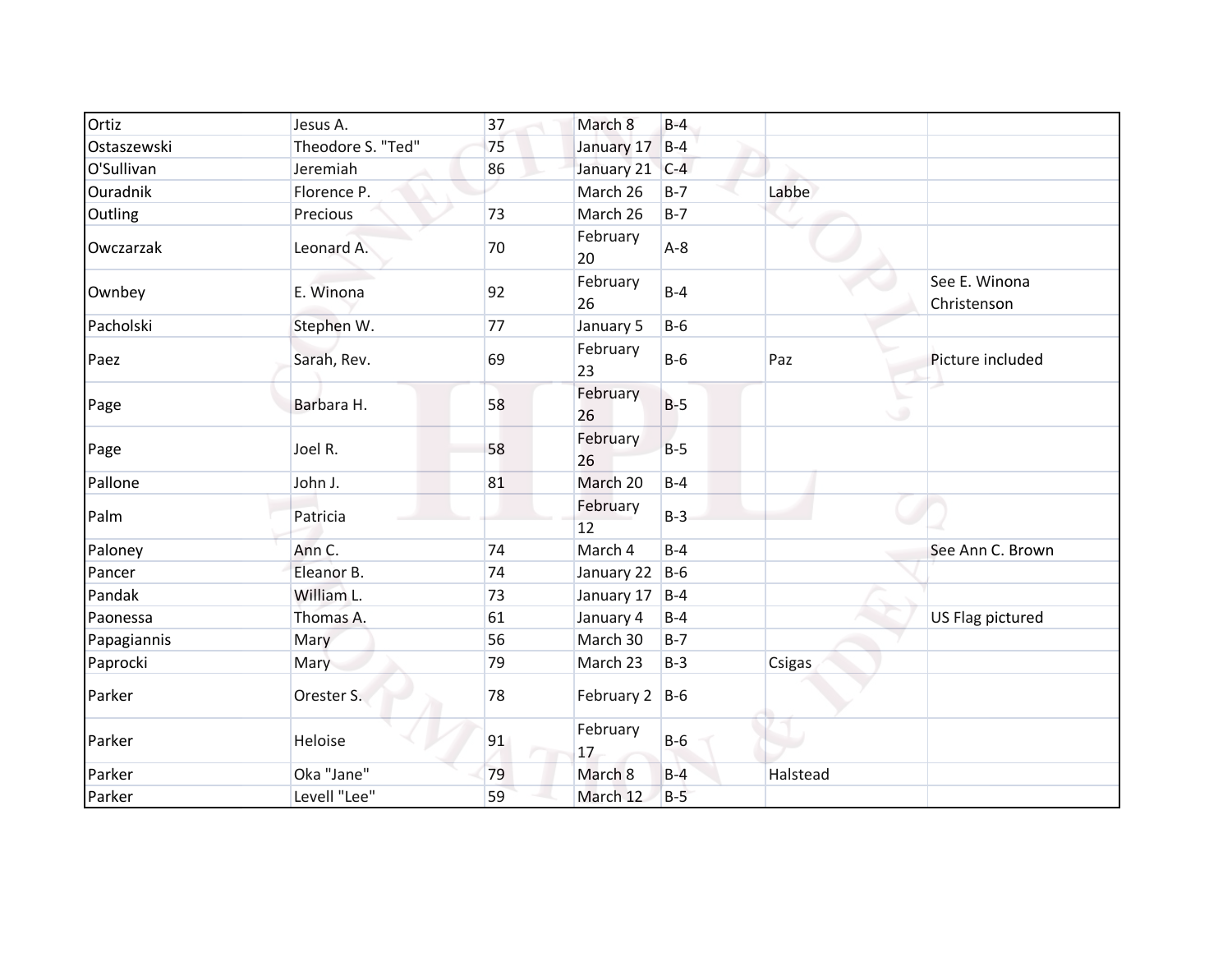| Ortiz       | Jesus A.          | 37 | March 8          | $B-4$ |          |                              |
|-------------|-------------------|----|------------------|-------|----------|------------------------------|
| Ostaszewski | Theodore S. "Ted" | 75 | January 17       | $B-4$ |          |                              |
| O'Sullivan  | Jeremiah          | 86 | January 21       | $C-4$ |          |                              |
| Ouradnik    | Florence P.       |    | March 26         | $B-7$ | Labbe    |                              |
| Outling     | Precious          | 73 | March 26         | $B-7$ |          |                              |
| Owczarzak   | Leonard A.        | 70 | February<br>20   | $A-8$ |          |                              |
| Ownbey      | E. Winona         | 92 | February<br>26   | $B-4$ |          | See E. Winona<br>Christenson |
| Pacholski   | Stephen W.        | 77 | January 5        | $B-6$ |          |                              |
| Paez        | Sarah, Rev.       | 69 | February<br>23   | $B-6$ | Paz      | Picture included             |
| Page        | Barbara H.        | 58 | February<br>26   | $B-5$ |          | ە                            |
| Page        | Joel R.           | 58 | February<br>26   | $B-5$ |          |                              |
| Pallone     | John J.           | 81 | March 20         | $B-4$ |          |                              |
| Palm        | Patricia          |    | February<br>12   | $B-3$ |          |                              |
| Paloney     | Ann C.            | 74 | March 4          | $B-4$ |          | See Ann C. Brown             |
| Pancer      | Eleanor B.        | 74 | January 22       | $B-6$ |          |                              |
| Pandak      | William L.        | 73 | January 17       | $B-4$ |          |                              |
| Paonessa    | Thomas A.         | 61 | January 4        | $B-4$ |          | US Flag pictured             |
| Papagiannis | Mary              | 56 | March 30         | $B-7$ |          |                              |
| Paprocki    | Mary              | 79 | March 23         | $B-3$ | Csigas   |                              |
| Parker      | Orester S.        | 78 | February $2$ B-6 |       |          |                              |
| Parker      | Heloise           | 91 | February<br>17   | $B-6$ |          |                              |
| Parker      | Oka "Jane"        | 79 | March 8          | $B-4$ | Halstead |                              |
| Parker      | Levell "Lee"      | 59 | March 12         | $B-5$ |          |                              |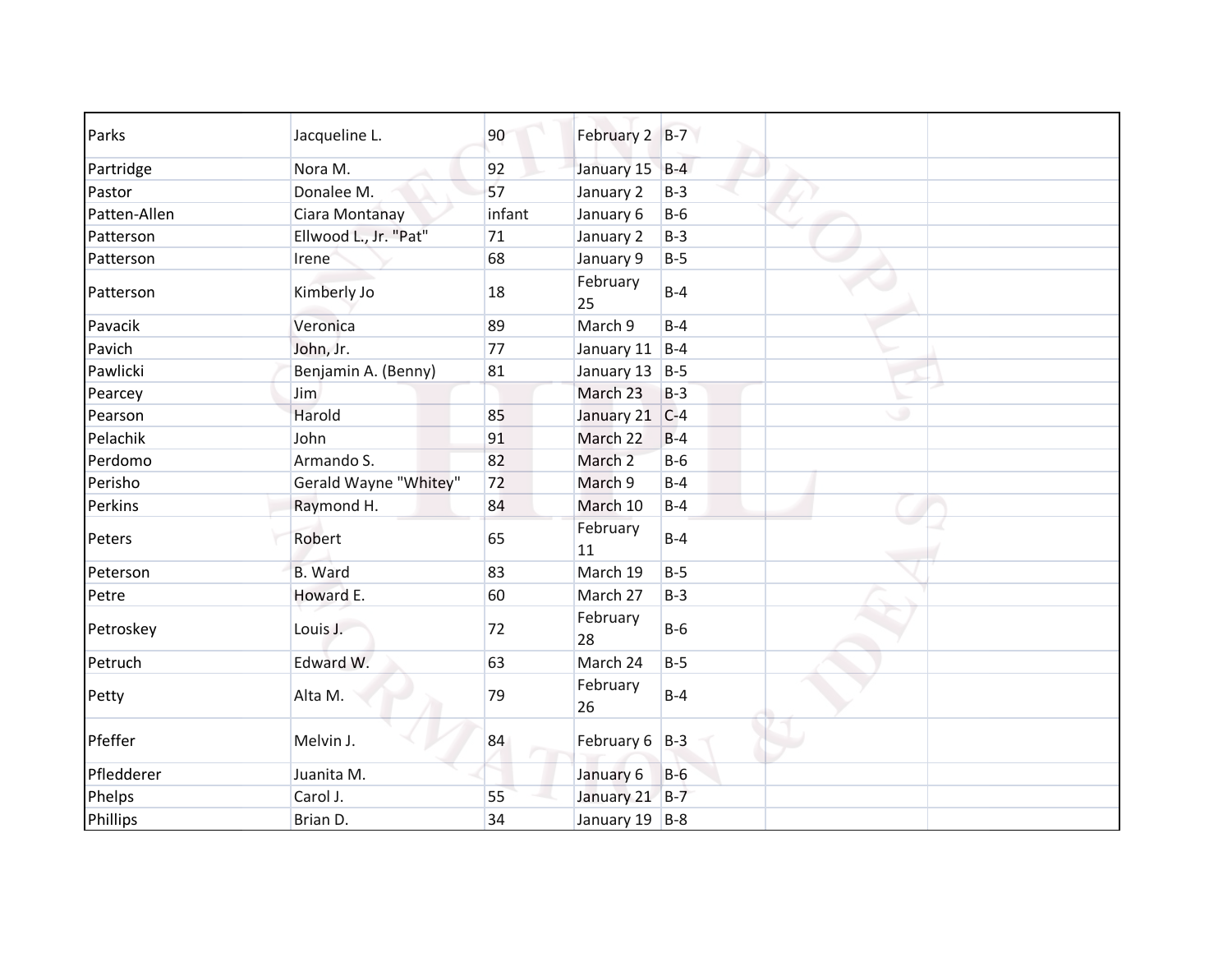| Parks        | Jacqueline L.         | 90     | February 2 B-7 |            |  |
|--------------|-----------------------|--------|----------------|------------|--|
| Partridge    | Nora M.               | 92     | January 15 B-4 |            |  |
| Pastor       | Donalee M.            | 57     | January 2      | $B-3$      |  |
| Patten-Allen | Ciara Montanay        | infant | January 6      | $B-6$      |  |
| Patterson    | Ellwood L., Jr. "Pat" | 71     | January 2      | $B-3$      |  |
| Patterson    | Irene                 | 68     | January 9      | $B-5$      |  |
| Patterson    | Kimberly Jo           | 18     | February<br>25 | $B-4$      |  |
| Pavacik      | Veronica              | 89     | March 9        | $B-4$      |  |
| Pavich       | John, Jr.             | 77     | January 11     | $B-4$      |  |
| Pawlicki     | Benjamin A. (Benny)   | 81     | January 13 B-5 |            |  |
| Pearcey      | Jim                   |        | March 23       | $B-3$      |  |
| Pearson      | Harold                | 85     | January 21     | ۰<br>$C-4$ |  |
| Pelachik     | John                  | 91     | March 22       | $B-4$      |  |
| Perdomo      | Armando S.            | 82     | March 2        | $B-6$      |  |
| Perisho      | Gerald Wayne "Whitey" | 72     | March 9        | $B-4$      |  |
| Perkins      | Raymond H.            | 84     | March 10       | $B-4$      |  |
| Peters       | Robert                | 65     | February<br>11 | $B-4$      |  |
| Peterson     | <b>B.</b> Ward        | 83     | March 19       | $B-5$      |  |
| Petre        | Howard E.             | 60     | March 27       | $B-3$      |  |
| Petroskey    | Louis J.              | 72     | February<br>28 | $B-6$      |  |
| Petruch      | Edward W.             | 63     | March 24       | $B-5$      |  |
| Petty        | Alta M.               | 79     | February<br>26 | $B-4$      |  |
| Pfeffer      | Melvin J.             | 84     | February 6 B-3 |            |  |
| Pfledderer   | Juanita M.            |        | January 6      | $B-6$      |  |
| Phelps       | Carol J.              | 55     | January 21 B-7 |            |  |
| Phillips     | Brian D.              | 34     | January 19 B-8 |            |  |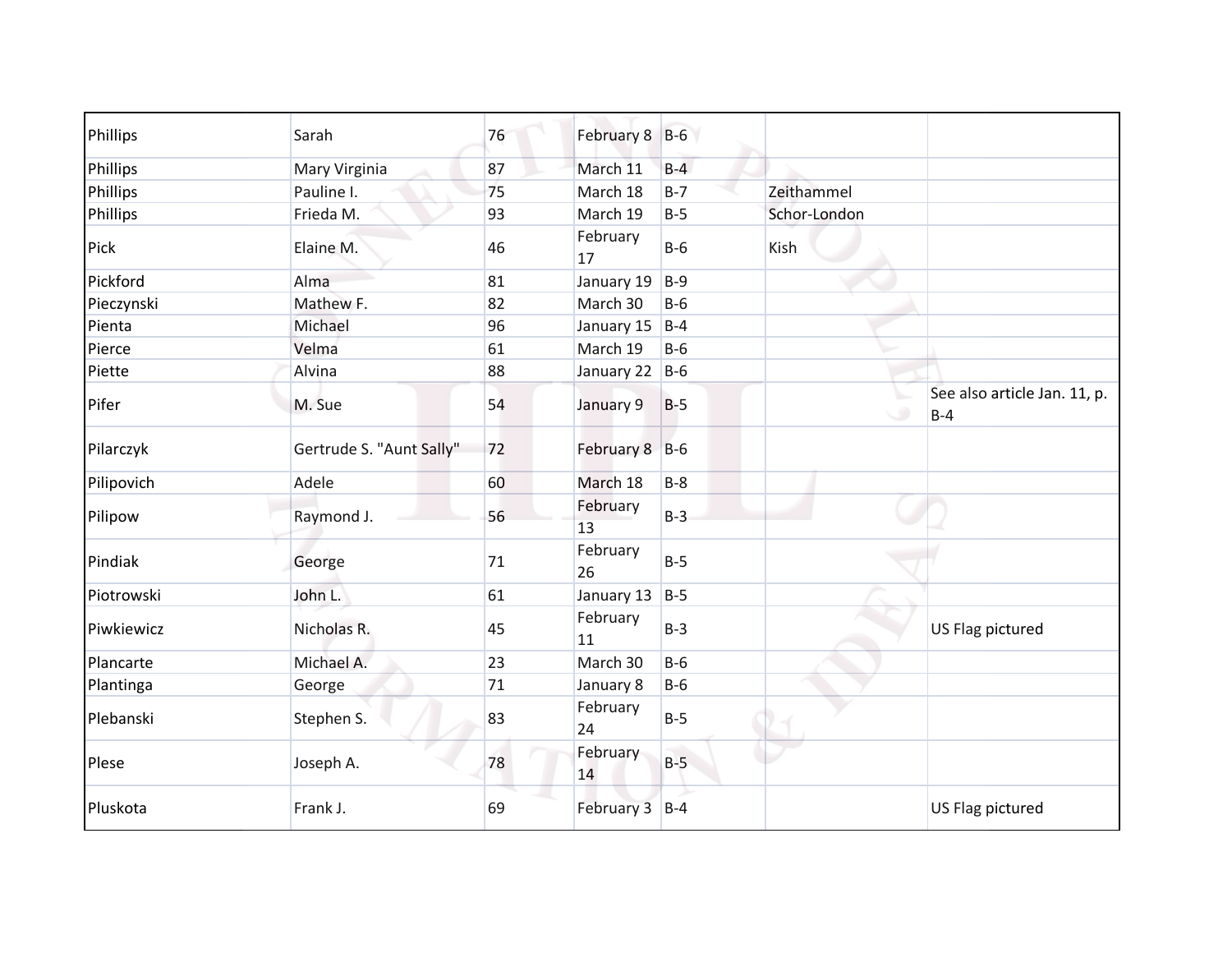| Phillips   | Sarah                    | 76     | February 8 B-6 |       |              |                                       |
|------------|--------------------------|--------|----------------|-------|--------------|---------------------------------------|
| Phillips   | Mary Virginia            | 87     | March 11       | $B-4$ |              |                                       |
| Phillips   | Pauline I.               | 75     | March 18       | $B-7$ | Zeithammel   |                                       |
| Phillips   | Frieda M.                | 93     | March 19       | $B-5$ | Schor-London |                                       |
| Pick       | Elaine M.                | 46     | February<br>17 | $B-6$ | Kish         |                                       |
| Pickford   | Alma                     | 81     | January 19     | $B-9$ |              |                                       |
| Pieczynski | Mathew F.                | 82     | March 30       | $B-6$ |              |                                       |
| Pienta     | Michael                  | 96     | January 15     | $B-4$ |              |                                       |
| Pierce     | Velma                    | 61     | March 19       | $B-6$ |              |                                       |
| Piette     | Alvina                   | 88     | January 22 B-6 |       |              |                                       |
| Pifer      | M. Sue                   | 54     | January 9      | $B-5$ | ی            | See also article Jan. 11, p.<br>$B-4$ |
| Pilarczyk  | Gertrude S. "Aunt Sally" | 72     | February 8 B-6 |       |              |                                       |
| Pilipovich | Adele                    | 60     | March 18       | $B-8$ |              |                                       |
| Pilipow    | Raymond J.               | 56     | February<br>13 | $B-3$ |              |                                       |
| Pindiak    | George                   | $71\,$ | February<br>26 | $B-5$ |              |                                       |
| Piotrowski | John L.                  | 61     | January 13     | $B-5$ |              |                                       |
| Piwkiewicz | Nicholas R.              | 45     | February<br>11 | $B-3$ |              | US Flag pictured                      |
| Plancarte  | Michael A.               | 23     | March 30       | $B-6$ |              |                                       |
| Plantinga  | George                   | 71     | January 8      | $B-6$ |              |                                       |
| Plebanski  | Stephen S.               | 83     | February<br>24 | $B-5$ |              |                                       |
| Plese      | Joseph A.                | 78     | February<br>14 | $B-5$ |              |                                       |
| Pluskota   | Frank J.                 | 69     | February 3 B-4 |       |              | US Flag pictured                      |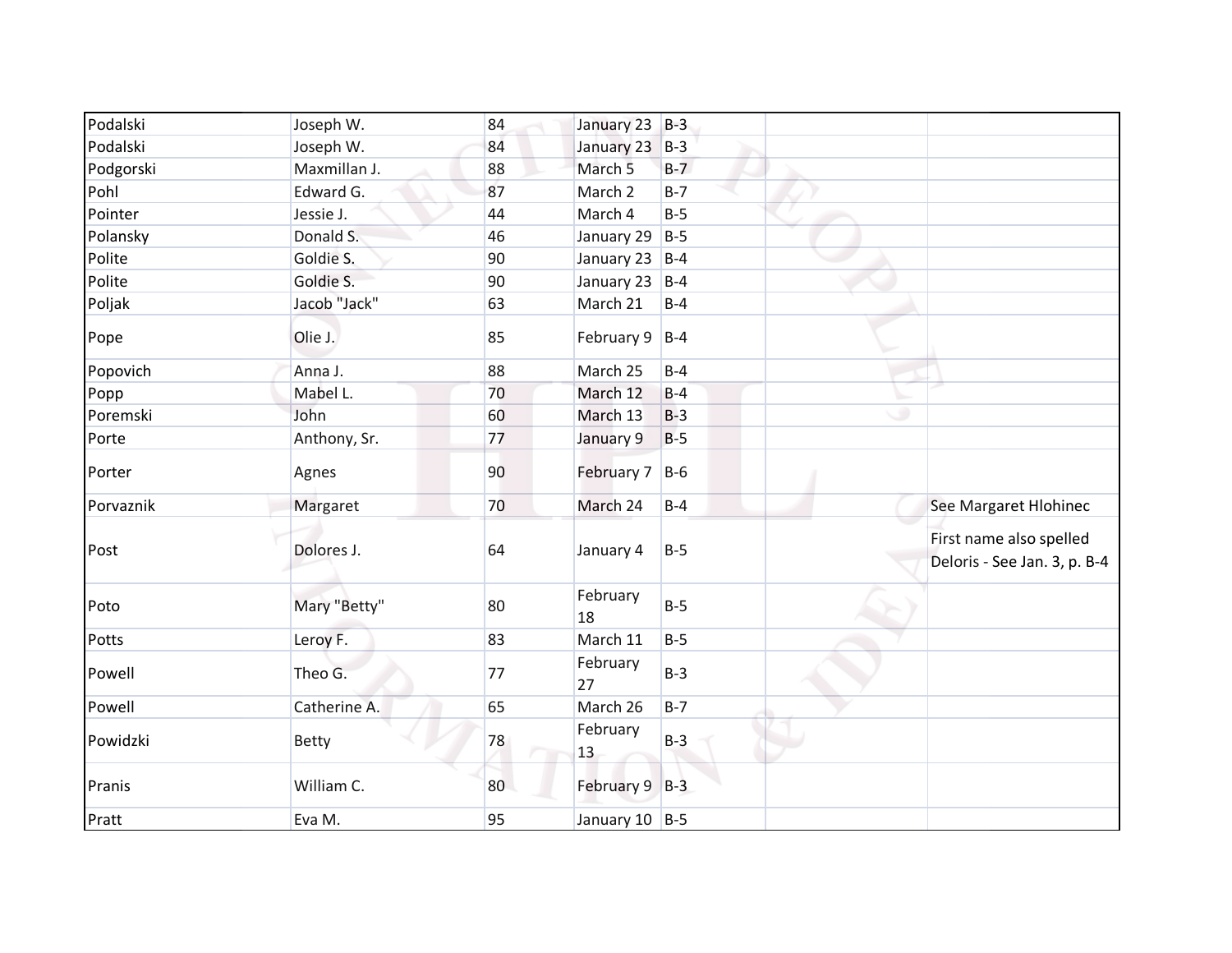| Podalski  | Joseph W.    | 84 | January 23 B-3     |       |   |                                                         |
|-----------|--------------|----|--------------------|-------|---|---------------------------------------------------------|
| Podalski  | Joseph W.    | 84 | January 23         | $B-3$ |   |                                                         |
| Podgorski | Maxmillan J. | 88 | March <sub>5</sub> | $B-7$ |   |                                                         |
| Pohl      | Edward G.    | 87 | March 2            | $B-7$ |   |                                                         |
| Pointer   | Jessie J.    | 44 | March 4            | $B-5$ |   |                                                         |
| Polansky  | Donald S.    | 46 | January 29 $ B-5 $ |       |   |                                                         |
| Polite    | Goldie S.    | 90 | January 23         | $B-4$ |   |                                                         |
| Polite    | Goldie S.    | 90 | January 23         | $B-4$ |   |                                                         |
| Poljak    | Jacob "Jack" | 63 | March 21           | $B-4$ |   |                                                         |
| Pope      | Olie J.      | 85 | February $9$   B-4 |       |   |                                                         |
| Popovich  | Anna J.      | 88 | March 25           | $B-4$ |   |                                                         |
| Popp      | Mabel L.     | 70 | March 12           | $B-4$ |   |                                                         |
| Poremski  | John         | 60 | March 13           | $B-3$ | ی |                                                         |
| Porte     | Anthony, Sr. | 77 | January 9          | $B-5$ |   |                                                         |
| Porter    | Agnes        | 90 | February 7         | $B-6$ |   |                                                         |
| Porvaznik | Margaret     | 70 | March 24           | $B-4$ |   | See Margaret Hlohinec                                   |
| Post      | Dolores J.   | 64 | January 4          | $B-5$ |   | First name also spelled<br>Deloris - See Jan. 3, p. B-4 |
| Poto      | Mary "Betty" | 80 | February<br>18     | $B-5$ |   |                                                         |
| Potts     | Leroy F.     | 83 | March 11           | $B-5$ |   |                                                         |
| Powell    | Theo G.      | 77 | February<br>27     | $B-3$ |   |                                                         |
| Powell    | Catherine A. | 65 | March 26           | $B-7$ |   |                                                         |
| Powidzki  | <b>Betty</b> | 78 | February<br>13     | $B-3$ |   |                                                         |
| Pranis    | William C.   | 80 | February 9 B-3     |       |   |                                                         |
| Pratt     | Eva M.       | 95 | January 10 B-5     |       |   |                                                         |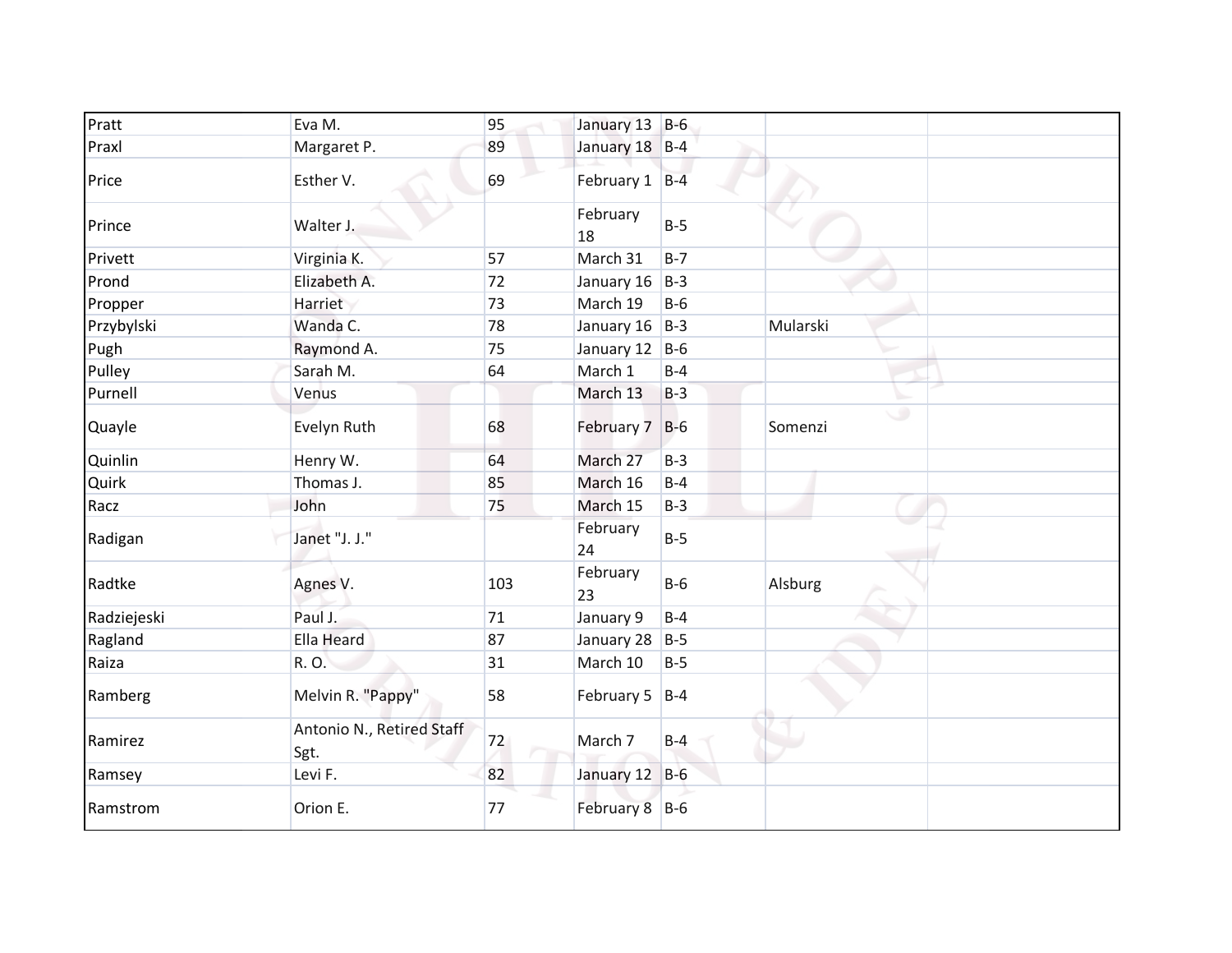| Pratt       | Eva M.                            | 95  | January 13 B-6     |         |              |
|-------------|-----------------------------------|-----|--------------------|---------|--------------|
| Praxl       | Margaret P.                       | 89  | January 18 B-4     |         |              |
| Price       | Esther V.                         | 69  | February 1 B-4     |         |              |
| Prince      | Walter J.                         |     | February<br>18     | $B-5$   |              |
| Privett     | Virginia K.                       | 57  | March 31           | $B - 7$ |              |
| Prond       | Elizabeth A.                      | 72  | January 16         | $B-3$   |              |
| Propper     | Harriet                           | 73  | March 19           | $B-6$   |              |
| Przybylski  | Wanda C.                          | 78  | January 16 $ B-3 $ |         | Mularski     |
| Pugh        | Raymond A.                        | 75  | January 12 $ B-6 $ |         |              |
| Pulley      | Sarah M.                          | 64  | March 1            | $B-4$   |              |
| Purnell     | Venus                             |     | March 13           | $B-3$   |              |
| Quayle      | Evelyn Ruth                       | 68  | February 7         | $B-6$   | ی<br>Somenzi |
| Quinlin     | Henry W.                          | 64  | March 27           | $B-3$   |              |
| Quirk       | Thomas J.                         | 85  | March 16           | $B-4$   |              |
| Racz        | John                              | 75  | March 15           | $B-3$   |              |
| Radigan     | Janet "J. J."                     |     | February<br>24     | $B-5$   |              |
| Radtke      | Agnes V.                          | 103 | February<br>23     | $B-6$   | Alsburg      |
| Radziejeski | Paul J.                           | 71  | January 9          | $B-4$   |              |
| Ragland     | <b>Ella Heard</b>                 | 87  | January 28         | $B-5$   |              |
| Raiza       | R. O.                             | 31  | March 10           | $B-5$   |              |
| Ramberg     | Melvin R. "Pappy"                 | 58  | February 5 $ B-4 $ |         |              |
| Ramirez     | Antonio N., Retired Staff<br>Sgt. | 72  | March 7            | $B-4$   |              |
| Ramsey      | Levi F.                           | 82  | January 12 B-6     |         |              |
| Ramstrom    | Orion E.                          | 77  | February 8 B-6     |         |              |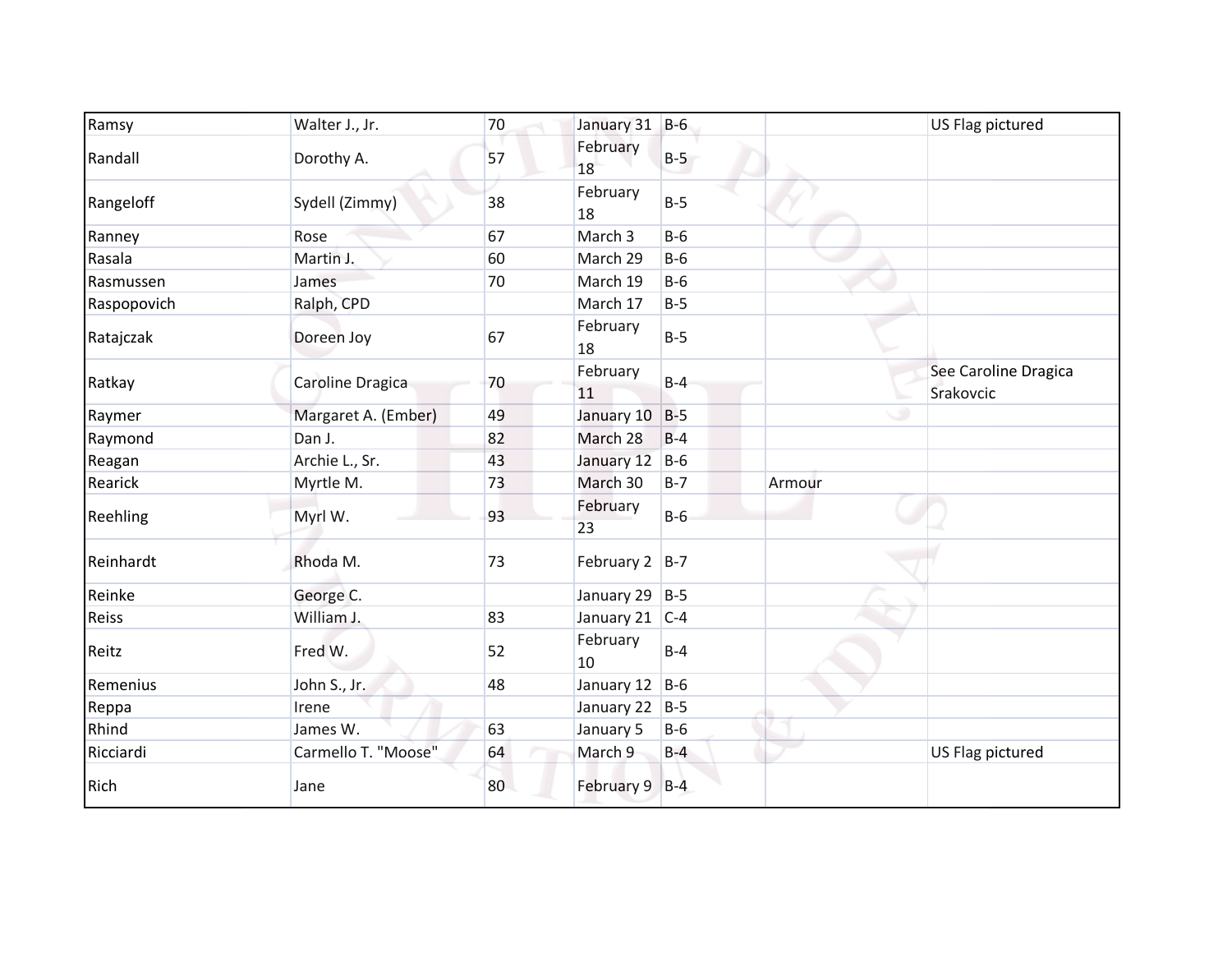| Ramsy       | Walter J., Jr.      | 70 | January 31 B-6   |       |        | US Flag pictured                  |
|-------------|---------------------|----|------------------|-------|--------|-----------------------------------|
| Randall     | Dorothy A.          | 57 | February<br>18   | $B-5$ |        |                                   |
| Rangeloff   | Sydell (Zimmy)      | 38 | February<br>18   | $B-5$ |        |                                   |
| Ranney      | Rose                | 67 | March 3          | $B-6$ |        |                                   |
| Rasala      | Martin J.           | 60 | March 29         | $B-6$ |        |                                   |
| Rasmussen   | James               | 70 | March 19         | $B-6$ |        |                                   |
| Raspopovich | Ralph, CPD          |    | March 17         | $B-5$ |        |                                   |
| Ratajczak   | Doreen Joy          | 67 | February<br>18   | $B-5$ |        |                                   |
| Ratkay      | Caroline Dragica    | 70 | February<br>11   | $B-4$ |        | See Caroline Dragica<br>Srakovcic |
| Raymer      | Margaret A. (Ember) | 49 | January 10       | $B-5$ |        |                                   |
| Raymond     | Dan J.              | 82 | March 28         | $B-4$ |        |                                   |
| Reagan      | Archie L., Sr.      | 43 | January 12       | $B-6$ |        |                                   |
| Rearick     | Myrtle M.           | 73 | March 30         | $B-7$ | Armour |                                   |
| Reehling    | Myrl W.             | 93 | February<br>23   | $B-6$ |        |                                   |
| Reinhardt   | Rhoda M.            | 73 | February $2$ B-7 |       |        |                                   |
| Reinke      | George C.           |    | January 29 B-5   |       |        |                                   |
| Reiss       | William J.          | 83 | January 21 C-4   |       |        |                                   |
| Reitz       | Fred W.             | 52 | February<br>10   | $B-4$ |        |                                   |
| Remenius    | John S., Jr.        | 48 | January 12 B-6   |       |        |                                   |
| Reppa       | Irene               |    | January 22 B-5   |       |        |                                   |
| Rhind       | James W.            | 63 | January 5        | $B-6$ |        |                                   |
| Ricciardi   | Carmello T. "Moose" | 64 | March 9          | $B-4$ |        | US Flag pictured                  |
| Rich        | Jane                | 80 | February 9 B-4   |       |        |                                   |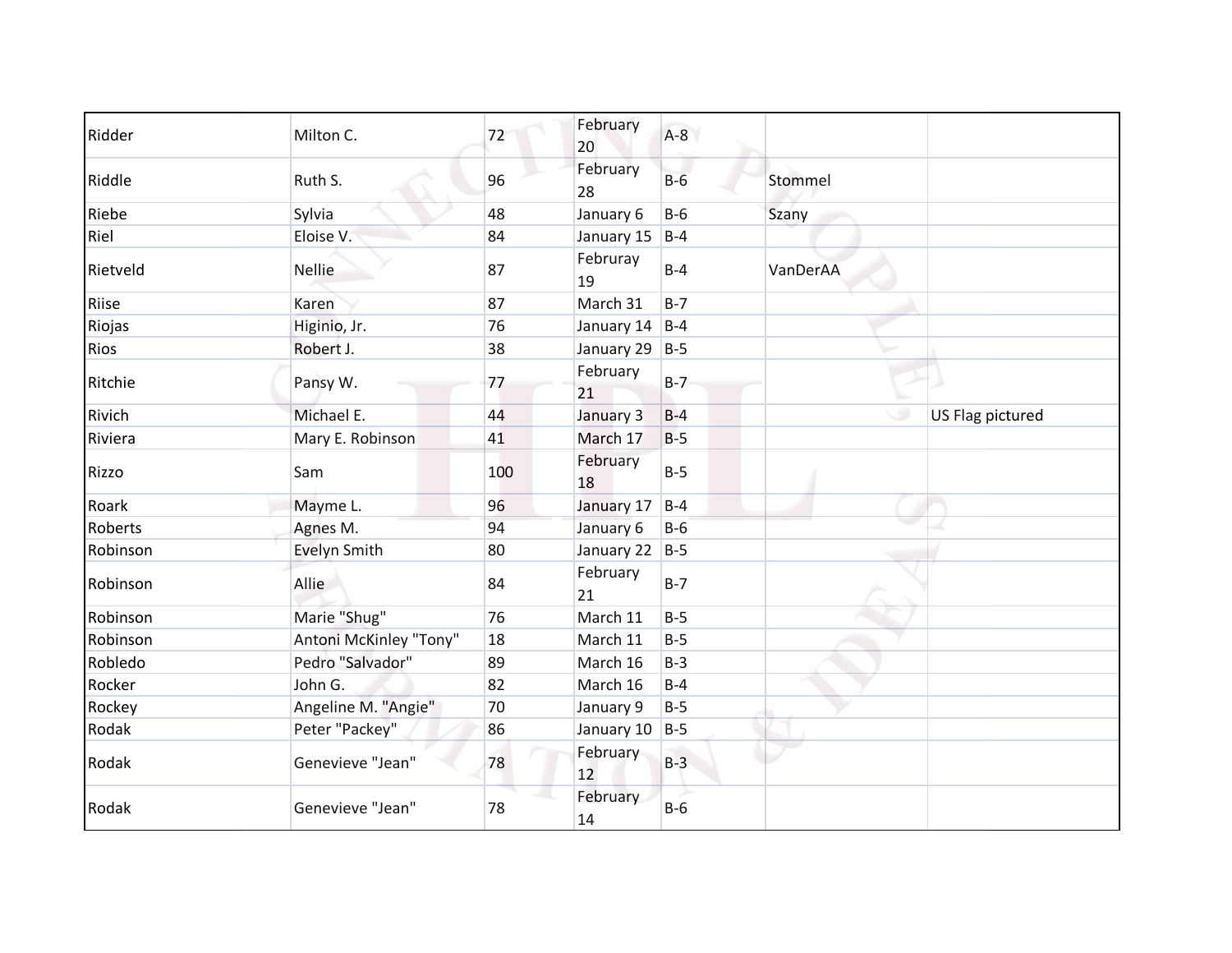| Ridder   | Milton C.              | 72  | February<br>20 | $A-8$   |          |                  |
|----------|------------------------|-----|----------------|---------|----------|------------------|
| Riddle   | Ruth S.                | 96  | February<br>28 | $B-6$   | Stommel  |                  |
| Riebe    | Sylvia                 | 48  | January 6      | $B-6$   | Szany    |                  |
| Riel     | Eloise V.              | 84  | January 15     | $B-4$   |          |                  |
| Rietveld | <b>Nellie</b>          | 87  | Februray<br>19 | $B-4$   | VanDerAA |                  |
| Riise    | Karen                  | 87  | March 31       | $B-7$   |          |                  |
| Riojas   | Higinio, Jr.           | 76  | January 14     | $B-4$   |          |                  |
| Rios     | Robert J.              | 38  | January 29     | $B-5$   |          |                  |
| Ritchie  | Pansy W.               | 77  | February<br>21 | $B-7$   |          |                  |
| Rivich   | Michael E.             | 44  | January 3      | $B-4$   |          | US Flag pictured |
| Riviera  | Mary E. Robinson       | 41  | March 17       | $B-5$   |          |                  |
| Rizzo    | Sam                    | 100 | February<br>18 | $B-5$   |          |                  |
| Roark    | Mayme L.               | 96  | January 17     | $B-4$   |          |                  |
| Roberts  | Agnes M.               | 94  | January 6      | $B-6$   |          |                  |
| Robinson | Evelyn Smith           | 80  | January 22     | $B-5$   |          |                  |
| Robinson | Allie                  | 84  | February<br>21 | $B - 7$ |          |                  |
| Robinson | Marie "Shug"           | 76  | March 11       | $B-5$   |          |                  |
| Robinson | Antoni McKinley "Tony" | 18  | March 11       | $B-5$   |          |                  |
| Robledo  | Pedro "Salvador"       | 89  | March 16       | $B-3$   |          |                  |
| Rocker   | John G.                | 82  | March 16       | $B-4$   |          |                  |
| Rockey   | Angeline M. "Angie"    | 70  | January 9      | $B-5$   |          |                  |
| Rodak    | Peter "Packey"         | 86  | January 10     | $B-5$   |          |                  |
| Rodak    | Genevieve "Jean"       | 78  | February<br>12 | $B-3$   |          |                  |
| Rodak    | Genevieve "Jean"       | 78  | February<br>14 | $B-6$   |          |                  |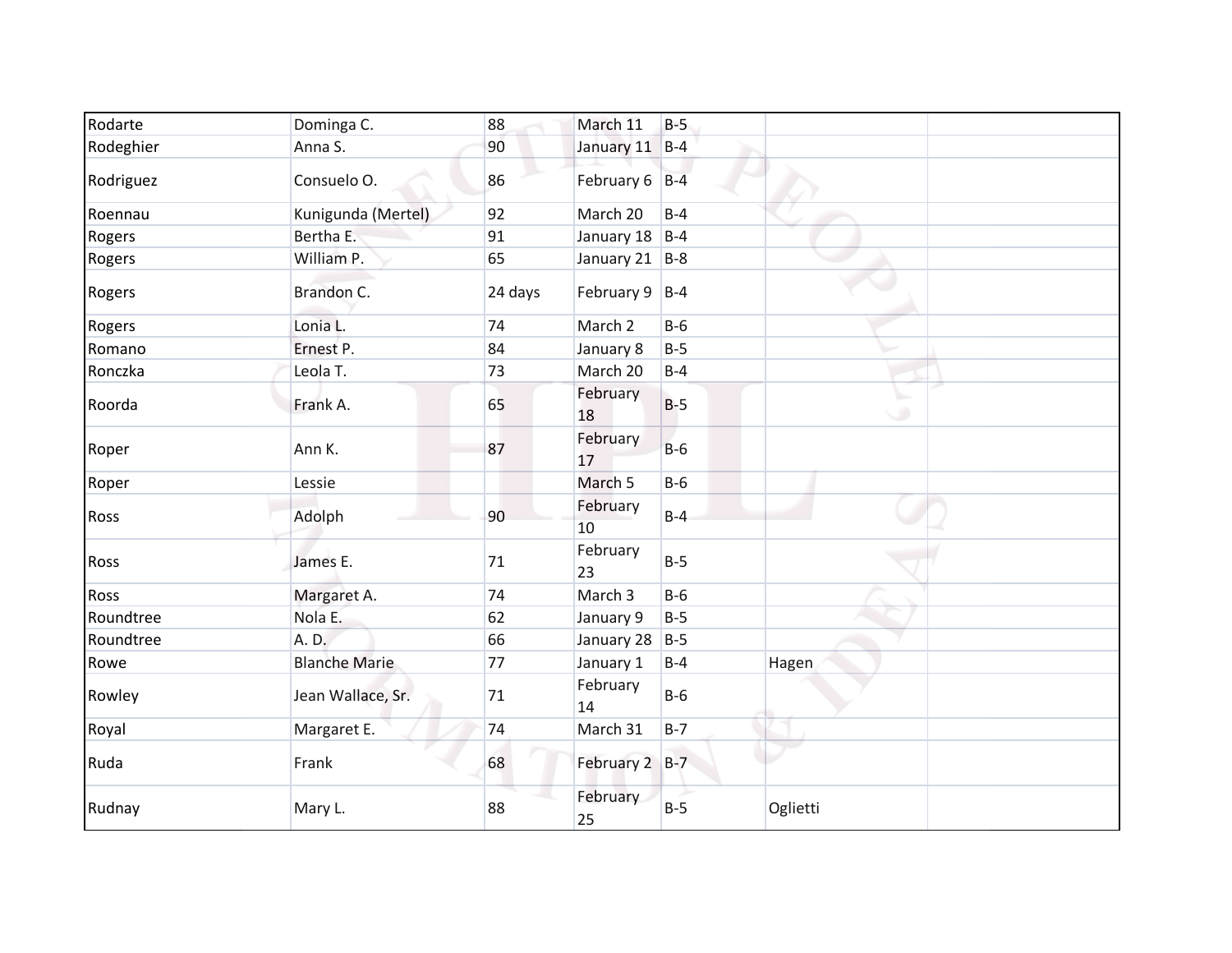| Rodarte   | Dominga C.           | 88      | March 11           | $B-5$ |                |
|-----------|----------------------|---------|--------------------|-------|----------------|
| Rodeghier | Anna S.              | 90      | January 11 B-4     |       |                |
| Rodriguez | Consuelo O.          | 86      | February 6 B-4     |       |                |
| Roennau   | Kunigunda (Mertel)   | 92      | March 20           | $B-4$ |                |
| Rogers    | Bertha E.            | 91      | January 18 $ B-4 $ |       |                |
| Rogers    | William P.           | 65      | January 21 $ B-8 $ |       |                |
| Rogers    | Brandon C.           | 24 days | February $9$   B-4 |       |                |
| Rogers    | Lonia L.             | 74      | March 2            | $B-6$ |                |
| Romano    | Ernest P.            | 84      | January 8          | $B-5$ |                |
| Ronczka   | Leola T.             | 73      | March 20           | $B-4$ |                |
| Roorda    | Frank A.             | 65      | February<br>18     | $B-5$ | $\mathbb{C}^n$ |
| Roper     | Ann K.               | 87      | February<br>17     | $B-6$ |                |
| Roper     | Lessie               |         | March 5            | $B-6$ |                |
| Ross      | Adolph               | 90      | February<br>10     | $B-4$ |                |
| Ross      | James E.             | 71      | February<br>23     | $B-5$ |                |
| Ross      | Margaret A.          | 74      | March 3            | $B-6$ |                |
| Roundtree | Nola E.              | 62      | January 9          | $B-5$ |                |
| Roundtree | A. D.                | 66      | January 28 B-5     |       |                |
| Rowe      | <b>Blanche Marie</b> | 77      | January 1          | $B-4$ | Hagen          |
| Rowley    | Jean Wallace, Sr.    | 71      | February<br>14     | $B-6$ |                |
| Royal     | Margaret E.          | 74      | March 31           | $B-7$ |                |
| Ruda      | Frank                | 68      | February 2 B-7     |       |                |
| Rudnay    | Mary L.              | 88      | February<br>25     | $B-5$ | Oglietti       |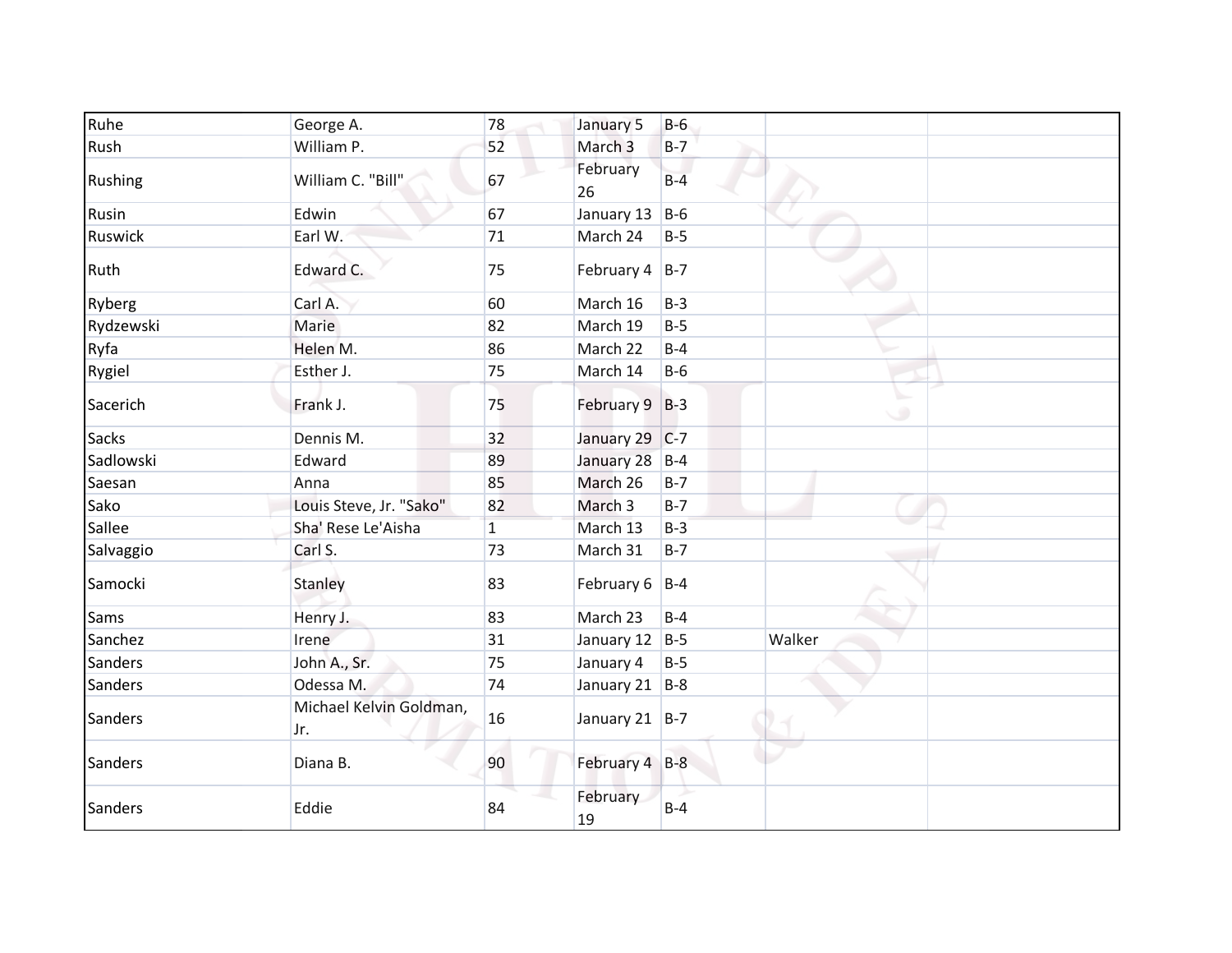| Ruhe           | George A.                      | 78           | January 5         | $B-6$ |        |
|----------------|--------------------------------|--------------|-------------------|-------|--------|
| Rush           | William P.                     | 52           | March 3           | $B-7$ |        |
| Rushing        | William C. "Bill"              | 67           | February<br>26    | $B-4$ |        |
| Rusin          | Edwin                          | 67           | January 13        | $B-6$ |        |
| Ruswick        | Earl W.                        | 71           | March 24          | $B-5$ |        |
| Ruth           | Edward C.                      | 75           | February $4$ B-7  |       |        |
| Ryberg         | Carl A.                        | 60           | March 16          | $B-3$ |        |
| Rydzewski      | Marie                          | 82           | March 19          | $B-5$ |        |
| Ryfa           | Helen M.                       | 86           | March 22          | $B-4$ |        |
| Rygiel         | Esther J.                      | 75           | March 14          | $B-6$ |        |
| Sacerich       | Frank J.                       | 75           | February 9 B-3    |       | ی      |
| <b>Sacks</b>   | Dennis M.                      | 32           | January 29 C-7    |       |        |
| Sadlowski      | Edward                         | 89           | January 28 B-4    |       |        |
| Saesan         | Anna                           | 85           | March 26          | $B-7$ |        |
| Sako           | Louis Steve, Jr. "Sako"        | 82           | March 3           | $B-7$ |        |
| Sallee         | Sha' Rese Le'Aisha             | $\mathbf{1}$ | March 13          | $B-3$ |        |
| Salvaggio      | Carl S.                        | 73           | March 31          | $B-7$ |        |
| Samocki        | Stanley                        | 83           | February $6$  B-4 |       |        |
| Sams           | Henry J.                       | 83           | March 23          | $B-4$ |        |
| Sanchez        | Irene                          | 31           | January 12        | $B-5$ | Walker |
| Sanders        | John A., Sr.                   | 75           | January 4         | $B-5$ |        |
| Sanders        | Odessa M.                      | 74           | January 21 B-8    |       |        |
| <b>Sanders</b> | Michael Kelvin Goldman,<br>Jr. | 16           | January 21 B-7    |       |        |
| <b>Sanders</b> | Diana B.                       | 90           | February 4 B-8    |       |        |
| <b>Sanders</b> | Eddie                          | 84           | February<br>19    | $B-4$ |        |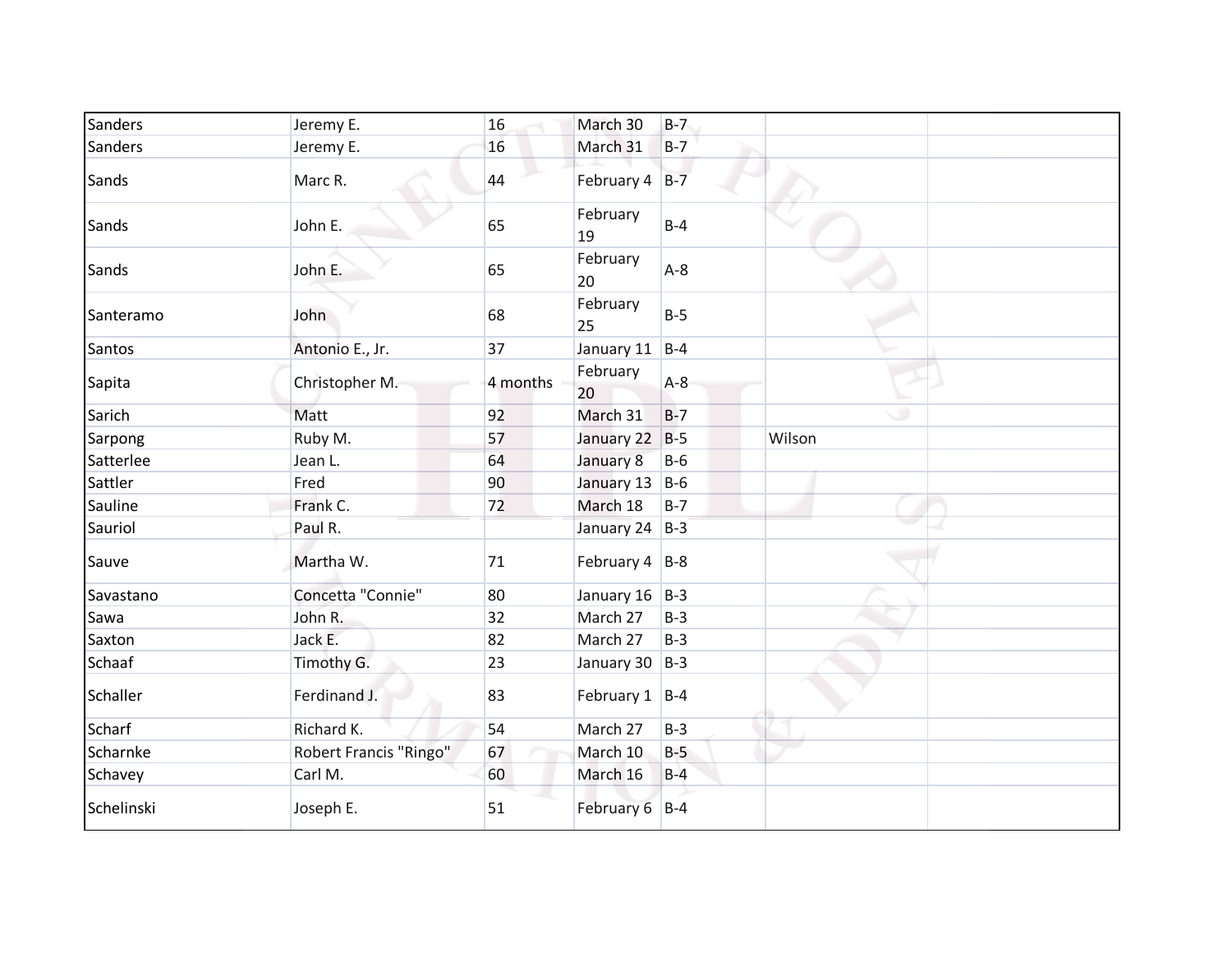| Sanders       | Jeremy E.                     | 16       | March 30              | $B-7$ |        |
|---------------|-------------------------------|----------|-----------------------|-------|--------|
| Sanders       | Jeremy E.                     | 16       | March 31              | $B-7$ |        |
| Sands         | Marc R.                       | 44       | February 4            | $B-7$ |        |
| Sands         | John E.                       | 65       | February<br>19        | $B-4$ |        |
| Sands         | John E.                       | 65       | February<br>20        | $A-8$ |        |
| Santeramo     | John                          | 68       | February<br>25        | $B-5$ |        |
| Santos        | Antonio E., Jr.               | 37       | January 11            | $B-4$ |        |
| Sapita        | Christopher M.                | 4 months | February<br>20        | $A-8$ |        |
| Sarich        | Matt                          | 92       | March 31              | $B-7$ | ۰      |
| Sarpong       | Ruby M.                       | 57       | January 22            | $B-5$ | Wilson |
| Satterlee     | Jean L.                       | 64       | January 8             | $B-6$ |        |
| Sattler       | Fred                          | 90       | January 13 B-6        |       |        |
| Sauline       | Frank C.                      | 72       | March 18              | $B-7$ |        |
| Sauriol       | Paul R.                       |          | January 24 B-3        |       |        |
| Sauve         | Martha W.                     | 71       | February $4 \mid B-8$ |       |        |
| Savastano     | Concetta "Connie"             | 80       | January $16$ B-3      |       |        |
| Sawa          | John R.                       | 32       | March 27              | $B-3$ |        |
| Saxton        | Jack E.                       | 82       | March 27              | $B-3$ |        |
| Schaaf        | Timothy G.                    | 23       | January 30 B-3        |       |        |
| Schaller      | Ferdinand J.                  | 83       | February $1   B-4$    |       |        |
| <b>Scharf</b> | Richard K.                    | 54       | March 27              | $B-3$ |        |
| Scharnke      | <b>Robert Francis "Ringo"</b> | 67       | March 10              | $B-5$ |        |
| Schavey       | Carl M.                       | 60       | March 16              | $B-4$ |        |
| Schelinski    | Joseph E.                     | 51       | February 6 B-4        |       |        |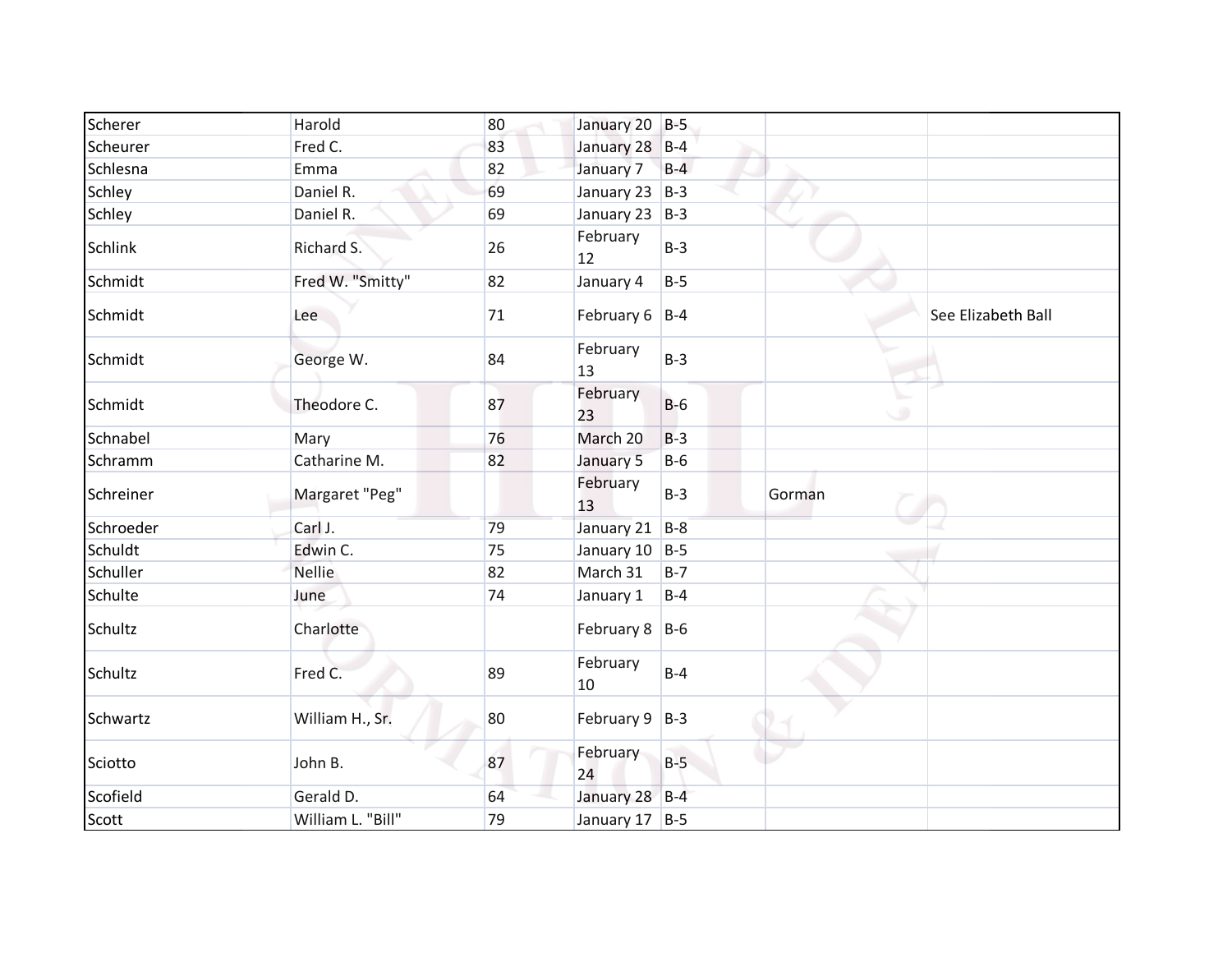| Scherer        | Harold            | 80 | January 20 B-5     |       |        |                    |
|----------------|-------------------|----|--------------------|-------|--------|--------------------|
| Scheurer       | Fred C.           | 83 | January 28 B-4     |       |        |                    |
| Schlesna       | Emma              | 82 | January 7          | $B-4$ |        |                    |
| Schley         | Daniel R.         | 69 | January 23 B-3     |       |        |                    |
| Schley         | Daniel R.         | 69 | January 23 B-3     |       |        |                    |
| <b>Schlink</b> | Richard S.        | 26 | February<br>12     | $B-3$ |        |                    |
| Schmidt        | Fred W. "Smitty"  | 82 | January 4          | $B-5$ |        |                    |
| Schmidt        | Lee               | 71 | February $6$ B-4   |       |        | See Elizabeth Ball |
| Schmidt        | George W.         | 84 | February<br>13     | $B-3$ |        |                    |
| Schmidt        | Theodore C.       | 87 | February<br>23     | $B-6$ | ◡      |                    |
| Schnabel       | Mary              | 76 | March 20           | $B-3$ |        |                    |
| Schramm        | Catharine M.      | 82 | January 5          | $B-6$ |        |                    |
| Schreiner      | Margaret "Peg"    |    | February<br>13     | $B-3$ | Gorman |                    |
| Schroeder      | Carl J.           | 79 | January 21 B-8     |       |        |                    |
| Schuldt        | Edwin C.          | 75 | January 10 B-5     |       |        |                    |
| Schuller       | <b>Nellie</b>     | 82 | March 31           | $B-7$ |        |                    |
| Schulte        | June              | 74 | January 1          | $B-4$ |        |                    |
| Schultz        | Charlotte         |    | February $8$ B-6   |       |        |                    |
| Schultz        | Fred C.           | 89 | February<br>10     | $B-4$ |        |                    |
| Schwartz       | William H., Sr.   | 80 | February $9$   B-3 |       |        |                    |
| Sciotto        | John B.           | 87 | February<br>24     | $B-5$ |        |                    |
| Scofield       | Gerald D.         | 64 | January 28 B-4     |       |        |                    |
| Scott          | William L. "Bill" | 79 | January 17 B-5     |       |        |                    |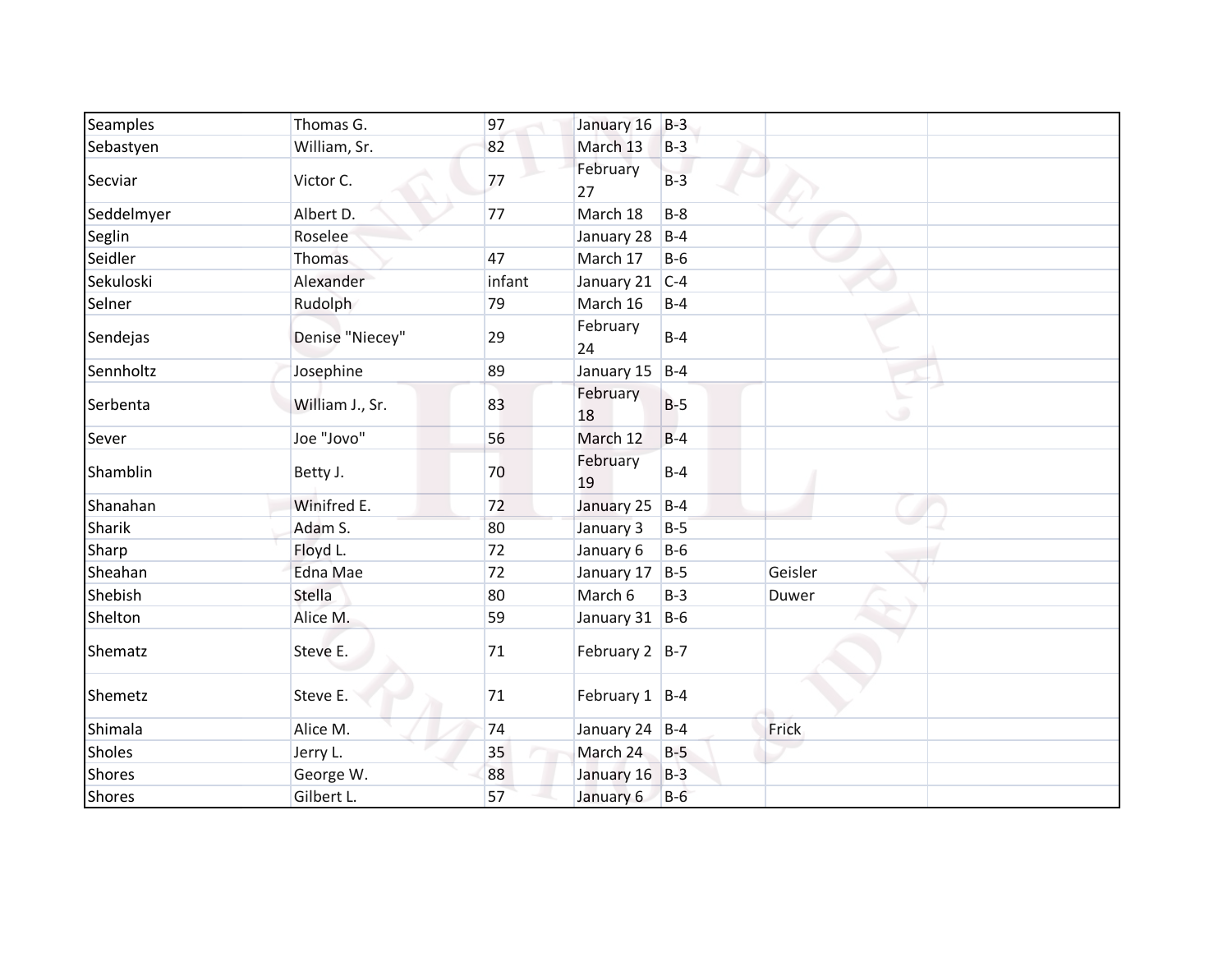| Seamples      | Thomas G.       | 97     | January 16         | $B-3$ |         |  |
|---------------|-----------------|--------|--------------------|-------|---------|--|
| Sebastyen     | William, Sr.    | 82     | March 13           | $B-3$ |         |  |
| Secviar       | Victor C.       | 77     | February<br>27     | $B-3$ |         |  |
| Seddelmyer    | Albert D.       | 77     | March 18           | $B-8$ |         |  |
| Seglin        | Roselee         |        | January 28         | $B-4$ |         |  |
| Seidler       | <b>Thomas</b>   | 47     | March 17           | $B-6$ |         |  |
| Sekuloski     | Alexander       | infant | January 21         | $C-4$ |         |  |
| Selner        | Rudolph         | 79     | March 16           | $B-4$ |         |  |
| Sendejas      | Denise "Niecey" | 29     | February<br>24     | $B-4$ |         |  |
| Sennholtz     | Josephine       | 89     | January 15         | $B-4$ |         |  |
| Serbenta      | William J., Sr. | 83     | February<br>18     | $B-5$ | ی       |  |
| Sever         | Joe "Jovo"      | 56     | March 12           | $B-4$ |         |  |
| Shamblin      | Betty J.        | 70     | February<br>19     | $B-4$ |         |  |
| Shanahan      | Winifred E.     | 72     | January 25         | $B-4$ |         |  |
| Sharik        | Adam S.         | 80     | January 3          | $B-5$ |         |  |
| Sharp         | Floyd L.        | 72     | January 6          | $B-6$ |         |  |
| Sheahan       | <b>Edna Mae</b> | 72     | January 17         | $B-5$ | Geisler |  |
| Shebish       | Stella          | 80     | March 6            | $B-3$ | Duwer   |  |
| Shelton       | Alice M.        | 59     | January 31 $ B-6 $ |       |         |  |
| Shematz       | Steve E.        | 71     | February $2$   B-7 |       |         |  |
| Shemetz       | Steve E.        | 71     | February $1$  B-4  |       |         |  |
| Shimala       | Alice M.        | 74     | January 24 B-4     |       | Frick   |  |
| <b>Sholes</b> | Jerry L.        | 35     | March 24           | $B-5$ |         |  |
| <b>Shores</b> | George W.       | 88     | January 16         | $B-3$ |         |  |
| <b>Shores</b> | Gilbert L.      | 57     | January 6          | $B-6$ |         |  |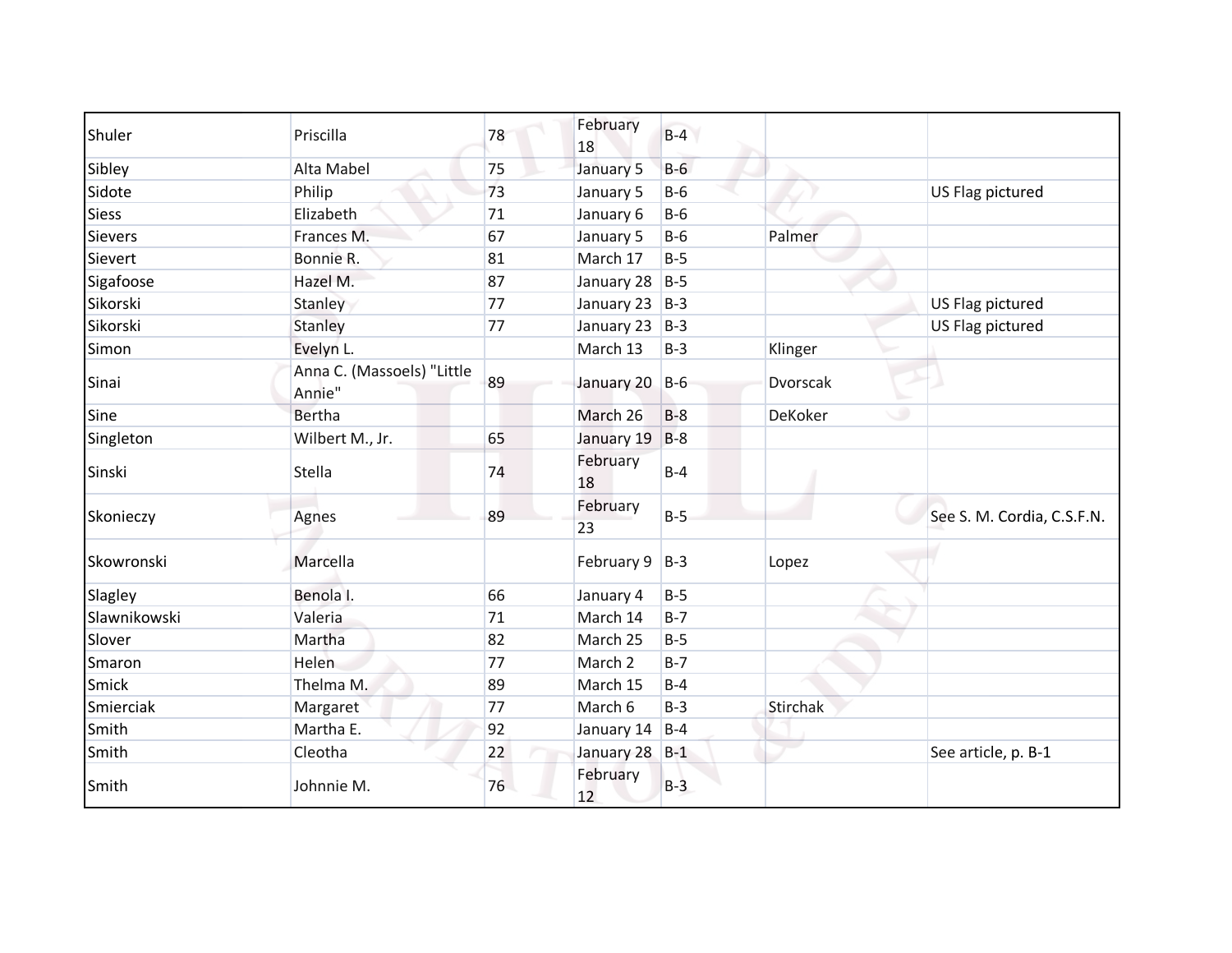| Shuler         | Priscilla                            | 78 | February<br>18     | $B-4$ |              |                            |
|----------------|--------------------------------------|----|--------------------|-------|--------------|----------------------------|
| Sibley         | Alta Mabel                           | 75 | January 5          | $B-6$ |              |                            |
| Sidote         | Philip                               | 73 | January 5          | $B-6$ |              | US Flag pictured           |
| <b>Siess</b>   | Elizabeth                            | 71 | January 6          | $B-6$ |              |                            |
| <b>Sievers</b> | Frances M.                           | 67 | January 5          | $B-6$ | Palmer       |                            |
| Sievert        | Bonnie R.                            | 81 | March 17           | $B-5$ |              |                            |
| Sigafoose      | Hazel M.                             | 87 | January 28         | $B-5$ |              |                            |
| Sikorski       | Stanley                              | 77 | January 23         | $B-3$ |              | US Flag pictured           |
| Sikorski       | Stanley                              | 77 | January 23         | $B-3$ |              | US Flag pictured           |
| Simon          | Evelyn L.                            |    | March 13           | $B-3$ | Klinger      |                            |
| Sinai          | Anna C. (Massoels) "Little<br>Annie" | 89 | January 20         | $B-6$ | Dvorscak     |                            |
| Sine           | <b>Bertha</b>                        |    | March 26           | $B-8$ | ۰<br>DeKoker |                            |
| Singleton      | Wilbert M., Jr.                      | 65 | January 19         | $B-8$ |              |                            |
| Sinski         | Stella                               | 74 | February<br>18     | $B-4$ |              |                            |
| Skonieczy      | Agnes                                | 89 | February<br>23     | $B-5$ |              | See S. M. Cordia, C.S.F.N. |
| Skowronski     | Marcella                             |    | February 9         | $B-3$ | Lopez        |                            |
| Slagley        | Benola I.                            | 66 | January 4          | $B-5$ |              |                            |
| Slawnikowski   | Valeria                              | 71 | March 14           | $B-7$ |              |                            |
| Slover         | Martha                               | 82 | March 25           | $B-5$ |              |                            |
| Smaron         | <b>Helen</b>                         | 77 | March <sub>2</sub> | $B-7$ |              |                            |
| Smick          | Thelma M.                            | 89 | March 15           | $B-4$ |              |                            |
| Smierciak      | Margaret                             | 77 | March 6            | $B-3$ | Stirchak     |                            |
| Smith          | Martha E.                            | 92 | January 14         | $B-4$ |              |                            |
| Smith          | Cleotha                              | 22 | January 28         | $B-1$ |              | See article, p. B-1        |
| Smith          | Johnnie M.                           | 76 | February<br>12     | $B-3$ |              |                            |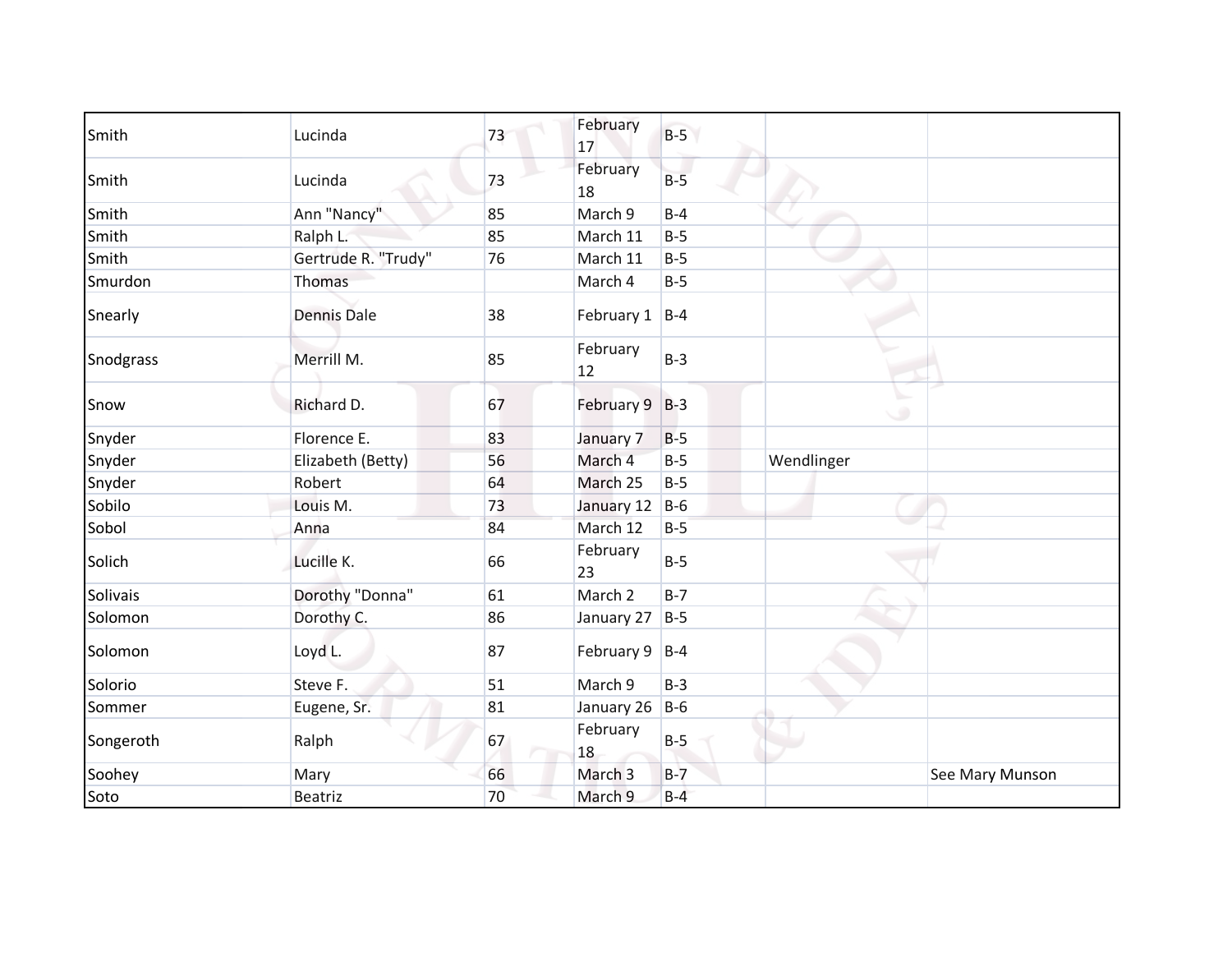| Smith     | Lucinda             | 73 | February<br>17     | $B-5$ |            |                 |
|-----------|---------------------|----|--------------------|-------|------------|-----------------|
| Smith     | Lucinda             | 73 | February<br>18     | $B-5$ |            |                 |
| Smith     | Ann "Nancy"         | 85 | March 9            | $B-4$ |            |                 |
| Smith     | Ralph L.            | 85 | March 11           | $B-5$ |            |                 |
| Smith     | Gertrude R. "Trudy" | 76 | March 11           | $B-5$ |            |                 |
| Smurdon   | Thomas              |    | March 4            | $B-5$ |            |                 |
| Snearly   | <b>Dennis Dale</b>  | 38 | February 1 B-4     |       |            |                 |
| Snodgrass | Merrill M.          | 85 | February<br>12     | $B-3$ |            |                 |
| Snow      | Richard D.          | 67 | February 9 B-3     |       | ی          |                 |
| Snyder    | Florence E.         | 83 | January 7          | $B-5$ |            |                 |
| Snyder    | Elizabeth (Betty)   | 56 | March 4            | $B-5$ | Wendlinger |                 |
| Snyder    | Robert              | 64 | March 25           | $B-5$ |            |                 |
| Sobilo    | Louis M.            | 73 | January 12         | $B-6$ |            |                 |
| Sobol     | Anna                | 84 | March 12           | $B-5$ |            |                 |
| Solich    | Lucille K.          | 66 | February<br>23     | $B-5$ |            |                 |
| Solivais  | Dorothy "Donna"     | 61 | March <sub>2</sub> | $B-7$ |            |                 |
| Solomon   | Dorothy C.          | 86 | January 27         | $B-5$ |            |                 |
| Solomon   | Loyd L.             | 87 | February 9         | $B-4$ |            |                 |
| Solorio   | Steve F.            | 51 | March 9            | $B-3$ |            |                 |
| Sommer    | Eugene, Sr.         | 81 | January 26         | $B-6$ |            |                 |
| Songeroth | Ralph               | 67 | February<br>18     | $B-5$ |            |                 |
| Soohey    | Mary                | 66 | March <sub>3</sub> | $B-7$ |            | See Mary Munson |
| Soto      | <b>Beatriz</b>      | 70 | March 9            | $B-4$ |            |                 |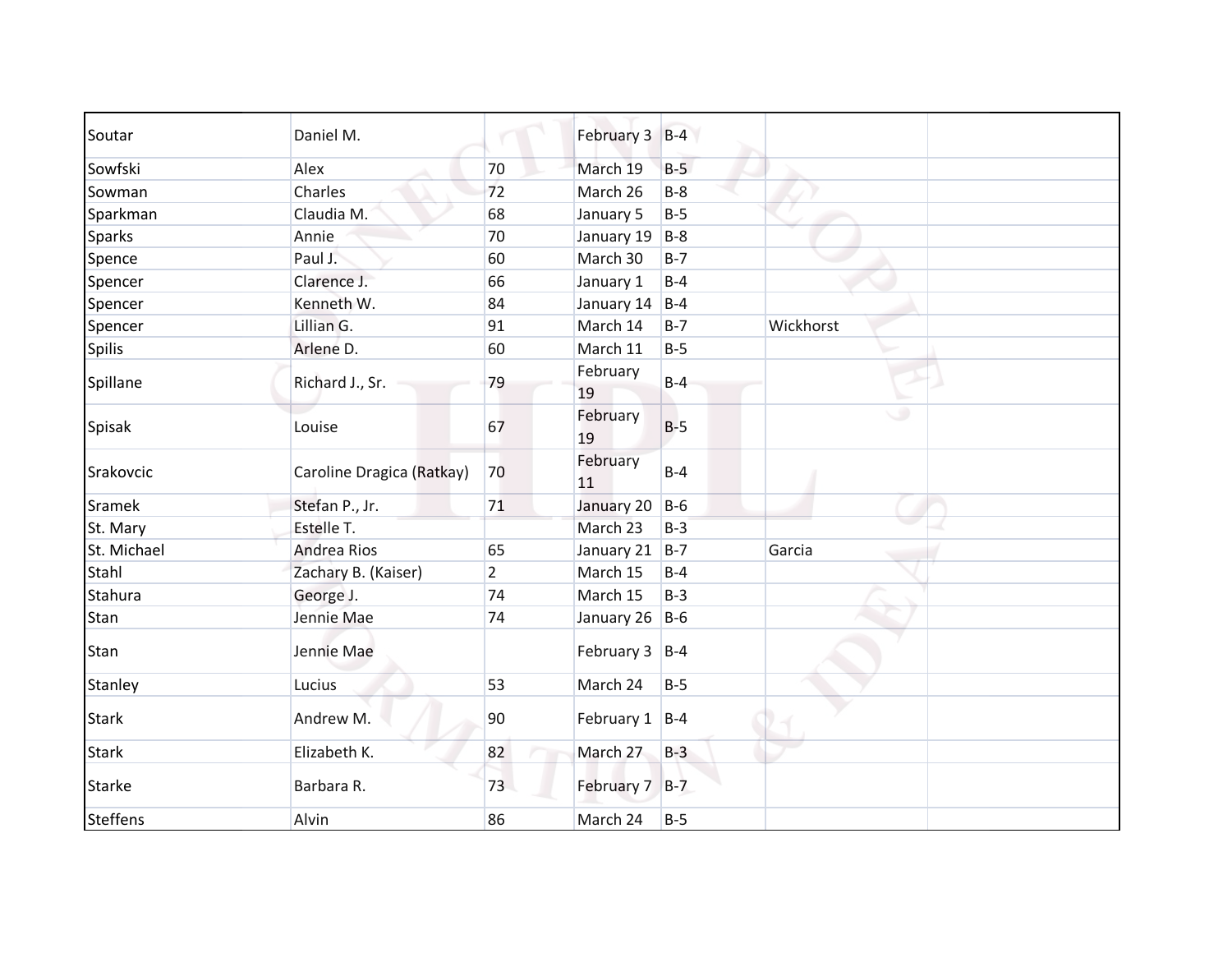| Soutar          | Daniel M.                 |                | February 3 B-4    |       |           |
|-----------------|---------------------------|----------------|-------------------|-------|-----------|
| Sowfski         | Alex                      | 70             | March 19          | $B-5$ |           |
| Sowman          | Charles                   | 72             | March 26          | $B-8$ |           |
| Sparkman        | Claudia M.                | 68             | January 5         | $B-5$ |           |
| <b>Sparks</b>   | Annie                     | 70             | January 19        | $B-8$ |           |
| Spence          | Paul J.                   | 60             | March 30          | $B-7$ |           |
| Spencer         | Clarence J.               | 66             | January 1         | $B-4$ |           |
| Spencer         | Kenneth W.                | 84             | January 14        | $B-4$ |           |
| Spencer         | Lillian G.                | 91             | March 14          | $B-7$ | Wickhorst |
| <b>Spilis</b>   | Arlene D.                 | 60             | March 11          | $B-5$ |           |
| Spillane        | Richard J., Sr.           | 79             | February<br>19    | $B-4$ |           |
| Spisak          | Louise                    | 67             | February<br>19    | $B-5$ | ی         |
| Srakovcic       | Caroline Dragica (Ratkay) | 70             | February<br>11    | $B-4$ |           |
| Sramek          | Stefan P., Jr.            | 71             | January 20        | $B-6$ |           |
| St. Mary        | Estelle T.                |                | March 23          | $B-3$ |           |
| St. Michael     | <b>Andrea Rios</b>        | 65             | January 21        | $B-7$ | Garcia    |
| Stahl           | Zachary B. (Kaiser)       | $\overline{2}$ | March 15          | $B-4$ |           |
| Stahura         | George J.                 | 74             | March 15          | $B-3$ |           |
| Stan            | Jennie Mae                | 74             | January 26 B-6    |       |           |
| Stan            | Jennie Mae                |                | February $3$ B-4  |       |           |
| Stanley         | Lucius                    | 53             | March 24          | $B-5$ |           |
| <b>Stark</b>    | Andrew M.                 | 90             | February $1$  B-4 |       |           |
| <b>Stark</b>    | Elizabeth K.              | 82             | March 27          | $B-3$ |           |
| <b>Starke</b>   | Barbara R.                | 73             | February 7 B-7    |       |           |
| <b>Steffens</b> | Alvin                     | 86             | March 24          | $B-5$ |           |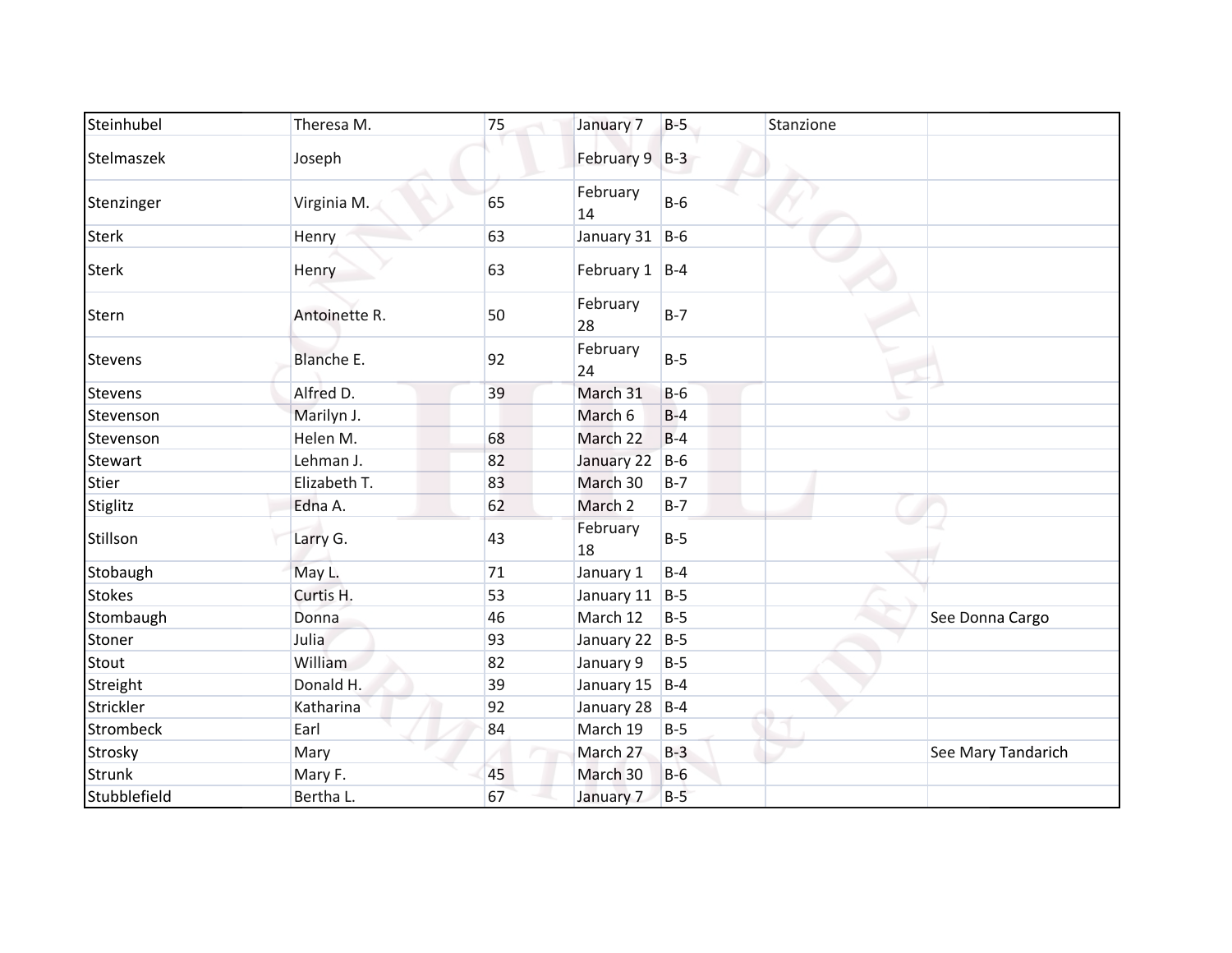| Steinhubel       | Theresa M.    | 75 | January 7          | $B-5$ | Stanzione |                    |
|------------------|---------------|----|--------------------|-------|-----------|--------------------|
| Stelmaszek       | Joseph        |    | February 9 B-3     |       |           |                    |
| Stenzinger       | Virginia M.   | 65 | February<br>14     | $B-6$ |           |                    |
| <b>Sterk</b>     | Henry         | 63 | January 31 B-6     |       |           |                    |
| <b>Sterk</b>     | Henry         | 63 | February $1$  B-4  |       |           |                    |
| Stern            | Antoinette R. | 50 | February<br>28     | $B-7$ |           |                    |
| <b>Stevens</b>   | Blanche E.    | 92 | February<br>24     | $B-5$ |           |                    |
| Stevens          | Alfred D.     | 39 | March 31           | $B-6$ |           |                    |
| Stevenson        | Marilyn J.    |    | March 6            | $B-4$ | ۰         |                    |
| Stevenson        | Helen M.      | 68 | March 22           | $B-4$ |           |                    |
| Stewart          | Lehman J.     | 82 | January 22         | $B-6$ |           |                    |
| Stier            | Elizabeth T.  | 83 | March 30           | $B-7$ |           |                    |
| Stiglitz         | Edna A.       | 62 | March 2            | $B-7$ |           |                    |
| Stillson         | Larry G.      | 43 | February<br>18     | $B-5$ |           |                    |
| Stobaugh         | May L.        | 71 | January 1          | $B-4$ |           |                    |
| <b>Stokes</b>    | Curtis H.     | 53 | January 11         | $B-5$ |           |                    |
| Stombaugh        | Donna         | 46 | March 12           | $B-5$ |           | See Donna Cargo    |
| Stoner           | Julia         | 93 | January 22 $ B-5 $ |       |           |                    |
| Stout            | William       | 82 | January 9          | $B-5$ |           |                    |
| Streight         | Donald H.     | 39 | January 15         | $B-4$ |           |                    |
| Strickler        | Katharina     | 92 | January 28         | $B-4$ |           |                    |
| <b>Strombeck</b> | Earl          | 84 | March 19           | $B-5$ |           |                    |
| Strosky          | Mary          |    | March 27           | $B-3$ |           | See Mary Tandarich |
| <b>Strunk</b>    | Mary F.       | 45 | March 30           | $B-6$ |           |                    |
| Stubblefield     | Bertha L.     | 67 | January 7          | $B-5$ |           |                    |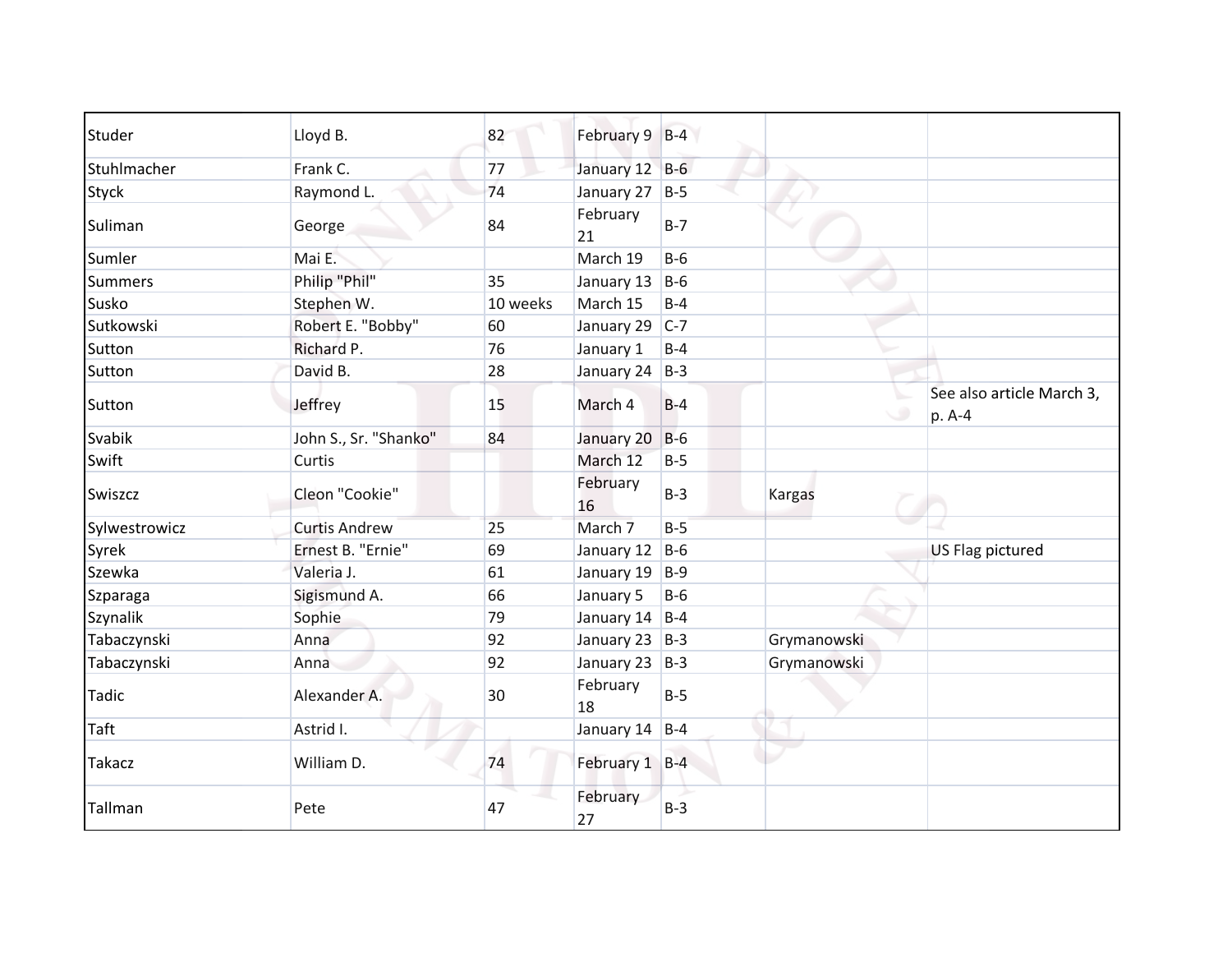| Studer         | Lloyd B.              | 82       | February 9 B-4 |       |               |                                     |
|----------------|-----------------------|----------|----------------|-------|---------------|-------------------------------------|
| Stuhlmacher    | Frank C.              | 77       | January 12 B-6 |       |               |                                     |
| <b>Styck</b>   | Raymond L.            | 74       | January 27     | $B-5$ |               |                                     |
| Suliman        | George                | 84       | February<br>21 | $B-7$ |               |                                     |
| Sumler         | Mai E.                |          | March 19       | $B-6$ |               |                                     |
| <b>Summers</b> | Philip "Phil"         | 35       | January 13     | $B-6$ |               |                                     |
| Susko          | Stephen W.            | 10 weeks | March 15       | $B-4$ |               |                                     |
| Sutkowski      | Robert E. "Bobby"     | 60       | January 29     | $C-7$ |               |                                     |
| Sutton         | Richard P.            | 76       | January 1      | $B-4$ |               |                                     |
| Sutton         | David B.              | 28       | January 24 B-3 |       |               |                                     |
| Sutton         | Jeffrey               | 15       | March 4        | $B-4$ |               | See also article March 3,<br>p. A-4 |
| Svabik         | John S., Sr. "Shanko" | 84       | January 20     | $B-6$ |               |                                     |
| Swift          | Curtis                |          | March 12       | $B-5$ |               |                                     |
| Swiszcz        | Cleon "Cookie"        |          | February<br>16 | $B-3$ | <b>Kargas</b> |                                     |
| Sylwestrowicz  | <b>Curtis Andrew</b>  | 25       | March 7        | $B-5$ |               |                                     |
| Syrek          | Ernest B. "Ernie"     | 69       | January 12     | $B-6$ |               | US Flag pictured                    |
| Szewka         | Valeria J.            | 61       | January 19     | $B-9$ |               |                                     |
| Szparaga       | Sigismund A.          | 66       | January 5      | $B-6$ |               |                                     |
| Szynalik       | Sophie                | 79       | January 14     | $B-4$ |               |                                     |
| Tabaczynski    | Anna                  | 92       | January 23     | $B-3$ | Grymanowski   |                                     |
| Tabaczynski    | Anna                  | 92       | January 23     | $B-3$ | Grymanowski   |                                     |
| <b>Tadic</b>   | Alexander A.          | 30       | February<br>18 | $B-5$ |               |                                     |
| Taft           | Astrid I.             |          | January 14     | $B-4$ |               |                                     |
| <b>Takacz</b>  | William D.            | 74       | February 1 B-4 |       |               |                                     |
| Tallman        | Pete                  | 47       | February<br>27 | $B-3$ |               |                                     |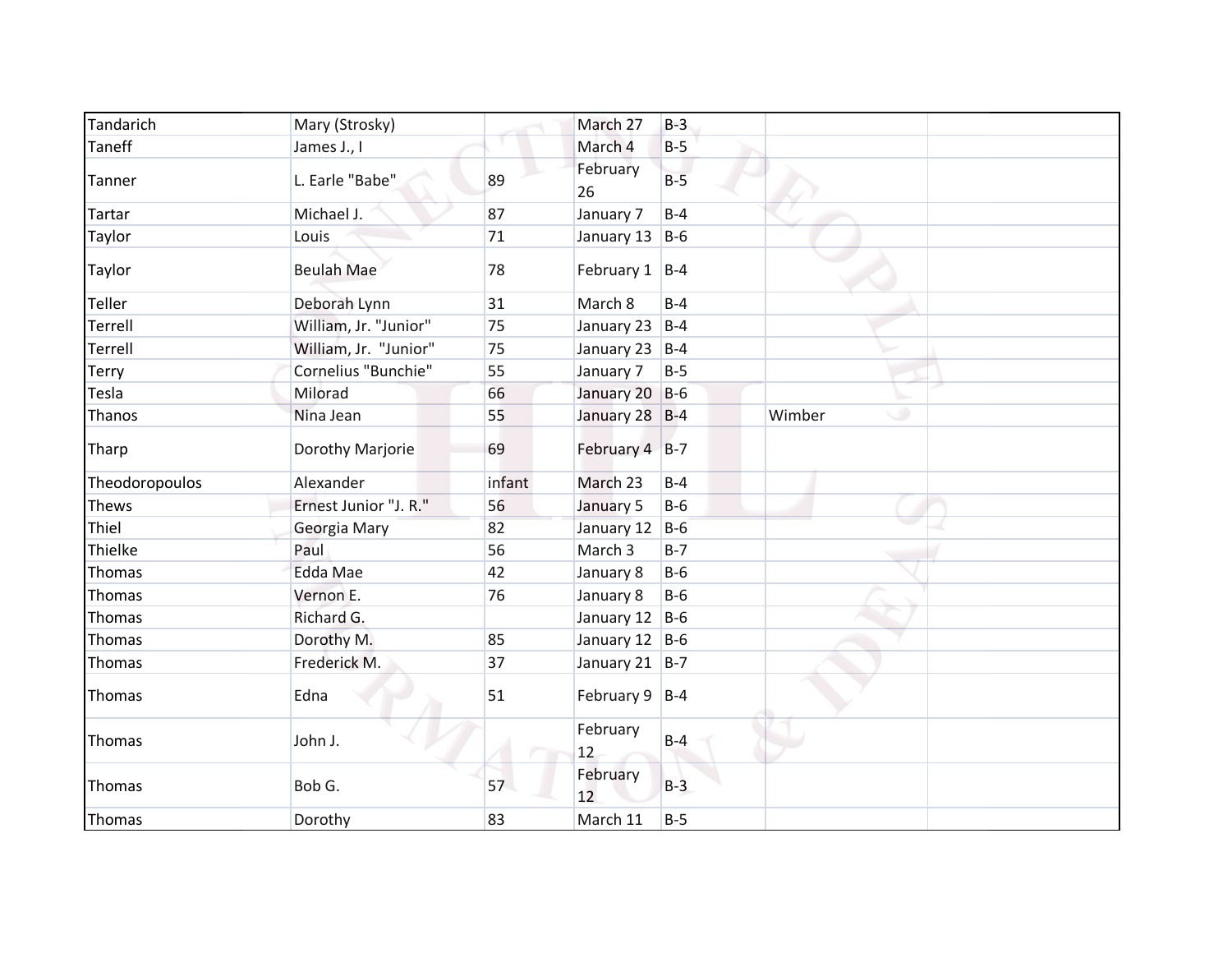| Tandarich      | Mary (Strosky)        |        | March 27          | $B-3$ |             |
|----------------|-----------------------|--------|-------------------|-------|-------------|
| Taneff         | James J., I           |        | March 4           | $B-5$ |             |
| Tanner         | L. Earle "Babe"       | 89     | February<br>26    | $B-5$ |             |
| Tartar         | Michael J.            | 87     | January 7         | $B-4$ |             |
| Taylor         | Louis                 | 71     | January 13 B-6    |       |             |
| Taylor         | <b>Beulah Mae</b>     | 78     | February $1$  B-4 |       |             |
| Teller         | Deborah Lynn          | 31     | March 8           | $B-4$ |             |
| Terrell        | William, Jr. "Junior" | 75     | January 23 B-4    |       |             |
| Terrell        | William, Jr. "Junior" | 75     | January 23 B-4    |       |             |
| Terry          | Cornelius "Bunchie"   | 55     | January 7         | $B-5$ |             |
| Tesla          | Milorad               | 66     | January 20 B-6    |       |             |
| Thanos         | Nina Jean             | 55     | January 28 B-4    |       | Wimber<br>٠ |
| Tharp          | Dorothy Marjorie      | 69     | February 4 B-7    |       |             |
| Theodoropoulos | Alexander             | infant | March 23          | $B-4$ |             |
| <b>Thews</b>   | Ernest Junior "J. R." | 56     | January 5         | $B-6$ |             |
| Thiel          | Georgia Mary          | 82     | January 12 B-6    |       |             |
| Thielke        | Paul                  | 56     | March 3           | $B-7$ |             |
| Thomas         | <b>Edda Mae</b>       | 42     | January 8         | $B-6$ |             |
| Thomas         | Vernon E.             | 76     | January 8         | $B-6$ |             |
| Thomas         | Richard G.            |        | January 12 B-6    |       |             |
| Thomas         | Dorothy M.            | 85     | January 12 B-6    |       |             |
| Thomas         | Frederick M.          | 37     | January 21   B-7  |       |             |
| Thomas         | Edna                  | 51     | February $9$ B-4  |       |             |
| Thomas         | John J.               |        | February<br>12    | $B-4$ |             |
| Thomas         | Bob G.                | 57     | February<br>12    | $B-3$ |             |
| Thomas         | Dorothy               | 83     | March 11          | $B-5$ |             |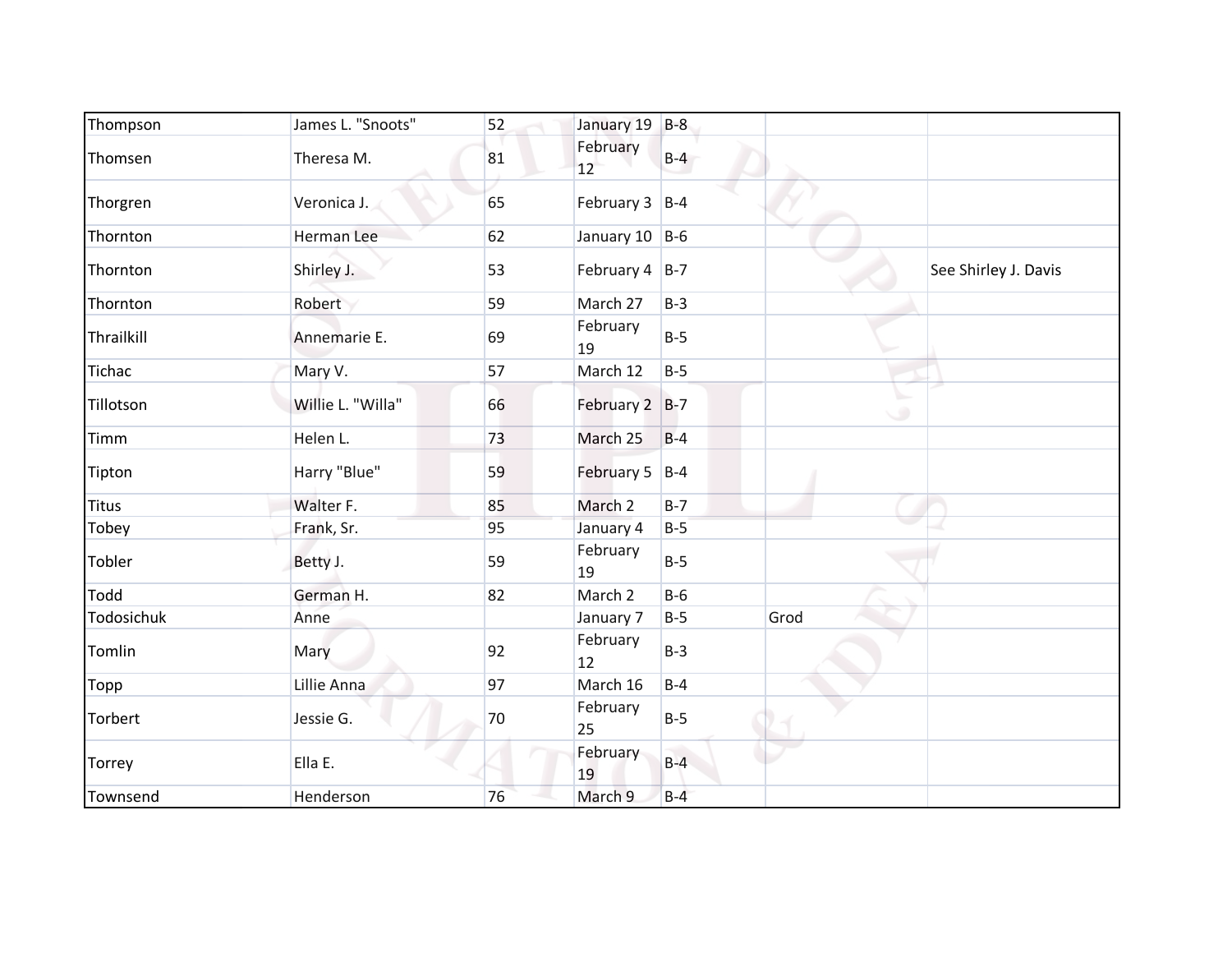| Thompson      | James L. "Snoots" | 52 | January 19 B-8   |       |      |                      |
|---------------|-------------------|----|------------------|-------|------|----------------------|
| Thomsen       | Theresa M.        | 81 | February<br>12   | $B-4$ |      |                      |
| Thorgren      | Veronica J.       | 65 | February $3$ B-4 |       |      |                      |
| Thornton      | Herman Lee        | 62 | January 10 B-6   |       |      |                      |
| Thornton      | Shirley J.        | 53 | February 4 B-7   |       |      | See Shirley J. Davis |
| Thornton      | Robert            | 59 | March 27         | $B-3$ |      |                      |
| Thrailkill    | Annemarie E.      | 69 | February<br>19   | $B-5$ |      |                      |
| <b>Tichac</b> | Mary V.           | 57 | March 12         | $B-5$ |      |                      |
| Tillotson     | Willie L. "Willa" | 66 | February 2 B-7   |       | ی    |                      |
| Timm          | Helen L.          | 73 | March 25         | $B-4$ |      |                      |
| Tipton        | Harry "Blue"      | 59 | February 5 B-4   |       |      |                      |
| <b>Titus</b>  | Walter F.         | 85 | March 2          | $B-7$ |      |                      |
| Tobey         | Frank, Sr.        | 95 | January 4        | $B-5$ |      |                      |
| Tobler        | Betty J.          | 59 | February<br>19   | $B-5$ |      |                      |
| <b>Todd</b>   | German H.         | 82 | March 2          | $B-6$ |      |                      |
| Todosichuk    | Anne              |    | January 7        | $B-5$ | Grod |                      |
| Tomlin        | Mary              | 92 | February<br>12   | $B-3$ |      |                      |
| Topp          | Lillie Anna       | 97 | March 16         | $B-4$ |      |                      |
| Torbert       | Jessie G.         | 70 | February<br>25   | $B-5$ |      |                      |
| Torrey        | Ella E.           |    | February<br>19   | $B-4$ |      |                      |
| Townsend      | Henderson         | 76 | March 9          | $B-4$ |      |                      |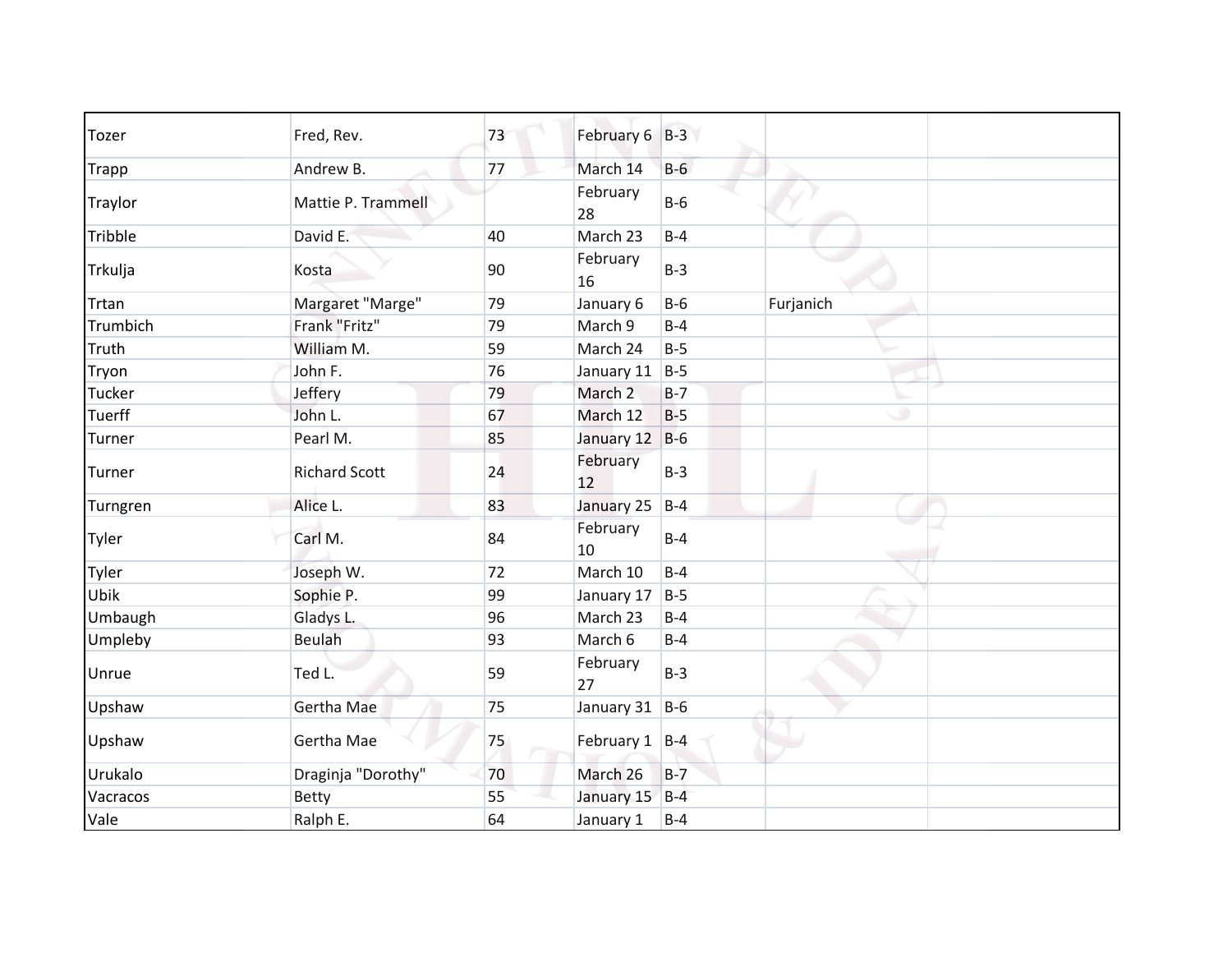| <b>Tozer</b>  | Fred, Rev.           | 73 | February 6 B-3     |       |           |
|---------------|----------------------|----|--------------------|-------|-----------|
| <b>Trapp</b>  | Andrew B.            | 77 | March 14           | $B-6$ |           |
| Traylor       | Mattie P. Trammell   |    | February<br>28     | $B-6$ |           |
| Tribble       | David E.             | 40 | March 23           | $B-4$ |           |
| Trkulja       | Kosta                | 90 | February<br>16     | $B-3$ |           |
| Trtan         | Margaret "Marge"     | 79 | January 6          | $B-6$ | Furjanich |
| Trumbich      | Frank "Fritz"        | 79 | March 9            | $B-4$ |           |
| Truth         | William M.           | 59 | March 24           | $B-5$ |           |
| Tryon         | John F.              | 76 | January 11         | $B-5$ |           |
| Tucker        | Jeffery              | 79 | March <sub>2</sub> | $B-7$ |           |
| <b>Tuerff</b> | John L.              | 67 | March 12           | $B-5$ | ٠         |
| Turner        | Pearl M.             | 85 | January 12         | $B-6$ |           |
| Turner        | <b>Richard Scott</b> | 24 | February<br>12     | $B-3$ |           |
| Turngren      | Alice L.             | 83 | January 25         | $B-4$ |           |
| Tyler         | Carl M.              | 84 | February<br>10     | $B-4$ |           |
| Tyler         | Joseph W.            | 72 | March 10           | $B-4$ |           |
| Ubik          | Sophie P.            | 99 | January 17         | $B-5$ |           |
| Umbaugh       | Gladys L.            | 96 | March 23           | $B-4$ |           |
| Umpleby       | <b>Beulah</b>        | 93 | March 6            | $B-4$ |           |
| Unrue         | Ted L.               | 59 | February<br>27     | $B-3$ |           |
| Upshaw        | Gertha Mae           | 75 | January 31         | $B-6$ |           |
| Upshaw        | Gertha Mae           | 75 | February 1 B-4     |       |           |
| Urukalo       | Draginja "Dorothy"   | 70 | March 26           | $B-7$ |           |
| Vacracos      | <b>Betty</b>         | 55 | January 15         | $B-4$ |           |
| Vale          | Ralph E.             | 64 | January 1          | $B-4$ |           |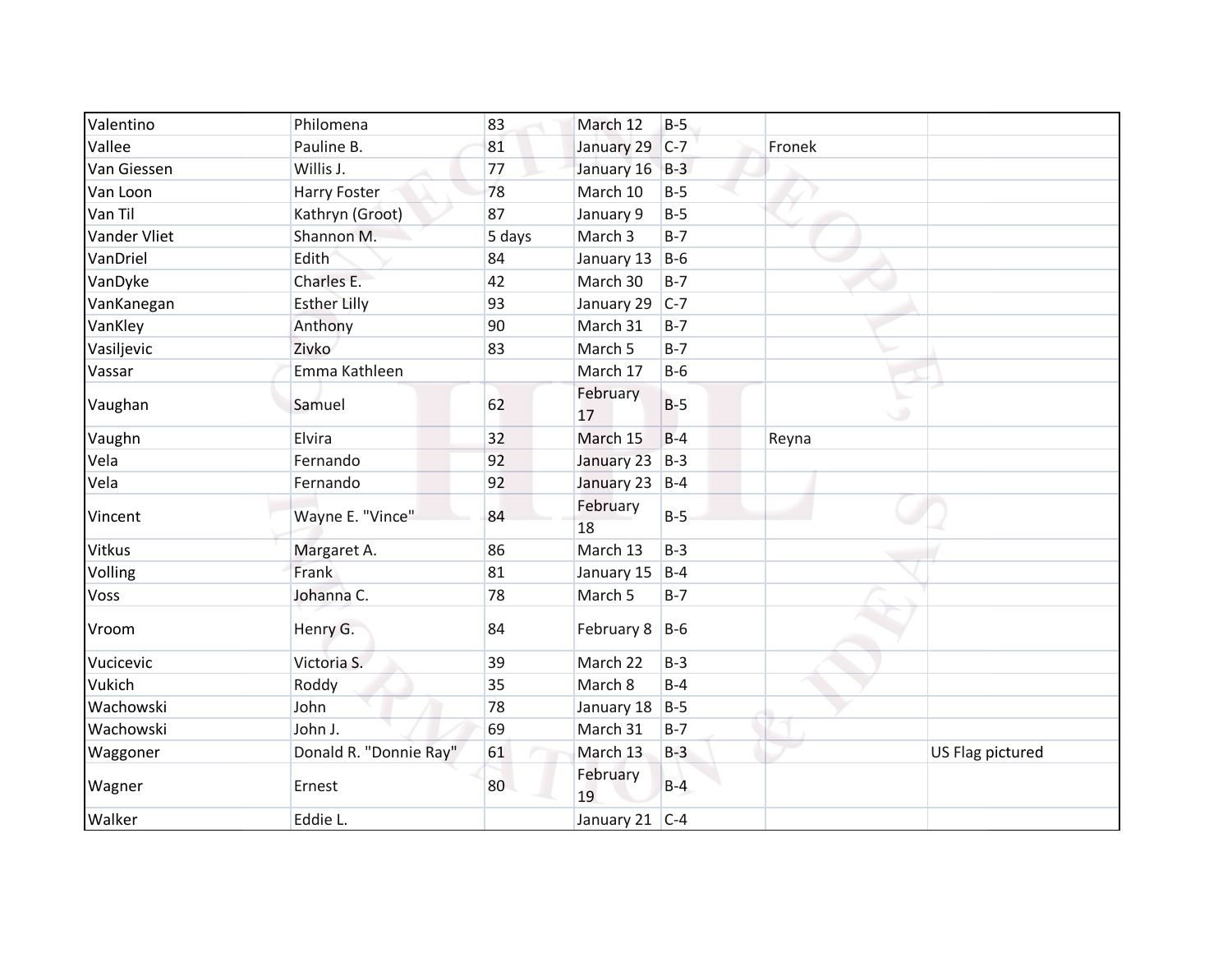| Valentino     | Philomena              | 83     | March 12         | $B-5$ |        |                  |
|---------------|------------------------|--------|------------------|-------|--------|------------------|
| Vallee        | Pauline B.             | 81     | January 29       | $C-7$ | Fronek |                  |
| Van Giessen   | Willis J.              | 77     | January 16 B-3   |       |        |                  |
| Van Loon      | Harry Foster           | 78     | March 10         | $B-5$ |        |                  |
| Van Til       | Kathryn (Groot)        | 87     | January 9        | $B-5$ |        |                  |
| Vander Vliet  | Shannon M.             | 5 days | March 3          | $B-7$ |        |                  |
| VanDriel      | Edith                  | 84     | January 13       | $B-6$ |        |                  |
| VanDyke       | Charles E.             | 42     | March 30         | $B-7$ |        |                  |
| VanKanegan    | <b>Esther Lilly</b>    | 93     | January 29       | $C-7$ |        |                  |
| VanKley       | Anthony                | 90     | March 31         | $B-7$ |        |                  |
| Vasiljevic    | Zivko                  | 83     | March 5          | $B-7$ |        |                  |
| Vassar        | Emma Kathleen          |        | March 17         | $B-6$ |        |                  |
| Vaughan       | Samuel                 | 62     | February<br>17   | $B-5$ | ت      |                  |
| Vaughn        | Elvira                 | 32     | March 15         | $B-4$ | Reyna  |                  |
| Vela          | Fernando               | 92     | January 23       | $B-3$ |        |                  |
| Vela          | Fernando               | 92     | January 23 B-4   |       |        |                  |
| Vincent       | Wayne E. "Vince"       | 84     | February<br>18   | $B-5$ |        |                  |
| <b>Vitkus</b> | Margaret A.            | 86     | March 13         | $B-3$ |        |                  |
| Volling       | Frank                  | 81     | January 15       | $B-4$ |        |                  |
| Voss          | Johanna C.             | 78     | March 5          | $B-7$ |        |                  |
| Vroom         | Henry G.               | 84     | February 8 B-6   |       |        |                  |
| Vucicevic     | Victoria S.            | 39     | March 22         | $B-3$ |        |                  |
| Vukich        | Roddy                  | 35     | March 8          | $B-4$ |        |                  |
| Wachowski     | John                   | 78     | January 18       | $B-5$ |        |                  |
| Wachowski     | John J.                | 69     | March 31         | $B-7$ |        |                  |
| Waggoner      | Donald R. "Donnie Ray" | 61     | March 13         | $B-3$ |        | US Flag pictured |
| Wagner        | Ernest                 | 80     | February<br>19   | $B-4$ |        |                  |
| Walker        | Eddie L.               |        | January 21 $C-4$ |       |        |                  |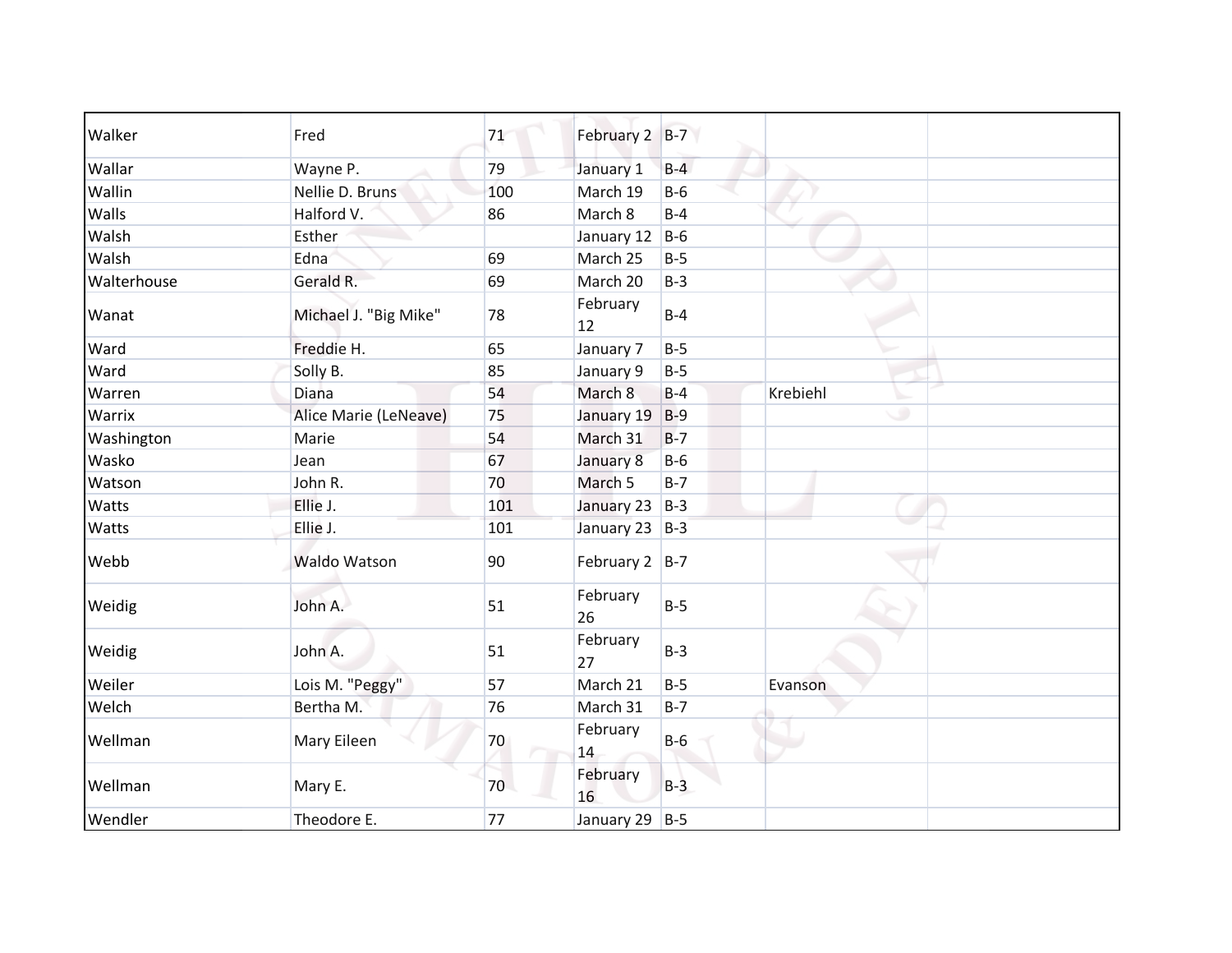| Walker      | Fred                  | 71  | February 2 B-7   |       |          |
|-------------|-----------------------|-----|------------------|-------|----------|
| Wallar      | Wayne P.              | 79  | January 1        | $B-4$ |          |
| Wallin      | Nellie D. Bruns       | 100 | March 19         | $B-6$ |          |
| Walls       | Halford V.            | 86  | March 8          | $B-4$ |          |
| Walsh       | Esther                |     | January 12       | $B-6$ |          |
| Walsh       | Edna                  | 69  | March 25         | $B-5$ |          |
| Walterhouse | Gerald R.             | 69  | March 20         | $B-3$ |          |
| Wanat       | Michael J. "Big Mike" | 78  | February<br>12   | $B-4$ |          |
| Ward        | Freddie H.            | 65  | January 7        | $B-5$ |          |
| Ward        | Solly B.              | 85  | January 9        | $B-5$ |          |
| Warren      | Diana                 | 54  | March 8          | $B-4$ | Krebiehl |
| Warrix      | Alice Marie (LeNeave) | 75  | January 19       | $B-9$ | ی        |
| Washington  | Marie                 | 54  | March 31         | $B-7$ |          |
| Wasko       | Jean                  | 67  | January 8        | $B-6$ |          |
| Watson      | John R.               | 70  | March 5          | $B-7$ |          |
| Watts       | Ellie J.              | 101 | January 23       | $B-3$ |          |
| Watts       | Ellie J.              | 101 | January 23 B-3   |       |          |
| Webb        | <b>Waldo Watson</b>   | 90  | February $2$ B-7 |       |          |
| Weidig      | John A.               | 51  | February<br>26   | $B-5$ |          |
| Weidig      | John A.               | 51  | February<br>27   | $B-3$ |          |
| Weiler      | Lois M. "Peggy"       | 57  | March 21         | $B-5$ | Evanson  |
| Welch       | Bertha M.             | 76  | March 31         | $B-7$ |          |
| Wellman     | Mary Eileen           | 70  | February<br>14   | $B-6$ |          |
| Wellman     | Mary E.               | 70  | February<br>16   | $B-3$ |          |
| Wendler     | Theodore E.           | 77  | January 29 B-5   |       |          |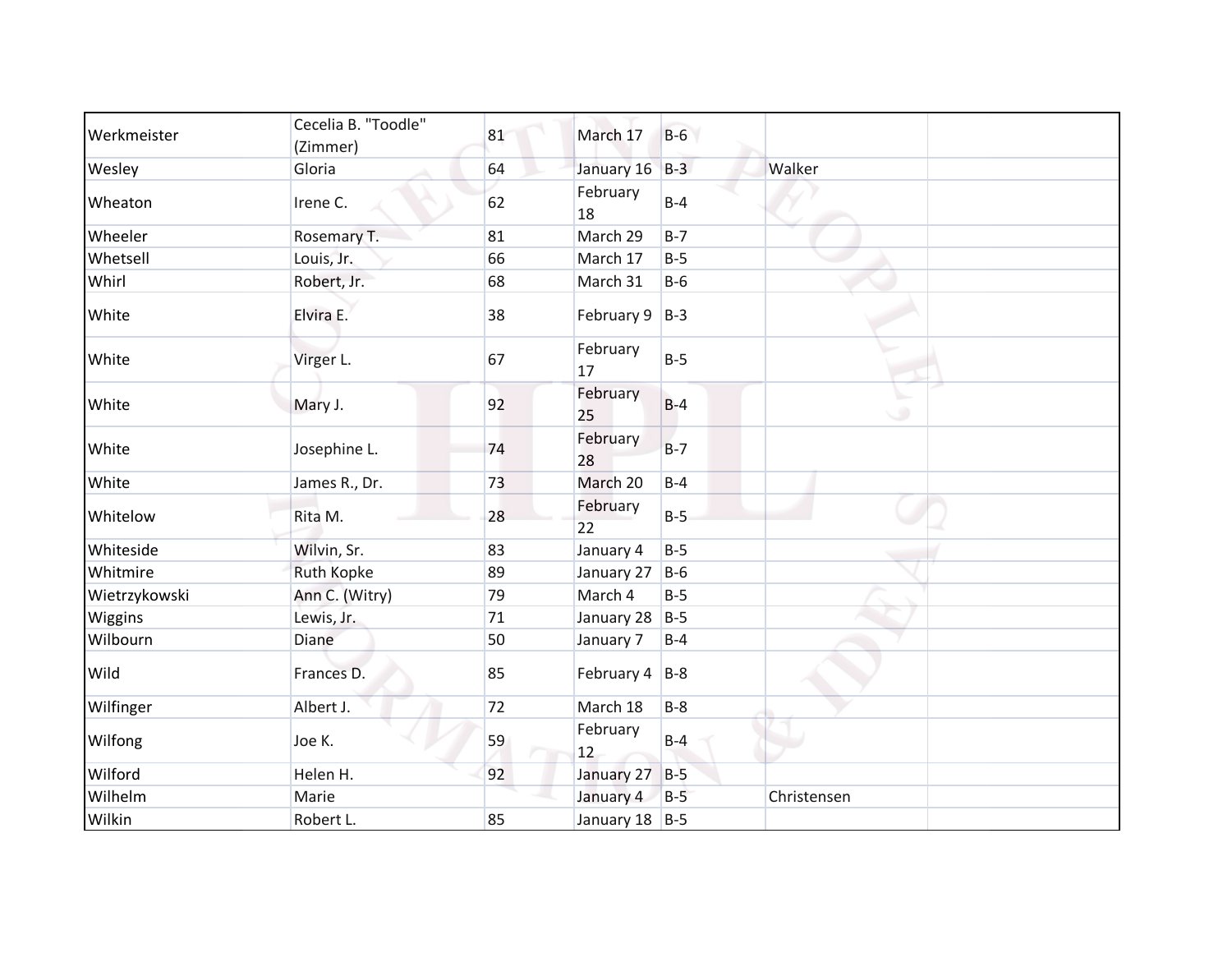| Werkmeister   | Cecelia B. "Toodle"<br>(Zimmer) | 81 | March 17           | $B-6$ |             |
|---------------|---------------------------------|----|--------------------|-------|-------------|
| Wesley        | Gloria                          | 64 | January 16         | $B-3$ | Walker      |
| Wheaton       | Irene C.                        | 62 | February<br>18     | $B-4$ |             |
| Wheeler       | Rosemary T.                     | 81 | March 29           | $B-7$ |             |
| Whetsell      | Louis, Jr.                      | 66 | March 17           | $B-5$ |             |
| Whirl         | Robert, Jr.                     | 68 | March 31           | $B-6$ |             |
| White         | Elvira E.                       | 38 | February $9$ B-3   |       |             |
| White         | Virger L.                       | 67 | February<br>17     | $B-5$ |             |
| White         | Mary J.                         | 92 | February<br>25     | $B-4$ | ت           |
| White         | Josephine L.                    | 74 | February<br>28     | $B-7$ |             |
| White         | James R., Dr.                   | 73 | March 20           | $B-4$ |             |
| Whitelow      | Rita M.                         | 28 | February<br>22     | $B-5$ |             |
| Whiteside     | Wilvin, Sr.                     | 83 | January 4          | $B-5$ |             |
| Whitmire      | <b>Ruth Kopke</b>               | 89 | January 27         | $B-6$ |             |
| Wietrzykowski | Ann C. (Witry)                  | 79 | March 4            | $B-5$ |             |
| Wiggins       | Lewis, Jr.                      | 71 | January 28         | $B-5$ |             |
| Wilbourn      | Diane                           | 50 | January 7          | $B-4$ |             |
| Wild          | Frances D.                      | 85 | February $4$   B-8 |       |             |
| Wilfinger     | Albert J.                       | 72 | March 18           | $B-8$ |             |
| Wilfong       | Joe K.                          | 59 | February<br>12     | $B-4$ |             |
| Wilford       | Helen H.                        | 92 | January 27         | $B-5$ |             |
| Wilhelm       | Marie                           |    | January 4          | $B-5$ | Christensen |
| Wilkin        | Robert L.                       | 85 | January 18 B-5     |       |             |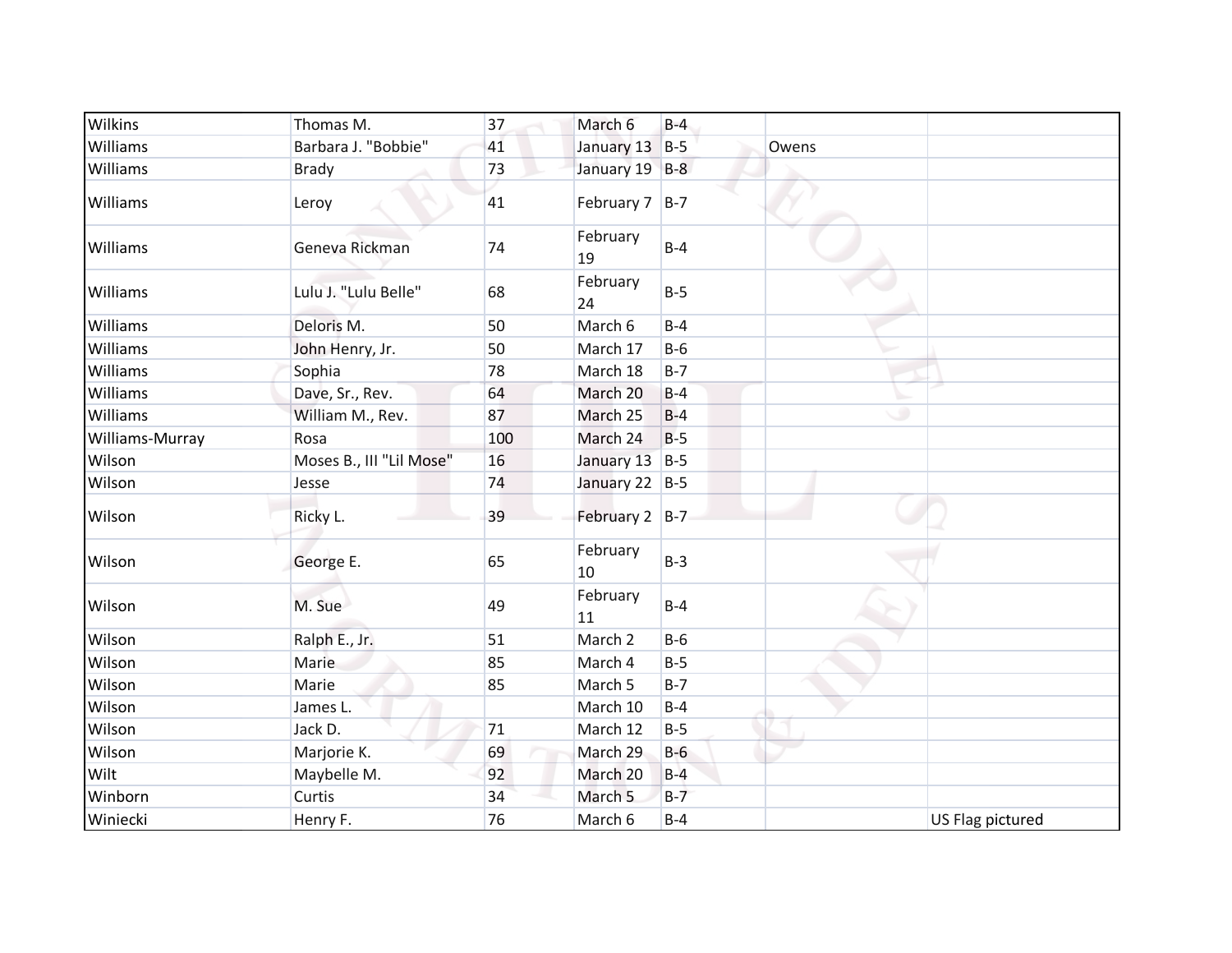| Wilkins         | Thomas M.                | 37  | March 6            | $B-4$ |                  |
|-----------------|--------------------------|-----|--------------------|-------|------------------|
| Williams        | Barbara J. "Bobbie"      | 41  | January 13         | $B-5$ | Owens            |
| <b>Williams</b> | <b>Brady</b>             | 73  | January 19 B-8     |       |                  |
| Williams        | Leroy                    | 41  | February $7$ B-7   |       |                  |
| Williams        | Geneva Rickman           | 74  | February<br>19     | $B-4$ |                  |
| Williams        | Lulu J. "Lulu Belle"     | 68  | February<br>24     | $B-5$ |                  |
| Williams        | Deloris M.               | 50  | March 6            | $B-4$ |                  |
| Williams        | John Henry, Jr.          | 50  | March 17           | $B-6$ |                  |
| <b>Williams</b> | Sophia                   | 78  | March 18           | $B-7$ |                  |
| Williams        | Dave, Sr., Rev.          | 64  | March 20           | $B-4$ |                  |
| <b>Williams</b> | William M., Rev.         | 87  | March 25           | $B-4$ | ٠                |
| Williams-Murray | Rosa                     | 100 | March 24           | $B-5$ |                  |
| Wilson          | Moses B., III "Lil Mose" | 16  | January 13 B-5     |       |                  |
| Wilson          | Jesse                    | 74  | January 22 B-5     |       |                  |
| Wilson          | Ricky L.                 | 39  | February 2 B-7     |       |                  |
| Wilson          | George E.                | 65  | February<br>10     | $B-3$ |                  |
| Wilson          | M. Sue                   | 49  | February<br>11     | $B-4$ |                  |
| Wilson          | Ralph E., Jr.            | 51  | March <sub>2</sub> | $B-6$ |                  |
| Wilson          | Marie                    | 85  | March 4            | $B-5$ |                  |
| Wilson          | Marie                    | 85  | March 5            | $B-7$ |                  |
| Wilson          | James L.                 |     | March 10           | $B-4$ |                  |
| Wilson          | Jack D.                  | 71  | March 12           | $B-5$ |                  |
| Wilson          | Marjorie K.              | 69  | March 29           | $B-6$ |                  |
| Wilt            | Maybelle M.              | 92  | March 20           | $B-4$ |                  |
| Winborn         | Curtis                   | 34  | March 5            | $B-7$ |                  |
| Winiecki        | Henry F.                 | 76  | March 6            | $B-4$ | US Flag pictured |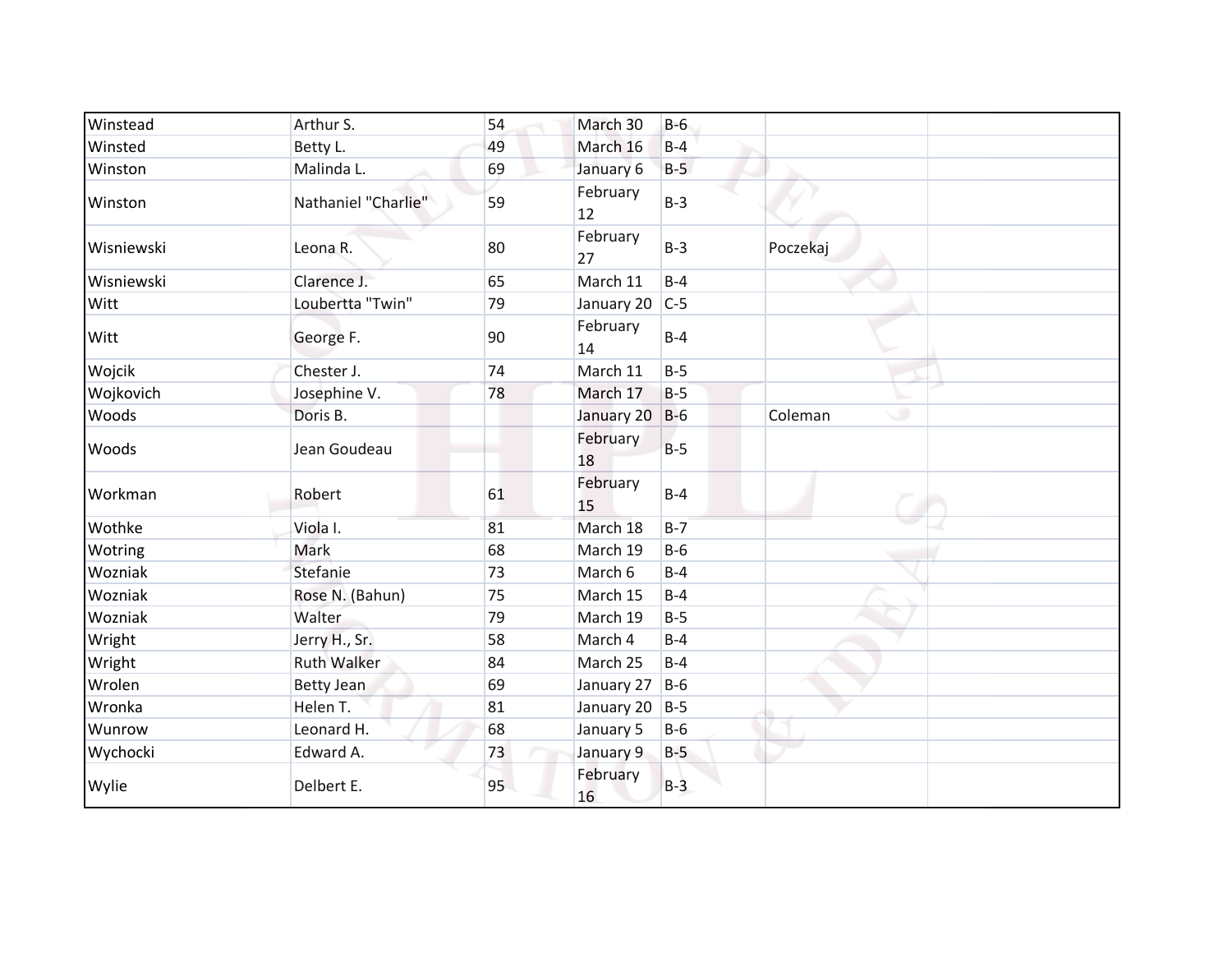| Winstead   | Arthur S.           | 54 | March 30       | $B-6$ |              |
|------------|---------------------|----|----------------|-------|--------------|
| Winsted    | Betty L.            | 49 | March 16       | $B-4$ |              |
| Winston    | Malinda L.          | 69 | January 6      | $B-5$ |              |
| Winston    | Nathaniel "Charlie" | 59 | February<br>12 | $B-3$ |              |
| Wisniewski | Leona R.            | 80 | February<br>27 | $B-3$ | Poczekaj     |
| Wisniewski | Clarence J.         | 65 | March 11       | $B-4$ |              |
| Witt       | Loubertta "Twin"    | 79 | January 20     | $C-5$ |              |
| Witt       | George F.           | 90 | February<br>14 | $B-4$ |              |
| Wojcik     | Chester J.          | 74 | March 11       | $B-5$ |              |
| Wojkovich  | Josephine V.        | 78 | March 17       | $B-5$ |              |
| Woods      | Doris B.            |    | January 20     | $B-6$ | ۰<br>Coleman |
| Woods      | Jean Goudeau        |    | February<br>18 | $B-5$ |              |
| Workman    | Robert              | 61 | February<br>15 | $B-4$ |              |
| Wothke     | Viola I.            | 81 | March 18       | $B-7$ |              |
| Wotring    | Mark                | 68 | March 19       | $B-6$ |              |
| Wozniak    | Stefanie            | 73 | March 6        | $B-4$ |              |
| Wozniak    | Rose N. (Bahun)     | 75 | March 15       | $B-4$ |              |
| Wozniak    | Walter              | 79 | March 19       | $B-5$ |              |
| Wright     | Jerry H., Sr.       | 58 | March 4        | $B-4$ |              |
| Wright     | <b>Ruth Walker</b>  | 84 | March 25       | $B-4$ |              |
| Wrolen     | <b>Betty Jean</b>   | 69 | January 27     | $B-6$ |              |
| Wronka     | Helen T.            | 81 | January 20     | $B-5$ |              |
| Wunrow     | Leonard H.          | 68 | January 5      | $B-6$ |              |
| Wychocki   | Edward A.           | 73 | January 9      | $B-5$ |              |
| Wylie      | Delbert E.          | 95 | February<br>16 | $B-3$ |              |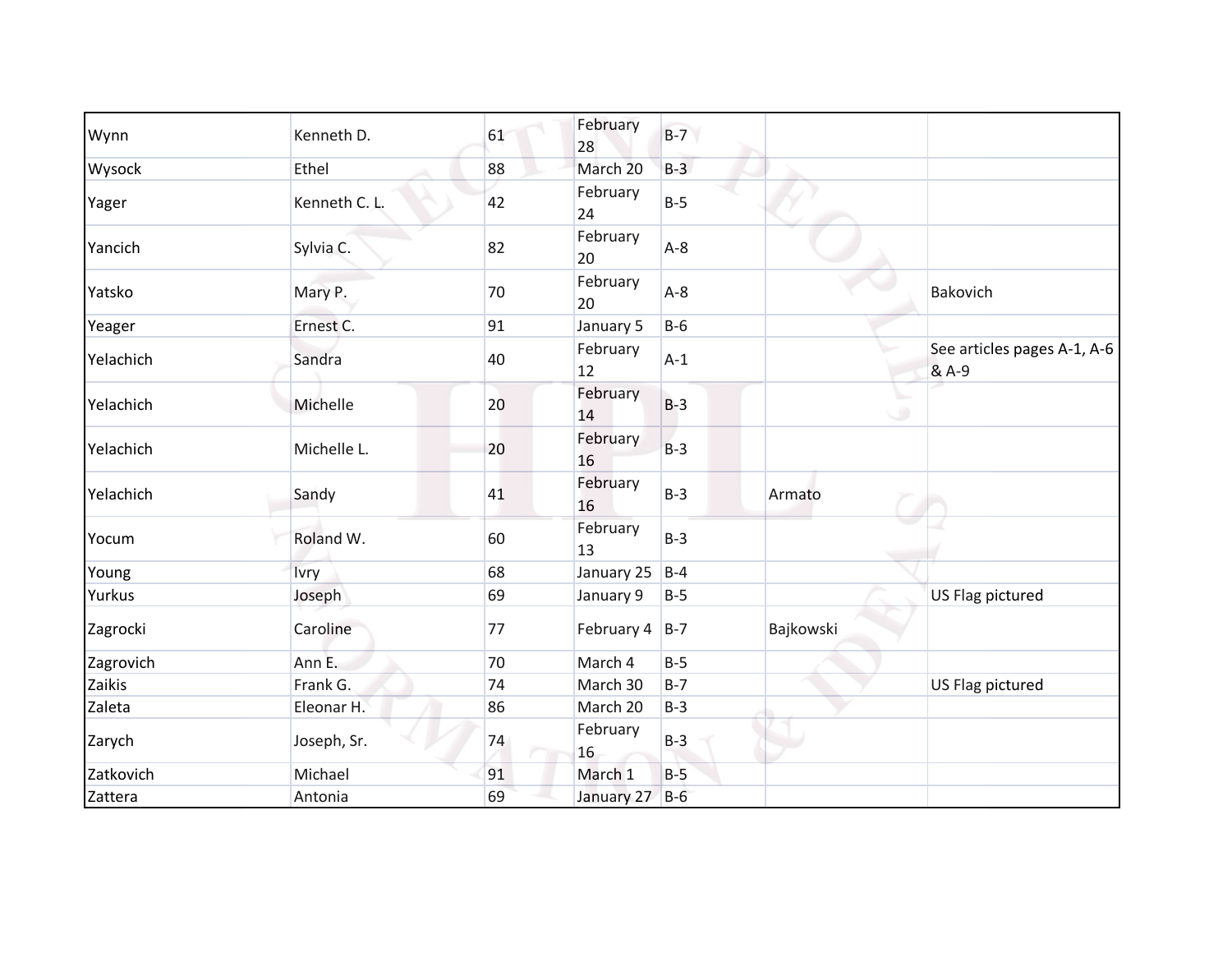| Wynn      | Kenneth D.    | 61 | February<br>28 | $B-7$ |           |                                      |
|-----------|---------------|----|----------------|-------|-----------|--------------------------------------|
| Wysock    | Ethel         | 88 | March 20       | $B-3$ |           |                                      |
| Yager     | Kenneth C. L. | 42 | February<br>24 | $B-5$ |           |                                      |
| Yancich   | Sylvia C.     | 82 | February<br>20 | $A-8$ |           |                                      |
| Yatsko    | Mary P.       | 70 | February<br>20 | $A-8$ |           | Bakovich                             |
| Yeager    | Ernest C.     | 91 | January 5      | $B-6$ |           |                                      |
| Yelachich | Sandra        | 40 | February<br>12 | $A-1$ |           | See articles pages A-1, A-6<br>& A-9 |
| Yelachich | Michelle      | 20 | February<br>14 | $B-3$ | ی         |                                      |
| Yelachich | Michelle L.   | 20 | February<br>16 | $B-3$ |           |                                      |
| Yelachich | Sandy         | 41 | February<br>16 | $B-3$ | Armato    |                                      |
| Yocum     | Roland W.     | 60 | February<br>13 | $B-3$ |           |                                      |
| Young     | Ivry          | 68 | January 25     | $B-4$ |           |                                      |
| Yurkus    | Joseph        | 69 | January 9      | $B-5$ |           | US Flag pictured                     |
| Zagrocki  | Caroline      | 77 | February 4     | $B-7$ | Bajkowski |                                      |
| Zagrovich | Ann E.        | 70 | March 4        | $B-5$ |           |                                      |
| Zaikis    | Frank G.      | 74 | March 30       | $B-7$ |           | US Flag pictured                     |
| Zaleta    | Eleonar H.    | 86 | March 20       | $B-3$ |           |                                      |
| Zarych    | Joseph, Sr.   | 74 | February<br>16 | $B-3$ |           |                                      |
| Zatkovich | Michael       | 91 | March 1        | $B-5$ |           |                                      |
| Zattera   | Antonia       | 69 | January 27 B-6 |       |           |                                      |